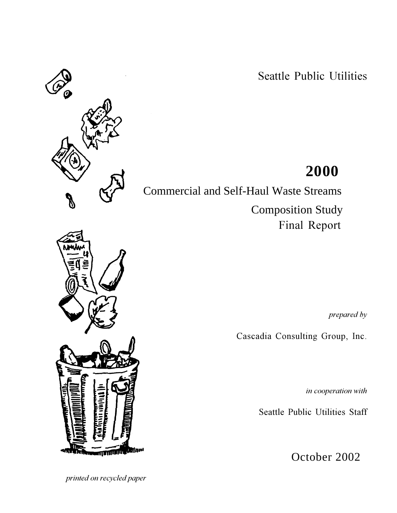Seattle Public Utilities

# **2000**

Commercial and Self-Haul Waste Streams

 Composition Study **Final Report** 

*--*

Cascadia Consulting Group, Inc.

in cooperation with

Seattle Public Utilities Staff

October 2002

*rinted on recycled paper* 



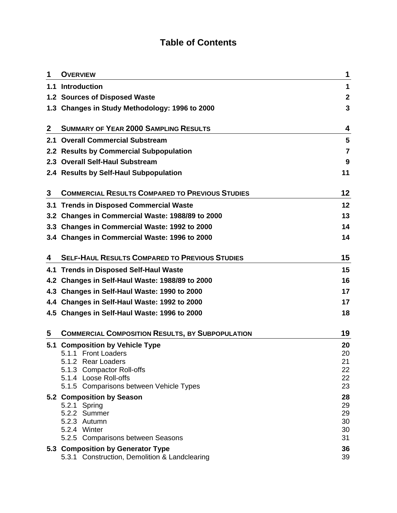### **Table of Contents**

| 1           | <b>OVERVIEW</b>                                                                    | 1           |
|-------------|------------------------------------------------------------------------------------|-------------|
|             | 1.1 Introduction                                                                   | 1           |
|             | 1.2 Sources of Disposed Waste                                                      | $\mathbf 2$ |
|             | 1.3 Changes in Study Methodology: 1996 to 2000                                     | 3           |
| $\mathbf 2$ | <b>SUMMARY OF YEAR 2000 SAMPLING RESULTS</b>                                       | 4           |
|             | 2.1 Overall Commercial Substream                                                   | 5           |
|             | 2.2 Results by Commercial Subpopulation                                            | 7           |
|             | 2.3 Overall Self-Haul Substream                                                    | 9           |
|             | 2.4 Results by Self-Haul Subpopulation                                             | 11          |
| 3           | <b>COMMERCIAL RESULTS COMPARED TO PREVIOUS STUDIES</b>                             | 12          |
|             | 3.1 Trends in Disposed Commercial Waste                                            | 12          |
|             | 3.2 Changes in Commercial Waste: 1988/89 to 2000                                   | 13          |
|             | 3.3 Changes in Commercial Waste: 1992 to 2000                                      | 14          |
|             | 3.4 Changes in Commercial Waste: 1996 to 2000                                      | 14          |
| 4           | <b>SELF-HAUL RESULTS COMPARED TO PREVIOUS STUDIES</b>                              | 15          |
|             | 4.1 Trends in Disposed Self-Haul Waste                                             | 15          |
|             | 4.2 Changes in Self-Haul Waste: 1988/89 to 2000                                    | 16          |
|             | 4.3 Changes in Self-Haul Waste: 1990 to 2000                                       | 17          |
|             | 4.4 Changes in Self-Haul Waste: 1992 to 2000                                       | 17          |
|             | 4.5 Changes in Self-Haul Waste: 1996 to 2000                                       | 18          |
| 5           | <b>COMMERCIAL COMPOSITION RESULTS, BY SUBPOPULATION</b>                            | 19          |
| 5.1         | <b>Composition by Vehicle Type</b>                                                 | 20          |
|             | 5.1.1 Front Loaders                                                                | 20          |
|             | 5.1.2 Rear Loaders<br>5.1.3 Compactor Roll-offs                                    | 21<br>22    |
|             | 5.1.4 Loose Roll-offs                                                              | 22          |
|             | 5.1.5 Comparisons between Vehicle Types                                            | 23          |
|             | 5.2 Composition by Season                                                          | 28          |
|             | 5.2.1 Spring<br>5.2.2 Summer                                                       | 29<br>29    |
|             | 5.2.3 Autumn                                                                       | 30          |
|             | 5.2.4 Winter                                                                       | 30          |
|             | 5.2.5 Comparisons between Seasons                                                  | 31          |
|             | 5.3 Composition by Generator Type<br>5.3.1 Construction, Demolition & Landclearing | 36<br>39    |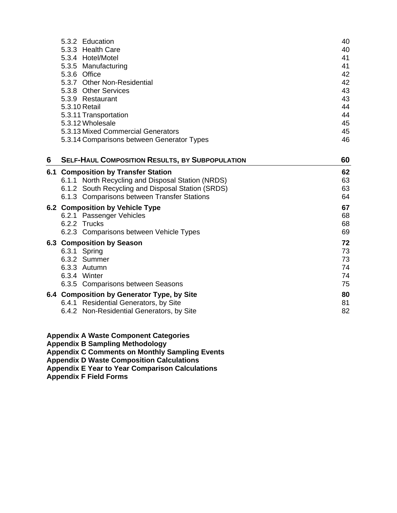|   | 5.3.2 Education                                                                     | 40       |
|---|-------------------------------------------------------------------------------------|----------|
|   | 5.3.3 Health Care                                                                   | 40       |
|   | 5.3.4 Hotel/Motel                                                                   | 41<br>41 |
|   | 5.3.5 Manufacturing<br>5.3.6 Office                                                 | 42       |
|   | 5.3.7 Other Non-Residential                                                         | 42       |
|   | 5.3.8 Other Services                                                                | 43       |
|   | 5.3.9 Restaurant                                                                    | 43       |
|   | 5.3.10 Retail                                                                       | 44       |
|   | 5.3.11 Transportation                                                               | 44       |
|   | 5.3.12 Wholesale                                                                    | 45       |
|   | 5.3.13 Mixed Commercial Generators                                                  | 45       |
|   | 5.3.14 Comparisons between Generator Types                                          | 46       |
| 6 | <b>SELF-HAUL COMPOSITION RESULTS, BY SUBPOPULATION</b>                              | 60       |
|   | <b>6.1 Composition by Transfer Station</b>                                          | 62       |
|   | 6.1.1 North Recycling and Disposal Station (NRDS)                                   | 63       |
|   | 6.1.2 South Recycling and Disposal Station (SRDS)                                   | 63       |
|   | 6.1.3 Comparisons between Transfer Stations                                         | 64       |
|   | 6.2 Composition by Vehicle Type                                                     | 67       |
|   | 6.2.1 Passenger Vehicles                                                            | 68       |
|   | 6.2.2 Trucks                                                                        | 68       |
|   | 6.2.3 Comparisons between Vehicle Types                                             | 69       |
|   | 6.3 Composition by Season                                                           | 72       |
|   | 6.3.1 Spring                                                                        | 73       |
|   | 6.3.2 Summer<br>6.3.3 Autumn                                                        | 73<br>74 |
|   | 6.3.4 Winter                                                                        | 74       |
|   | 6.3.5 Comparisons between Seasons                                                   | 75       |
|   |                                                                                     |          |
|   | 6.4 Composition by Generator Type, by Site<br>6.4.1 Residential Generators, by Site | 80<br>81 |
|   | 6.4.2 Non-Residential Generators, by Site                                           | 82       |
|   |                                                                                     |          |

**Appendix A Waste Component Categories**

**Appendix B Sampling Methodology**

**Appendix C Comments on Monthly Sampling Events**

**Appendix D Waste Composition Calculations**

**Appendix E Year to Year Comparison Calculations**

**Appendix F Field Forms**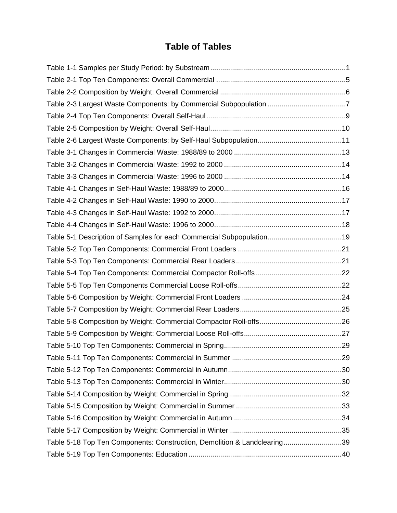### **Table of Tables**

| Table 5-1 Description of Samples for each Commercial Subpopulation 19    |  |
|--------------------------------------------------------------------------|--|
|                                                                          |  |
|                                                                          |  |
|                                                                          |  |
|                                                                          |  |
|                                                                          |  |
|                                                                          |  |
|                                                                          |  |
|                                                                          |  |
|                                                                          |  |
|                                                                          |  |
|                                                                          |  |
|                                                                          |  |
|                                                                          |  |
|                                                                          |  |
|                                                                          |  |
|                                                                          |  |
| Table 5-18 Top Ten Components: Construction, Demolition & Landclearing39 |  |
|                                                                          |  |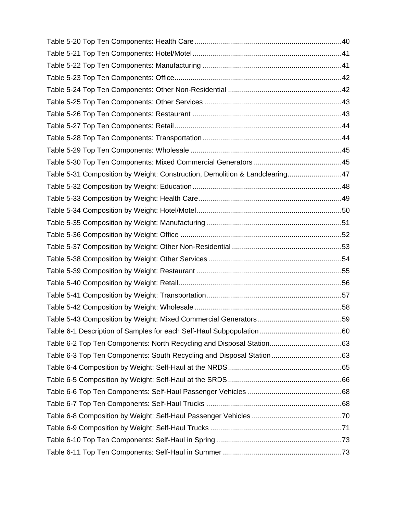| Table 5-31 Composition by Weight: Construction, Demolition & Landclearing47 |  |
|-----------------------------------------------------------------------------|--|
|                                                                             |  |
|                                                                             |  |
|                                                                             |  |
|                                                                             |  |
|                                                                             |  |
|                                                                             |  |
|                                                                             |  |
|                                                                             |  |
|                                                                             |  |
|                                                                             |  |
|                                                                             |  |
|                                                                             |  |
|                                                                             |  |
|                                                                             |  |
|                                                                             |  |
|                                                                             |  |
|                                                                             |  |
|                                                                             |  |
|                                                                             |  |
|                                                                             |  |
|                                                                             |  |
|                                                                             |  |
|                                                                             |  |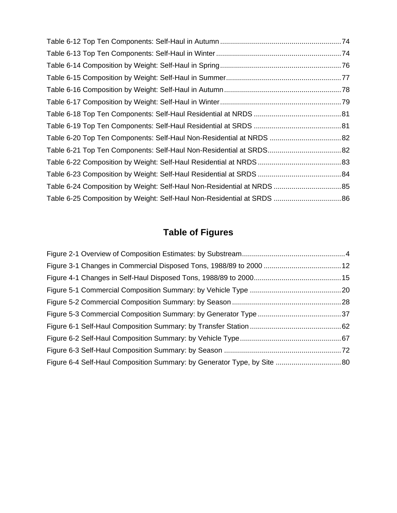| Table 6-20 Top Ten Components: Self-Haul Non-Residential at NRDS  82    |  |
|-------------------------------------------------------------------------|--|
|                                                                         |  |
|                                                                         |  |
|                                                                         |  |
|                                                                         |  |
| Table 6-25 Composition by Weight: Self-Haul Non-Residential at SRDS  86 |  |

## **Table of Figures**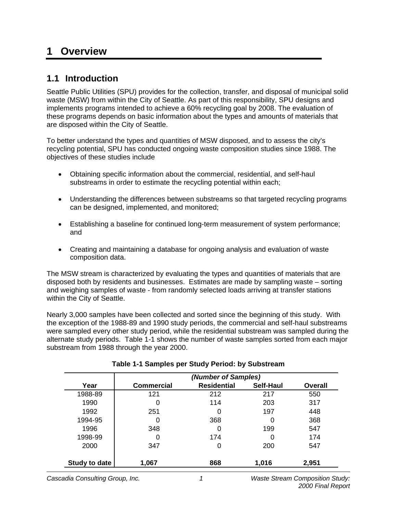### **1 Overview**

### **1.1 Introduction**

Seattle Public Utilities (SPU) provides for the collection, transfer, and disposal of municipal solid waste (MSW) from within the City of Seattle. As part of this responsibility, SPU designs and implements programs intended to achieve a 60% recycling goal by 2008. The evaluation of these programs depends on basic information about the types and amounts of materials that are disposed within the City of Seattle.

To better understand the types and quantities of MSW disposed, and to assess the city's recycling potential, SPU has conducted ongoing waste composition studies since 1988. The objectives of these studies include

- Obtaining specific information about the commercial, residential, and self-haul substreams in order to estimate the recycling potential within each;
- Understanding the differences between substreams so that targeted recycling programs can be designed, implemented, and monitored;
- Establishing a baseline for continued long-term measurement of system performance; and
- Creating and maintaining a database for ongoing analysis and evaluation of waste composition data.

The MSW stream is characterized by evaluating the types and quantities of materials that are disposed both by residents and businesses. Estimates are made by sampling waste – sorting and weighing samples of waste - from randomly selected loads arriving at transfer stations within the City of Seattle.

Nearly 3,000 samples have been collected and sorted since the beginning of this study. With the exception of the 1988-89 and 1990 study periods, the commercial and self-haul substreams were sampled every other study period, while the residential substream was sampled during the alternate study periods. Table 1-1 shows the number of waste samples sorted from each major substream from 1988 through the year 2000.

|               | (Number of Samples) |                    |           |                |  |  |  |  |  |  |  |
|---------------|---------------------|--------------------|-----------|----------------|--|--|--|--|--|--|--|
| Year          | <b>Commercial</b>   | <b>Residential</b> | Self-Haul | <b>Overall</b> |  |  |  |  |  |  |  |
| 1988-89       | 121                 | 212                | 217       | 550            |  |  |  |  |  |  |  |
| 1990          | 0                   | 114                | 203       | 317            |  |  |  |  |  |  |  |
| 1992          | 251                 | 0                  | 197       | 448            |  |  |  |  |  |  |  |
| 1994-95       | 0                   | 368                | 0         | 368            |  |  |  |  |  |  |  |
| 1996          | 348                 | 0                  | 199       | 547            |  |  |  |  |  |  |  |
| 1998-99       | 0                   | 174                | 0         | 174            |  |  |  |  |  |  |  |
| 2000          | 347                 | 0                  | 200       | 547            |  |  |  |  |  |  |  |
| Study to date | 1,067               | 868                | 1,016     | 2,951          |  |  |  |  |  |  |  |

### **Table 1-1 Samples per Study Period: by Substream**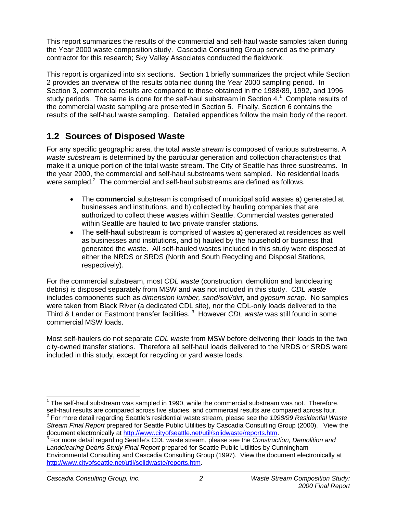This report summarizes the results of the commercial and self-haul waste samples taken during the Year 2000 waste composition study. Cascadia Consulting Group served as the primary contractor for this research; Sky Valley Associates conducted the fieldwork.

This report is organized into six sections. Section 1 briefly summarizes the project while Section 2 provides an overview of the results obtained during the Year 2000 sampling period. In Section 3, commercial results are compared to those obtained in the 1988/89, 1992, and 1996 study periods. The same is done for the self-haul substream in Section 4.<sup>1</sup> Complete results of the commercial waste sampling are presented in Section 5. Finally, Section 6 contains the results of the self-haul waste sampling. Detailed appendices follow the main body of the report.

### **1.2 Sources of Disposed Waste**

For any specific geographic area, the total *waste stream* is composed of various substreams. A *waste substream* is determined by the particular generation and collection characteristics that make it a unique portion of the total waste stream. The City of Seattle has three substreams. In the year 2000, the commercial and self-haul substreams were sampled. No residential loads were sampled. $2$  The commercial and self-haul substreams are defined as follows.

- The **commercial** substream is comprised of municipal solid wastes a) generated at businesses and institutions, and b) collected by hauling companies that are authorized to collect these wastes within Seattle. Commercial wastes generated within Seattle are hauled to two private transfer stations.
- The **self-haul** substream is comprised of wastes a) generated at residences as well as businesses and institutions, and b) hauled by the household or business that generated the waste. All self-hauled wastes included in this study were disposed at either the NRDS or SRDS (North and South Recycling and Disposal Stations, respectively).

For the commercial substream, most *CDL waste* (construction, demolition and landclearing debris) is disposed separately from MSW and was not included in this study. *CDL waste* includes components such as *dimension lumber, sand/soil/dirt*, and *gypsum scrap*. No samples were taken from Black River (a dedicated CDL site), nor the CDL-only loads delivered to the Third & Lander or Eastmont transfer facilities. 3 However *CDL waste* was still found in some commercial MSW loads.

Most self-haulers do not separate *CDL waste* from MSW before delivering their loads to the two city-owned transfer stations. Therefore all self-haul loads delivered to the NRDS or SRDS were included in this study, except for recycling or yard waste loads.

 $\overline{1}$ 

 $1$  The self-haul substream was sampled in 1990, while the commercial substream was not. Therefore, self-haul results are compared across five studies, and commercial results are compared across four. For more detail regarding Seattle's residential waste stream, please see the *1998/99 Residential Waste Stream Final Report* prepared for Seattle Public Utilities by Cascadia Consulting Group (2000). View the

document electronically at http://www.cityofseattle.net/util/solidwaste/reports.htm. 3 For more detail regarding Seattle's CDL waste stream, please see the *Construction, Demolition and*

*Landclearing Debris Study Final Report* prepared for Seattle Public Utilities by Cunningham Environmental Consulting and Cascadia Consulting Group (1997). View the document electronically at http://www.cityofseattle.net/util/solidwaste/reports.htm.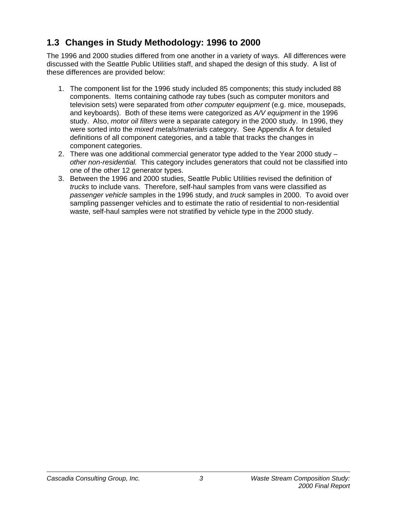### **1.3 Changes in Study Methodology: 1996 to 2000**

The 1996 and 2000 studies differed from one another in a variety of ways. All differences were discussed with the Seattle Public Utilities staff, and shaped the design of this study. A list of these differences are provided below:

- 1. The component list for the 1996 study included 85 components; this study included 88 components. Items containing cathode ray tubes (such as computer monitors and television sets) were separated from *other computer equipment* (e.g. mice, mousepads, and keyboards). Both of these items were categorized as *A/V equipment* in the 1996 study. Also, *motor oil filters* were a separate category in the 2000 study. In 1996, they were sorted into the *mixed metals/materials* category. See Appendix A for detailed definitions of all component categories, and a table that tracks the changes in component categories.
- 2. There was one additional commercial generator type added to the Year 2000 study *other non-residential.* This category includes generators that could not be classified into one of the other 12 generator types.
- 3. Between the 1996 and 2000 studies, Seattle Public Utilities revised the definition of *trucks* to include vans. Therefore, self-haul samples from vans were classified as *passenger vehicle* samples in the 1996 study, and *truck* samples in 2000. To avoid over sampling passenger vehicles and to estimate the ratio of residential to non-residential waste, self-haul samples were not stratified by vehicle type in the 2000 study.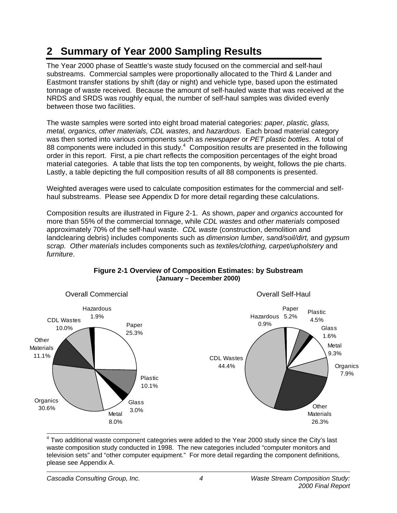# **2 Summary of Year 2000 Sampling Results**

The Year 2000 phase of Seattle's waste study focused on the commercial and self-haul substreams. Commercial samples were proportionally allocated to the Third & Lander and Eastmont transfer stations by shift (day or night) and vehicle type, based upon the estimated tonnage of waste received. Because the amount of self-hauled waste that was received at the NRDS and SRDS was roughly equal, the number of self-haul samples was divided evenly between those two facilities.

The waste samples were sorted into eight broad material categories: *paper, plastic, glass, metal, organics, other materials, CDL wastes*, and *hazardous*. Each broad material category was then sorted into various components such as *newspaper* or *PET plastic bottles*. A total of 88 components were included in this study. $4$  Composition results are presented in the following order in this report. First, a pie chart reflects the composition percentages of the eight broad material categories. A table that lists the top ten components, by weight, follows the pie charts. Lastly, a table depicting the full composition results of all 88 components is presented.

Weighted averages were used to calculate composition estimates for the commercial and selfhaul substreams. Please see Appendix D for more detail regarding these calculations.

Composition results are illustrated in Figure 2-1. As shown, *paper* and *organics* accounted for more than 55% of the commercial tonnage, while *CDL wastes* and *other materials* composed approximately 70% of the self-haul waste. *CDL waste* (construction, demolition and landclearing debris) includes components such as *dimension lumber, sand/soil/dirt,* and *gypsum scrap. Other materials* includes components such as *textiles/clothing, carpet/upholstery* and *furniture*.



#### **Figure 2-1 Overview of Composition Estimates: by Substream (January – December 2000)**

 4 Two additional waste component categories were added to the Year 2000 study since the City's last waste composition study conducted in 1998. The new categories included "computer monitors and television sets" and "other computer equipment." For more detail regarding the component definitions, please see Appendix A.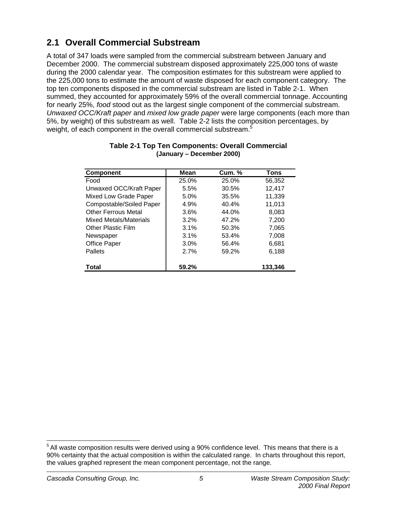### **2.1 Overall Commercial Substream**

A total of 347 loads were sampled from the commercial substream between January and December 2000. The commercial substream disposed approximately 225,000 tons of waste during the 2000 calendar year. The composition estimates for this substream were applied to the 225,000 tons to estimate the amount of waste disposed for each component category. The top ten components disposed in the commercial substream are listed in Table 2-1. When summed, they accounted for approximately 59% of the overall commercial tonnage. Accounting for nearly 25%, *food* stood out as the largest single component of the commercial substream. *Unwaxed OCC/Kraft paper* and *mixed low grade paper* were large components (each more than 5%, by weight) of this substream as well. Table 2-2 lists the composition percentages, by weight, of each component in the overall commercial substream.<sup>5</sup>

| <b>Component</b>           | Mean  | <b>Cum. %</b> | <b>Tons</b> |
|----------------------------|-------|---------------|-------------|
| Food                       | 25.0% | 25.0%         | 56,352      |
| Unwaxed OCC/Kraft Paper    | 5.5%  | 30.5%         | 12,417      |
| Mixed Low Grade Paper      | 5.0%  | 35.5%         | 11,339      |
| Compostable/Soiled Paper   | 4.9%  | 40.4%         | 11,013      |
| <b>Other Ferrous Metal</b> | 3.6%  | 44.0%         | 8,083       |
| Mixed Metals/Materials     | 3.2%  | 47.2%         | 7,200       |
| <b>Other Plastic Film</b>  | 3.1%  | 50.3%         | 7,065       |
| Newspaper                  | 3.1%  | 53.4%         | 7,008       |
| Office Paper               | 3.0%  | 56.4%         | 6,681       |
| Pallets                    | 2.7%  | 59.2%         | 6,188       |
| <b>Total</b>               | 59.2% |               | 133,346     |

#### **Table 2-1 Top Ten Components: Overall Commercial (January – December 2000)**

  $^5$  All waste composition results were derived using a 90% confidence level. This means that there is a 90% certainty that the actual composition is within the calculated range. In charts throughout this report, the values graphed represent the mean component percentage, not the range.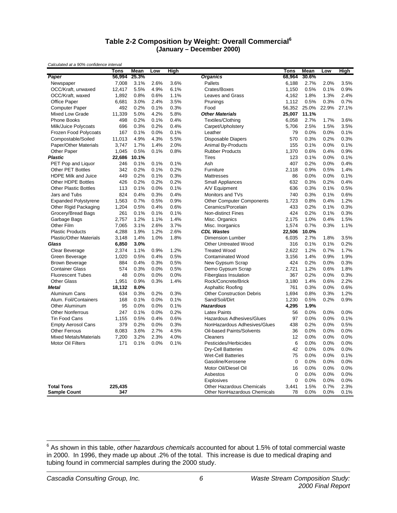#### **Table 2-2 Composition by Weight: Overall Commercial<sup>6</sup> (January – December 2000)**

|                                | <b>Tons</b> | Mean  | Low  | High |                                  | <b>Tons</b> | Mean  | Low   | High  |
|--------------------------------|-------------|-------|------|------|----------------------------------|-------------|-------|-------|-------|
| Paper                          | 56,994      | 25.3% |      |      | <b>Organics</b>                  | 68,964      | 30.6% |       |       |
| Newspaper                      | 7,008       | 3.1%  | 2.6% | 3.6% | Pallets                          | 6,188       | 2.7%  | 2.0%  | 3.5%  |
| OCC/Kraft, unwaxed             | 12,417      | 5.5%  | 4.9% | 6.1% | Crates/Boxes                     | 1,150       | 0.5%  | 0.1%  | 0.9%  |
| OCC/Kraft, waxed               | 1,892       | 0.8%  | 0.6% | 1.1% | <b>Leaves and Grass</b>          | 4,162       | 1.8%  | 1.3%  | 2.4%  |
| <b>Office Paper</b>            | 6,681       | 3.0%  | 2.4% | 3.5% | Prunings                         | 1,112       | 0.5%  | 0.3%  | 0.7%  |
| <b>Computer Paper</b>          | 492         | 0.2%  | 0.1% | 0.3% | Food                             | 56,352      | 25.0% | 22.9% | 27.1% |
| Mixed Low Grade                | 11,339      | 5.0%  | 4.2% | 5.8% | <b>Other Materials</b>           | 25,007      | 11.1% |       |       |
| <b>Phone Books</b>             | 498         | 0.2%  | 0.1% | 0.4% | Textiles/Clothing                | 6,058       | 2.7%  | 1.7%  | 3.6%  |
| Milk/Juice Polycoats           | 696         | 0.3%  | 0.2% | 0.4% | Carpet/Upholstery                | 5,706       | 2.5%  | 1.5%  | 3.5%  |
| Frozen Food Polycoats          | 167         | 0.1%  | 0.0% | 0.1% | Leather                          | 79          | 0.0%  | 0.0%  | 0.1%  |
| Compostable/Soiled             | 11,013      | 4.9%  | 4.3% | 5.5% | <b>Disposable Diapers</b>        | 570         | 0.3%  | 0.2%  | 0.3%  |
| Paper/Other Materials          | 3,747       | 1.7%  | 1.4% | 2.0% | <b>Animal By-Products</b>        | 155         | 0.1%  | 0.0%  | 0.1%  |
| Other Paper                    | 1,045       | 0.5%  | 0.1% | 0.8% | <b>Rubber Products</b>           | 1,370       | 0.6%  | 0.4%  | 0.9%  |
| <b>Plastic</b>                 | 22,686      | 10.1% |      |      | Tires                            | 123         | 0.1%  | 0.0%  | 0.1%  |
| PET Pop and Liquor             | 246         | 0.1%  | 0.1% | 0.1% | Ash                              | 407         | 0.2%  | 0.0%  | 0.4%  |
| Other PET Bottles              | 342         | 0.2%  | 0.1% | 0.2% | Furniture                        | 2,118       | 0.9%  | 0.5%  | 1.4%  |
| <b>HDPE Milk and Juice</b>     | 449         | 0.2%  | 0.1% | 0.3% | <b>Mattresses</b>                | 86          | 0.0%  | 0.0%  | 0.1%  |
| Other HDPE Bottles             | 426         | 0.2%  | 0.2% | 0.2% | <b>Small Appliances</b>          | 632         | 0.3%  | 0.2%  | 0.4%  |
| <b>Other Plastic Bottles</b>   | 113         | 0.1%  | 0.0% | 0.1% | A/V Equipment                    | 636         | 0.3%  | 0.1%  | 0.5%  |
| Jars and Tubs                  | 824         | 0.4%  | 0.3% | 0.4% | Monitors and TVs                 | 740         | 0.3%  | 0.1%  | 0.6%  |
| <b>Expanded Polystyrene</b>    | 1,563       | 0.7%  | 0.5% | 0.9% | <b>Other Computer Components</b> | 1,723       | 0.8%  | 0.4%  | 1.2%  |
| Other Rigid Packaging          | 1,204       | 0.5%  | 0.4% | 0.6% | Ceramics/Porcelain               | 433         | 0.2%  | 0.1%  | 0.3%  |
| Grocery/Bread Bags             | 261         | 0.1%  | 0.1% | 0.1% | <b>Non-distinct Fines</b>        | 424         | 0.2%  | 0.1%  | 0.3%  |
| Garbage Bags                   | 2,757       | 1.2%  | 1.1% | 1.4% | Misc. Organics                   | 2.175       | 1.0%  | 0.4%  | 1.5%  |
| Other Film                     | 7,065       | 3.1%  | 2.6% | 3.7% | Misc. Inorganics                 | 1,574       | 0.7%  | 0.3%  | 1.1%  |
| <b>Plastic Products</b>        | 4,288       | 1.9%  | 1.2% | 2.6% | <b>CDL Wastes</b>                | 22,506      | 10.0% |       |       |
| <b>Plastic/Other Materials</b> | 3,148       | 1.4%  | 1.0% | 1.8% | <b>Dimension Lumber</b>          | 6,035       | 2.7%  | 1.8%  | 3.5%  |
| Glass                          | 6,850       | 3.0%  |      |      | <b>Other Untreated Wood</b>      | 316         | 0.1%  | 0.1%  | 0.2%  |
| Clear Beverage                 | 2,374       | 1.1%  | 0.9% | 1.2% | <b>Treated Wood</b>              | 2,622       | 1.2%  | 0.7%  | 1.7%  |
| Green Beverage                 | 1,020       | 0.5%  | 0.4% | 0.5% | <b>Contaminated Wood</b>         | 3,156       | 1.4%  | 0.9%  | 1.9%  |
| <b>Brown Beverage</b>          | 884         | 0.4%  | 0.3% | 0.5% | New Gypsum Scrap                 | 424         | 0.2%  | 0.0%  | 0.3%  |
| <b>Container Glass</b>         | 574         | 0.3%  | 0.0% | 0.5% | Demo Gypsum Scrap                | 2,721       | 1.2%  | 0.6%  | 1.8%  |
| <b>Fluorescent Tubes</b>       | 48          | 0.0%  | 0.0% | 0.0% | <b>Fiberglass Insulation</b>     | 367         | 0.2%  | 0.0%  | 0.3%  |
| <b>Other Glass</b>             | 1,951       | 0.9%  | 0.3% | 1.4% | Rock/Concrete/Brick              | 3,180       | 1.4%  | 0.6%  | 2.2%  |
| Metal                          | 18,132      | 8.0%  |      |      | Asphaltic Roofing                | 761         | 0.3%  | 0.0%  | 0.6%  |
| Aluminum Cans                  | 634         | 0.3%  | 0.2% | 0.3% | <b>Other Construction Debris</b> | 1,694       | 0.8%  | 0.3%  | 1.2%  |
| Alum. Foil/Containers          | 168         | 0.1%  | 0.0% | 0.1% | Sand/Soil/Dirt                   | 1,230       | 0.5%  | 0.2%  | 0.9%  |
| Other Aluminum                 | 95          | 0.0%  | 0.0% | 0.1% | <b>Hazardous</b>                 | 4,295       | 1.9%  |       |       |
| <b>Other Nonferrous</b>        | 247         | 0.1%  | 0.0% | 0.2% | <b>Latex Paints</b>              | 56          | 0.0%  | 0.0%  | 0.0%  |
| Tin Food Cans                  | 1,155       | 0.5%  | 0.4% | 0.6% | Hazardous Adhesives/Glues        | 97          | 0.0%  | 0.0%  | 0.1%  |
| <b>Empty Aerosol Cans</b>      | 379         | 0.2%  | 0.0% | 0.3% | NonHazardous Adhesives/Glues     | 438         | 0.2%  | 0.0%  | 0.5%  |
| <b>Other Ferrous</b>           | 8,083       | 3.6%  | 2.7% | 4.5% | Oil-based Paints/Solvents        | 36          | 0.0%  | 0.0%  | 0.0%  |
| <b>Mixed Metals/Materials</b>  | 7,200       | 3.2%  | 2.3% | 4.0% | Cleaners                         | 12          | 0.0%  | 0.0%  | 0.0%  |
| Motor Oil Filters              | 171         | 0.1%  | 0.0% | 0.1% | Pesticides/Herbicides            | 6           | 0.0%  | 0.0%  | 0.0%  |
|                                |             |       |      |      | <b>Dry-Cell Batteries</b>        | 42          | 0.0%  | 0.0%  | 0.0%  |
|                                |             |       |      |      | <b>Wet-Cell Batteries</b>        | 75          | 0.0%  | 0.0%  | 0.1%  |
|                                |             |       |      |      | Gasoline/Kerosene                | $\mathbf 0$ | 0.0%  | 0.0%  | 0.0%  |
|                                |             |       |      |      | Motor Oil/Diesel Oil             | 16          | 0.0%  | 0.0%  | 0.0%  |
|                                |             |       |      |      | Asbestos                         | $\mathbf 0$ | 0.0%  | 0.0%  | 0.0%  |
|                                |             |       |      |      | Explosives                       | $\mathbf 0$ | 0.0%  | 0.0%  | 0.0%  |
| <b>Total Tons</b>              | 225,435     |       |      |      | <b>Other Hazardous Chemicals</b> | 3.441       | 1.5%  | 0.7%  | 2.3%  |
| <b>Sample Count</b>            | 347         |       |      |      | Other NonHazardous Chemicals     | 78          | 0.0%  | 0.0%  | 0.1%  |

 6 As shown in this table, *other hazardous chemicals* accounted for about 1.5% of total commercial waste in 2000. In 1996, they made up about .2% of the total. This increase is due to medical draping and tubing found in commercial samples during the 2000 study.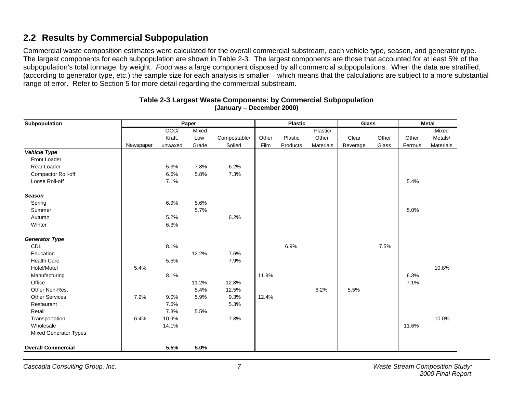### **2.2 Results by Commercial Subpopulation**

Commercial waste composition estimates were calculated for the overall commercial substream, each vehicle type, season, and generator type. The largest components for each subpopulation are shown in Table 2-3. The largest components are those that accounted for at least 5% of the subpopulation's total tonnage, by weight. *Food* was a large component disposed by all commercial subpopulations. When the data are stratified, (according to generator type, etc.) the sample size for each analysis is smaller – which means that the calculations are subject to a more substantial range of error. Refer to Section 5 for more detail regarding the commercial substream.

| Subpopulation                |           | Paper   |       |              |       |          | <b>Plastic</b> |          |       | <b>Metal</b> |           |
|------------------------------|-----------|---------|-------|--------------|-------|----------|----------------|----------|-------|--------------|-----------|
|                              |           | OCC     | Mixed |              |       |          | Plastic/       |          |       |              | Mixed     |
|                              |           | Kraft,  | Low   | Compostable/ | Other | Plastic  | Other          | Clear    | Other | Other        | Metals/   |
|                              | Newspaper | unwaxed | Grade | Soiled       | Film  | Products | Materials      | Beverage | Glass | Ferrous      | Materials |
| Vehicle Type                 |           |         |       |              |       |          |                |          |       |              |           |
| Front Loader                 |           |         |       |              |       |          |                |          |       |              |           |
| Rear Loader                  |           | 5.3%    | 7.8%  | 6.2%         |       |          |                |          |       |              |           |
| Compactor Roll-off           |           | 6.6%    | 5.8%  | 7.3%         |       |          |                |          |       |              |           |
| Loose Roll-off               |           | 7.1%    |       |              |       |          |                |          |       | 5.4%         |           |
| Season                       |           |         |       |              |       |          |                |          |       |              |           |
| Spring                       |           | 6.9%    | 5.6%  |              |       |          |                |          |       |              |           |
| Summer                       |           |         | 5.7%  |              |       |          |                |          |       | 5.0%         |           |
| Autumn                       |           | 5.2%    |       | 6.2%         |       |          |                |          |       |              |           |
| Winter                       |           | 6.3%    |       |              |       |          |                |          |       |              |           |
| <b>Generator Type</b>        |           |         |       |              |       |          |                |          |       |              |           |
| <b>CDL</b>                   |           | 8.1%    |       |              |       | 6.9%     |                |          | 7.5%  |              |           |
| Education                    |           |         | 12.2% | 7.6%         |       |          |                |          |       |              |           |
| <b>Health Care</b>           |           | 5.5%    |       | 7.9%         |       |          |                |          |       |              |           |
| Hotel/Motel                  | 5.4%      |         |       |              |       |          |                |          |       |              | 10.8%     |
| Manufacturing                |           | 8.1%    |       |              | 11.9% |          |                |          |       | 6.3%         |           |
| Office                       |           |         | 11.2% | 12.8%        |       |          |                |          |       | 7.1%         |           |
| Other Non-Res.               |           |         | 5.4%  | 12.5%        |       |          | 6.2%           | 5.5%     |       |              |           |
| <b>Other Services</b>        | 7.2%      | 9.0%    | 5.9%  | 9.3%         | 12.4% |          |                |          |       |              |           |
| Restaurant                   |           | 7.6%    |       | 5.3%         |       |          |                |          |       |              |           |
| Retail                       |           | 7.3%    | 5.5%  |              |       |          |                |          |       |              |           |
| Transportation               | 6.4%      | 10.9%   |       | 7.8%         |       |          |                |          |       |              | 10.0%     |
| Wholesale                    |           | 14.1%   |       |              |       |          |                |          |       | 11.6%        |           |
| <b>Mixed Generator Types</b> |           |         |       |              |       |          |                |          |       |              |           |
| <b>Overall Commercial</b>    |           | 5.5%    | 5.0%  |              |       |          |                |          |       |              |           |

#### **Table 2-3 Largest Waste Components: by Commercial Subpopulation (January – December 2000)**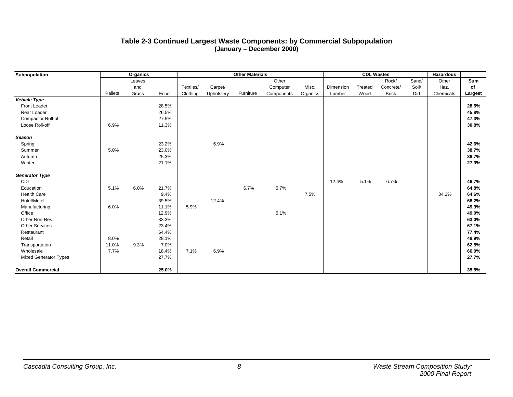#### **Table 2-3 Continued Largest Waste Components: by Commercial Subpopulation (January – December 2000)**

| <b>Organics</b><br>Subpopulation |         |        |       | <b>Other Materials</b> |            |           |            |          | <b>CDL Wastes</b> |         |              |       | <b>Hazardous</b> |         |
|----------------------------------|---------|--------|-------|------------------------|------------|-----------|------------|----------|-------------------|---------|--------------|-------|------------------|---------|
|                                  |         | Leaves |       |                        |            |           | Other      |          |                   |         | Rock/        | Sand/ | Other            | Sum     |
|                                  |         | and    |       | Textiles/              | Carpet/    |           | Computer   | Misc.    | Dimension         | Treated | Concrete/    | Soil/ | Haz.             | of      |
|                                  | Pallets | Grass  | Food  | Clothing               | Upholstery | Furniture | Components | Organics | Lumber            | Wood    | <b>Brick</b> | Dirt  | Chemicals        | Largest |
| <b>Vehicle Type</b>              |         |        |       |                        |            |           |            |          |                   |         |              |       |                  |         |
| Front Loader                     |         |        | 28.5% |                        |            |           |            |          |                   |         |              |       |                  | 28.5%   |
| Rear Loader                      |         |        | 26.5% |                        |            |           |            |          |                   |         |              |       |                  | 45.8%   |
| Compactor Roll-off               |         |        | 27.5% |                        |            |           |            |          |                   |         |              |       |                  | 47.3%   |
| Loose Roll-off                   | 6.9%    |        | 11.3% |                        |            |           |            |          |                   |         |              |       |                  | 30.8%   |
| <b>Season</b>                    |         |        |       |                        |            |           |            |          |                   |         |              |       |                  |         |
| Spring                           |         |        | 23.2% |                        | 6.9%       |           |            |          |                   |         |              |       |                  | 42.6%   |
| Summer                           | 5.0%    |        | 23.0% |                        |            |           |            |          |                   |         |              |       |                  | 38.7%   |
| Autumn                           |         |        | 25.3% |                        |            |           |            |          |                   |         |              |       |                  | 36.7%   |
| Winter                           |         |        | 21.1% |                        |            |           |            |          |                   |         |              |       |                  | 27.3%   |
| <b>Generator Type</b>            |         |        |       |                        |            |           |            |          |                   |         |              |       |                  |         |
| CDL                              |         |        |       |                        |            |           |            |          | 12.4%             | 5.1%    | 6.7%         |       |                  | 46.7%   |
| Education                        | 5.1%    | 6.0%   | 21.7% |                        |            | 6.7%      | 5.7%       |          |                   |         |              |       |                  | 64.8%   |
| <b>Health Care</b>               |         |        | 9.4%  |                        |            |           |            | 7.5%     |                   |         |              |       | 34.2%            | 64.6%   |
| Hotel/Motel                      |         |        | 39.5% |                        | 12.4%      |           |            |          |                   |         |              |       |                  | 68.2%   |
| Manufacturing                    | 6.0%    |        | 11.1% | 5.9%                   |            |           |            |          |                   |         |              |       |                  | 49.3%   |
| Office                           |         |        | 12.9% |                        |            |           | 5.1%       |          |                   |         |              |       |                  | 49.0%   |
| Other Non-Res.                   |         |        | 33.3% |                        |            |           |            |          |                   |         |              |       |                  | 63.0%   |
| <b>Other Services</b>            |         |        | 23.4% |                        |            |           |            |          |                   |         |              |       |                  | 67.1%   |
| Restaurant                       |         |        | 64.4% |                        |            |           |            |          |                   |         |              |       |                  | 77.4%   |
| Retail                           | 8.0%    |        | 28.1% |                        |            |           |            |          |                   |         |              |       |                  | 48.9%   |
| Transportation                   | 11.0%   | 9.3%   | 7.0%  |                        |            |           |            |          |                   |         |              |       |                  | 62.5%   |
| Wholesale                        | 7.7%    |        | 18.4% | 7.1%                   | 6.9%       |           |            |          |                   |         |              |       |                  | 66.0%   |
| <b>Mixed Generator Types</b>     |         |        | 27.7% |                        |            |           |            |          |                   |         |              |       |                  | 27.7%   |
| <b>Overall Commercial</b>        |         |        | 25.0% |                        |            |           |            |          |                   |         |              |       |                  | 35.5%   |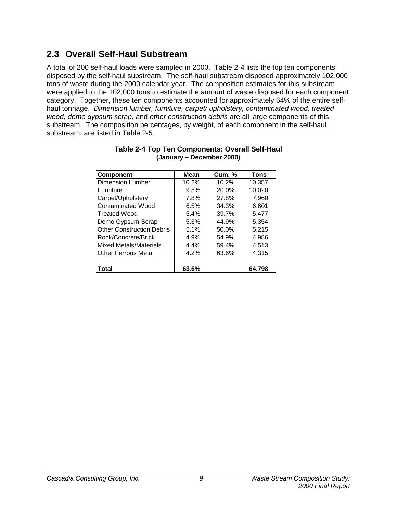### **2.3 Overall Self-Haul Substream**

A total of 200 self-haul loads were sampled in 2000. Table 2-4 lists the top ten components disposed by the self-haul substream. The self-haul substream disposed approximately 102,000 tons of waste during the 2000 calendar year. The composition estimates for this substream were applied to the 102,000 tons to estimate the amount of waste disposed for each component category. Together, these ten components accounted for approximately 64% of the entire selfhaul tonnage. *Dimension lumber, furniture, carpet/ upholstery, contaminated wood, treated wood, demo gypsum scrap*, and *other construction debris* are all large components of this substream. The composition percentages, by weight, of each component in the self-haul substream, are listed in Table 2-5.

| <b>Component</b>                 | <b>Mean</b> | <b>Cum.</b> % | <b>Tons</b> |
|----------------------------------|-------------|---------------|-------------|
| <b>Dimension Lumber</b>          | 10.2%       | 10.2%         | 10,357      |
| <b>Furniture</b>                 | 9.8%        | 20.0%         | 10,020      |
| Carpet/Upholstery                | 7.8%        | 27.8%         | 7,960       |
| Contaminated Wood                | 6.5%        | 34.3%         | 6,601       |
| <b>Treated Wood</b>              | 5.4%        | 39.7%         | 5.477       |
| Demo Gypsum Scrap                | 5.3%        | 44.9%         | 5,354       |
| <b>Other Construction Debris</b> | 5.1%        | 50.0%         | 5,215       |
| Rock/Concrete/Brick              | 4.9%        | 54.9%         | 4,986       |
| Mixed Metals/Materials           | 4.4%        | 59.4%         | 4,513       |
| <b>Other Ferrous Metal</b>       | 4.2%        | 63.6%         | 4,315       |
| Total                            | 63.6%       |               | 64.798      |

#### **Table 2-4 Top Ten Components: Overall Self-Haul (January – December 2000)**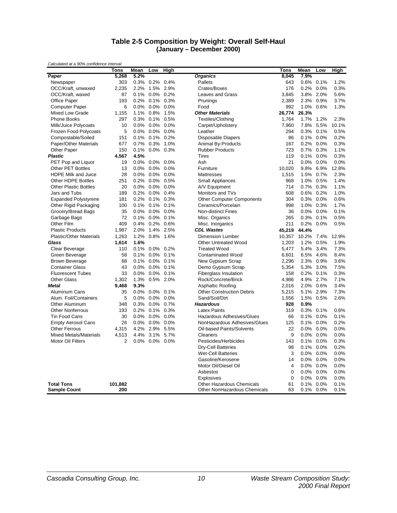#### **Table 2-5 Composition by Weight: Overall Self-Haul (January – December 2000)**

|                                | Tons           | Mean | Low       | High         |                                  | Tons           | <u>Mean</u> | Low     | High  |
|--------------------------------|----------------|------|-----------|--------------|----------------------------------|----------------|-------------|---------|-------|
| Paper                          | 5,268          | 5.2% |           |              | <b>Organics</b>                  | 8.045          | 7.9%        |         |       |
| Newspaper                      | 303            | 0.3% |           | 0.2% 0.4%    | Pallets                          | 643            | 0.6%        | 0.1%    | 1.2%  |
| OCC/Kraft, unwaxed             | 2.235          | 2.2% | 1.5%      | 2.9%         | Crates/Boxes                     | 176            | 0.2%        | 0.0%    | 0.3%  |
| OCC/Kraft, waxed               | 87             | 0.1% | $0.0\%$   | 0.2%         | <b>Leaves and Grass</b>          | 3,845          | 3.8%        | 2.0%    | 5.6%  |
| <b>Office Paper</b>            | 193            | 0.2% | 0.1%      | 0.3%         | Prunings                         | 2,389          | 2.3%        | 0.9%    | 3.7%  |
| <b>Computer Paper</b>          | 6              | 0.0% | $0.0\%$   | 0.0%         | Food                             | 992            | 1.0%        | 0.6%    | 1.3%  |
| <b>Mixed Low Grade</b>         | 1,155          | 1.1% |           | 0.8% 1.5%    | <b>Other Materials</b>           | 26,774         | 26.3%       |         |       |
| <b>Phone Books</b>             | 297            | 0.3% | 0.1%      | 0.5%         | <b>Textiles/Clothing</b>         | 1.764          | 1.7%        | 1.2%    | 2.3%  |
| Milk/Juice Polycoats           | 10             | 0.0% |           | 0.0% 0.0%    | Carpet/Upholstery                | 7,960          | 7.8%        | 5.5%    | 10.1% |
| Frozen Food Polycoats          | 5              | 0.0% |           | 0.0% 0.0%    | Leather                          | 294            | 0.3%        | 0.1%    | 0.5%  |
| Compostable/Soiled             | 151            | 0.1% |           | $0.1\%$ 0.2% | <b>Disposable Diapers</b>        | 86             | 0.1%        | 0.0%    | 0.2%  |
| Paper/Other Materials          | 677            | 0.7% | 0.3%      | 1.0%         | Animal By-Products               | 167            | 0.2%        | 0.0%    | 0.3%  |
| Other Paper                    | 150            | 0.1% |           | 0.0% 0.3%    | <b>Rubber Products</b>           | 723            | 0.7%        | 0.3%    | 1.1%  |
| <b>Plastic</b>                 | 4.567          | 4.5% |           |              | <b>Tires</b>                     | 119            | 0.1%        | 0.0%    | 0.3%  |
| PET Pop and Liquor             | 19             | 0.0% | $0.0\%$   | 0.0%         | Ash                              | 21             | 0.0%        | 0.0%    | 0.0%  |
| <b>Other PET Bottles</b>       | 13             | 0.0% | $0.0\%$   | 0.0%         | Furniture                        | 10,020         | 9.8%        | 6.9%    | 12.8% |
| <b>HDPE Milk and Juice</b>     | 28             | 0.0% | $0.0\%$   | 0.0%         | Mattresses                       | 1,515          | 1.5%        | 0.7%    | 2.3%  |
| <b>Other HDPE Bottles</b>      | 251            | 0.2% |           | 0.0% 0.5%    | <b>Small Appliances</b>          | 968            | 1.0%        | 0.5%    | 1.4%  |
| <b>Other Plastic Bottles</b>   | 20             | 0.0% |           | $0.0\%$ 0.0% | A/V Equipment                    | 714            | 0.7%        | 0.3%    | 1.1%  |
| Jars and Tubs                  | 189            | 0.2% |           | 0.0% 0.4%    | Monitors and TVs                 | 608            | 0.6%        | 0.2%    | 1.0%  |
| <b>Expanded Polystyrene</b>    | 181            | 0.2% |           | 0.1% 0.3%    | Other Computer Components        | 304            | 0.3%        | 0.0%    | 0.6%  |
| Other Rigid Packaging          | 100            | 0.1% | 0.1%      | 0.1%         | Ceramics/Porcelain               | 998            | 1.0%        | 0.3%    | 1.7%  |
| Grocery/Bread Bags             | 35             | 0.0% | $0.0\%$   | 0.0%         | <b>Non-distinct Fines</b>        | 36             | 0.0%        | 0.0%    | 0.1%  |
| Garbage Bags                   | 72             | 0.1% |           | 0.0% 0.1%    | Misc. Organics                   | 265            | 0.3%        | 0.1%    | 0.5%  |
| Other Film                     | 409            | 0.4% | 0.2%      | 0.6%         | Misc. Inorganics                 | 211            | 0.2%        | 0.0%    | 0.5%  |
| <b>Plastic Products</b>        | 1,987          | 2.0% |           | 1.4% 2.5%    | <b>CDL Wastes</b>                | 45,219         | 44.4%       |         |       |
| <b>Plastic/Other Materials</b> | 1.263          | 1.2% | 0.8%      | 1.6%         | <b>Dimension Lumber</b>          | 10,357         | 10.2%       | 7.4%    | 12.9% |
| Glass                          | 1,614          | 1.6% |           |              | <b>Other Untreated Wood</b>      | 1,203          | 1.2%        | 0.5%    | 1.9%  |
| Clear Beverage                 | 110            | 0.1% |           | 0.0% 0.2%    | <b>Treated Wood</b>              | 5.477          | 5.4%        | 3.4%    | 7.3%  |
| Green Beverage                 | 58             | 0.1% | $0.0\%$   | 0.1%         | <b>Contaminated Wood</b>         | 6,601          | 6.5%        | 4.6%    | 8.4%  |
| <b>Brown Beverage</b>          | 68             | 0.1% |           | 0.0% 0.1%    | New Gypsum Scrap                 | 2,296          | 2.3%        | 0.9%    | 3.6%  |
| <b>Container Glass</b>         | 43             | 0.0% |           | $0.0\%$ 0.1% | Demo Gypsum Scrap                | 5,354          | 5.3%        | 3.0%    | 7.5%  |
| <b>Fluorescent Tubes</b>       | 33             | 0.0% |           | 0.0% 0.1%    | Fiberglass Insulation            | 158            | 0.2%        | 0.1%    | 0.3%  |
| <b>Other Glass</b>             | 1,302          | 1.3% |           | 0.5% 2.0%    | Rock/Concrete/Brick              | 4,986          | 4.9%        | 2.7%    | 7.1%  |
| <b>Metal</b>                   | 9,468          | 9.3% |           |              | Asphaltic Roofing                | 2,016          | 2.0%        | 0.6%    | 3.4%  |
| Aluminum Cans                  | 35             | 0.0% |           | 0.0% 0.1%    | <b>Other Construction Debris</b> | 5,215          | 5.1%        | 2.9%    | 7.3%  |
| Alum. Foil/Containers          | 5              | 0.0% | $0.0\%$   | 0.0%         | Sand/Soil/Dirt                   | 1,556          | 1.5%        | 0.5%    | 2.6%  |
| Other Aluminum                 | 348            | 0.3% |           | 0.0% 0.7%    | <b>Hazardous</b>                 | 928            | 0.9%        |         |       |
| <b>Other Nonferrous</b>        | 193            | 0.2% | 0.1%      | 0.3%         | <b>Latex Paints</b>              | 319            | 0.3%        | 0.1%    | 0.6%  |
| <b>Tin Food Cans</b>           | 30             | 0.0% | $0.0\%$   | 0.0%         | Hazardous Adhesives/Glues        | 66             | 0.1%        | 0.0%    | 0.1%  |
| <b>Empty Aerosol Cans</b>      | 26             | 0.0% | 0.0% 0.0% |              | NonHazardous Adhesives/Glues     | 125            | 0.1%        | $0.0\%$ | 0.2%  |
| <b>Other Ferrous</b>           | 4,315          | 4.2% | 2.9%      | 5.5%         | <b>Oil-based Paints/Solvents</b> | 22             | 0.0%        | 0.0%    | 0.0%  |
| <b>Mixed Metals/Materials</b>  | 4,513          | 4.4% |           | 3.1% 5.7%    | Cleaners                         | 9              | 0.0%        | 0.0%    | 0.0%  |
| <b>Motor Oil Filters</b>       | $\overline{2}$ | 0.0% | $0.0\%$   | 0.0%         | Pesticides/Herbicides            | 143            | 0.1%        | 0.0%    | 0.3%  |
|                                |                |      |           |              | <b>Dry-Cell Batteries</b>        | 98             | 0.1%        | 0.0%    | 0.2%  |
|                                |                |      |           |              | <b>Wet-Cell Batteries</b>        | 3              | 0.0%        | 0.0%    | 0.0%  |
|                                |                |      |           |              | Gasoline/Kerosene                | 14             | 0.0%        | 0.0%    | 0.0%  |
|                                |                |      |           |              | Motor Oil/Diesel Oil             | $\overline{4}$ | 0.0%        | 0.0%    | 0.0%  |
|                                |                |      |           |              | Asbestos                         | $\mathbf 0$    | 0.0%        | 0.0%    | 0.0%  |
|                                |                |      |           |              | <b>Explosives</b>                | $\Omega$       | 0.0%        | 0.0%    | 0.0%  |
| <b>Total Tons</b>              | 101.882        |      |           |              | <b>Other Hazardous Chemicals</b> | 61             | 0.1%        | 0.0%    | 0.1%  |
| <b>Sample Count</b>            | 200            |      |           |              | Other NonHazardous Chemicals     | 63             | 0.1%        | 0.0%    | 0.1%  |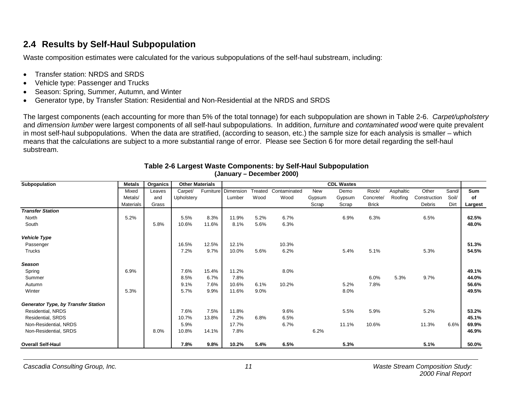### **2.4 Results by Self-Haul Subpopulation**

Waste composition estimates were calculated for the various subpopulations of the self-haul substream, including:

- Transfer station: NRDS and SRDS
- Vehicle type: Passenger and Trucks
- Season: Spring, Summer, Autumn, and Winter
- Generator type, by Transfer Station: Residential and Non-Residential at the NRDS and SRDS

The largest components (each accounting for more than 5% of the total tonnage) for each subpopulation are shown in Table 2-6. *Carpet/upholstery* and *dimension lumber* were largest components of all self-haul subpopulations. In addition, *furniture* and *contaminated wood* were quite prevalent in most self-haul subpopulations. When the data are stratified, (according to season, etc.) the sample size for each analysis is smaller – which means that the calculations are subject to a more substantial range of error. Please see Section 6 for more detail regarding the self-haul substream.

| Subpopulation                       | <b>Metals</b>    | Organics | <b>Other Materials</b> |           |           |         |              |        | <b>CDL Wastes</b> |              |           |              |       |         |
|-------------------------------------|------------------|----------|------------------------|-----------|-----------|---------|--------------|--------|-------------------|--------------|-----------|--------------|-------|---------|
|                                     | Mixed            | Leaves   | Carpet/                | Furniture | Dimension | Treated | Contaminated | New    | Demo              | Rock/        | Asphaltic | Other        | Sand/ | Sum     |
|                                     | Metals/          | and      | Upholstery             |           | Lumber    | Wood    | Wood         | Gypsum | Gypsum            | Concrete/    | Roofing   | Construction | Soil/ | of      |
|                                     | <b>Materials</b> | Grass    |                        |           |           |         |              | Scrap  | Scrap             | <b>Brick</b> |           | Debris       | Dirt  | Largest |
| <b>Transfer Station</b>             |                  |          |                        |           |           |         |              |        |                   |              |           |              |       |         |
| <b>North</b>                        | 5.2%             |          | 5.5%                   | 8.3%      | 11.9%     | 5.2%    | 6.7%         |        | 6.9%              | 6.3%         |           | 6.5%         |       | 62.5%   |
| South                               |                  | 5.8%     | 10.6%                  | 11.6%     | 8.1%      | 5.6%    | 6.3%         |        |                   |              |           |              |       | 48.0%   |
| <b>Vehicle Type</b>                 |                  |          |                        |           |           |         |              |        |                   |              |           |              |       |         |
| Passenger                           |                  |          | 16.5%                  | 12.5%     | 12.1%     |         | 10.3%        |        |                   |              |           |              |       | 51.3%   |
| Trucks                              |                  |          | 7.2%                   | 9.7%      | 10.0%     | 5.6%    | 6.2%         |        | 5.4%              | 5.1%         |           | 5.3%         |       | 54.5%   |
| <b>Season</b>                       |                  |          |                        |           |           |         |              |        |                   |              |           |              |       |         |
| Spring                              | 6.9%             |          | 7.6%                   | 15.4%     | 11.2%     |         | 8.0%         |        |                   |              |           |              |       | 49.1%   |
| Summer                              |                  |          | 8.5%                   | 6.7%      | 7.8%      |         |              |        |                   | 6.0%         | 5.3%      | 9.7%         |       | 44.0%   |
| Autumn                              |                  |          | 9.1%                   | 7.6%      | 10.6%     | 6.1%    | 10.2%        |        | 5.2%              | 7.8%         |           |              |       | 56.6%   |
| Winter                              | 5.3%             |          | 5.7%                   | 9.9%      | 11.6%     | $9.0\%$ |              |        | 8.0%              |              |           |              |       | 49.5%   |
| Generator Type, by Transfer Station |                  |          |                        |           |           |         |              |        |                   |              |           |              |       |         |
| Residential, NRDS                   |                  |          | 7.6%                   | 7.5%      | 11.8%     |         | 9.6%         |        | 5.5%              | 5.9%         |           | 5.2%         |       | 53.2%   |
| Residential, SRDS                   |                  |          | 10.7%                  | 13.8%     | 7.2%      | 6.8%    | 6.5%         |        |                   |              |           |              |       | 45.1%   |
| Non-Residential, NRDS               |                  |          | 5.9%                   |           | 17.7%     |         | 6.7%         |        | 11.1%             | 10.6%        |           | 11.3%        | 6.6%  | 69.9%   |
| Non-Residential, SRDS               |                  | 8.0%     | 10.8%                  | 14.1%     | 7.8%      |         |              | 6.2%   |                   |              |           |              |       | 46.9%   |
| <b>Overall Self-Haul</b>            |                  |          | 7.8%                   | 9.8%      | 10.2%     | 5.4%    | 6.5%         |        | 5.3%              |              |           | 5.1%         |       | 50.0%   |

#### **Table 2-6 Largest Waste Components: by Self-Haul Subpopulation (January – December 2000)**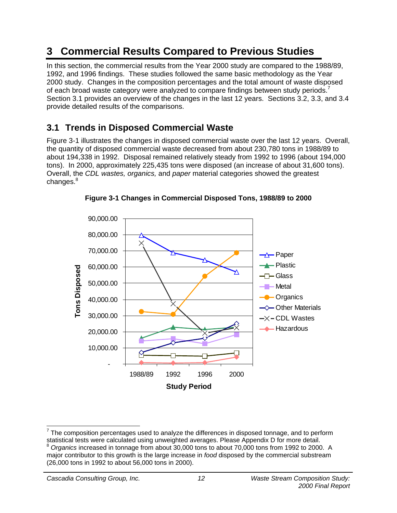# **3 Commercial Results Compared to Previous Studies**

In this section, the commercial results from the Year 2000 study are compared to the 1988/89, 1992, and 1996 findings. These studies followed the same basic methodology as the Year 2000 study. Changes in the composition percentages and the total amount of waste disposed of each broad waste category were analyzed to compare findings between study periods.<sup>7</sup> Section 3.1 provides an overview of the changes in the last 12 years. Sections 3.2, 3.3, and 3.4 provide detailed results of the comparisons.

### **3.1 Trends in Disposed Commercial Waste**

Figure 3-1 illustrates the changes in disposed commercial waste over the last 12 years. Overall, the quantity of disposed commercial waste decreased from about 230,780 tons in 1988/89 to about 194,338 in 1992. Disposal remained relatively steady from 1992 to 1996 (about 194,000 tons). In 2000, approximately 225,435 tons were disposed (an increase of about 31,600 tons). Overall, the *CDL wastes, organics,* and *paper* material categories showed the greatest changes.<sup>8</sup>



**Figure 3-1 Changes in Commercial Disposed Tons, 1988/89 to 2000**

-

 $^7$  The composition percentages used to analyze the differences in disposed tonnage, and to perform statistical tests were calculated using unweighted averages. Please Appendix D for more detail.<br><sup>8</sup> Organics increased in tonnage from about 30,000 tons to about 70,000 tons from 1992 to 2000. A major contributor to this growth is the large increase in *food* disposed by the commercial substream

<sup>(26,000</sup> tons in 1992 to about 56,000 tons in 2000).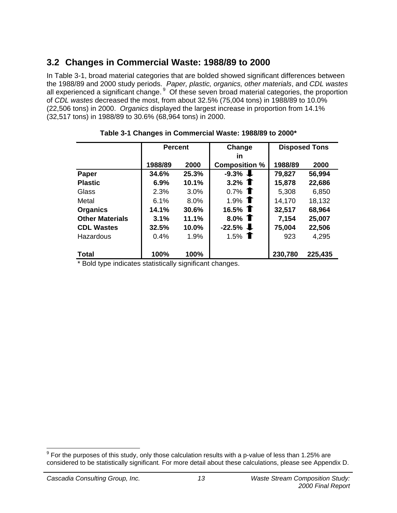### **3.2 Changes in Commercial Waste: 1988/89 to 2000**

In Table 3-1, broad material categories that are bolded showed significant differences between the 1988/89 and 2000 study periods. *Paper, plastic, organics, other materials*, and *CDL wastes* all experienced a significant change. 9 Of these seven broad material categories, the proportion of *CDL wastes* decreased the most, from about 32.5% (75,004 tons) in 1988/89 to 10.0% (22,506 tons) in 2000. *Organics* displayed the largest increase in proportion from 14.1% (32,517 tons) in 1988/89 to 30.6% (68,964 tons) in 2000.

|                        | <b>Percent</b> |       | Change               | <b>Disposed Tons</b> |         |  |
|------------------------|----------------|-------|----------------------|----------------------|---------|--|
|                        |                |       | in                   |                      |         |  |
|                        | 1988/89        | 2000  | <b>Composition %</b> | 1988/89              | 2000    |  |
| Paper                  | 34.6%          | 25.3% | $-9.3\%$             | 79,827               | 56,994  |  |
| <b>Plastic</b>         | 6.9%           | 10.1% | 3.2% $\bullet$       | 15,878               | 22,686  |  |
| Glass                  | 2.3%           | 3.0%  | 0.7% $\bullet$       | 5,308                | 6,850   |  |
| Metal                  | 6.1%           | 8.0%  | 1.9% $\bullet$       | 14,170               | 18,132  |  |
| <b>Organics</b>        | 14.1%          | 30.6% | 16.5% $\bullet$      | 32,517               | 68,964  |  |
| <b>Other Materials</b> | 3.1%           | 11.1% | 8.0% $\bullet$       | 7,154                | 25,007  |  |
| <b>CDL Wastes</b>      | 32.5%          | 10.0% | $-22.5\%$            | 75,004               | 22,506  |  |
| Hazardous              | 0.4%           | 1.9%  | 1.5% $\bullet$       | 923                  | 4,295   |  |
| <b>Total</b>           | 100%           | 100%  |                      | 230,780              | 225,435 |  |

### **Table 3-1 Changes in Commercial Waste: 1988/89 to 2000\***

Bold type indicates statistically significant changes.

 9 For the purposes of this study, only those calculation results with a p-value of less than 1.25% are considered to be statistically significant*.* For more detail about these calculations, please see Appendix D.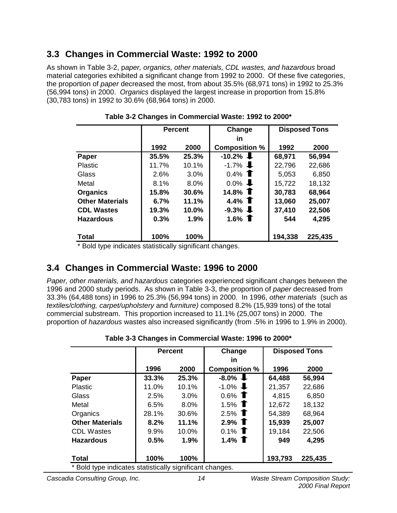### **3.3 Changes in Commercial Waste: 1992 to 2000**

As shown in Table 3-2, p*aper, organics, other materials, CDL wastes, and hazardous* broad material categories exhibited a significant change from 1992 to 2000. Of these five categories, the proportion of *paper* decreased the most, from about 35.5% (68,971 tons) in 1992 to 25.3% (56,994 tons) in 2000. *Organics* displayed the largest increase in proportion from 15.8% (30,783 tons) in 1992 to 30.6% (68,964 tons) in 2000.

|                        | <b>Percent</b> |       | Change               | <b>Disposed Tons</b> |         |
|------------------------|----------------|-------|----------------------|----------------------|---------|
|                        |                |       | in                   |                      |         |
|                        | 1992           | 2000  | <b>Composition %</b> | 1992                 | 2000    |
| Paper                  | 35.5%          | 25.3% | $-10.2\%$            | 68,971               | 56,994  |
| <b>Plastic</b>         | 11.7%          | 10.1% | $-1.7\%$             | 22,796               | 22,686  |
| Glass                  | 2.6%           | 3.0%  | 0.4% $\bullet$       | 5,053                | 6,850   |
| Metal                  | 8.1%           | 8.0%  | $0.0\%$              | 15,722               | 18,132  |
| <b>Organics</b>        | 15.8%          | 30.6% | 14.8% $\textbf{T}$   | 30,783               | 68,964  |
| <b>Other Materials</b> | 6.7%           | 11.1% | 4.4% $\bullet$       | 13,060               | 25,007  |
| <b>CDL Wastes</b>      | 19.3%          | 10.0% | $-9.3\%$             | 37,410               | 22,506  |
| <b>Hazardous</b>       | 0.3%           | 1.9%  | 1.6% $\bullet$       | 544                  | 4,295   |
| <b>Total</b>           | 100%           | 100%  |                      | 194,338              | 225,435 |

**Table 3-2 Changes in Commercial Waste: 1992 to 2000\***

\* Bold type indicates statistically significant changes.

### **3.4 Changes in Commercial Waste: 1996 to 2000**

*Paper, other materials, and hazardous* categories experienced significant changes between the 1996 and 2000 study periods. As shown in Table 3-3, the proportion of *paper* decreased from 33.3% (64,488 tons) in 1996 to 25.3% (56,994 tons) in 2000. In 1996, *other materials* (such as *textiles/clothing, carpet/upholstery* and *furniture)* composed 8.2% (15,939 tons) of the total commercial substream. This proportion increased to 11.1% (25,007 tons) in 2000. The proportion of *hazardous* wastes also increased significantly (from .5% in 1996 to 1.9% in 2000).

|                                                          | <b>Percent</b> |         | Change               | <b>Disposed Tons</b> |         |  |
|----------------------------------------------------------|----------------|---------|----------------------|----------------------|---------|--|
|                                                          |                |         | in                   |                      |         |  |
|                                                          | 1996           | 2000    | <b>Composition %</b> | 1996                 | 2000    |  |
| Paper                                                    | 33.3%          | 25.3%   | $-8.0\%$             | 64,488               | 56,994  |  |
| <b>Plastic</b>                                           | 11.0%          | 10.1%   | $-1.0\%$             | 21,357               | 22,686  |  |
| Glass                                                    | 2.5%           | $3.0\%$ | $0.6\%$ <b>T</b>     | 4,815                | 6,850   |  |
| Metal                                                    | 6.5%           | $8.0\%$ | 1.5% $\bullet$       | 12,672               | 18,132  |  |
| Organics                                                 | 28.1%          | 30.6%   | 2.5% $\bullet$       | 54,389               | 68,964  |  |
| <b>Other Materials</b>                                   | 8.2%           | 11.1%   | 2.9% $\bullet$       | 15,939               | 25,007  |  |
| <b>CDL Wastes</b>                                        | 9.9%           | 10.0%   | $0.1\%$ 1            | 19,184               | 22,506  |  |
| <b>Hazardous</b>                                         | 0.5%           | 1.9%    | 1.4% $\bullet$       | 949                  | 4,295   |  |
| <b>Total</b>                                             | 100%           | 100%    |                      | 193,793              | 225,435 |  |
| * Bold type indicates statistically significant changes. |                |         |                      |                      |         |  |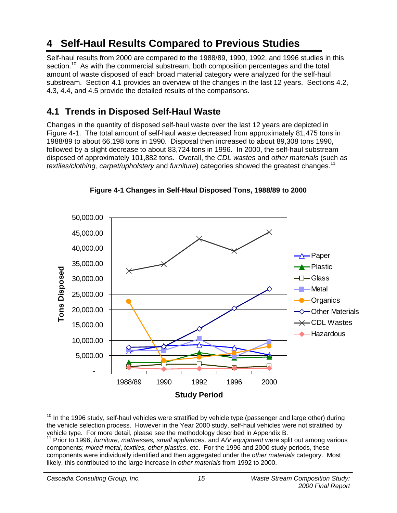# **4 Self-Haul Results Compared to Previous Studies**

Self-haul results from 2000 are compared to the 1988/89, 1990, 1992, and 1996 studies in this section.<sup>10</sup> As with the commercial substream, both composition percentages and the total amount of waste disposed of each broad material category were analyzed for the self-haul substream. Section 4.1 provides an overview of the changes in the last 12 years. Sections 4.2, 4.3, 4.4, and 4.5 provide the detailed results of the comparisons.

### **4.1 Trends in Disposed Self-Haul Waste**

Changes in the quantity of disposed self-haul waste over the last 12 years are depicted in Figure 4-1. The total amount of self-haul waste decreased from approximately 81,475 tons in 1988/89 to about 66,198 tons in 1990. Disposal then increased to about 89,308 tons 1990, followed by a slight decrease to about 83,724 tons in 1996. In 2000, the self-haul substream disposed of approximately 101,882 tons. Overall, the *CDL wastes* and *other materials* (such as *textiles/clothing, carpet/upholstery* and *furniture*) categories showed the greatest changes.11



**Figure 4-1 Changes in Self-Haul Disposed Tons, 1988/89 to 2000**

<sup>-</sup> $10$  In the 1996 study, self-haul vehicles were stratified by vehicle type (passenger and large other) during the vehicle selection process. However in the Year 2000 study, self-haul vehicles were not stratified by vehicle type. For more detail, please see the methodology described in Appendix B. 11 Prior to 1996, *furniture, mattresses, small appliances,* and *A/V equipment* were split out among various

components; *mixed metal*, *textiles, other plastics*, etc. For the 1996 and 2000 study periods, these components were individually identified and then aggregated under the *other materials* category. Most likely, this contributed to the large increase in *other materials* from 1992 to 2000.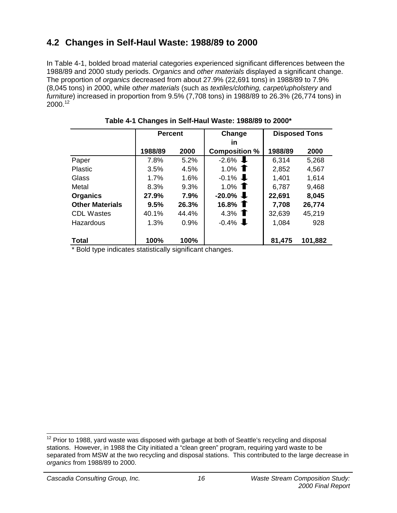### **4.2 Changes in Self-Haul Waste: 1988/89 to 2000**

In Table 4-1, bolded broad material categories experienced significant differences between the 1988/89 and 2000 study periods. O*rganics* and *other materials* displayed a significant change. The proportion of *organics* decreased from about 27.9% (22,691 tons) in 1988/89 to 7.9% (8,045 tons) in 2000, while o*ther materials* (such as *textiles/clothing, carpet/upholstery* and *furniture*) increased in proportion from 9.5% (7,708 tons) in 1988/89 to 26.3% (26,774 tons) in 2000.<sup>12</sup>

|                        | <b>Percent</b> |       | Change               | <b>Disposed Tons</b> |         |
|------------------------|----------------|-------|----------------------|----------------------|---------|
|                        |                |       | in                   |                      |         |
|                        | 1988/89        | 2000  | <b>Composition %</b> | 1988/89              | 2000    |
| Paper                  | 7.8%           | 5.2%  | $-2.6\%$             | 6,314                | 5,268   |
| <b>Plastic</b>         | 3.5%           | 4.5%  | 1.0% $\bullet$       | 2,852                | 4,567   |
| Glass                  | 1.7%           | 1.6%  | $-0.1\%$             | 1,401                | 1,614   |
| Metal                  | 8.3%           | 9.3%  | 1.0% $\bullet$       | 6,787                | 9,468   |
| <b>Organics</b>        | 27.9%          | 7.9%  | $-20.0\%$            | 22,691               | 8,045   |
| <b>Other Materials</b> | 9.5%           | 26.3% | 16.8% $\blacksquare$ | 7,708                | 26,774  |
| <b>CDL Wastes</b>      | 40.1%          | 44.4% | 4.3% $\bullet$       | 32,639               | 45,219  |
| Hazardous              | 1.3%           | 0.9%  | $-0.4\%$             | 1,084                | 928     |
| <b>Total</b>           | 100%           | 100%  |                      | 81,475               | 101,882 |

**Table 4-1 Changes in Self-Haul Waste: 1988/89 to 2000\***

\* Bold type indicates statistically significant changes.

  $12$  Prior to 1988, yard waste was disposed with garbage at both of Seattle's recycling and disposal stations. However, in 1988 the City initiated a "clean green" program, requiring yard waste to be separated from MSW at the two recycling and disposal stations. This contributed to the large decrease in *organics* from 1988/89 to 2000.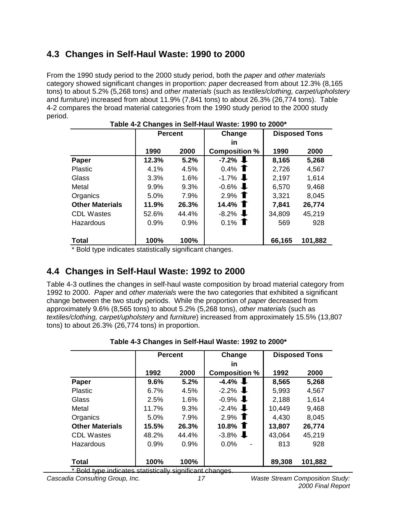### **4.3 Changes in Self-Haul Waste: 1990 to 2000**

From the 1990 study period to the 2000 study period, both the *paper* and *other materials* category showed significant changes in proportion: *paper* decreased from about 12.3% (8,165 tons) to about 5.2% (5,268 tons) and *other materials* (such as *textiles/clothing, carpet/upholstery* and *furniture*) increased from about 11.9% (7,841 tons) to about 26.3% (26,774 tons). Table 4-2 compares the broad material categories from the 1990 study period to the 2000 study period.

|                        | <b>Percent</b> |       | Change               | <b>Disposed Tons</b> |         |
|------------------------|----------------|-------|----------------------|----------------------|---------|
|                        |                |       | in                   |                      |         |
|                        | 1990           | 2000  | <b>Composition %</b> | 1990                 | 2000    |
| Paper                  | 12.3%          | 5.2%  | $-7.2\%$             | 8,165                | 5,268   |
| <b>Plastic</b>         | 4.1%           | 4.5%  | 0.4% $\bullet$       | 2,726                | 4,567   |
| Glass                  | 3.3%           | 1.6%  | $-1.7\%$             | 2,197                | 1,614   |
| Metal                  | 9.9%           | 9.3%  | $-0.6\%$             | 6,570                | 9,468   |
| Organics               | 5.0%           | 7.9%  | 2.9% $\bullet$       | 3,321                | 8,045   |
| <b>Other Materials</b> | 11.9%          | 26.3% | 14.4% $\bullet$      | 7,841                | 26,774  |
| <b>CDL Wastes</b>      | 52.6%          | 44.4% | $-8.2\%$             | 34,809               | 45,219  |
| Hazardous              | 0.9%           | 0.9%  | $0.1\%$ T            | 569                  | 928     |
| <b>Total</b>           | 100%           | 100%  |                      | 66,165               | 101,882 |

\* Bold type indicates statistically significant changes.

### **4.4 Changes in Self-Haul Waste: 1992 to 2000**

Table 4-3 outlines the changes in self-haul waste composition by broad material category from 1992 to 2000. *Paper* and *other materials* were the two categories that exhibited a significant change between the two study periods. While the proportion of *paper* decreased from approximately 9.6% (8,565 tons) to about 5.2% (5,268 tons), *other materials* (such as *textiles/clothing, carpet/upholstery* and *furniture*) increased from approximately 15.5% (13,807 tons) to about 26.3% (26,774 tons) in proportion.

|                        | <b>Percent</b> |       | Change                     |        | <b>Disposed Tons</b> |
|------------------------|----------------|-------|----------------------------|--------|----------------------|
|                        | 1992           | 2000  | in<br><b>Composition %</b> | 1992   | 2000                 |
| Paper                  | 9.6%           | 5.2%  | $-4.4\%$                   | 8,565  | 5,268                |
| <b>Plastic</b>         | 6.7%           | 4.5%  | $-2.2\%$                   | 5,993  | 4,567                |
| Glass                  | 2.5%           | 1.6%  | $-0.9\%$                   | 2,188  | 1,614                |
| Metal                  | 11.7%          | 9.3%  | $-2.4\%$                   | 10,449 | 9,468                |
| Organics               | 5.0%           | 7.9%  | $2.9\%$ T                  | 4,430  | 8,045                |
| <b>Other Materials</b> | 15.5%          | 26.3% | 10.8% $\bullet$            | 13,807 | 26,774               |
| <b>CDL Wastes</b>      | 48.2%          | 44.4% | $-3.8\%$                   | 43,064 | 45,219               |
| Hazardous              | 0.9%           | 0.9%  | 0.0%                       | 813    | 928                  |
| <b>Total</b>           | 100%           | 100%  |                            | 89,308 | 101,882              |

### **Table 4-3 Changes in Self-Haul Waste: 1992 to 2000\***

Bold type indicates statistically significant changes.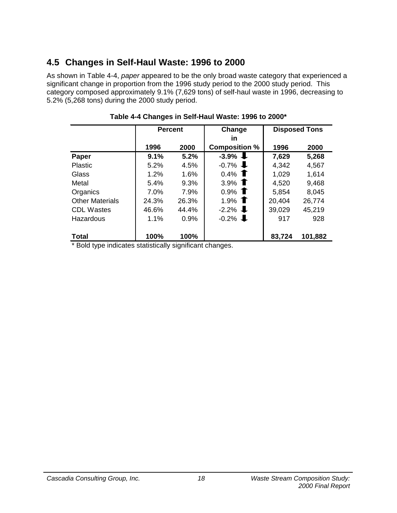### **4.5 Changes in Self-Haul Waste: 1996 to 2000**

As shown in Table 4-4, *paper* appeared to be the only broad waste category that experienced a significant change in proportion from the 1996 study period to the 2000 study period. This category composed approximately 9.1% (7,629 tons) of self-haul waste in 1996, decreasing to 5.2% (5,268 tons) during the 2000 study period.

|                        | <b>Percent</b> |       | Change               | <b>Disposed Tons</b> |         |  |
|------------------------|----------------|-------|----------------------|----------------------|---------|--|
|                        |                |       | in                   |                      |         |  |
|                        | 1996           | 2000  | <b>Composition %</b> | 1996                 | 2000    |  |
| Paper                  | 9.1%           | 5.2%  | $-3.9\%$             | 7,629                | 5,268   |  |
| <b>Plastic</b>         | 5.2%           | 4.5%  | $-0.7\%$             | 4,342                | 4,567   |  |
| Glass                  | 1.2%           | 1.6%  | $0.4\%$ T            | 1,029                | 1,614   |  |
| Metal                  | 5.4%           | 9.3%  | 3.9% $\bullet$       | 4,520                | 9,468   |  |
| Organics               | 7.0%           | 7.9%  | $0.9\%$ T            | 5,854                | 8,045   |  |
| <b>Other Materials</b> | 24.3%          | 26.3% | 1.9% $\bullet$       | 20,404               | 26,774  |  |
| <b>CDL Wastes</b>      | 46.6%          | 44.4% | $-2.2\%$             | 39,029               | 45,219  |  |
| Hazardous              | 1.1%           | 0.9%  | $-0.2\%$             | 917                  | 928     |  |
|                        |                |       |                      |                      |         |  |
| <b>Total</b>           | 100%           | 100%  |                      | 83,724               | 101,882 |  |

### **Table 4-4 Changes in Self-Haul Waste: 1996 to 2000\***

\* Bold type indicates statistically significant changes.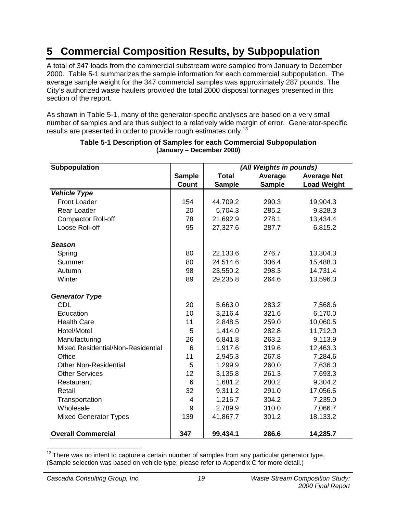# **5 Commercial Composition Results, by Subpopulation**

A total of 347 loads from the commercial substream were sampled from January to December 2000. Table 5-1 summarizes the sample information for each commercial subpopulation. The average sample weight for the 347 commercial samples was approximately 287 pounds. The City's authorized waste haulers provided the total 2000 disposal tonnages presented in this section of the report.

As shown in Table 5-1, many of the generator-specific analyses are based on a very small number of samples and are thus subject to a relatively wide margin of error. Generator-specific results are presented in order to provide rough estimates only.<sup>13</sup>

| <b>Subpopulation</b>              |                |               | (All Weights in pounds) |                    |  |  |  |
|-----------------------------------|----------------|---------------|-------------------------|--------------------|--|--|--|
|                                   | <b>Sample</b>  | <b>Total</b>  | Average                 | <b>Average Net</b> |  |  |  |
|                                   | Count          | <b>Sample</b> | <b>Sample</b>           | <b>Load Weight</b> |  |  |  |
| <b>Vehicle Type</b>               |                |               |                         |                    |  |  |  |
| <b>Front Loader</b>               | 154            | 44,709.2      | 290.3                   | 19,904.3           |  |  |  |
| Rear Loader                       | 20             | 5,704.3       | 285.2                   | 9,828.3            |  |  |  |
| <b>Compactor Roll-off</b>         | 78             | 21,692.9      | 278.1                   | 13,434.4           |  |  |  |
| Loose Roll-off                    | 95             | 27,327.6      | 287.7                   | 6,815.2            |  |  |  |
| <b>Season</b>                     |                |               |                         |                    |  |  |  |
| Spring                            | 80             | 22,133.6      | 276.7                   | 13,304.3           |  |  |  |
| Summer                            | 80             | 24,514.6      | 306.4                   | 15,488.3           |  |  |  |
| Autumn                            | 98             | 23,550.2      | 298.3                   | 14,731.4           |  |  |  |
| Winter                            | 89             | 29,235.8      | 264.6                   | 13,596.3           |  |  |  |
| <b>Generator Type</b>             |                |               |                         |                    |  |  |  |
| CDL                               | 20             | 5,663.0       | 283.2                   | 7,568.6            |  |  |  |
| Education                         | 10             | 3,216.4       | 321.6                   | 6,170.0            |  |  |  |
| <b>Health Care</b>                | 11             | 2,848.5       | 259.0                   | 10,060.5           |  |  |  |
| Hotel/Motel                       | 5              | 1,414.0       | 282.8                   | 11,712.0           |  |  |  |
| Manufacturing                     | 26             | 6,841.8       | 263.2                   | 9,113.9            |  |  |  |
| Mixed Residential/Non-Residential | 6              | 1,917.6       | 319.6                   | 12,463.3           |  |  |  |
| Office                            | 11             | 2,945.3       | 267.8                   | 7,284.6            |  |  |  |
| <b>Other Non-Residential</b>      | 5              | 1,299.9       | 260.0                   | 7,636.0            |  |  |  |
| <b>Other Services</b>             | 12             | 3,135.8       | 261.3                   | 7,693.3            |  |  |  |
| Restaurant                        | 6              | 1,681.2       | 280.2                   | 9,304.2            |  |  |  |
| Retail                            | 32             | 9,311.2       | 291.0                   | 17,056.5           |  |  |  |
| Transportation                    | $\overline{4}$ | 1,216.7       | 304.2                   | 7,235.0            |  |  |  |
| Wholesale                         | 9              | 2,789.9       | 310.0                   | 7,066.7            |  |  |  |
| <b>Mixed Generator Types</b>      | 139            | 41,867.7      | 301.2                   | 18,133.2           |  |  |  |
| <b>Overall Commercial</b>         | 347            | 99,434.1      | 286.6                   | 14,285.7           |  |  |  |

#### **Table 5-1 Description of Samples for each Commercial Subpopulation (January – December 2000)**

  $13$  There was no intent to capture a certain number of samples from any particular generator type. (Sample selection was based on vehicle type; please refer to Appendix C for more detail.)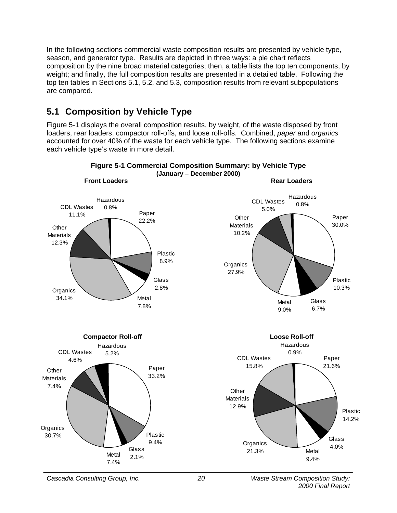In the following sections commercial waste composition results are presented by vehicle type, season, and generator type. Results are depicted in three ways: a pie chart reflects composition by the nine broad material categories; then, a table lists the top ten components, by weight; and finally, the full composition results are presented in a detailed table. Following the top ten tables in Sections 5.1, 5.2, and 5.3, composition results from relevant subpopulations are compared.

### **5.1 Composition by Vehicle Type**

Figure 5-1 displays the overall composition results, by weight, of the waste disposed by front loaders, rear loaders, compactor roll-offs, and loose roll-offs. Combined, *paper* and *organics* accounted for over 40% of the waste for each vehicle type. The following sections examine each vehicle type's waste in more detail.

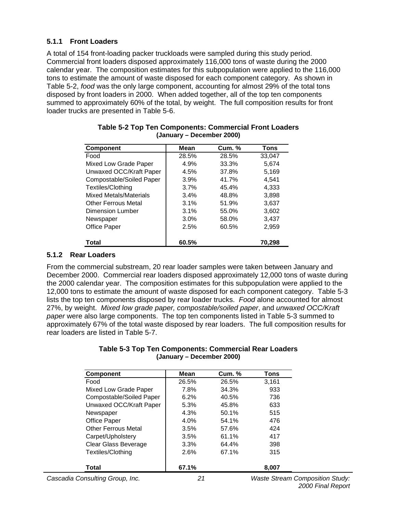### **5.1.1 Front Loaders**

A total of 154 front-loading packer truckloads were sampled during this study period. Commercial front loaders disposed approximately 116,000 tons of waste during the 2000 calendar year. The composition estimates for this subpopulation were applied to the 116,000 tons to estimate the amount of waste disposed for each component category. As shown in Table 5-2, *food* was the only large component, accounting for almost 29% of the total tons disposed by front loaders in 2000. When added together, all of the top ten components summed to approximately 60% of the total, by weight. The full composition results for front loader trucks are presented in Table 5-6.

| <b>Component</b>              | Mean  | <b>Cum. %</b> | Tons   |
|-------------------------------|-------|---------------|--------|
| Food                          | 28.5% | 28.5%         | 33,047 |
| Mixed Low Grade Paper         | 4.9%  | 33.3%         | 5,674  |
| Unwaxed OCC/Kraft Paper       | 4.5%  | 37.8%         | 5,169  |
| Compostable/Soiled Paper      | 3.9%  | 41.7%         | 4,541  |
| Textiles/Clothing             | 3.7%  | 45.4%         | 4,333  |
| <b>Mixed Metals/Materials</b> | 3.4%  | 48.8%         | 3,898  |
| <b>Other Ferrous Metal</b>    | 3.1%  | 51.9%         | 3,637  |
| Dimension Lumber              | 3.1%  | 55.0%         | 3,602  |
| Newspaper                     | 3.0%  | 58.0%         | 3,437  |
| Office Paper                  | 2.5%  | 60.5%         | 2,959  |
| Total                         | 60.5% |               | 70.298 |

#### **Table 5-2 Top Ten Components: Commercial Front Loaders (January – December 2000)**

### **5.1.2 Rear Loaders**

From the commercial substream, 20 rear loader samples were taken between January and December 2000. Commercial rear loaders disposed approximately 12,000 tons of waste during the 2000 calendar year. The composition estimates for this subpopulation were applied to the 12,000 tons to estimate the amount of waste disposed for each component category. Table 5-3 lists the top ten components disposed by rear loader trucks. *Food* alone accounted for almost 27%, by weight. *Mixed low grade paper, compostable/soiled paper*, and *unwaxed OCC/Kraft paper* were also large components. The top ten components listed in Table 5-3 summed to approximately 67% of the total waste disposed by rear loaders. The full composition results for rear loaders are listed in Table 5-7.

#### **Table 5-3 Top Ten Components: Commercial Rear Loaders (January – December 2000)**

| <b>Component</b>           | Mean    | <b>Cum. %</b> | Tons  |
|----------------------------|---------|---------------|-------|
| Food                       | 26.5%   | 26.5%         | 3,161 |
| Mixed Low Grade Paper      | 7.8%    | 34.3%         | 933   |
| Compostable/Soiled Paper   | 6.2%    | 40.5%         | 736   |
| Unwaxed OCC/Kraft Paper    | 5.3%    | 45.8%         | 633   |
| Newspaper                  | 4.3%    | 50.1%         | 515   |
| <b>Office Paper</b>        | $4.0\%$ | 54.1%         | 476   |
| <b>Other Ferrous Metal</b> | 3.5%    | 57.6%         | 424   |
| Carpet/Upholstery          | 3.5%    | 61.1%         | 417   |
| Clear Glass Beverage       | 3.3%    | 64.4%         | 398   |
| Textiles/Clothing          | 2.6%    | 67.1%         | 315   |
| Total                      | 67.1%   |               | 8,007 |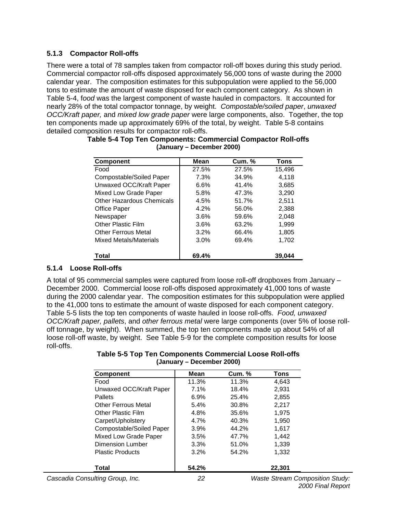### **5.1.3 Compactor Roll-offs**

There were a total of 78 samples taken from compactor roll-off boxes during this study period. Commercial compactor roll-offs disposed approximately 56,000 tons of waste during the 2000 calendar year. The composition estimates for this subpopulation were applied to the 56,000 tons to estimate the amount of waste disposed for each component category. As shown in Table 5-4, f*ood* was the largest component of waste hauled in compactors. It accounted for nearly 28% of the total compactor tonnage, by weight. *Compostable/soiled paper*, *unwaxed OCC/Kraft paper,* and *mixed low grade paper* were large components, also. Together, the top ten components made up approximately 69% of the total, by weight. Table 5-8 contains detailed composition results for compactor roll-offs.

| <b>Component</b>                 | Mean  | <b>Cum. %</b> | Tons   |
|----------------------------------|-------|---------------|--------|
| Food                             | 27.5% | 27.5%         | 15,496 |
| Compostable/Soiled Paper         | 7.3%  | 34.9%         | 4,118  |
| Unwaxed OCC/Kraft Paper          | 6.6%  | 41.4%         | 3,685  |
| Mixed Low Grade Paper            | 5.8%  | 47.3%         | 3.290  |
| <b>Other Hazardous Chemicals</b> | 4.5%  | 51.7%         | 2,511  |
| Office Paper                     | 4.2%  | 56.0%         | 2,388  |
| Newspaper                        | 3.6%  | 59.6%         | 2,048  |
| <b>Other Plastic Film</b>        | 3.6%  | 63.2%         | 1.999  |
| <b>Other Ferrous Metal</b>       | 3.2%  | 66.4%         | 1,805  |
| Mixed Metals/Materials           | 3.0%  | 69.4%         | 1.702  |
| Total                            | 69.4% |               | 39.044 |

| Table 5-4 Top Ten Components: Commercial Compactor Roll-offs |                           |  |
|--------------------------------------------------------------|---------------------------|--|
|                                                              | (January – December 2000) |  |

### **5.1.4 Loose Roll-offs**

A total of 95 commercial samples were captured from loose roll-off dropboxes from January – December 2000. Commercial loose roll-offs disposed approximately 41,000 tons of waste during the 2000 calendar year. The composition estimates for this subpopulation were applied to the 41,000 tons to estimate the amount of waste disposed for each component category. Table 5-5 lists the top ten components of waste hauled in loose roll-offs. *Food, unwaxed OCC/Kraft paper, pallets*, and *other ferrous metal* were large components (over 5% of loose rolloff tonnage, by weight). When summed, the top ten components made up about 54% of all loose roll-off waste, by weight. See Table 5-9 for the complete composition results for loose roll-offs.

| Table 5-5 Top Ten Components Commercial Loose Roll-offs |  |
|---------------------------------------------------------|--|
| (January – December 2000)                               |  |

| <b>Component</b>                | Mean    | <b>Cum. %</b> | Tons                                   |  |
|---------------------------------|---------|---------------|----------------------------------------|--|
| Food                            | 11.3%   | 11.3%         | 4,643                                  |  |
| Unwaxed OCC/Kraft Paper         | 7.1%    | 18.4%         | 2,931                                  |  |
| <b>Pallets</b>                  | $6.9\%$ | 25.4%         | 2,855                                  |  |
| <b>Other Ferrous Metal</b>      | 5.4%    | 30.8%         | 2,217                                  |  |
| Other Plastic Film              | 4.8%    | 35.6%         | 1.975                                  |  |
| Carpet/Upholstery               | 4.7%    | 40.3%         | 1,950                                  |  |
| Compostable/Soiled Paper        | 3.9%    | 44.2%         | 1,617                                  |  |
| Mixed Low Grade Paper           | 3.5%    | 47.7%         | 1,442                                  |  |
| Dimension Lumber                | 3.3%    | 51.0%         | 1,339                                  |  |
| <b>Plastic Products</b>         | 3.2%    | 54.2%         | 1,332                                  |  |
| Total                           | 54.2%   |               | 22,301                                 |  |
| Cascadia Consulting Group, Inc. | 22      |               | <b>Waste Stream Composition Study:</b> |  |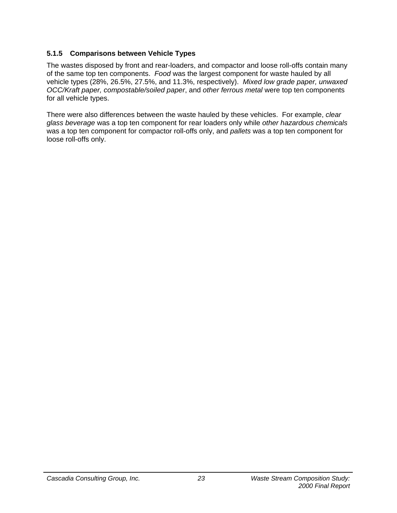### **5.1.5 Comparisons between Vehicle Types**

The wastes disposed by front and rear-loaders, and compactor and loose roll-offs contain many of the same top ten components. *Food* was the largest component for waste hauled by all vehicle types (28%, 26.5%, 27.5%, and 11.3%, respectively). *Mixed low grade paper, unwaxed OCC/Kraft paper, compostable/soiled paper*, and *other ferrous metal* were top ten components for all vehicle types.

There were also differences between the waste hauled by these vehicles. For example, *clear glass beverage* was a top ten component for rear loaders only while *other hazardous chemicals* was a top ten component for compactor roll-offs only, and *pallets* was a top ten component for loose roll-offs only.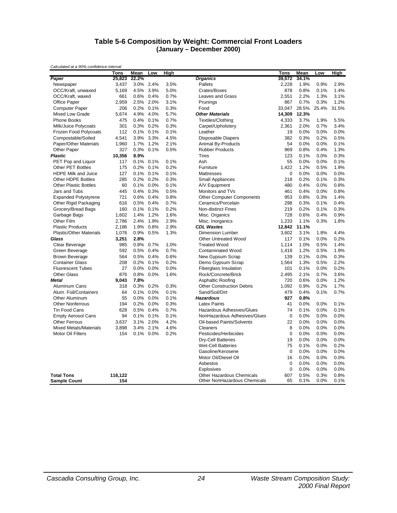#### **Table 5-6 Composition by Weight: Commercial Front Loaders (January – December 2000)**

| Calculated at a 90% confidence interval |         |       |           |      |                                  |             |       |         |             |
|-----------------------------------------|---------|-------|-----------|------|----------------------------------|-------------|-------|---------|-------------|
|                                         | Tons    | Mean  | Low       | High |                                  | Tons        | Mean  | Low     | <b>High</b> |
| Paper                                   | 25,823  | 22.2% |           |      | <b>Organics</b>                  | 39,572      | 34.1% |         |             |
| Newspaper                               | 3,437   |       | 3.0% 2.4% | 3.5% | Pallets                          | 2,228       | 1.9%  | 0.9%    | 2.9%        |
| OCC/Kraft, unwaxed                      | 5,169   | 4.5%  | 3.9%      | 5.0% | Crates/Boxes                     | 878         | 0.8%  | 0.1%    | 1.4%        |
| OCC/Kraft, waxed                        | 661     | 0.6%  | 0.4%      | 0.7% | <b>Leaves and Grass</b>          | 2,551       | 2.2%  | 1.3%    | 3.1%        |
| <b>Office Paper</b>                     | 2,959   | 2.5%  | 2.0%      | 3.1% | Prunings                         | 867         | 0.7%  | 0.3%    | 1.2%        |
| <b>Computer Paper</b>                   | 206     | 0.2%  | 0.1%      | 0.3% | Food                             | 33.047      | 28.5% | 25.4%   | 31.5%       |
| <b>Mixed Low Grade</b>                  | 5,674   | 4.9%  | 4.0%      | 5.7% | <b>Other Materials</b>           | 14,309      | 12.3% |         |             |
| <b>Phone Books</b>                      | 475     | 0.4%  | 0.1%      | 0.7% | Textiles/Clothing                | 4,333       | 3.7%  | 1.9%    | 5.5%        |
| Milk/Juice Polycoats                    | 301     | 0.3%  | 0.2%      | 0.3% | Carpet/Upholstery                | 2,361       | 2.0%  | 0.7%    | 3.4%        |
| Frozen Food Polycoats                   | 112     | 0.1%  | 0.1%      | 0.1% | Leather                          | 19          | 0.0%  | 0.0%    | 0.0%        |
| Compostable/Soiled                      | 4,541   | 3.9%  | 3.3%      | 4.5% | Disposable Diapers               | 382         | 0.3%  | 0.2%    | 0.5%        |
| Paper/Other Materials                   | 1,960   | 1.7%  | 1.2%      | 2.1% | Animal By-Products               | 54          | 0.0%  | 0.0%    | 0.1%        |
| Other Paper                             | 327     | 0.3%  | 0.1%      | 0.5% | <b>Rubber Products</b>           | 969         | 0.8%  | 0.4%    | 1.3%        |
| <b>Plastic</b>                          | 10,356  | 8.9%  |           |      | <b>Tires</b>                     | 123         | 0.1%  | 0.0%    | 0.3%        |
| PET Pop and Liquor                      | 117     | 0.1%  | 0.1%      | 0.1% | Ash                              | 55          | 0.0%  | 0.0%    | 0.1%        |
| <b>Other PET Bottles</b>                | 175     | 0.2%  | 0.1%      | 0.2% | Furniture                        | 1,422       | 1.2%  | 0.5%    | 1.9%        |
| <b>HDPE Milk and Juice</b>              | 127     | 0.1%  | 0.1%      | 0.1% | <b>Mattresses</b>                | $\mathbf 0$ | 0.0%  | 0.0%    | 0.0%        |
| <b>Other HDPE Bottles</b>               | 285     | 0.2%  | 0.2%      | 0.3% | <b>Small Appliances</b>          | 218         | 0.2%  | 0.1%    | 0.3%        |
| <b>Other Plastic Bottles</b>            | 60      | 0.1%  | 0.0%      | 0.1% | A/V Equipment                    | 480         | 0.4%  | 0.0%    | 0.8%        |
| Jars and Tubs                           | 445     | 0.4%  | 0.3%      | 0.5% | Monitors and TVs                 | 461         | 0.4%  | 0.0%    | 0.8%        |
| <b>Expanded Polystyrene</b>             | 721     | 0.6%  | 0.4%      | 0.8% | <b>Other Computer Components</b> | 953         | 0.8%  | 0.3%    | 1.4%        |
| Other Rigid Packaging                   | 616     | 0.5%  | 0.4%      | 0.7% | Ceramics/Porcelain               | 298         | 0.3%  | 0.1%    | 0.4%        |
| Grocery/Bread Bags                      | 160     | 0.1%  | 0.1%      | 0.2% | Non-distinct Fines               | 219         | 0.2%  | 0.1%    | 0.3%        |
| Garbage Bags                            | 1,602   | 1.4%  | 1.2%      | 1.6% | Misc. Organics                   | 728         | 0.6%  | 0.4%    | 0.9%        |
| Other Film                              | 2,786   | 2.4%  | 1.9%      | 2.9% | Misc. Inorganics                 | 1.233       | 1.1%  | 0.3%    | 1.8%        |
| <b>Plastic Products</b>                 | 2,186   | 1.9%  | 0.8%      | 2.9% | <b>CDL Wastes</b>                | 12,842      | 11.1% |         |             |
| <b>Plastic/Other Materials</b>          | 1,076   | 0.9%  | 0.5%      | 1.3% | Dimension Lumber                 | 3,602       | 3.1%  | 1.8%    | 4.4%        |
| Glass                                   | 3,251   | 2.8%  |           |      | Other Untreated Wood             | 117         | 0.1%  | 0.0%    | 0.2%        |
| Clear Beverage                          | 985     | 0.8%  | 0.7%      | 1.0% | <b>Treated Wood</b>              | 1,114       | 1.0%  | 0.5%    | 1.4%        |
| Green Beverage                          | 592     | 0.5%  | 0.4%      | 0.7% | <b>Contaminated Wood</b>         | 1.418       | 1.2%  | 0.5%    | 1.9%        |
| <b>Brown Beverage</b>                   | 564     | 0.5%  | 0.4%      | 0.6% | New Gypsum Scrap                 | 139         | 0.1%  | 0.0%    | 0.3%        |
| <b>Container Glass</b>                  | 208     | 0.2%  | 0.1%      | 0.2% | Demo Gypsum Scrap                | 1,564       | 1.3%  | 0.5%    | 2.2%        |
| <b>Fluorescent Tubes</b>                | 27      | 0.0%  | 0.0%      | 0.0% | <b>Fiberglass Insulation</b>     | 101         | 0.1%  | 0.0%    | 0.2%        |
| <b>Other Glass</b>                      | 876     | 0.8%  | 0.0%      | 1.6% | Rock/Concrete/Brick              | 2,495       | 2.1%  | 0.7%    | 3.6%        |
| <b>Metal</b>                            | 9,043   | 7.8%  |           |      | Asphaltic Roofing                | 720         | 0.6%  | 0.0%    | 1.2%        |
| Aluminum Cans                           | 318     | 0.3%  | 0.2%      | 0.3% | <b>Other Construction Debris</b> | 1,092       | 0.9%  | 0.2%    | 1.7%        |
| Alum. Foil/Containers                   | 64      | 0.1%  | 0.0%      | 0.1% | Sand/Soil/Dirt                   | 479         | 0.4%  | 0.1%    | 0.7%        |
| Other Aluminum                          | 55      | 0.0%  | 0.0%      | 0.1% | <b>Hazardous</b>                 | 927         | 0.8%  |         |             |
| <b>Other Nonferrous</b>                 | 194     | 0.2%  | 0.0%      | 0.3% | <b>Latex Paints</b>              | 41          | 0.0%  | 0.0%    | 0.1%        |
| <b>Tin Food Cans</b>                    | 628     | 0.5%  | 0.4%      | 0.7% | Hazardous Adhesives/Glues        | 74          | 0.1%  | 0.0%    | 0.1%        |
| <b>Empty Aerosol Cans</b>               | 94      | 0.1%  | 0.1%      | 0.1% | NonHazardous Adhesives/Glues     | $\mathbf 0$ | 0.0%  | 0.0%    | 0.0%        |
| <b>Other Ferrous</b>                    | 3,637   | 3.1%  | 2.0%      | 4.2% | <b>Oil-based Paints/Solvents</b> | 22          | 0.0%  | 0.0%    | 0.0%        |
| <b>Mixed Metals/Materials</b>           | 3,898   | 3.4%  | 2.1%      | 4.6% | Cleaners                         | 8           | 0.0%  | 0.0%    | 0.0%        |
| <b>Motor Oil Filters</b>                | 154     | 0.1%  | 0.0%      | 0.2% | Pesticides/Herbicides            | $\mathbf 0$ | 0.0%  | 0.0%    | 0.0%        |
|                                         |         |       |           |      | Dry-Cell Batteries               | 19          | 0.0%  | 0.0%    | 0.0%        |
|                                         |         |       |           |      | <b>Wet-Cell Batteries</b>        | 75          | 0.1%  | 0.0%    | 0.2%        |
|                                         |         |       |           |      | Gasoline/Kerosene                | $\mathbf 0$ | 0.0%  | 0.0%    | 0.0%        |
|                                         |         |       |           |      | Motor Oil/Diesel Oil             | 16          | 0.0%  | 0.0%    | 0.0%        |
|                                         |         |       |           |      | Asbestos                         | $\mathbf 0$ | 0.0%  | 0.0%    | 0.0%        |
|                                         |         |       |           |      | <b>Explosives</b>                | $\mathbf 0$ | 0.0%  | 0.0%    | 0.0%        |
| <b>Total Tons</b>                       | 116,122 |       |           |      | <b>Other Hazardous Chemicals</b> | 607         | 0.5%  | 0.3%    | 0.8%        |
| <b>Sample Count</b>                     | 154     |       |           |      | Other NonHazardous Chemicals     | 65          | 0.1%  | $0.0\%$ | 0.1%        |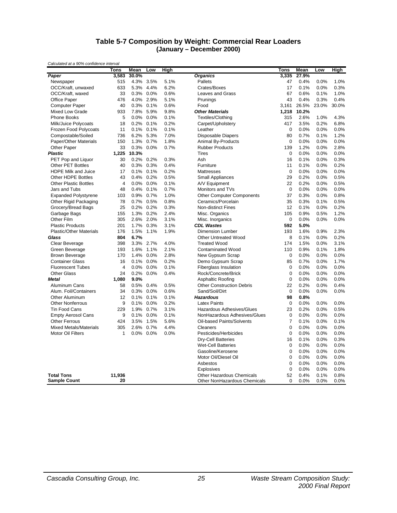#### **Table 5-7 Composition by Weight: Commercial Rear Loaders (January – December 2000)**

|                                | <b>Tons</b>    | Mean  | Low       | High |                                  | Tons        | Mean  | Low   | High  |
|--------------------------------|----------------|-------|-----------|------|----------------------------------|-------------|-------|-------|-------|
| Paper                          | 3,583          | 30.0% |           |      | <b>Organics</b>                  | 3,335       | 27.9% |       |       |
| Newspaper                      | 515            | 4.3%  | 3.5%      | 5.1% | Pallets                          | 47          | 0.4%  | 0.0%  | 1.0%  |
| OCC/Kraft, unwaxed             | 633            | 5.3%  | 4.4%      | 6.2% | Crates/Boxes                     | 17          | 0.1%  | 0.0%  | 0.3%  |
| OCC/Kraft, waxed               | 33             | 0.3%  | $0.0\%$   | 0.6% | <b>Leaves and Grass</b>          | 67          | 0.6%  | 0.1%  | 1.0%  |
| Office Paper                   | 476            | 4.0%  | 2.9%      | 5.1% | Prunings                         | 43          | 0.4%  | 0.3%  | 0.4%  |
| <b>Computer Paper</b>          | 40             | 0.3%  | 0.1%      | 0.6% | Food                             | 3,161       | 26.5% | 23.0% | 30.0% |
| Mixed Low Grade                | 933            | 7.8%  | 5.9%      | 9.8% | <b>Other Materials</b>           | 1,218       | 10.2% |       |       |
| <b>Phone Books</b>             | 5              | 0.0%  | 0.0%      | 0.1% | Textiles/Clothing                | 315         | 2.6%  | 1.0%  | 4.3%  |
| Milk/Juice Polycoats           | 18             | 0.2%  | 0.1%      | 0.2% | Carpet/Upholstery                | 417         | 3.5%  | 0.2%  | 6.8%  |
| Frozen Food Polycoats          | 11             | 0.1%  | 0.1%      | 0.1% | Leather                          | $\mathbf 0$ | 0.0%  | 0.0%  | 0.0%  |
| Compostable/Soiled             | 736            | 6.2%  | 5.3%      | 7.0% | Disposable Diapers               | 80          | 0.7%  | 0.1%  | 1.2%  |
| Paper/Other Materials          | 150            | 1.3%  | 0.7%      | 1.8% | Animal By-Products               | 0           | 0.0%  | 0.0%  | 0.0%  |
| Other Paper                    | 33             | 0.3%  | $0.0\%$   | 0.7% | <b>Rubber Products</b>           | 139         | 1.2%  | 0.0%  | 2.8%  |
| <b>Plastic</b>                 | 1,225          | 10.3% |           |      | <b>Tires</b>                     | $\mathbf 0$ | 0.0%  | 0.0%  | 0.0%  |
| PET Pop and Liquor             | 30             | 0.2%  | 0.2%      | 0.3% | Ash                              | 16          | 0.1%  | 0.0%  | 0.3%  |
| Other PET Bottles              | 40             | 0.3%  | 0.3%      | 0.4% | Furniture                        | 11          | 0.1%  | 0.0%  | 0.2%  |
| <b>HDPE Milk and Juice</b>     | 17             | 0.1%  | 0.1%      | 0.2% | Mattresses                       | 0           | 0.0%  | 0.0%  | 0.0%  |
| Other HDPE Bottles             | 43             | 0.4%  | 0.2%      | 0.5% | <b>Small Appliances</b>          | 29          | 0.2%  | 0.0%  | 0.5%  |
| <b>Other Plastic Bottles</b>   | 4              | 0.0%  | 0.0%      | 0.1% | A/V Equipment                    | 22          | 0.2%  | 0.0%  | 0.5%  |
| Jars and Tubs                  | 48             | 0.4%  | 0.1%      | 0.7% | Monitors and TVs                 | $\mathbf 0$ | 0.0%  | 0.0%  | 0.0%  |
| <b>Expanded Polystyrene</b>    | 103            | 0.9%  | 0.7%      | 1.0% | <b>Other Computer Components</b> | 37          | 0.3%  | 0.0%  | 0.8%  |
| Other Rigid Packaging          | 78             | 0.7%  | 0.5%      | 0.8% | Ceramics/Porcelain               | 35          | 0.3%  | 0.1%  | 0.5%  |
| Grocery/Bread Bags             | 25             | 0.2%  | 0.2%      | 0.3% | <b>Non-distinct Fines</b>        | 12          | 0.1%  | 0.0%  | 0.2%  |
| Garbage Bags                   | 155            | 1.3%  | 0.2%      | 2.4% | Misc. Organics                   | 105         | 0.9%  | 0.5%  | 1.2%  |
| Other Film                     | 305            | 2.6%  | 2.0%      | 3.1% | Misc. Inorganics                 | 0           | 0.0%  | 0.0%  | 0.0%  |
| <b>Plastic Products</b>        | 201            | 1.7%  | 0.3%      | 3.1% | <b>CDL Wastes</b>                | 592         | 5.0%  |       |       |
| <b>Plastic/Other Materials</b> | 176            | 1.5%  | 1.1%      | 1.9% | <b>Dimension Lumber</b>          | 193         | 1.6%  | 0.9%  | 2.3%  |
| Glass                          | 804            | 6.7%  |           |      | <b>Other Untreated Wood</b>      | 8           | 0.1%  | 0.0%  | 0.2%  |
| Clear Beverage                 | 398            | 3.3%  | 2.7%      | 4.0% | <b>Treated Wood</b>              | 174         | 1.5%  | 0.0%  | 3.1%  |
| Green Beverage                 | 193            | 1.6%  | 1.1%      | 2.1% | <b>Contaminated Wood</b>         | 110         | 0.9%  | 0.1%  | 1.8%  |
| <b>Brown Beverage</b>          | 170            | 1.4%  | 0.0%      | 2.8% | New Gypsum Scrap                 | 0           | 0.0%  | 0.0%  | 0.0%  |
| <b>Container Glass</b>         | 16             | 0.1%  | 0.0%      | 0.2% | Demo Gypsum Scrap                | 85          | 0.7%  | 0.0%  | 1.7%  |
| <b>Fluorescent Tubes</b>       | $\overline{4}$ | 0.0%  | 0.0%      | 0.1% | <b>Fiberglass Insulation</b>     | 0           | 0.0%  | 0.0%  | 0.0%  |
| <b>Other Glass</b>             | 24             | 0.2%  | 0.0%      | 0.4% | Rock/Concrete/Brick              | 0           | 0.0%  | 0.0%  | 0.0%  |
| Metal                          | 1,080          | 9.0%  |           |      | <b>Asphaltic Roofing</b>         | 0           | 0.0%  | 0.0%  | 0.0%  |
| Aluminum Cans                  | 58             | 0.5%  | 0.4%      | 0.5% | <b>Other Construction Debris</b> | 22          | 0.2%  | 0.0%  | 0.4%  |
| Alum. Foil/Containers          | 34             | 0.3%  | 0.0%      | 0.6% | Sand/Soil/Dirt                   | $\mathbf 0$ | 0.0%  | 0.0%  | 0.0%  |
| Other Aluminum                 | 12             |       | 0.1% 0.1% | 0.1% | <b>Hazardous</b>                 | 98          | 0.8%  |       |       |
| <b>Other Nonferrous</b>        | 9              | 0.1%  | 0.0%      | 0.2% | <b>Latex Paints</b>              | $\mathbf 0$ | 0.0%  | 0.0%  | 0.0%  |
| <b>Tin Food Cans</b>           | 229            |       | 1.9% 0.7% | 3.1% | Hazardous Adhesives/Glues        | 23          | 0.2%  | 0.0%  | 0.5%  |
| <b>Empty Aerosol Cans</b>      | 9              | 0.1%  | $0.0\%$   | 0.1% | NonHazardous Adhesives/Glues     | $\mathbf 0$ | 0.0%  | 0.0%  | 0.0%  |
| <b>Other Ferrous</b>           | 424            | 3.5%  | 1.5%      | 5.6% | Oil-based Paints/Solvents        | 7           | 0.1%  | 0.0%  | 0.1%  |
| <b>Mixed Metals/Materials</b>  | 305            | 2.6%  | 0.7%      | 4.4% | Cleaners                         | 0           | 0.0%  | 0.0%  | 0.0%  |
| Motor Oil Filters              | 1              | 0.0%  | 0.0%      | 0.0% | Pesticides/Herbicides            | 0           | 0.0%  | 0.0%  | 0.0%  |
|                                |                |       |           |      | <b>Dry-Cell Batteries</b>        | 16          | 0.1%  | 0.0%  | 0.3%  |
|                                |                |       |           |      | <b>Wet-Cell Batteries</b>        | 0           | 0.0%  | 0.0%  | 0.0%  |
|                                |                |       |           |      | Gasoline/Kerosene                | 0           | 0.0%  | 0.0%  | 0.0%  |
|                                |                |       |           |      | Motor Oil/Diesel Oil             | 0           | 0.0%  | 0.0%  | 0.0%  |
|                                |                |       |           |      | Asbestos                         | $\mathbf 0$ | 0.0%  | 0.0%  | 0.0%  |
|                                |                |       |           |      | Explosives                       | $\mathbf 0$ | 0.0%  | 0.0%  | 0.0%  |
| <b>Total Tons</b>              | 11,936         |       |           |      | <b>Other Hazardous Chemicals</b> | 52          | 0.4%  | 0.1%  | 0.8%  |
| <b>Sample Count</b>            | 20             |       |           |      | Other NonHazardous Chemicals     | $\mathbf 0$ | 0.0%  | 0.0%  | 0.0%  |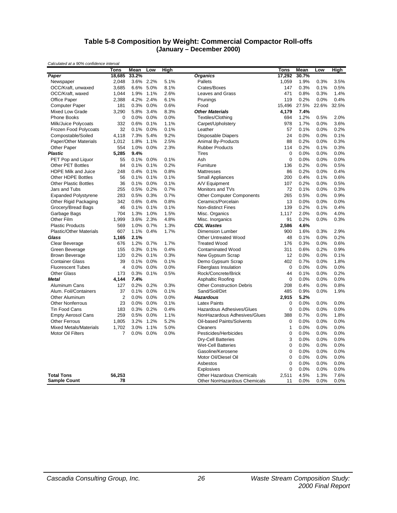#### **Table 5-8 Composition by Weight: Commercial Compactor Roll-offs (January – December 2000)**

|                                | Tons           | Mean  | Low       | High |                                  | Tons         | Mean  | Low   | High  |
|--------------------------------|----------------|-------|-----------|------|----------------------------------|--------------|-------|-------|-------|
| Paper                          | 18,685         | 33.2% |           |      | <b>Organics</b>                  | 17,292       | 30.7% |       |       |
| Newspaper                      | 2.048          | 3.6%  | 2.2%      | 5.1% | Pallets                          | 1.059        | 1.9%  | 0.3%  | 3.5%  |
| OCC/Kraft, unwaxed             | 3,685          | 6.6%  | 5.0%      | 8.1% | Crates/Boxes                     | 147          | 0.3%  | 0.1%  | 0.5%  |
| OCC/Kraft, waxed               | 1,044          | 1.9%  | 1.1%      | 2.6% | <b>Leaves and Grass</b>          | 471          | 0.8%  | 0.3%  | 1.4%  |
| Office Paper                   | 2,388          | 4.2%  | 2.4%      | 6.1% | Prunings                         | 119          | 0.2%  | 0.0%  | 0.4%  |
| <b>Computer Paper</b>          | 181            | 0.3%  | 0.0%      | 0.6% | Food                             | 15,496       | 27.5% | 22.6% | 32.5% |
| <b>Mixed Low Grade</b>         | 3,290          | 5.8%  | 3.4%      | 8.3% | <b>Other Materials</b>           | 4,179        | 7.4%  |       |       |
| <b>Phone Books</b>             | 0              | 0.0%  | 0.0%      | 0.0% | Textiles/Clothing                | 694          | 1.2%  | 0.5%  | 2.0%  |
| Milk/Juice Polycoats           | 332            | 0.6%  | 0.1%      | 1.1% | Carpet/Upholstery                | 978          | 1.7%  | 0.0%  | 3.6%  |
| Frozen Food Polycoats          | 32             | 0.1%  | 0.0%      | 0.1% | Leather                          | 57           | 0.1%  | 0.0%  | 0.2%  |
| Compostable/Soiled             | 4,118          | 7.3%  | 5.4%      | 9.2% | <b>Disposable Diapers</b>        | 24           | 0.0%  | 0.0%  | 0.1%  |
| Paper/Other Materials          | 1,012          | 1.8%  | 1.1%      | 2.5% | Animal By-Products               | 88           | 0.2%  | 0.0%  | 0.3%  |
| Other Paper                    | 554            | 1.0%  | $0.0\%$   | 2.3% | <b>Rubber Products</b>           | 114          | 0.2%  | 0.1%  | 0.3%  |
| <b>Plastic</b>                 | 5,285          | 9.4%  |           |      | <b>Tires</b>                     | $\mathbf 0$  | 0.0%  | 0.0%  | 0.0%  |
| PET Pop and Liquor             | 55             | 0.1%  | 0.0%      | 0.1% | Ash                              | $\mathbf 0$  | 0.0%  | 0.0%  | 0.0%  |
| <b>Other PET Bottles</b>       | 84             | 0.1%  | 0.1%      | 0.2% | Furniture                        | 136          | 0.2%  | 0.0%  | 0.5%  |
| <b>HDPE Milk and Juice</b>     | 248            | 0.4%  | 0.1%      | 0.8% | Mattresses                       | 86           | 0.2%  | 0.0%  | 0.4%  |
| Other HDPE Bottles             | 56             |       | 0.1% 0.1% | 0.1% | Small Appliances                 | 200          | 0.4%  | 0.1%  | 0.6%  |
| <b>Other Plastic Bottles</b>   | 36             | 0.1%  | 0.0%      | 0.1% | A/V Equipment                    | 107          | 0.2%  | 0.0%  | 0.5%  |
| Jars and Tubs                  | 255            | 0.5%  | 0.2%      | 0.7% | Monitors and TVs                 | 72           | 0.1%  | 0.0%  | 0.3%  |
| <b>Expanded Polystyrene</b>    | 283            | 0.5%  | 0.3%      | 0.7% | <b>Other Computer Components</b> | 265          | 0.5%  | 0.0%  | 0.9%  |
| Other Rigid Packaging          | 342            | 0.6%  | 0.4%      | 0.8% | Ceramics/Porcelain               | 13           | 0.0%  | 0.0%  | 0.0%  |
| Grocery/Bread Bags             | 46             | 0.1%  | 0.1%      | 0.1% | Non-distinct Fines               | 139          | 0.2%  | 0.1%  | 0.4%  |
| Garbage Bags                   | 704            | 1.3%  | 1.0%      | 1.5% | Misc. Organics                   | 1,117        | 2.0%  | 0.0%  | 4.0%  |
| Other Film                     | 1,999          | 3.6%  | 2.3%      | 4.8% | Misc. Inorganics                 | 91           | 0.2%  | 0.0%  | 0.3%  |
| <b>Plastic Products</b>        | 569            | 1.0%  | 0.7%      | 1.3% | <b>CDL Wastes</b>                | 2.586        | 4.6%  |       |       |
| <b>Plastic/Other Materials</b> | 607            | 1.1%  | 0.4%      | 1.7% | <b>Dimension Lumber</b>          | 900          | 1.6%  | 0.3%  | 2.9%  |
| Glass                          | 1,165          | 2.1%  |           |      | <b>Other Untreated Wood</b>      | 48           | 0.1%  | 0.0%  | 0.2%  |
| Clear Beverage                 | 676            | 1.2%  | 0.7%      | 1.7% | <b>Treated Wood</b>              | 176          | 0.3%  | 0.0%  | 0.6%  |
| Green Beverage                 | 155            | 0.3%  | 0.1%      | 0.4% | <b>Contaminated Wood</b>         | 311          | 0.6%  | 0.2%  | 0.9%  |
| <b>Brown Beverage</b>          | 120            | 0.2%  | 0.1%      | 0.3% | New Gypsum Scrap                 | 12           | 0.0%  | 0.0%  | 0.1%  |
| <b>Container Glass</b>         | 39             | 0.1%  | 0.0%      | 0.1% | Demo Gypsum Scrap                | 402          | 0.7%  | 0.0%  | 1.8%  |
| <b>Fluorescent Tubes</b>       | 4              | 0.0%  | 0.0%      | 0.0% | <b>Fiberglass Insulation</b>     | $\mathbf 0$  | 0.0%  | 0.0%  | 0.0%  |
| <b>Other Glass</b>             | 173            | 0.3%  | 0.1%      | 0.5% | Rock/Concrete/Brick              | 44           | 0.1%  | 0.0%  | 0.2%  |
| <b>Metal</b>                   | 4,144          | 7.4%  |           |      | <b>Asphaltic Roofing</b>         | $\mathbf 0$  | 0.0%  | 0.0%  | 0.0%  |
| Aluminum Cans                  | 127            | 0.2%  | 0.2%      | 0.3% | <b>Other Construction Debris</b> | 208          | 0.4%  | 0.0%  | 0.8%  |
| Alum. Foil/Containers          | 37             | 0.1%  | 0.0%      | 0.1% | Sand/Soil/Dirt                   | 485          | 0.9%  | 0.0%  | 1.9%  |
| <b>Other Aluminum</b>          | $\overline{2}$ | 0.0%  | $0.0\%$   | 0.0% | <b>Hazardous</b>                 | 2,915        | 5.2%  |       |       |
| <b>Other Nonferrous</b>        | 23             | 0.0%  | 0.0%      | 0.1% | <b>Latex Paints</b>              | $\mathbf 0$  | 0.0%  | 0.0%  | 0.0%  |
| <b>Tin Food Cans</b>           | 183            |       | 0.3% 0.2% | 0.4% | Hazardous Adhesives/Glues        | $\mathbf 0$  | 0.0%  | 0.0%  | 0.0%  |
| <b>Empty Aerosol Cans</b>      | 259            | 0.5%  | $0.0\%$   | 1.1% | NonHazardous Adhesives/Glues     | 388          | 0.7%  | 0.0%  | 1.8%  |
| <b>Other Ferrous</b>           | 1,805          | 3.2%  | 1.2%      | 5.2% | Oil-based Paints/Solvents        | $\mathbf 0$  | 0.0%  | 0.0%  | 0.0%  |
| <b>Mixed Metals/Materials</b>  | 1,702          | 3.0%  | 1.1%      | 5.0% | Cleaners                         | $\mathbf{1}$ | 0.0%  | 0.0%  | 0.0%  |
| <b>Motor Oil Filters</b>       | $\overline{7}$ | 0.0%  | 0.0%      | 0.0% | Pesticides/Herbicides            | $\mathbf 0$  | 0.0%  | 0.0%  | 0.0%  |
|                                |                |       |           |      | <b>Dry-Cell Batteries</b>        | 3            | 0.0%  | 0.0%  | 0.0%  |
|                                |                |       |           |      | <b>Wet-Cell Batteries</b>        | $\mathbf 0$  | 0.0%  | 0.0%  | 0.0%  |
|                                |                |       |           |      | Gasoline/Kerosene                | $\mathbf 0$  | 0.0%  | 0.0%  | 0.0%  |
|                                |                |       |           |      | Motor Oil/Diesel Oil             | $\mathbf 0$  | 0.0%  | 0.0%  | 0.0%  |
|                                |                |       |           |      | Asbestos                         | $\mathbf 0$  | 0.0%  | 0.0%  | 0.0%  |
|                                |                |       |           |      | Explosives                       | $\mathbf 0$  | 0.0%  | 0.0%  | 0.0%  |
| <b>Total Tons</b>              | 56,253         |       |           |      | <b>Other Hazardous Chemicals</b> | 2,511        | 4.5%  | 1.3%  | 7.6%  |
| <b>Sample Count</b>            | 78             |       |           |      | Other NonHazardous Chemicals     | 11           | 0.0%  | 0.0%  | 0.0%  |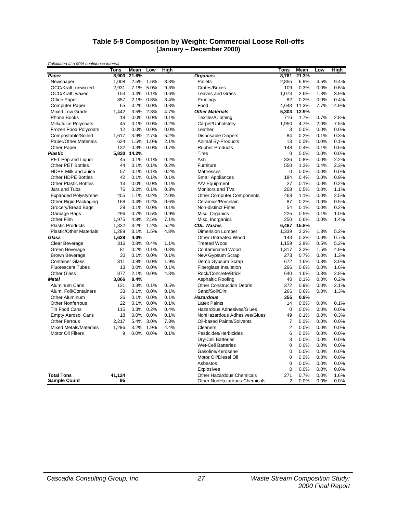#### **Table 5-9 Composition by Weight: Commercial Loose Roll-offs (January – December 2000)**

| Calculated at a 50% confidence interval | Tons   | Mean  | Low  | High |                                  | Tons                    | Mean  | Low  | <b>High</b> |
|-----------------------------------------|--------|-------|------|------|----------------------------------|-------------------------|-------|------|-------------|
| Paper                                   | 8,903  | 21.6% |      |      | <b>Organics</b>                  | 8,761                   | 21.3% |      |             |
| Newspaper                               | 1,008  | 2.5%  | 1.6% | 3.3% | Pallets                          | 2,855                   | 6.9%  | 4.5% | 9.4%        |
| OCC/Kraft, unwaxed                      | 2,931  | 7.1%  | 5.0% | 9.3% | Crates/Boxes                     | 109                     | 0.3%  | 0.0% | 0.6%        |
| OCC/Kraft, waxed                        | 153    | 0.4%  | 0.1% | 0.6% | Leaves and Grass                 | 1,073                   | 2.6%  | 1.3% | 3.9%        |
| Office Paper                            | 857    | 2.1%  | 0.8% | 3.4% | Prunings                         | 82                      | 0.2%  | 0.0% | 0.4%        |
| <b>Computer Paper</b>                   | 65     | 0.2%  | 0.0% | 0.3% | Food                             | 4,643                   | 11.3% | 7.7% | 14.9%       |
| Mixed Low Grade                         | 1,442  | 3.5%  | 2.3% | 4.7% | <b>Other Materials</b>           | 5,303                   | 12.9% |      |             |
| Phone Books                             | 18     | 0.0%  | 0.0% | 0.1% | Textiles/Clothing                | 716                     | 1.7%  | 0.7% | 2.8%        |
| Milk/Juice Polycoats                    | 45     | 0.1%  | 0.0% | 0.2% | Carpet/Upholstery                | 1,950                   | 4.7%  | 2.0% | 7.5%        |
| Frozen Food Polycoats                   | 12     | 0.0%  | 0.0% | 0.0% | Leather                          | 3                       | 0.0%  | 0.0% | 0.0%        |
| Compostable/Soiled                      | 1,617  | 3.9%  | 2.7% | 5.2% | <b>Disposable Diapers</b>        | 84                      | 0.2%  | 0.1% | 0.3%        |
| Paper/Other Materials                   | 624    | 1.5%  | 1.0% | 2.1% | Animal By-Products               | 13                      | 0.0%  | 0.0% | 0.1%        |
| Other Paper                             | 132    | 0.3%  | 0.0% | 0.7% | <b>Rubber Products</b>           | 148                     | 0.4%  | 0.1% | 0.6%        |
| <b>Plastic</b>                          | 5,820  | 14.2% |      |      | Tires                            | $\boldsymbol{0}$        | 0.0%  | 0.0% | 0.0%        |
| PET Pop and Liquor                      | 45     | 0.1%  | 0.1% | 0.2% | Ash                              | 336                     | 0.8%  | 0.0% | 2.2%        |
| <b>Other PET Bottles</b>                | 44     | 0.1%  | 0.1% | 0.2% | Furniture                        | 550                     | 1.3%  | 0.4% | 2.3%        |
| HDPE Milk and Juice                     | 57     | 0.1%  | 0.1% | 0.2% | Mattresses                       | $\boldsymbol{0}$        | 0.0%  | 0.0% | 0.0%        |
| Other HDPE Bottles                      | 42     | 0.1%  | 0.1% | 0.1% | <b>Small Appliances</b>          | 184                     | 0.4%  | 0.0% | 0.9%        |
| <b>Other Plastic Bottles</b>            | 13     | 0.0%  | 0.0% | 0.1% | A/V Equipment                    | 27                      | 0.1%  | 0.0% | 0.2%        |
| Jars and Tubs                           | 76     | 0.2%  | 0.1% | 0.3% | Monitors and TVs                 | 208                     | 0.5%  | 0.0% | 1.1%        |
| <b>Expanded Polystyrene</b>             | 455    | 1.1%  | 0.2% | 2.0% | <b>Other Computer Components</b> | 468                     | 1.1%  | 0.0% | 2.5%        |
| Other Rigid Packaging                   | 168    | 0.4%  | 0.2% | 0.6% | Ceramics/Porcelain               | 87                      | 0.2%  | 0.0% | 0.5%        |
| Grocery/Bread Bags                      | 29     | 0.1%  | 0.0% | 0.1% | <b>Non-distinct Fines</b>        | 54                      | 0.1%  | 0.0% | 0.2%        |
| Garbage Bags                            | 296    | 0.7%  | 0.5% | 0.9% | Misc. Organics                   | 225                     | 0.5%  | 0.1% | 1.0%        |
| Other Film                              | 1,975  | 4.8%  | 2.5% | 7.1% | Misc. Inorganics                 | 250                     | 0.6%  | 0.0% | 1.4%        |
| <b>Plastic Products</b>                 | 1,332  | 3.2%  | 1.2% | 5.2% | <b>CDL Wastes</b>                | 6,487                   | 15.8% |      |             |
| <b>Plastic/Other Materials</b>          | 1,289  | 3.1%  | 1.5% | 4.8% | <b>Dimension Lumber</b>          | 1,339                   | 3.3%  | 1.3% | 5.2%        |
| Glass                                   | 1,628  | 4.0%  |      |      | <b>Other Untreated Wood</b>      | 143                     | 0.3%  | 0.0% | 0.7%        |
| Clear Beverage                          | 316    | 0.8%  | 0.4% | 1.1% | <b>Treated Wood</b>              | 1,159                   | 2.8%  | 0.5% | 5.2%        |
| Green Beverage                          | 81     | 0.2%  | 0.1% | 0.3% | <b>Contaminated Wood</b>         | 1,317                   | 3.2%  | 1.5% | 4.9%        |
| <b>Brown Beverage</b>                   | 30     | 0.1%  | 0.0% | 0.1% | New Gypsum Scrap                 | 273                     | 0.7%  | 0.0% | 1.3%        |
| <b>Container Glass</b>                  | 311    | 0.8%  | 0.0% | 1.9% | Demo Gypsum Scrap                | 672                     | 1.6%  | 0.3% | 3.0%        |
| <b>Fluorescent Tubes</b>                | 13     | 0.0%  | 0.0% | 0.1% | <b>Fiberglass Insulation</b>     | 266                     | 0.6%  | 0.0% | 1.6%        |
| <b>Other Glass</b>                      | 877    | 2.1%  | 0.0% | 4.3% | Rock/Concrete/Brick              | 640                     | 1.6%  | 0.3% | 2.8%        |
| <b>Metal</b>                            | 3,866  | 9.4%  |      |      | <b>Asphaltic Roofing</b>         | 40                      | 0.1%  | 0.0% | 0.2%        |
| Aluminum Cans                           | 131    | 0.3%  | 0.1% | 0.5% | <b>Other Construction Debris</b> | 372                     | 0.9%  | 0.0% | 2.1%        |
| Alum. Foil/Containers                   | 33     | 0.1%  | 0.0% | 0.1% | Sand/Soil/Dirt                   | 266                     | 0.6%  | 0.0% | 1.3%        |
| <b>Other Aluminum</b>                   | 26     | 0.1%  | 0.0% | 0.1% | <b>Hazardous</b>                 | 355                     | 0.9%  |      |             |
| <b>Other Nonferrous</b>                 | 22     | 0.1%  | 0.0% | 0.1% | <b>Latex Paints</b>              | 14                      | 0.0%  | 0.0% | 0.1%        |
| Tin Food Cans                           | 115    | 0.3%  | 0.2% | 0.4% | Hazardous Adhesives/Glues        | $\boldsymbol{0}$        | 0.0%  | 0.0% | 0.0%        |
| <b>Empty Aerosol Cans</b>               | 18     | 0.0%  | 0.0% | 0.1% | NonHazardous Adhesives/Glues     | 49                      | 0.1%  | 0.0% | 0.3%        |
| <b>Other Ferrous</b>                    | 2,217  | 5.4%  | 3.0% | 7.8% | Oil-based Paints/Solvents        | $\overline{7}$          | 0.0%  | 0.0% | 0.0%        |
| <b>Mixed Metals/Materials</b>           | 1,296  | 3.2%  | 1.9% | 4.4% | Cleaners                         | $\overline{\mathbf{c}}$ | 0.0%  | 0.0% | 0.0%        |
| Motor Oil Filters                       | 9      | 0.0%  | 0.0% | 0.1% | Pesticides/Herbicides            | 6                       | 0.0%  | 0.0% | 0.0%        |
|                                         |        |       |      |      | <b>Dry-Cell Batteries</b>        | 3                       | 0.0%  | 0.0% | 0.0%        |
|                                         |        |       |      |      | <b>Wet-Cell Batteries</b>        | $\mathbf 0$             | 0.0%  | 0.0% | 0.0%        |
|                                         |        |       |      |      | Gasoline/Kerosene                | 0                       | 0.0%  | 0.0% | 0.0%        |
|                                         |        |       |      |      | Motor Oil/Diesel Oil             | 0                       | 0.0%  | 0.0% | 0.0%        |
|                                         |        |       |      |      | Asbestos                         | $\mathbf 0$             | 0.0%  | 0.0% | 0.0%        |
|                                         |        |       |      |      | <b>Explosives</b>                | 0                       | 0.0%  | 0.0% | 0.0%        |
| <b>Total Tons</b>                       | 41,124 |       |      |      | <b>Other Hazardous Chemicals</b> | 271                     | 0.7%  | 0.0% | 1.6%        |
| <b>Sample Count</b>                     | 95     |       |      |      | Other NonHazardous Chemicals     | $\overline{2}$          | 0.0%  | 0.0% | 0.0%        |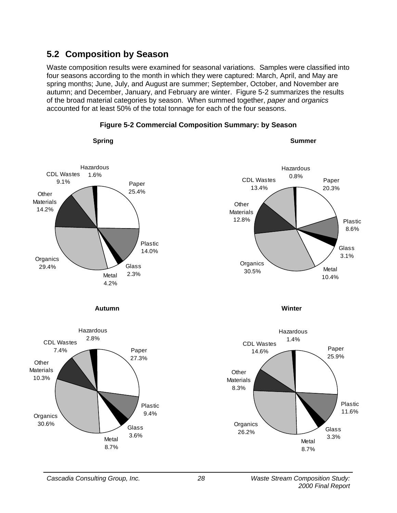### **5.2 Composition by Season**

Waste composition results were examined for seasonal variations. Samples were classified into four seasons according to the month in which they were captured: March, April, and May are spring months; June, July, and August are summer; September, October, and November are autumn; and December, January, and February are winter. Figure 5-2 summarizes the results of the broad material categories by season. When summed together, *paper* and *organics* accounted for at least 50% of the total tonnage for each of the four seasons.



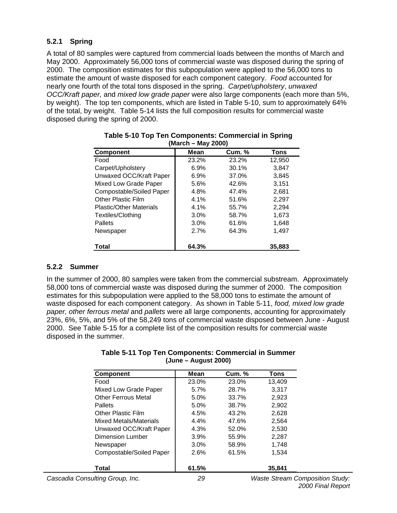### **5.2.1 Spring**

A total of 80 samples were captured from commercial loads between the months of March and May 2000. Approximately 56,000 tons of commercial waste was disposed during the spring of 2000. The composition estimates for this subpopulation were applied to the 56,000 tons to estimate the amount of waste disposed for each component category. *Food* accounted for nearly one fourth of the total tons disposed in the spring. *Carpet/upholstery*, *unwaxed OCC/Kraft paper,* and *mixed low grade paper* were also large components (each more than 5%, by weight). The top ten components, which are listed in Table 5-10, sum to approximately 64% of the total, by weight. Table 5-14 lists the full composition results for commercial waste disposed during the spring of 2000.

| <b>Component</b>               | <b>Mean</b> | <b>Cum. %</b> | Tons   |  |  |  |  |  |
|--------------------------------|-------------|---------------|--------|--|--|--|--|--|
| Food                           | 23.2%       | 23.2%         | 12,950 |  |  |  |  |  |
| Carpet/Upholstery              | 6.9%        | 30.1%         | 3,847  |  |  |  |  |  |
| Unwaxed OCC/Kraft Paper        | 6.9%        | 37.0%         | 3,845  |  |  |  |  |  |
| Mixed Low Grade Paper          | 5.6%        | 42.6%         | 3,151  |  |  |  |  |  |
| Compostable/Soiled Paper       | 4.8%        | 47.4%         | 2,681  |  |  |  |  |  |
| Other Plastic Film             | 4.1%        | 51.6%         | 2,297  |  |  |  |  |  |
| <b>Plastic/Other Materials</b> | 4.1%        | 55.7%         | 2,294  |  |  |  |  |  |
| Textiles/Clothing              | $3.0\%$     | 58.7%         | 1,673  |  |  |  |  |  |
| Pallets                        | 3.0%        | 61.6%         | 1,648  |  |  |  |  |  |
| Newspaper                      | 2.7%        | 64.3%         | 1,497  |  |  |  |  |  |
| <b>Total</b>                   | 64.3%       |               | 35,883 |  |  |  |  |  |

#### **Table 5-10 Top Ten Components: Commercial in Spring (March – May 2000)**

### **5.2.2 Summer**

In the summer of 2000, 80 samples were taken from the commercial substream. Approximately 58,000 tons of commercial waste was disposed during the summer of 2000. The composition estimates for this subpopulation were applied to the 58,000 tons to estimate the amount of waste disposed for each component category. As shown in Table 5-11, *food, mixed low grade paper, other ferrous metal* and *pallets* were all large components, accounting for approximately 23%, 6%, 5%, and 5% of the 58,249 tons of commercial waste disposed between June - August 2000. See Table 5-15 for a complete list of the composition results for commercial waste disposed in the summer.

#### **Table 5-11 Top Ten Components: Commercial in Summer (June – August 2000)**

| <b>Component</b>                | <b>Mean</b> | <b>Cum. %</b> | Tons                                   |
|---------------------------------|-------------|---------------|----------------------------------------|
| Food                            | 23.0%       | 23.0%         | 13,409                                 |
| Mixed Low Grade Paper           | 5.7%        | 28.7%         | 3,317                                  |
| <b>Other Ferrous Metal</b>      | 5.0%        | 33.7%         | 2,923                                  |
| <b>Pallets</b>                  | 5.0%        | 38.7%         | 2,902                                  |
| <b>Other Plastic Film</b>       | 4.5%        | 43.2%         | 2,628                                  |
| Mixed Metals/Materials          | 4.4%        | 47.6%         | 2,564                                  |
| Unwaxed OCC/Kraft Paper         | 4.3%        | 52.0%         | 2,530                                  |
| <b>Dimension Lumber</b>         | 3.9%        | 55.9%         | 2,287                                  |
| Newspaper                       | $3.0\%$     | 58.9%         | 1,748                                  |
| Compostable/Soiled Paper        | 2.6%        | 61.5%         | 1,534                                  |
| Total                           | 61.5%       |               | 35,841                                 |
| Cascadia Consulting Group, Inc. | 29          |               | <b>Waste Stream Composition Study:</b> |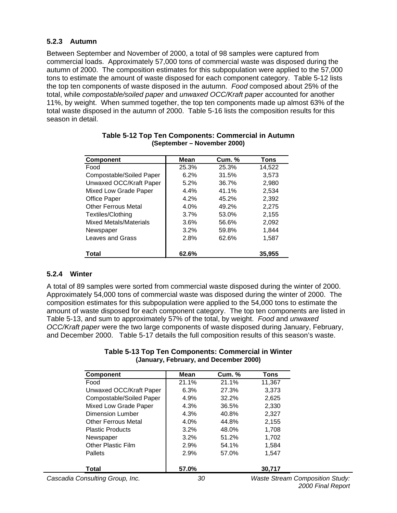#### **5.2.3 Autumn**

Between September and November of 2000, a total of 98 samples were captured from commercial loads. Approximately 57,000 tons of commercial waste was disposed during the autumn of 2000. The composition estimates for this subpopulation were applied to the 57,000 tons to estimate the amount of waste disposed for each component category. Table 5-12 lists the top ten components of waste disposed in the autumn. *Food* composed about 25% of the total, while *compostable/soiled paper* and *unwaxed OCC/Kraft paper* accounted for another 11%, by weight. When summed together, the top ten components made up almost 63% of the total waste disposed in the autumn of 2000. Table 5-16 lists the composition results for this season in detail.

| <b>Component</b>           | <b>Mean</b> | <b>Cum. %</b> | <b>Tons</b> |
|----------------------------|-------------|---------------|-------------|
| Food                       | 25.3%       | 25.3%         | 14,522      |
| Compostable/Soiled Paper   | 6.2%        | 31.5%         | 3,573       |
| Unwaxed OCC/Kraft Paper    | 5.2%        | 36.7%         | 2,980       |
| Mixed Low Grade Paper      | 4.4%        | 41.1%         | 2.534       |
| Office Paper               | 4.2%        | 45.2%         | 2,392       |
| <b>Other Ferrous Metal</b> | 4.0%        | 49.2%         | 2.275       |
| Textiles/Clothing          | 3.7%        | 53.0%         | 2,155       |
| Mixed Metals/Materials     | 3.6%        | 56.6%         | 2.092       |
| Newspaper                  | 3.2%        | 59.8%         | 1,844       |
| Leaves and Grass           | 2.8%        | 62.6%         | 1.587       |
| Total                      | 62.6%       |               | 35,955      |

| Table 5-12 Top Ten Components: Commercial in Autumn |  |
|-----------------------------------------------------|--|
| (September – November 2000)                         |  |

### **5.2.4 Winter**

A total of 89 samples were sorted from commercial waste disposed during the winter of 2000. Approximately 54,000 tons of commercial waste was disposed during the winter of 2000. The composition estimates for this subpopulation were applied to the 54,000 tons to estimate the amount of waste disposed for each component category. The top ten components are listed in Table 5-13, and sum to approximately 57% of the total, by weight. *Food* and *unwaxed OCC/Kraft paper* were the two large components of waste disposed during January, February, and December 2000. Table 5-17 details the full composition results of this season's waste.

| Table 5-13 Top Ten Components: Commercial in Winter |
|-----------------------------------------------------|
| (January, February, and December 2000)              |

| <b>Component</b>                | Mean  | Cum. % | Tons                                   |  |
|---------------------------------|-------|--------|----------------------------------------|--|
| Food                            | 21.1% | 21.1%  | 11,367                                 |  |
| Unwaxed OCC/Kraft Paper         | 6.3%  | 27.3%  | 3,373                                  |  |
| Compostable/Soiled Paper        | 4.9%  | 32.2%  | 2,625                                  |  |
| Mixed Low Grade Paper           | 4.3%  | 36.5%  | 2,330                                  |  |
| Dimension Lumber                | 4.3%  | 40.8%  | 2,327                                  |  |
| <b>Other Ferrous Metal</b>      | 4.0%  | 44.8%  | 2,155                                  |  |
| <b>Plastic Products</b>         | 3.2%  | 48.0%  | 1,708                                  |  |
| Newspaper                       | 3.2%  | 51.2%  | 1.702                                  |  |
| <b>Other Plastic Film</b>       | 2.9%  | 54.1%  | 1,584                                  |  |
| <b>Pallets</b>                  | 2.9%  | 57.0%  | 1,547                                  |  |
| Total                           | 57.0% |        | 30,717                                 |  |
| Cascadia Consulting Group, Inc. | 30    |        | <b>Waste Stream Composition Study:</b> |  |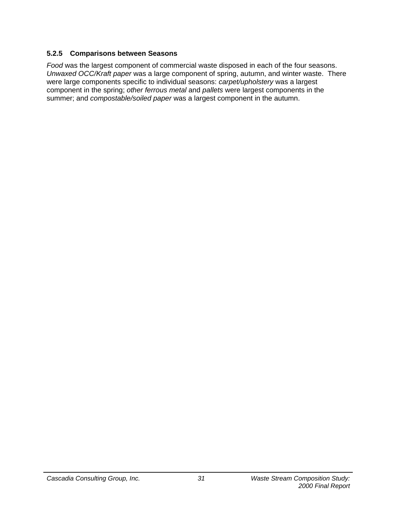## **5.2.5 Comparisons between Seasons**

*Food* was the largest component of commercial waste disposed in each of the four seasons. *Unwaxed OCC/Kraft paper* was a large component of spring, autumn, and winter waste. There were large components specific to individual seasons: *carpet/upholstery* was a largest component in the spring; *other ferrous metal* and *pallets* were largest components in the summer; and *compostable/soiled paper* was a largest component in the autumn.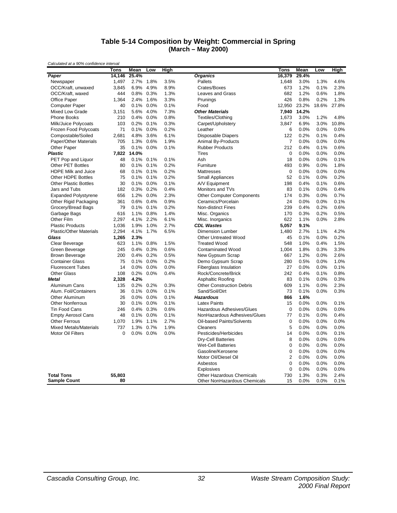#### **Table 5-14 Composition by Weight: Commercial in Spring (March – May 2000)**

|                                | Tons        | Mean  | Low     | High |                                  | Tons             | Mean  | Low   | High  |
|--------------------------------|-------------|-------|---------|------|----------------------------------|------------------|-------|-------|-------|
| Paper                          | 14,146      | 25.4% |         |      | <b>Organics</b>                  | 16,379           | 29.4% |       |       |
| Newspaper                      | 1,497       | 2.7%  | 1.8%    | 3.5% | Pallets                          | 1,648            | 3.0%  | 1.3%  | 4.6%  |
| OCC/Kraft, unwaxed             | 3,845       | 6.9%  | 4.9%    | 8.9% | Crates/Boxes                     | 673              | 1.2%  | 0.1%  | 2.3%  |
| OCC/Kraft, waxed               | 444         | 0.8%  | 0.3%    | 1.3% | <b>Leaves and Grass</b>          | 682              | 1.2%  | 0.6%  | 1.8%  |
| Office Paper                   | 1,364       | 2.4%  | 1.6%    | 3.3% | Prunings                         | 426              | 0.8%  | 0.2%  | 1.3%  |
| <b>Computer Paper</b>          | 40          | 0.1%  | 0.0%    | 0.1% | Food                             | 12,950           | 23.2% | 18.6% | 27.8% |
| Mixed Low Grade                | 3,151       | 5.6%  | 4.0%    | 7.3% | <b>Other Materials</b>           | 7,940            | 14.2% |       |       |
| <b>Phone Books</b>             | 210         | 0.4%  | 0.0%    | 0.8% | Textiles/Clothing                | 1,673            | 3.0%  | 1.2%  | 4.8%  |
| Milk/Juice Polycoats           | 103         | 0.2%  | 0.1%    | 0.3% | Carpet/Upholstery                | 3,847            | 6.9%  | 3.0%  | 10.8% |
| Frozen Food Polycoats          | 71          | 0.1%  | 0.0%    | 0.2% | Leather                          | 6                | 0.0%  | 0.0%  | 0.0%  |
| Compostable/Soiled             | 2,681       | 4.8%  | 3.6%    | 6.1% | <b>Disposable Diapers</b>        | 122              | 0.2%  | 0.1%  | 0.4%  |
| Paper/Other Materials          | 705         | 1.3%  | 0.6%    | 1.9% | <b>Animal By-Products</b>        | $\overline{7}$   | 0.0%  | 0.0%  | 0.0%  |
| Other Paper                    | 35          | 0.1%  | $0.0\%$ | 0.1% | <b>Rubber Products</b>           | 212              | 0.4%  | 0.1%  | 0.6%  |
| <b>Plastic</b>                 | 7,822       | 14.0% |         |      | <b>Tires</b>                     | $\mathbf 0$      | 0.0%  | 0.0%  | 0.0%  |
| PET Pop and Liquor             | 48          | 0.1%  | 0.1%    | 0.1% | Ash                              | 18               | 0.0%  | 0.0%  | 0.1%  |
| <b>Other PET Bottles</b>       | 80          | 0.1%  | 0.1%    | 0.2% | Furniture                        | 493              | 0.9%  | 0.0%  | 1.8%  |
| <b>HDPE Milk and Juice</b>     | 68          | 0.1%  | 0.1%    | 0.2% | <b>Mattresses</b>                | $\mathbf 0$      | 0.0%  | 0.0%  | 0.0%  |
| Other HDPE Bottles             | 75          | 0.1%  | 0.1%    | 0.2% | <b>Small Appliances</b>          | 52               | 0.1%  | 0.0%  | 0.2%  |
| <b>Other Plastic Bottles</b>   | 30          | 0.1%  | 0.0%    | 0.1% | A/V Equipment                    | 198              | 0.4%  | 0.1%  | 0.6%  |
| Jars and Tubs                  | 182         | 0.3%  | 0.2%    | 0.4% | Monitors and TVs                 | 83               | 0.1%  | 0.0%  | 0.4%  |
| <b>Expanded Polystyrene</b>    | 656         | 1.2%  | 0.0%    | 2.3% | <b>Other Computer Components</b> | 174              | 0.3%  | 0.0%  | 0.7%  |
| Other Rigid Packaging          | 361         | 0.6%  | 0.4%    | 0.9% | Ceramics/Porcelain               | 24               | 0.0%  | 0.0%  | 0.1%  |
| Grocery/Bread Bags             | 79          | 0.1%  | 0.1%    | 0.2% | <b>Non-distinct Fines</b>        | 239              | 0.4%  | 0.2%  | 0.6%  |
| Garbage Bags                   | 616         | 1.1%  | 0.8%    | 1.4% | Misc. Organics                   | 170              | 0.3%  | 0.2%  | 0.5%  |
| Other Film                     | 2.297       | 4.1%  | 2.2%    | 6.1% | Misc. Inorganics                 | 622              | 1.1%  | 0.0%  | 2.8%  |
| <b>Plastic Products</b>        | 1,036       | 1.9%  | 1.0%    | 2.7% | <b>CDL Wastes</b>                | 5,057            | 9.1%  |       |       |
| <b>Plastic/Other Materials</b> | 2,294       | 4.1%  | 1.7%    | 6.5% | <b>Dimension Lumber</b>          | 1,480            | 2.7%  | 1.1%  | 4.2%  |
| Glass                          | 1,265       | 2.3%  |         |      | <b>Other Untreated Wood</b>      | 45               | 0.1%  | 0.0%  | 0.2%  |
| Clear Beverage                 | 623         | 1.1%  | 0.8%    | 1.5% | <b>Treated Wood</b>              | 548              | 1.0%  | 0.4%  | 1.5%  |
| Green Beverage                 | 245         | 0.4%  | 0.3%    | 0.6% | <b>Contaminated Wood</b>         | 1.004            | 1.8%  | 0.3%  | 3.3%  |
| <b>Brown Beverage</b>          | 200         | 0.4%  | 0.2%    | 0.5% | New Gypsum Scrap                 | 667              | 1.2%  | 0.0%  | 2.6%  |
| <b>Container Glass</b>         | 75          | 0.1%  | 0.0%    | 0.2% | Demo Gypsum Scrap                | 280              | 0.5%  | 0.0%  | 1.0%  |
| <b>Fluorescent Tubes</b>       | 14          | 0.0%  | 0.0%    | 0.0% | <b>Fiberglass Insulation</b>     | 27               | 0.0%  | 0.0%  | 0.1%  |
| <b>Other Glass</b>             | 108         | 0.2%  | 0.0%    | 0.4% | Rock/Concrete/Brick              | 242              | 0.4%  | 0.1%  | 0.8%  |
| Metal                          | 2,328       | 4.2%  |         |      | Asphaltic Roofing                | 83               | 0.1%  | 0.0%  | 0.3%  |
| Aluminum Cans                  | 135         | 0.2%  | 0.2%    | 0.3% | <b>Other Construction Debris</b> | 609              | 1.1%  | 0.0%  | 2.3%  |
| Alum. Foil/Containers          | 36          | 0.1%  | 0.0%    | 0.1% | Sand/Soil/Dirt                   | 73               | 0.1%  | 0.0%  | 0.3%  |
| <b>Other Aluminum</b>          | 26          | 0.0%  | 0.0%    | 0.1% | <b>Hazardous</b>                 | 866              | 1.6%  |       |       |
| <b>Other Nonferrous</b>        | 30          | 0.1%  | 0.0%    | 0.1% | <b>Latex Paints</b>              | 15               | 0.0%  | 0.0%  | 0.1%  |
| <b>Tin Food Cans</b>           | 246         | 0.4%  | 0.3%    | 0.6% | Hazardous Adhesives/Glues        | $\boldsymbol{0}$ | 0.0%  | 0.0%  | 0.0%  |
| <b>Empty Aerosol Cans</b>      | 48          | 0.1%  | 0.0%    | 0.1% | NonHazardous Adhesives/Glues     | 77               | 0.1%  | 0.0%  | 0.4%  |
| <b>Other Ferrous</b>           | 1,070       | 1.9%  | 1.1%    | 2.7% | Oil-based Paints/Solvents        | $\mathbf 0$      | 0.0%  | 0.0%  | 0.0%  |
| <b>Mixed Metals/Materials</b>  | 737         | 1.3%  | 0.7%    | 1.9% | Cleaners                         | 5                | 0.0%  | 0.0%  | 0.0%  |
| Motor Oil Filters              | $\mathbf 0$ | 0.0%  | 0.0%    | 0.0% | Pesticides/Herbicides            | 14               | 0.0%  | 0.0%  | 0.1%  |
|                                |             |       |         |      | <b>Dry-Cell Batteries</b>        | 8                | 0.0%  | 0.0%  | 0.0%  |
|                                |             |       |         |      | <b>Wet-Cell Batteries</b>        | $\mathbf 0$      | 0.0%  | 0.0%  | 0.0%  |
|                                |             |       |         |      | Gasoline/Kerosene                | 0                | 0.0%  | 0.0%  | 0.0%  |
|                                |             |       |         |      | Motor Oil/Diesel Oil             | $\overline{2}$   | 0.0%  | 0.0%  | 0.0%  |
|                                |             |       |         |      | Asbestos                         | 0                | 0.0%  | 0.0%  | 0.0%  |
|                                |             |       |         |      | <b>Explosives</b>                | $\mathbf 0$      | 0.0%  | 0.0%  | 0.0%  |
| <b>Total Tons</b>              | 55,803      |       |         |      | <b>Other Hazardous Chemicals</b> | 730              | 1.3%  | 0.3%  | 2.4%  |
| <b>Sample Count</b>            | 80          |       |         |      | Other NonHazardous Chemicals     | 15               | 0.0%  | 0.0%  | 0.1%  |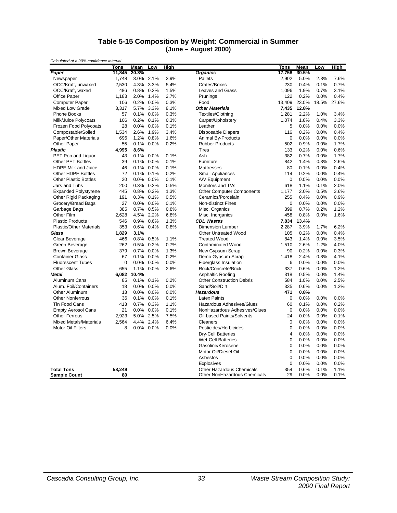#### **Table 5-15 Composition by Weight: Commercial in Summer (June – August 2000)**

| Calculated at a 90% confidence interval | Tons   | Mean  | Low       | High |                                  | Tons           | Mean  | Low   | High  |
|-----------------------------------------|--------|-------|-----------|------|----------------------------------|----------------|-------|-------|-------|
| Paper                                   | 11,845 | 20.3% |           |      | <b>Organics</b>                  | 17,758         | 30.5% |       |       |
| Newspaper                               | 1,748  |       | 3.0% 2.1% | 3.9% | Pallets                          | 2,902          | 5.0%  | 2.3%  | 7.6%  |
| OCC/Kraft, unwaxed                      | 2,530  | 4.3%  | 3.3%      | 5.4% | Crates/Boxes                     | 230            | 0.4%  | 0.1%  | 0.7%  |
| OCC/Kraft, waxed                        | 486    | 0.8%  | 0.2%      | 1.5% | <b>Leaves and Grass</b>          | 1,096          | 1.9%  | 0.7%  | 3.1%  |
| <b>Office Paper</b>                     | 1,183  | 2.0%  | 1.4%      | 2.7% | Prunings                         | 122            | 0.2%  | 0.0%  | 0.4%  |
| <b>Computer Paper</b>                   | 106    | 0.2%  | 0.0%      | 0.3% | Food                             | 13,409         | 23.0% | 18.5% | 27.6% |
| <b>Mixed Low Grade</b>                  | 3,317  | 5.7%  | 3.3%      | 8.1% | <b>Other Materials</b>           | 7,435          | 12.8% |       |       |
| <b>Phone Books</b>                      | 57     | 0.1%  | 0.0%      | 0.3% | <b>Textiles/Clothing</b>         | 1,281          | 2.2%  | 1.0%  | 3.4%  |
| Milk/Juice Polycoats                    | 106    | 0.2%  | 0.1%      | 0.3% | Carpet/Upholstery                | 1,074          | 1.8%  | 0.4%  | 3.3%  |
| Frozen Food Polycoats                   | 28     | 0.0%  | 0.0%      | 0.1% | Leather                          | 5              | 0.0%  | 0.0%  | 0.0%  |
| Compostable/Soiled                      | 1,534  | 2.6%  | 1.9%      | 3.4% | <b>Disposable Diapers</b>        | 116            | 0.2%  | 0.0%  | 0.4%  |
| Paper/Other Materials                   | 696    | 1.2%  | 0.8%      | 1.6% | <b>Animal By-Products</b>        | $\mathbf 0$    | 0.0%  | 0.0%  | 0.0%  |
| Other Paper                             | 55     | 0.1%  | 0.0%      | 0.2% | <b>Rubber Products</b>           | 502            | 0.9%  | 0.0%  | 1.7%  |
| <b>Plastic</b>                          | 4,995  | 8.6%  |           |      | <b>Tires</b>                     | 133            | 0.2%  | 0.0%  | 0.6%  |
| PET Pop and Liquor                      | 43     | 0.1%  | 0.0%      | 0.1% | Ash                              | 382            | 0.7%  | 0.0%  | 1.7%  |
| <b>Other PET Bottles</b>                | 39     | 0.1%  | 0.0%      | 0.1% | Furniture                        | 842            | 1.4%  | 0.3%  | 2.6%  |
| <b>HDPE Milk and Juice</b>              | 46     | 0.1%  | 0.0%      | 0.1% | Mattresses                       | 80             | 0.1%  | 0.0%  | 0.4%  |
| Other HDPE Bottles                      | 72     | 0.1%  | 0.1%      | 0.2% | <b>Small Appliances</b>          | 114            | 0.2%  | 0.0%  | 0.4%  |
| <b>Other Plastic Bottles</b>            | 20     | 0.0%  | 0.0%      | 0.1% | A/V Equipment                    | $\mathbf 0$    | 0.0%  | 0.0%  | 0.0%  |
| Jars and Tubs                           | 200    | 0.3%  | 0.2%      | 0.5% | Monitors and TVs                 | 618            | 1.1%  | 0.1%  | 2.0%  |
| <b>Expanded Polystyrene</b>             | 445    | 0.8%  | 0.2%      | 1.3% | <b>Other Computer Components</b> | 1,177          | 2.0%  | 0.5%  | 3.6%  |
| Other Rigid Packaging                   | 191    | 0.3%  | 0.1%      | 0.5% | Ceramics/Porcelain               | 255            | 0.4%  | 0.0%  | 0.9%  |
| Grocery/Bread Bags                      | 27     | 0.0%  | 0.0%      | 0.1% | <b>Non-distinct Fines</b>        | $\mathbf 0$    | 0.0%  | 0.0%  | 0.0%  |
| Garbage Bags                            | 385    | 0.7%  | 0.5%      | 0.8% | Misc. Organics                   | 399            | 0.7%  | 0.2%  | 1.2%  |
| Other Film                              | 2,628  | 4.5%  | 2.2%      | 6.8% | Misc. Inorganics                 | 458            | 0.8%  | 0.0%  | 1.6%  |
| <b>Plastic Products</b>                 | 546    | 0.9%  | 0.6%      | 1.3% | <b>CDL Wastes</b>                | 7,834          | 13.4% |       |       |
| <b>Plastic/Other Materials</b>          | 353    | 0.6%  | 0.4%      | 0.8% | <b>Dimension Lumber</b>          | 2,287          | 3.9%  | 1.7%  | 6.2%  |
| Glass                                   | 1,829  | 3.1%  |           |      | <b>Other Untreated Wood</b>      | 105            | 0.2%  | 0.0%  | 0.4%  |
| Clear Beverage                          | 466    | 0.8%  | 0.5%      | 1.1% | <b>Treated Wood</b>              | 843            | 1.4%  | 0.0%  | 3.5%  |
| Green Beverage                          | 262    | 0.5%  | 0.2%      | 0.7% | <b>Contaminated Wood</b>         | 1,510          | 2.6%  | 1.2%  | 4.0%  |
| <b>Brown Beverage</b>                   | 379    | 0.7%  | 0.0%      | 1.3% | New Gypsum Scrap                 | 90             | 0.2%  | 0.0%  | 0.3%  |
| <b>Container Glass</b>                  | 67     | 0.1%  | 0.0%      | 0.2% | Demo Gypsum Scrap                | 1.418          | 2.4%  | 0.8%  | 4.1%  |
| <b>Fluorescent Tubes</b>                | 0      | 0.0%  | 0.0%      | 0.0% | <b>Fiberglass Insulation</b>     | 6              | 0.0%  | 0.0%  | 0.0%  |
| <b>Other Glass</b>                      | 655    | 1.1%  | 0.0%      | 2.6% | Rock/Concrete/Brick              | 337            | 0.6%  | 0.0%  | 1.2%  |
| <b>Metal</b>                            | 6,082  | 10.4% |           |      | Asphaltic Roofing                | 318            | 0.5%  | 0.0%  | 1.4%  |
| Aluminum Cans                           | 85     | 0.1%  | 0.1%      | 0.2% | <b>Other Construction Debris</b> | 584            | 1.0%  | 0.0%  | 2.5%  |
| Alum. Foil/Containers                   | 18     | 0.0%  | 0.0%      | 0.0% | Sand/Soil/Dirt                   | 335            | 0.6%  | 0.0%  | 1.2%  |
| <b>Other Aluminum</b>                   | 13     | 0.0%  | 0.0%      | 0.0% | <b>Hazardous</b>                 | 471            | 0.8%  |       |       |
| <b>Other Nonferrous</b>                 | 36     | 0.1%  | 0.0%      | 0.1% | <b>Latex Paints</b>              | $\mathbf 0$    | 0.0%  | 0.0%  | 0.0%  |
| <b>Tin Food Cans</b>                    | 413    | 0.7%  | 0.3%      | 1.1% | Hazardous Adhesives/Glues        | 60             | 0.1%  | 0.0%  | 0.2%  |
| <b>Empty Aerosol Cans</b>               | 21     | 0.0%  | 0.0%      | 0.1% | NonHazardous Adhesives/Glues     | $\mathbf 0$    | 0.0%  | 0.0%  | 0.0%  |
| <b>Other Ferrous</b>                    | 2,923  | 5.0%  | 2.5%      | 7.5% | Oil-based Paints/Solvents        | 24             | 0.0%  | 0.0%  | 0.1%  |
| <b>Mixed Metals/Materials</b>           | 2,564  | 4.4%  | 2.4%      | 6.4% | Cleaners                         | $\mathbf 0$    | 0.0%  | 0.0%  | 0.0%  |
| <b>Motor Oil Filters</b>                | 8      | 0.0%  | 0.0%      | 0.0% | Pesticides/Herbicides            | $\mathbf 0$    | 0.0%  | 0.0%  | 0.0%  |
|                                         |        |       |           |      | <b>Dry-Cell Batteries</b>        | $\overline{4}$ | 0.0%  | 0.0%  | 0.0%  |
|                                         |        |       |           |      | <b>Wet-Cell Batteries</b>        | $\mathbf 0$    | 0.0%  | 0.0%  | 0.0%  |
|                                         |        |       |           |      | Gasoline/Kerosene                | 0              | 0.0%  | 0.0%  | 0.0%  |
|                                         |        |       |           |      | Motor Oil/Diesel Oil             | $\mathbf 0$    | 0.0%  | 0.0%  | 0.0%  |
|                                         |        |       |           |      | Asbestos                         | $\mathbf 0$    | 0.0%  | 0.0%  | 0.0%  |
|                                         |        |       |           |      | Explosives                       | $\mathbf 0$    | 0.0%  | 0.0%  | 0.0%  |
| <b>Total Tons</b>                       | 58,249 |       |           |      | <b>Other Hazardous Chemicals</b> | 354            | 0.6%  | 0.1%  | 1.1%  |
| <b>Sample Count</b>                     | 80     |       |           |      | Other NonHazardous Chemicals     | 29             | 0.0%  | 0.0%  | 0.1%  |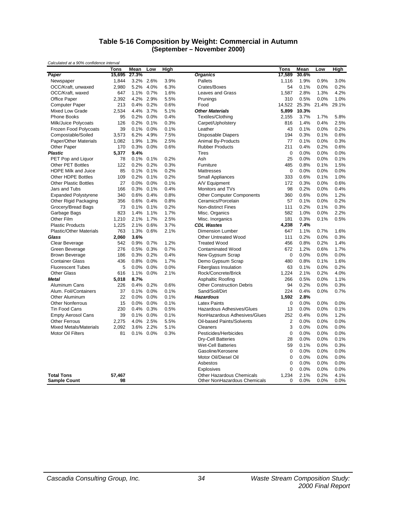#### **Table 5-16 Composition by Weight: Commercial in Autumn (September – November 2000)**

| Calculated at a 3070 contractive litterval | Tons   | Mean  | Low       | <b>High</b> |                                  | <b>Tons</b>      | Mean  | Low   | <b>High</b> |
|--------------------------------------------|--------|-------|-----------|-------------|----------------------------------|------------------|-------|-------|-------------|
| Paper                                      | 15,695 | 27.3% |           |             | <b>Organics</b>                  | 17,589           | 30.6% |       |             |
| Newspaper                                  | 1,844  | 3.2%  | 2.6%      | 3.9%        | Pallets                          | 1,116            | 1.9%  | 0.9%  | 3.0%        |
| OCC/Kraft, unwaxed                         | 2,980  | 5.2%  | 4.0%      | 6.3%        | Crates/Boxes                     | 54               | 0.1%  | 0.0%  | 0.2%        |
| OCC/Kraft, waxed                           | 647    | 1.1%  | 0.7%      | 1.6%        | Leaves and Grass                 | 1,587            | 2.8%  | 1.3%  | 4.2%        |
| Office Paper                               | 2,392  |       | 4.2% 2.9% | 5.5%        | Prunings                         | 310              | 0.5%  | 0.0%  | 1.0%        |
| <b>Computer Paper</b>                      | 213    | 0.4%  | 0.2%      | 0.6%        | Food                             | 14,522           | 25.3% | 21.4% | 29.1%       |
| <b>Mixed Low Grade</b>                     | 2.534  | 4.4%  | 3.7%      | 5.1%        | <b>Other Materials</b>           | 5.899            | 10.3% |       |             |
| <b>Phone Books</b>                         | 95     | 0.2%  | 0.0%      | 0.4%        | Textiles/Clothing                | 2,155            | 3.7%  | 1.7%  | 5.8%        |
| Milk/Juice Polycoats                       | 126    | 0.2%  | 0.1%      | 0.3%        | Carpet/Upholstery                | 816              | 1.4%  | 0.4%  | 2.5%        |
| Frozen Food Polycoats                      | 39     | 0.1%  | 0.0%      | 0.1%        | Leather                          | 43               | 0.1%  | 0.0%  | 0.2%        |
|                                            |        |       |           |             |                                  |                  |       |       |             |
| Compostable/Soiled                         | 3,573  | 6.2%  | 4.9%      | 7.5%        | <b>Disposable Diapers</b>        | 194              | 0.3%  | 0.1%  | 0.6%        |
| Paper/Other Materials                      | 1,082  | 1.9%  | 1.3%      | 2.5%        | Animal By-Products               | 77               | 0.1%  | 0.0%  | 0.3%        |
| Other Paper                                | 170    | 0.3%  | 0.0%      | 0.6%        | <b>Rubber Products</b>           | 211              | 0.4%  | 0.2%  | 0.6%        |
| <b>Plastic</b>                             | 5,377  | 9.4%  |           |             | <b>Tires</b>                     | $\mathbf 0$      | 0.0%  | 0.0%  | 0.0%        |
| PET Pop and Liquor                         | 78     | 0.1%  | 0.1%      | 0.2%        | Ash                              | 25               | 0.0%  | 0.0%  | 0.1%        |
| Other PET Bottles                          | 122    | 0.2%  | 0.2%      | 0.3%        | Furniture                        | 485              | 0.8%  | 0.1%  | 1.5%        |
| <b>HDPE Milk and Juice</b>                 | 85     | 0.1%  | 0.1%      | 0.2%        | <b>Mattresses</b>                | $\mathbf 0$      | 0.0%  | 0.0%  | 0.0%        |
| Other HDPE Bottles                         | 109    | 0.2%  | 0.1%      | 0.2%        | <b>Small Appliances</b>          | 333              | 0.6%  | 0.1%  | 1.0%        |
| <b>Other Plastic Bottles</b>               | 27     | 0.0%  | 0.0%      | 0.1%        | A/V Equipment                    | 172              | 0.3%  | 0.0%  | 0.6%        |
| Jars and Tubs                              | 166    | 0.3%  | 0.1%      | 0.4%        | Monitors and TVs                 | 98               | 0.2%  | 0.0%  | 0.4%        |
| <b>Expanded Polystyrene</b>                | 340    | 0.6%  | 0.4%      | 0.8%        | <b>Other Computer Components</b> | 360              | 0.6%  | 0.0%  | 1.2%        |
| Other Rigid Packaging                      | 356    | 0.6%  | 0.4%      | 0.8%        | Ceramics/Porcelain               | 57               | 0.1%  | 0.0%  | 0.2%        |
| Grocery/Bread Bags                         | 73     | 0.1%  | 0.1%      | 0.2%        | <b>Non-distinct Fines</b>        | 111              | 0.2%  | 0.1%  | 0.3%        |
| Garbage Bags                               | 823    | 1.4%  | 1.1%      | 1.7%        | Misc. Organics                   | 582              | 1.0%  | 0.0%  | 2.2%        |
| Other Film                                 | 1,210  | 2.1%  | 1.7%      | 2.5%        | Misc. Inorganics                 | 181              | 0.3%  | 0.1%  | 0.5%        |
| <b>Plastic Products</b>                    | 1,225  | 2.1%  | 0.6%      | 3.7%        | <b>CDL Wastes</b>                | 4,238            | 7.4%  |       |             |
| <b>Plastic/Other Materials</b>             | 763    | 1.3%  | 0.6%      | 2.1%        | Dimension Lumber                 | 647              | 1.1%  | 0.7%  | 1.6%        |
| Glass                                      | 2,060  | 3.6%  |           |             | <b>Other Untreated Wood</b>      | 111              | 0.2%  | 0.0%  | 0.3%        |
| Clear Beverage                             | 542    | 0.9%  | 0.7%      | 1.2%        | <b>Treated Wood</b>              | 456              | 0.8%  | 0.2%  | 1.4%        |
| Green Beverage                             | 276    | 0.5%  | 0.3%      | 0.7%        | <b>Contaminated Wood</b>         | 672              | 1.2%  | 0.6%  | 1.7%        |
| <b>Brown Beverage</b>                      | 186    | 0.3%  | 0.2%      | 0.4%        | New Gypsum Scrap                 | $\mathbf 0$      | 0.0%  | 0.0%  | 0.0%        |
| <b>Container Glass</b>                     | 436    | 0.8%  | 0.0%      | 1.7%        | Demo Gypsum Scrap                | 480              | 0.8%  | 0.1%  | 1.6%        |
| <b>Fluorescent Tubes</b>                   | 5      | 0.0%  | 0.0%      | 0.0%        | <b>Fiberglass Insulation</b>     | 63               | 0.1%  | 0.0%  | 0.2%        |
| <b>Other Glass</b>                         | 616    | 1.1%  | 0.0%      | 2.1%        | Rock/Concrete/Brick              | 1,224            | 2.1%  | 0.2%  | 4.0%        |
| Metal                                      | 5,018  | 8.7%  |           |             | <b>Asphaltic Roofing</b>         | 266              | 0.5%  | 0.0%  | 1.1%        |
| Aluminum Cans                              | 226    | 0.4%  | 0.2%      | 0.6%        | <b>Other Construction Debris</b> | 94               | 0.2%  | 0.0%  | 0.3%        |
| Alum. Foil/Containers                      | 37     | 0.1%  | 0.0%      | 0.1%        | Sand/Soil/Dirt                   | 224              | 0.4%  | 0.0%  | 0.7%        |
| Other Aluminum                             | 22     | 0.0%  | 0.0%      | 0.1%        | <b>Hazardous</b>                 | 1,592            | 2.8%  |       |             |
| <b>Other Nonferrous</b>                    | 15     | 0.0%  | 0.0%      | 0.1%        | <b>Latex Paints</b>              | $\mathbf 0$      | 0.0%  | 0.0%  | 0.0%        |
| <b>Tin Food Cans</b>                       | 230    | 0.4%  | 0.3%      | 0.5%        | Hazardous Adhesives/Glues        | 13               | 0.0%  | 0.0%  | 0.1%        |
| <b>Empty Aerosol Cans</b>                  | 39     | 0.1%  | 0.0%      | 0.1%        | NonHazardous Adhesives/Glues     | 252              | 0.4%  | 0.0%  | 1.2%        |
| <b>Other Ferrous</b>                       | 2,275  | 4.0%  | 2.5%      | 5.5%        | Oil-based Paints/Solvents        | $\overline{2}$   | 0.0%  | 0.0%  | 0.0%        |
| <b>Mixed Metals/Materials</b>              | 2,092  |       | 3.6% 2.2% | 5.1%        | Cleaners                         | 3                | 0.0%  | 0.0%  | 0.0%        |
| Motor Oil Filters                          | 81     | 0.1%  | $0.0\%$   | 0.3%        | Pesticides/Herbicides            | $\boldsymbol{0}$ | 0.0%  | 0.0%  | 0.0%        |
|                                            |        |       |           |             | <b>Dry-Cell Batteries</b>        | 28               | 0.0%  | 0.0%  | 0.1%        |
|                                            |        |       |           |             | <b>Wet-Cell Batteries</b>        | 59               | 0.1%  | 0.0%  | 0.3%        |
|                                            |        |       |           |             | Gasoline/Kerosene                | $\mathbf 0$      | 0.0%  | 0.0%  | 0.0%        |
|                                            |        |       |           |             | Motor Oil/Diesel Oil             | $\mathbf 0$      | 0.0%  | 0.0%  | 0.0%        |
|                                            |        |       |           |             | Asbestos                         | $\mathbf 0$      | 0.0%  | 0.0%  | 0.0%        |
|                                            |        |       |           |             | Explosives                       | $\Omega$         | 0.0%  | 0.0%  | 0.0%        |
| <b>Total Tons</b>                          | 57,467 |       |           |             | Other Hazardous Chemicals        | 1,234            | 2.1%  | 0.2%  | 4.1%        |
| <b>Sample Count</b>                        | 98     |       |           |             | Other NonHazardous Chemicals     | $\mathbf 0$      | 0.0%  | 0.0%  | 0.0%        |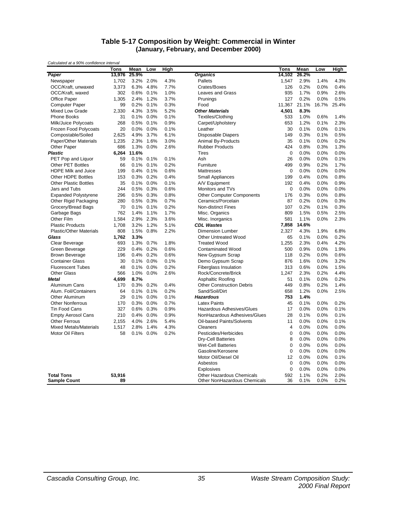#### **Table 5-17 Composition by Weight: Commercial in Winter (January, February, and December 2000)**

| Calculated at a 3070 contractive litterval | Tons   | Mean  | Low          | <b>High</b> |                                                 | Tons               | Mean  | Low   | <b>High</b> |
|--------------------------------------------|--------|-------|--------------|-------------|-------------------------------------------------|--------------------|-------|-------|-------------|
| Paper                                      | 13,976 | 25.9% |              |             | <b>Organics</b>                                 | 14,102             | 26.2% |       |             |
| Newspaper                                  | 1,702  | 3.2%  | 2.0%         | 4.3%        | Pallets                                         | 1,547              | 2.9%  | 1.4%  | 4.3%        |
| OCC/Kraft, unwaxed                         | 3,373  | 6.3%  | 4.8%         | 7.7%        | Crates/Boxes                                    | 126                | 0.2%  | 0.0%  | 0.4%        |
| OCC/Kraft, waxed                           | 302    | 0.6%  | 0.1%         | 1.0%        | Leaves and Grass                                | 935                | 1.7%  | 0.9%  | 2.6%        |
| Office Paper                               | 1,305  | 2.4%  | 1.2%         | 3.7%        | Prunings                                        | 127                | 0.2%  | 0.0%  | 0.5%        |
| <b>Computer Paper</b>                      | 99     | 0.2%  | 0.1%         | 0.3%        | Food                                            | 11,367             | 21.1% | 16.7% | 25.4%       |
| Mixed Low Grade                            | 2,330  | 4.3%  | 3.5%         | 5.2%        | <b>Other Materials</b>                          | 4,501              | 8.3%  |       |             |
| <b>Phone Books</b>                         | 31     | 0.1%  | 0.0%         | 0.1%        | Textiles/Clothing                               | 533                | 1.0%  | 0.6%  | 1.4%        |
| Milk/Juice Polycoats                       | 268    | 0.5%  | 0.1%         | 0.9%        | Carpet/Upholstery                               | 653                | 1.2%  | 0.1%  | 2.3%        |
| Frozen Food Polycoats                      | 20     | 0.0%  | 0.0%         | 0.1%        | Leather                                         | 30                 | 0.1%  | 0.0%  | 0.1%        |
|                                            | 2,625  | 4.9%  | 3.7%         | 6.1%        |                                                 | 149                | 0.3%  | 0.1%  | 0.5%        |
| Compostable/Soiled                         | 1,235  | 2.3%  | 1.6%         | 3.0%        | Disposable Diapers<br><b>Animal By-Products</b> | 35                 | 0.1%  | 0.0%  | 0.2%        |
| Paper/Other Materials                      |        |       |              |             |                                                 |                    |       |       |             |
| Other Paper                                | 686    | 1.3%  | 0.0%         | 2.6%        | <b>Rubber Products</b>                          | 424<br>$\mathbf 0$ | 0.8%  | 0.3%  | 1.3%        |
| <b>Plastic</b>                             | 6,264  | 11.6% |              |             | <b>Tires</b>                                    |                    | 0.0%  | 0.0%  | 0.0%        |
| PET Pop and Liquor                         | 59     |       | $0.1\%$ 0.1% | 0.1%        | Ash                                             | 26                 | 0.0%  | 0.0%  | 0.1%        |
| <b>Other PET Bottles</b>                   | 66     | 0.1%  | 0.1%         | 0.2%        | Furniture                                       | 499                | 0.9%  | 0.2%  | 1.7%        |
| HDPE Milk and Juice                        | 199    | 0.4%  | 0.1%         | 0.6%        | Mattresses                                      | $\boldsymbol{0}$   | 0.0%  | 0.0%  | 0.0%        |
| Other HDPE Bottles                         | 153    | 0.3%  | 0.2%         | 0.4%        | <b>Small Appliances</b>                         | 199                | 0.4%  | 0.0%  | 0.8%        |
| <b>Other Plastic Bottles</b>               | 35     | 0.1%  | 0.0%         | 0.1%        | A/V Equipment                                   | 192                | 0.4%  | 0.0%  | 0.9%        |
| Jars and Tubs                              | 244    | 0.5%  | 0.3%         | 0.6%        | Monitors and TVs                                | $\boldsymbol{0}$   | 0.0%  | 0.0%  | 0.0%        |
| <b>Expanded Polystyrene</b>                | 296    | 0.5%  | 0.3%         | 0.8%        | <b>Other Computer Components</b>                | 176                | 0.3%  | 0.0%  | 0.8%        |
| Other Rigid Packaging                      | 280    | 0.5%  | 0.3%         | 0.7%        | Ceramics/Porcelain                              | 87                 | 0.2%  | 0.0%  | 0.3%        |
| Grocery/Bread Bags                         | 70     | 0.1%  | 0.1%         | 0.2%        | Non-distinct Fines                              | 107                | 0.2%  | 0.1%  | 0.3%        |
| Garbage Bags                               | 762    | 1.4%  | 1.1%         | 1.7%        | Misc. Organics                                  | 809                | 1.5%  | 0.5%  | 2.5%        |
| Other Film                                 | 1,584  | 2.9%  | 2.3%         | 3.6%        | Misc. Inorganics                                | 581                | 1.1%  | 0.0%  | 2.3%        |
| <b>Plastic Products</b>                    | 1,708  | 3.2%  | 1.2%         | 5.1%        | <b>CDL Wastes</b>                               | 7,858              | 14.6% |       |             |
| <b>Plastic/Other Materials</b>             | 808    | 1.5%  | 0.8%         | 2.2%        | <b>Dimension Lumber</b>                         | 2,327              | 4.3%  | 1.9%  | 6.8%        |
| Glass                                      | 1,762  | 3.3%  |              |             | <b>Other Untreated Wood</b>                     | 65                 | 0.1%  | 0.0%  | 0.2%        |
| Clear Beverage                             | 693    | 1.3%  | 0.7%         | 1.8%        | <b>Treated Wood</b>                             | 1,255              | 2.3%  | 0.4%  | 4.2%        |
| Green Beverage                             | 229    | 0.4%  | 0.2%         | 0.6%        | <b>Contaminated Wood</b>                        | 500                | 0.9%  | 0.0%  | 1.9%        |
| <b>Brown Beverage</b>                      | 196    | 0.4%  | 0.2%         | 0.6%        | New Gypsum Scrap                                | 118                | 0.2%  | 0.0%  | 0.6%        |
| <b>Container Glass</b>                     | 30     | 0.1%  | 0.0%         | 0.1%        | Demo Gypsum Scrap                               | 876                | 1.6%  | 0.0%  | 3.2%        |
| <b>Fluorescent Tubes</b>                   | 48     | 0.1%  | 0.0%         | 0.2%        | <b>Fiberglass Insulation</b>                    | 313                | 0.6%  | 0.0%  | 1.5%        |
| <b>Other Glass</b>                         | 566    | 1.0%  | 0.0%         | 2.6%        | Rock/Concrete/Brick                             | 1,247              | 2.3%  | 0.2%  | 4.4%        |
| Metal                                      | 4,699  | 8.7%  |              |             | Asphaltic Roofing                               | 51                 | 0.1%  | 0.0%  | 0.2%        |
| Aluminum Cans                              | 170    | 0.3%  | 0.2%         | 0.4%        | <b>Other Construction Debris</b>                | 449                | 0.8%  | 0.2%  | 1.4%        |
| Alum. Foil/Containers                      | 64     | 0.1%  | 0.1%         | 0.2%        | Sand/Soil/Dirt                                  | 658                | 1.2%  | 0.0%  | 2.5%        |
| Other Aluminum                             | 29     | 0.1%  | 0.0%         | 0.1%        | <b>Hazardous</b>                                | 753                | 1.4%  |       |             |
| <b>Other Nonferrous</b>                    | 170    | 0.3%  | 0.0%         | 0.7%        | <b>Latex Paints</b>                             | 45                 | 0.1%  | 0.0%  | 0.2%        |
| <b>Tin Food Cans</b>                       | 327    | 0.6%  | 0.3%         | 0.9%        | Hazardous Adhesives/Glues                       | 17                 | 0.0%  | 0.0%  | 0.1%        |
| <b>Empty Aerosol Cans</b>                  | 210    | 0.4%  | 0.0%         | 0.9%        | NonHazardous Adhesives/Glues                    | 28                 | 0.1%  | 0.0%  | 0.1%        |
| <b>Other Ferrous</b>                       | 2,155  | 4.0%  | 2.6%         | 5.4%        | Oil-based Paints/Solvents                       | 11                 | 0.0%  | 0.0%  | 0.1%        |
| <b>Mixed Metals/Materials</b>              | 1,517  | 2.8%  | 1.4%         | 4.3%        | Cleaners                                        | $\overline{4}$     | 0.0%  | 0.0%  | 0.0%        |
| <b>Motor Oil Filters</b>                   | 58     | 0.1%  | 0.0%         | 0.2%        | Pesticides/Herbicides                           | $\mathbf 0$        | 0.0%  | 0.0%  | 0.0%        |
|                                            |        |       |              |             | <b>Dry-Cell Batteries</b>                       | 8                  | 0.0%  | 0.0%  | 0.0%        |
|                                            |        |       |              |             | <b>Wet-Cell Batteries</b>                       | $\mathbf 0$        | 0.0%  | 0.0%  | $0.0\%$     |
|                                            |        |       |              |             | Gasoline/Kerosene                               | $\mathbf 0$        | 0.0%  | 0.0%  | 0.0%        |
|                                            |        |       |              |             | Motor Oil/Diesel Oil                            | 12                 | 0.0%  | 0.0%  | 0.1%        |
|                                            |        |       |              |             | Asbestos                                        | $\mathbf 0$        | 0.0%  | 0.0%  | 0.0%        |
|                                            |        |       |              |             | Explosives                                      | $\mathbf 0$        | 0.0%  | 0.0%  | 0.0%        |
| <b>Total Tons</b>                          | 53,916 |       |              |             | Other Hazardous Chemicals                       | 592                | 1.1%  | 0.2%  | 2.0%        |
| <b>Sample Count</b>                        | 89     |       |              |             | Other NonHazardous Chemicals                    | 36                 | 0.1%  | 0.0%  | 0.2%        |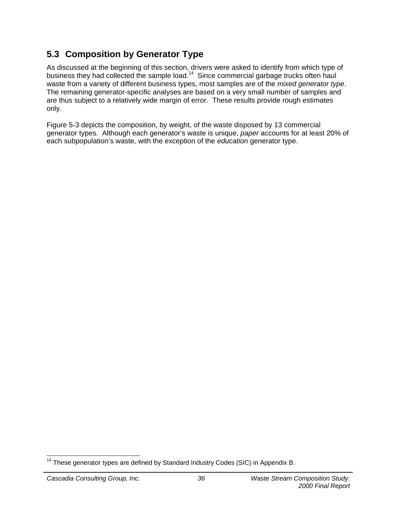## **5.3 Composition by Generator Type**

As discussed at the beginning of this section, drivers were asked to identify from which type of business they had collected the sample load.<sup>14</sup> Since commercial garbage trucks often haul waste from a variety of different business types, most samples are of the *mixed generator type*. The remaining generator-specific analyses are based on a very small number of samples and are thus subject to a relatively wide margin of error. These results provide rough estimates only.

Figure 5-3 depicts the composition, by weight, of the waste disposed by 13 commercial generator types. Although each generator's waste is unique, *paper* accounts for at least 20% of each subpopulation's waste, with the exception of the *education* generator type.

<sup>-</sup> $14$  These generator types are defined by Standard Industry Codes (SIC) in Appendix B.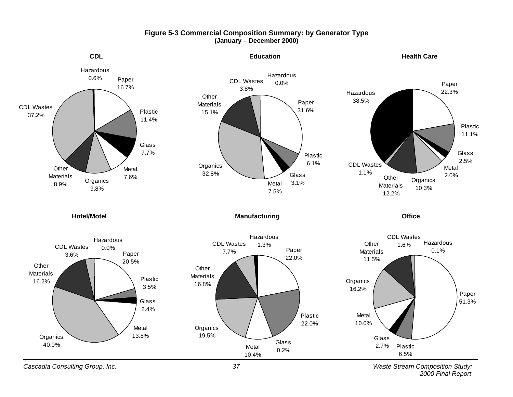

## **Figure 5-3 Commercial Composition Summary: by Generator Type (January – December 2000)**

*Cascadia Consulting Group, Inc. 37 Waste Stream Composition Study: 2000 Final Report*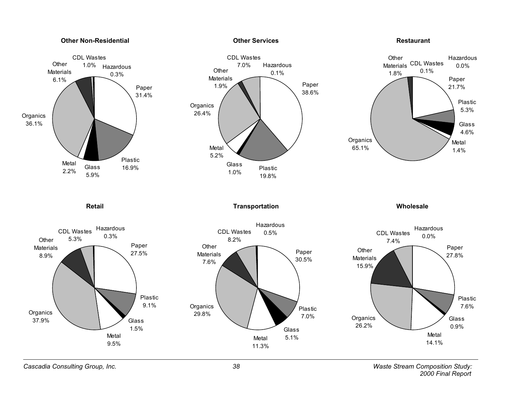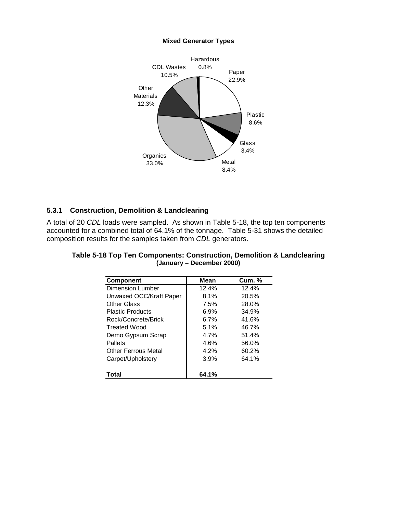#### **Mixed Generator Types**



## **5.3.1 Construction, Demolition & Landclearing**

A total of 20 *CDL* loads were sampled. As shown in Table 5-18, the top ten components accounted for a combined total of 64.1% of the tonnage. Table 5-31 shows the detailed composition results for the samples taken from *CDL* generators.

| <b>Component</b>           | Mean  | <b>Cum. %</b> |
|----------------------------|-------|---------------|
| Dimension Lumber           | 12.4% | 12.4%         |
| Unwaxed OCC/Kraft Paper    | 8.1%  | 20.5%         |
| <b>Other Glass</b>         | 7.5%  | 28.0%         |
| <b>Plastic Products</b>    | 6.9%  | 34.9%         |
| Rock/Concrete/Brick        | 6.7%  | 41.6%         |
| Treated Wood               | 5.1%  | 46.7%         |
| Demo Gypsum Scrap          | 4.7%  | 51.4%         |
| Pallets                    | 4.6%  | 56.0%         |
| <b>Other Ferrous Metal</b> | 4.2%  | 60.2%         |
| Carpet/Upholstery          | 3.9%  | 64.1%         |
| Total                      | 64.1% |               |

| Table 5-18 Top Ten Components: Construction, Demolition & Landclearing |                           |  |
|------------------------------------------------------------------------|---------------------------|--|
|                                                                        | (January – December 2000) |  |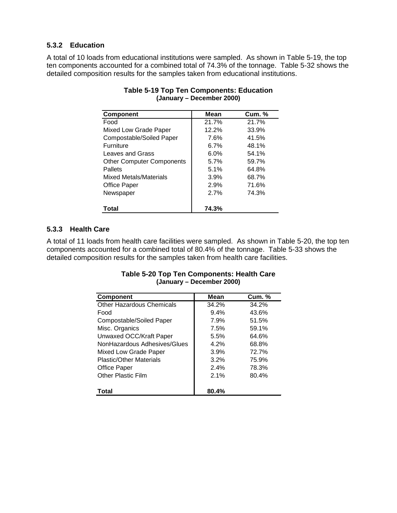## **5.3.2 Education**

A total of 10 loads from educational institutions were sampled. As shown in Table 5-19, the top ten components accounted for a combined total of 74.3% of the tonnage. Table 5-32 shows the detailed composition results for the samples taken from educational institutions.

| <b>Component</b>                 | <b>Mean</b> | <b>Cum. %</b> |
|----------------------------------|-------------|---------------|
| Food                             | 21.7%       | 21.7%         |
| Mixed Low Grade Paper            | 12.2%       | 33.9%         |
| Compostable/Soiled Paper         | 7.6%        | 41.5%         |
| <b>Furniture</b>                 | 6.7%        | 48.1%         |
| Leaves and Grass                 | 6.0%        | 54.1%         |
| <b>Other Computer Components</b> | 5.7%        | 59.7%         |
| Pallets                          | 5.1%        | 64.8%         |
| Mixed Metals/Materials           | 3.9%        | 68.7%         |
| Office Paper                     | 2.9%        | 71.6%         |
| Newspaper                        | 2.7%        | 74.3%         |
|                                  |             |               |
| Total                            | 74.3%       |               |

## **Table 5-19 Top Ten Components: Education (January – December 2000)**

## **5.3.3 Health Care**

A total of 11 loads from health care facilities were sampled. As shown in Table 5-20, the top ten components accounted for a combined total of 80.4% of the tonnage. Table 5-33 shows the detailed composition results for the samples taken from health care facilities.

| <b>Component</b>                 | Mean    | <b>Cum. %</b> |
|----------------------------------|---------|---------------|
| <b>Other Hazardous Chemicals</b> | 34.2%   | 34.2%         |
| Food                             | $9.4\%$ | 43.6%         |
| Compostable/Soiled Paper         | 7.9%    | 51.5%         |
| Misc. Organics                   | 7.5%    | 59.1%         |
| Unwaxed OCC/Kraft Paper          | 5.5%    | 64.6%         |
| NonHazardous Adhesives/Glues     | 4.2%    | 68.8%         |
| Mixed Low Grade Paper            | 3.9%    | 72.7%         |
| Plastic/Other Materials          | 3.2%    | 75.9%         |
| Office Paper                     | 2.4%    | 78.3%         |
| <b>Other Plastic Film</b>        | 2.1%    | 80.4%         |
| Total                            | 80.4%   |               |

## **Table 5-20 Top Ten Components: Health Care (January – December 2000)**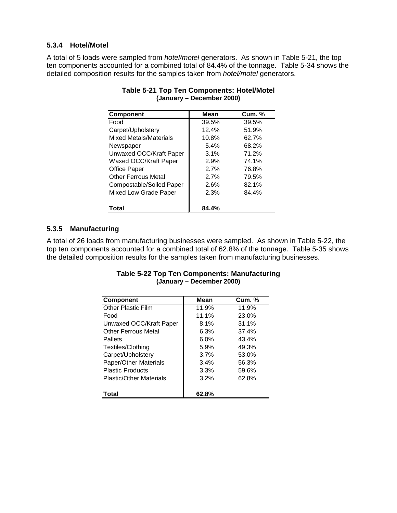## **5.3.4 Hotel/Motel**

A total of 5 loads were sampled from *hotel/motel* generators. As shown in Table 5-21, the top ten components accounted for a combined total of 84.4% of the tonnage. Table 5-34 shows the detailed composition results for the samples taken from *hotel/motel* generators.

| <b>Component</b>              | Mean  | <b>Cum. %</b> |
|-------------------------------|-------|---------------|
| Food                          | 39.5% | 39.5%         |
| Carpet/Upholstery             | 12.4% | 51.9%         |
| <b>Mixed Metals/Materials</b> | 10.8% | 62.7%         |
| Newspaper                     | 5.4%  | 68.2%         |
| Unwaxed OCC/Kraft Paper       | 3.1%  | 71.2%         |
| Waxed OCC/Kraft Paper         | 2.9%  | 74.1%         |
| <b>Office Paper</b>           | 2.7%  | 76.8%         |
| <b>Other Ferrous Metal</b>    | 2.7%  | 79.5%         |
| Compostable/Soiled Paper      | 2.6%  | 82.1%         |
| Mixed Low Grade Paper         | 2.3%  | 84.4%         |
| Total                         | 84.4% |               |

## **Table 5-21 Top Ten Components: Hotel/Motel (January – December 2000)**

## **5.3.5 Manufacturing**

A total of 26 loads from manufacturing businesses were sampled. As shown in Table 5-22, the top ten components accounted for a combined total of 62.8% of the tonnage. Table 5-35 shows the detailed composition results for the samples taken from manufacturing businesses.

| <b>Component</b>               | Mean  | <b>Cum. %</b> |
|--------------------------------|-------|---------------|
| Other Plastic Film             | 11.9% | 11.9%         |
| Food                           | 11.1% | 23.0%         |
| Unwaxed OCC/Kraft Paper        | 8.1%  | 31.1%         |
| <b>Other Ferrous Metal</b>     | 6.3%  | 37.4%         |
| Pallets                        | 6.0%  | 43.4%         |
| Textiles/Clothing              | 5.9%  | 49.3%         |
| Carpet/Upholstery              | 3.7%  | 53.0%         |
| Paper/Other Materials          | 3.4%  | 56.3%         |
| <b>Plastic Products</b>        | 3.3%  | 59.6%         |
| <b>Plastic/Other Materials</b> | 3.2%  | 62.8%         |
|                                |       |               |
| Total                          | 62.8% |               |

## **Table 5-22 Top Ten Components: Manufacturing (January – December 2000)**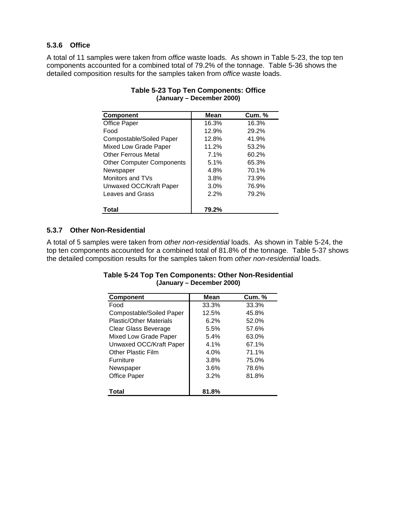## **5.3.6 Office**

A total of 11 samples were taken from *office* waste loads. As shown in Table 5-23, the top ten components accounted for a combined total of 79.2% of the tonnage. Table 5-36 shows the detailed composition results for the samples taken from *office* waste loads.

| <b>Component</b>                 | Mean  | <b>Cum. %</b> |
|----------------------------------|-------|---------------|
| Office Paper                     | 16.3% | 16.3%         |
| Food                             | 12.9% | 29.2%         |
| Compostable/Soiled Paper         | 12.8% | 41.9%         |
| Mixed Low Grade Paper            | 11.2% | 53.2%         |
| Other Ferrous Metal              | 7.1%  | 60.2%         |
| <b>Other Computer Components</b> | 5.1%  | 65.3%         |
| Newspaper                        | 4.8%  | 70.1%         |
| Monitors and TVs                 | 3.8%  | 73.9%         |
| Unwaxed OCC/Kraft Paper          | 3.0%  | 76.9%         |
| Leaves and Grass                 | 2.2%  | 79.2%         |
|                                  |       |               |
| Total                            | 79.2% |               |

## **Table 5-23 Top Ten Components: Office (January – December 2000)**

## **5.3.7 Other Non-Residential**

A total of 5 samples were taken from *other non-residential* loads. As shown in Table 5-24, the top ten components accounted for a combined total of 81.8% of the tonnage. Table 5-37 shows the detailed composition results for the samples taken from *other non-residential* loads.

| <b>Component</b>          | Mean  | <b>Cum. %</b> |
|---------------------------|-------|---------------|
| Food                      | 33.3% | 33.3%         |
| Compostable/Soiled Paper  | 12.5% | 45.8%         |
| Plastic/Other Materials   | 6.2%  | 52.0%         |
| Clear Glass Beverage      | 5.5%  | 57.6%         |
| Mixed Low Grade Paper     | 5.4%  | 63.0%         |
| Unwaxed OCC/Kraft Paper   | 4.1%  | 67.1%         |
| <b>Other Plastic Film</b> | 4.0%  | 71.1%         |
| <b>Furniture</b>          | 3.8%  | 75.0%         |
| Newspaper                 | 3.6%  | 78.6%         |
| <b>Office Paper</b>       | 3.2%  | 81.8%         |
| Total                     | 81.8% |               |

## **Table 5-24 Top Ten Components: Other Non-Residential (January – December 2000)**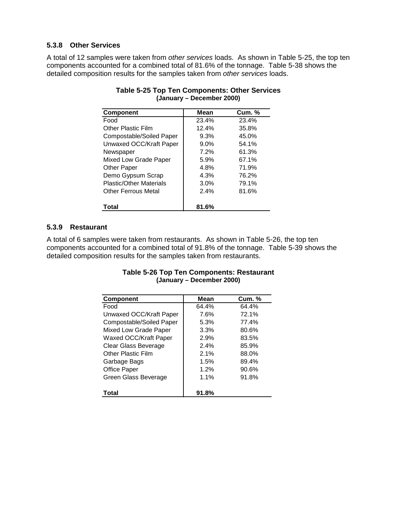## **5.3.8 Other Services**

A total of 12 samples were taken from *other services* loads. As shown in Table 5-25, the top ten components accounted for a combined total of 81.6% of the tonnage. Table 5-38 shows the detailed composition results for the samples taken from *other services* loads.

| <b>Component</b>               | Mean    | <b>Cum. %</b> |
|--------------------------------|---------|---------------|
| Food                           | 23.4%   | 23.4%         |
| <b>Other Plastic Film</b>      | 12.4%   | 35.8%         |
| Compostable/Soiled Paper       | 9.3%    | 45.0%         |
| Unwaxed OCC/Kraft Paper        | $9.0\%$ | 54.1%         |
| Newspaper                      | 7.2%    | 61.3%         |
| Mixed Low Grade Paper          | 5.9%    | 67.1%         |
| Other Paper                    | 4.8%    | 71.9%         |
| Demo Gypsum Scrap              | 4.3%    | 76.2%         |
| <b>Plastic/Other Materials</b> | 3.0%    | 79.1%         |
| <b>Other Ferrous Metal</b>     | 2.4%    | 81.6%         |
| Total                          | 81.6%   |               |

## **Table 5-25 Top Ten Components: Other Services (January – December 2000)**

## **5.3.9 Restaurant**

A total of 6 samples were taken from restaurants. As shown in Table 5-26, the top ten components accounted for a combined total of 91.8% of the tonnage. Table 5-39 shows the detailed composition results for the samples taken from restaurants.

| Component                | Mean  | <b>Cum. %</b> |
|--------------------------|-------|---------------|
| Food                     | 64.4% | 64.4%         |
| Unwaxed OCC/Kraft Paper  | 7.6%  | 72.1%         |
| Compostable/Soiled Paper | 5.3%  | 77.4%         |
| Mixed Low Grade Paper    | 3.3%  | 80.6%         |
| Waxed OCC/Kraft Paper    | 2.9%  | 83.5%         |
| Clear Glass Beverage     | 2.4%  | 85.9%         |
| Other Plastic Film       | 2.1%  | 88.0%         |
| Garbage Bags             | 1.5%  | 89.4%         |
| <b>Office Paper</b>      | 1.2%  | 90.6%         |
| Green Glass Beverage     | 1.1%  | 91.8%         |
| Total                    | 91.8% |               |

## **Table 5-26 Top Ten Components: Restaurant (January – December 2000)**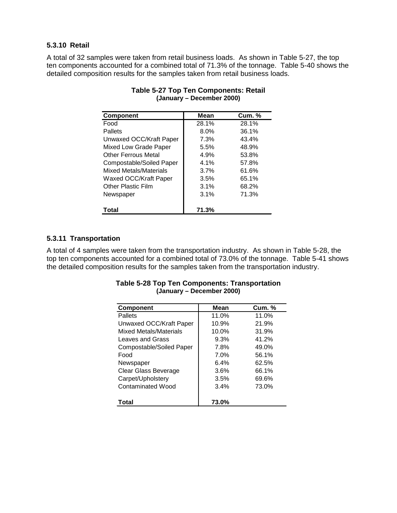## **5.3.10 Retail**

A total of 32 samples were taken from retail business loads. As shown in Table 5-27, the top ten components accounted for a combined total of 71.3% of the tonnage. Table 5-40 shows the detailed composition results for the samples taken from retail business loads.

| <b>Component</b>           | Mean  | <b>Cum. %</b> |
|----------------------------|-------|---------------|
| Food                       | 28.1% | 28.1%         |
| Pallets                    | 8.0%  | 36.1%         |
| Unwaxed OCC/Kraft Paper    | 7.3%  | 43.4%         |
| Mixed Low Grade Paper      | 5.5%  | 48.9%         |
| <b>Other Ferrous Metal</b> | 4.9%  | 53.8%         |
| Compostable/Soiled Paper   | 4.1%  | 57.8%         |
| Mixed Metals/Materials     | 3.7%  | 61.6%         |
| Waxed OCC/Kraft Paper      | 3.5%  | 65.1%         |
| <b>Other Plastic Film</b>  | 3.1%  | 68.2%         |
| Newspaper                  | 3.1%  | 71.3%         |
| Total                      | 71.3% |               |

## **Table 5-27 Top Ten Components: Retail (January – December 2000)**

## **5.3.11 Transportation**

A total of 4 samples were taken from the transportation industry. As shown in Table 5-28, the top ten components accounted for a combined total of 73.0% of the tonnage. Table 5-41 shows the detailed composition results for the samples taken from the transportation industry.

| <b>Table 5-28 Top Ten Components: Transportation</b> |  |
|------------------------------------------------------|--|
| (January – December 2000)                            |  |

| <b>Component</b>              | Mean  | <b>Cum.</b> % |
|-------------------------------|-------|---------------|
| Pallets                       | 11.0% | 11.0%         |
| Unwaxed OCC/Kraft Paper       | 10.9% | 21.9%         |
| <b>Mixed Metals/Materials</b> | 10.0% | 31.9%         |
| Leaves and Grass              | 9.3%  | 41.2%         |
| Compostable/Soiled Paper      | 7.8%  | 49.0%         |
| Food                          | 7.0%  | 56.1%         |
| Newspaper                     | 6.4%  | 62.5%         |
| Clear Glass Beverage          | 3.6%  | 66.1%         |
| Carpet/Upholstery             | 3.5%  | 69.6%         |
| <b>Contaminated Wood</b>      | 3.4%  | 73.0%         |
| Total                         | 73.0% |               |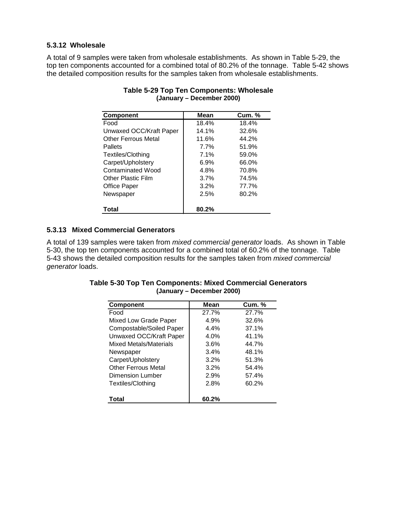## **5.3.12 Wholesale**

A total of 9 samples were taken from wholesale establishments. As shown in Table 5-29, the top ten components accounted for a combined total of 80.2% of the tonnage. Table 5-42 shows the detailed composition results for the samples taken from wholesale establishments.

| <b>Component</b>           | <b>Mean</b> | <b>Cum. %</b> |
|----------------------------|-------------|---------------|
| Food                       | 18.4%       | 18.4%         |
| Unwaxed OCC/Kraft Paper    | 14.1%       | 32.6%         |
| <b>Other Ferrous Metal</b> | 11.6%       | 44.2%         |
| Pallets                    | 7.7%        | 51.9%         |
| Textiles/Clothing          | 7.1%        | 59.0%         |
| Carpet/Upholstery          | 6.9%        | 66.0%         |
| Contaminated Wood          | 4.8%        | 70.8%         |
| <b>Other Plastic Film</b>  | 3.7%        | 74.5%         |
| Office Paper               | 3.2%        | 77.7%         |
| Newspaper                  | 2.5%        | 80.2%         |
|                            |             |               |
| Total                      | 80.2%       |               |

## **Table 5-29 Top Ten Components: Wholesale (January – December 2000)**

## **5.3.13 Mixed Commercial Generators**

A total of 139 samples were taken from *mixed commercial generator* loads. As shown in Table 5-30, the top ten components accounted for a combined total of 60.2% of the tonnage. Table 5-43 shows the detailed composition results for the samples taken from *mixed commercial generator* loads.

| <b>Component</b>           | Mean  | <b>Cum. %</b> |
|----------------------------|-------|---------------|
| Food                       | 27.7% | 27.7%         |
| Mixed Low Grade Paper      | 4.9%  | 32.6%         |
| Compostable/Soiled Paper   | 4.4%  | 37.1%         |
| Unwaxed OCC/Kraft Paper    | 4.0%  | 41.1%         |
| Mixed Metals/Materials     | 3.6%  | 44.7%         |
| Newspaper                  | 3.4%  | 48.1%         |
| Carpet/Upholstery          | 3.2%  | 51.3%         |
| <b>Other Ferrous Metal</b> | 3.2%  | 54.4%         |
| <b>Dimension Lumber</b>    | 2.9%  | 57.4%         |
| Textiles/Clothing          | 2.8%  | 60.2%         |
| Total                      | 60.2% |               |

**Table 5-30 Top Ten Components: Mixed Commercial Generators (January – December 2000)**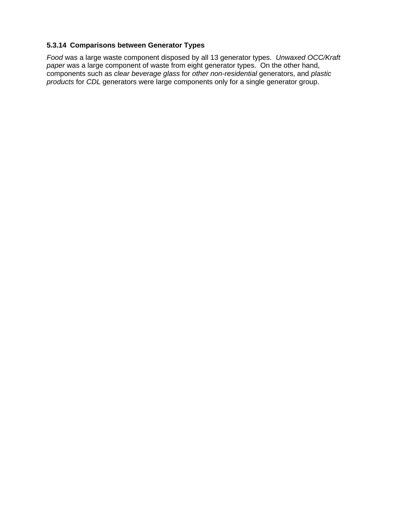## **5.3.14 Comparisons between Generator Types**

*Food* was a large waste component disposed by all 13 generator types. *Unwaxed OCC/Kraft paper* was a large component of waste from eight generator types. On the other hand, components such as *clear beverage glass* for *other non-residential* generators, and *plastic products* for *CDL* generators were large components only for a single generator group.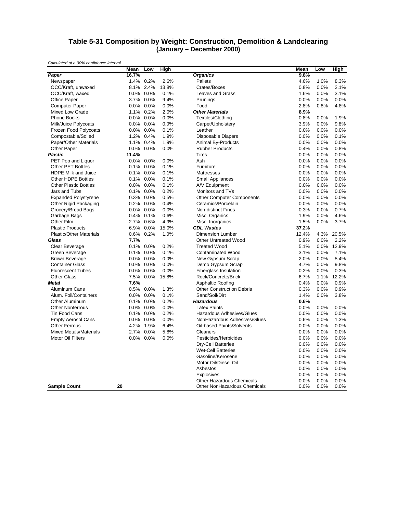#### **Table 5-31 Composition by Weight: Construction, Demolition & Landclearing (January – December 2000)**

|                                | Mean    | Low       | <b>High</b> |                                  | Mean  | Low  | High  |
|--------------------------------|---------|-----------|-------------|----------------------------------|-------|------|-------|
| Paper                          | 16.7%   |           |             | <b>Organics</b>                  | 9.8%  |      |       |
| Newspaper                      | 1.4%    | 0.2%      | 2.6%        | Pallets                          | 4.6%  | 1.0% | 8.3%  |
| OCC/Kraft, unwaxed             | 8.1%    | 2.4%      | 13.8%       | Crates/Boxes                     | 0.8%  | 0.0% | 2.1%  |
| OCC/Kraft, waxed               |         | 0.0% 0.0% | 0.1%        | Leaves and Grass                 | 1.6%  | 0.0% | 3.1%  |
| Office Paper                   |         | 3.7% 0.0% | 9.4%        | Prunings                         | 0.0%  | 0.0% | 0.0%  |
| <b>Computer Paper</b>          | $0.0\%$ | $0.0\%$   | 0.0%        | Food                             | 2.8%  | 0.8% | 4.8%  |
| <b>Mixed Low Grade</b>         | 1.1%    | 0.2%      | 2.0%        | <b>Other Materials</b>           | 8.9%  |      |       |
| <b>Phone Books</b>             |         | 0.0% 0.0% | 0.0%        | Textiles/Clothing                | 0.8%  | 0.0% | 1.9%  |
| Milk/Juice Polycoats           | $0.0\%$ | 0.0%      | 0.0%        | Carpet/Upholstery                | 3.9%  | 0.0% | 9.8%  |
| Frozen Food Polycoats          | $0.0\%$ | 0.0%      | 0.1%        | Leather                          | 0.0%  | 0.0% | 0.0%  |
| Compostable/Soiled             |         | 1.2% 0.4% | 1.9%        | <b>Disposable Diapers</b>        | 0.0%  | 0.0% | 0.1%  |
| Paper/Other Materials          | 1.1%    | 0.4%      | 1.9%        | Animal By-Products               | 0.0%  | 0.0% | 0.0%  |
| Other Paper                    |         | 0.0% 0.0% | 0.0%        | <b>Rubber Products</b>           | 0.4%  | 0.0% | 0.8%  |
| <b>Plastic</b>                 | 11.4%   |           |             | <b>Tires</b>                     | 0.0%  | 0.0% | 0.0%  |
| PET Pop and Liquor             | $0.0\%$ | 0.0%      | 0.0%        | Ash                              | 0.0%  | 0.0% | 0.0%  |
| <b>Other PET Bottles</b>       | $0.1\%$ | 0.0%      | 0.1%        | Furniture                        | 0.0%  | 0.0% | 0.0%  |
| <b>HDPE Milk and Juice</b>     | 0.1%    | 0.0%      | 0.1%        | Mattresses                       | 0.0%  | 0.0% | 0.0%  |
| <b>Other HDPE Bottles</b>      |         | 0.1% 0.0% | 0.1%        | <b>Small Appliances</b>          | 0.0%  | 0.0% | 0.0%  |
| <b>Other Plastic Bottles</b>   | $0.0\%$ | 0.0%      | 0.1%        | A/V Equipment                    | 0.0%  | 0.0% | 0.0%  |
| Jars and Tubs                  | 0.1%    | 0.0%      | 0.2%        | Monitors and TVs                 | 0.0%  | 0.0% | 0.0%  |
| <b>Expanded Polystyrene</b>    |         | 0.3% 0.0% | 0.5%        | <b>Other Computer Components</b> | 0.0%  | 0.0% | 0.0%  |
| Other Rigid Packaging          | 0.2%    | 0.0%      | 0.4%        | Ceramics/Porcelain               | 0.0%  | 0.0% | 0.0%  |
| Grocery/Bread Bags             |         | 0.0% 0.0% | 0.0%        | Non-distinct Fines               | 0.3%  | 0.0% | 0.7%  |
| Garbage Bags                   | $0.4\%$ | 0.1%      | 0.6%        | Misc. Organics                   | 1.9%  | 0.0% | 4.6%  |
| Other Film                     | 2.7%    | 0.6%      | 4.9%        | Misc. Inorganics                 | 1.5%  | 0.0% | 3.7%  |
| <b>Plastic Products</b>        | 6.9%    | $0.0\%$   | 15.0%       | <b>CDL Wastes</b>                | 37.2% |      |       |
| <b>Plastic/Other Materials</b> | 0.6%    | 0.2%      | 1.0%        | <b>Dimension Lumber</b>          | 12.4% | 4.3% | 20.5% |
| Glass                          | 7.7%    |           |             | <b>Other Untreated Wood</b>      | 0.9%  | 0.0% | 2.2%  |
| Clear Beverage                 | $0.1\%$ | 0.0%      | 0.2%        | <b>Treated Wood</b>              | 5.1%  | 0.0% | 12.9% |
| Green Beverage                 |         | 0.1% 0.0% | 0.1%        | <b>Contaminated Wood</b>         | 3.1%  | 0.0% | 7.1%  |
| <b>Brown Beverage</b>          |         | 0.0% 0.0% | 0.0%        | New Gypsum Scrap                 | 2.0%  | 0.0% | 5.4%  |
| <b>Container Glass</b>         | $0.0\%$ | 0.0%      | 0.0%        | Demo Gypsum Scrap                | 4.7%  | 0.0% | 9.8%  |
| <b>Fluorescent Tubes</b>       | 0.0%    | 0.0%      | 0.0%        | <b>Fiberglass Insulation</b>     | 0.2%  | 0.0% | 0.3%  |
| <b>Other Glass</b>             | 7.5%    | 0.0%      | 15.8%       | Rock/Concrete/Brick              | 6.7%  | 1.1% | 12.2% |
| Metal                          | 7.6%    |           |             | Asphaltic Roofing                | 0.4%  | 0.0% | 0.9%  |
| <b>Aluminum Cans</b>           |         | 0.5% 0.0% | 1.3%        | <b>Other Construction Debris</b> | 0.3%  | 0.0% | 0.9%  |
| Alum. Foil/Containers          | $0.0\%$ | 0.0%      | 0.1%        | Sand/Soil/Dirt                   | 1.4%  | 0.0% | 3.8%  |
| Other Aluminum                 | 0.1%    | 0.0%      | 0.2%        | <b>Hazardous</b>                 | 0.6%  |      |       |
| <b>Other Nonferrous</b>        | 0.0%    | 0.0%      | 0.0%        | <b>Latex Paints</b>              | 0.0%  | 0.0% | 0.0%  |
| <b>Tin Food Cans</b>           | $0.1\%$ | 0.0%      | 0.2%        | Hazardous Adhesives/Glues        | 0.0%  | 0.0% | 0.0%  |
| <b>Empty Aerosol Cans</b>      |         | 0.0% 0.0% | 0.0%        | NonHazardous Adhesives/Glues     | 0.6%  | 0.0% | 1.3%  |
| <b>Other Ferrous</b>           | 4.2%    | 1.9%      | 6.4%        | Oil-based Paints/Solvents        | 0.0%  | 0.0% | 0.0%  |
| <b>Mixed Metals/Materials</b>  | 2.7%    | 0.0%      | 5.8%        | Cleaners                         | 0.0%  | 0.0% | 0.0%  |
| Motor Oil Filters              | $0.0\%$ | 0.0%      | 0.0%        | Pesticides/Herbicides            | 0.0%  | 0.0% | 0.0%  |
|                                |         |           |             | <b>Dry-Cell Batteries</b>        | 0.0%  | 0.0% | 0.0%  |
|                                |         |           |             | <b>Wet-Cell Batteries</b>        | 0.0%  | 0.0% | 0.0%  |
|                                |         |           |             | Gasoline/Kerosene                | 0.0%  | 0.0% | 0.0%  |
|                                |         |           |             | Motor Oil/Diesel Oil             | 0.0%  | 0.0% | 0.0%  |
|                                |         |           |             | Asbestos                         | 0.0%  | 0.0% | 0.0%  |
|                                |         |           |             | <b>Explosives</b>                | 0.0%  | 0.0% | 0.0%  |
|                                |         |           |             | Other Hazardous Chemicals        | 0.0%  | 0.0% | 0.0%  |
| <b>Sample Count</b>            | 20      |           |             | Other NonHazardous Chemicals     | 0.0%  | 0.0% | 0.0%  |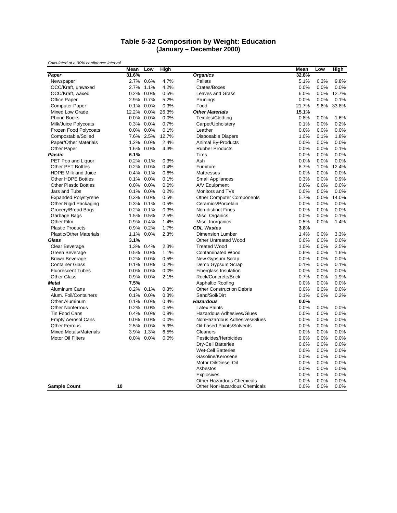#### **Table 5-32 Composition by Weight: Education (January – December 2000)**

|                                | Mean    | Low       | <b>High</b>  |                                       | Mean         | Low          | <b>High</b> |
|--------------------------------|---------|-----------|--------------|---------------------------------------|--------------|--------------|-------------|
| Paper                          | 31.6%   |           |              | <b>Organics</b>                       | 32.8%        |              |             |
| Newspaper                      | 2.7%    | 0.6%      | 4.7%         | Pallets                               | 5.1%         | 0.3%         | 9.8%        |
| OCC/Kraft, unwaxed             | 2.7%    | 1.1%      | 4.2%         | Crates/Boxes                          | 0.0%         | 0.0%         | 0.0%        |
| OCC/Kraft, waxed               | 0.2%    | 0.0%      | 0.5%         | Leaves and Grass                      | 6.0%         | 0.0%         | 12.7%       |
| Office Paper                   |         | 2.9% 0.7% | 5.2%         | Prunings                              | 0.0%         | 0.0%         | 0.1%        |
| <b>Computer Paper</b>          |         | 0.1% 0.0% | 0.3%         | Food                                  | 21.7%        | 9.6%         | 33.8%       |
| <b>Mixed Low Grade</b>         | 12.2%   | 0.0%      | 26.3%        | <b>Other Materials</b>                | 15.1%        |              |             |
| <b>Phone Books</b>             |         | 0.0% 0.0% | 0.0%         | Textiles/Clothing                     | 0.8%         | 0.0%         | 1.6%        |
| Milk/Juice Polycoats           |         | 0.3% 0.0% | 0.7%         | Carpet/Upholstery                     | 0.1%         | 0.0%         | 0.2%        |
| Frozen Food Polycoats          | $0.0\%$ | 0.0%      | 0.1%         | Leather                               | 0.0%         | 0.0%         | 0.0%        |
| Compostable/Soiled             |         | 7.6% 2.5% | 12.7%        | <b>Disposable Diapers</b>             | 1.0%         | 0.1%         | 1.8%        |
| Paper/Other Materials          | 1.2%    | 0.0%      | 2.4%         | Animal By-Products                    | 0.0%         | 0.0%         | 0.0%        |
| Other Paper                    |         | 1.6% 0.0% | 4.3%         | <b>Rubber Products</b>                | 0.0%         | 0.0%         | 0.1%        |
| <b>Plastic</b>                 | 6.1%    |           |              | <b>Tires</b>                          | 0.0%         | 0.0%         | 0.0%        |
| PET Pop and Liquor             | $0.2\%$ | 0.1%      | 0.3%         | Ash                                   | 0.0%         | 0.0%         | 0.0%        |
| <b>Other PET Bottles</b>       | $0.2\%$ | 0.0%      | 0.4%         | Furniture                             | 6.7%         | 1.0%         | 12.4%       |
| <b>HDPE Milk and Juice</b>     | 0.4%    | 0.1%      | 0.6%         | Mattresses                            | 0.0%         | 0.0%         | 0.0%        |
| <b>Other HDPE Bottles</b>      |         | 0.1% 0.0% | 0.1%         | <b>Small Appliances</b>               | 0.3%         | 0.0%         | 0.9%        |
| <b>Other Plastic Bottles</b>   |         | 0.0% 0.0% | 0.0%         | A/V Equipment                         | 0.0%         | 0.0%         | 0.0%        |
| Jars and Tubs                  |         | 0.1% 0.0% | 0.2%         | Monitors and TVs                      | 0.0%         | 0.0%         | 0.0%        |
| <b>Expanded Polystyrene</b>    |         | 0.3% 0.0% | 0.5%         | <b>Other Computer Components</b>      | 5.7%         | 0.0%         | 14.0%       |
| Other Rigid Packaging          | 0.3%    | 0.1%      | 0.5%         | Ceramics/Porcelain                    | 0.0%         | 0.0%         | 0.0%        |
| Grocery/Bread Bags             |         | 0.2% 0.1% | 0.3%         | <b>Non-distinct Fines</b>             | 0.0%         | 0.0%         | 0.0%        |
|                                |         | 1.5% 0.5% | 2.5%         |                                       | 0.0%         | 0.0%         | 0.1%        |
| Garbage Bags<br>Other Film     |         | 0.9% 0.4% | 1.4%         | Misc. Organics                        | 0.5%         | 0.0%         | 1.4%        |
| <b>Plastic Products</b>        |         | 0.9% 0.2% | 1.7%         | Misc. Inorganics<br><b>CDL Wastes</b> | 3.8%         |              |             |
| <b>Plastic/Other Materials</b> | 1.1%    | 0.0%      | 2.3%         | <b>Dimension Lumber</b>               | 1.4%         |              | 3.3%        |
| Glass                          |         |           |              | <b>Other Untreated Wood</b>           |              | 0.0%         | 0.0%        |
|                                | 3.1%    | 1.3% 0.4% | 2.3%         | <b>Treated Wood</b>                   | 0.0%<br>1.0% | 0.0%<br>0.0% | 2.5%        |
| Clear Beverage                 |         |           |              |                                       |              |              |             |
| Green Beverage                 | 0.5%    | 0.0%      | 1.1%         | <b>Contaminated Wood</b>              | 0.6%         | 0.0%         | 1.6%        |
| <b>Brown Beverage</b>          |         | 0.2% 0.0% | 0.5%<br>0.2% | New Gypsum Scrap                      | 0.0%         | 0.0%         | 0.0%        |
| <b>Container Glass</b>         | 0.1%    | 0.0%      |              | Demo Gypsum Scrap                     | 0.1%         | 0.0%         | 0.1%        |
| <b>Fluorescent Tubes</b>       | $0.0\%$ | 0.0%      | 0.0%         | <b>Fiberglass Insulation</b>          | 0.0%         | 0.0%         | 0.0%        |
| <b>Other Glass</b>             | 0.9%    | 0.0%      | 2.1%         | Rock/Concrete/Brick                   | 0.7%         | 0.0%         | 1.9%        |
| Metal                          | 7.5%    |           |              | Asphaltic Roofing                     | 0.0%         | 0.0%         | 0.0%        |
| Aluminum Cans                  |         | 0.2% 0.1% | 0.3%         | <b>Other Construction Debris</b>      | 0.0%         | 0.0%         | 0.0%        |
| Alum. Foil/Containers          | 0.1%    | 0.0%      | 0.3%         | Sand/Soil/Dirt                        | 0.1%         | 0.0%         | 0.2%        |
| Other Aluminum                 | $0.1\%$ | 0.0%      | 0.4%         | <b>Hazardous</b>                      | 0.0%         |              |             |
| <b>Other Nonferrous</b>        | $0.2\%$ | 0.0%      | 0.5%         | <b>Latex Paints</b>                   | 0.0%         | 0.0%         | 0.0%        |
| <b>Tin Food Cans</b>           | $0.4\%$ | 0.0%      | 0.8%         | <b>Hazardous Adhesives/Glues</b>      | 0.0%         | 0.0%         | 0.0%        |
| <b>Empty Aerosol Cans</b>      |         | 0.0% 0.0% | 0.0%         | NonHazardous Adhesives/Glues          | 0.0%         | 0.0%         | 0.0%        |
| <b>Other Ferrous</b>           | 2.5%    | 0.0%      | 5.9%         | Oil-based Paints/Solvents             | 0.0%         | 0.0%         | 0.0%        |
| <b>Mixed Metals/Materials</b>  | 3.9%    | 1.3%      | 6.5%         | Cleaners                              | 0.0%         | 0.0%         | 0.0%        |
| Motor Oil Filters              |         | 0.0% 0.0% | 0.0%         | Pesticides/Herbicides                 | 0.0%         | 0.0%         | 0.0%        |
|                                |         |           |              | <b>Dry-Cell Batteries</b>             | 0.0%         | 0.0%         | 0.0%        |
|                                |         |           |              | <b>Wet-Cell Batteries</b>             | 0.0%         | 0.0%         | 0.0%        |
|                                |         |           |              | Gasoline/Kerosene                     | 0.0%         | 0.0%         | 0.0%        |
|                                |         |           |              | Motor Oil/Diesel Oil                  | 0.0%         | 0.0%         | 0.0%        |
|                                |         |           |              | Asbestos                              | 0.0%         | 0.0%         | 0.0%        |
|                                |         |           |              | Explosives                            | 0.0%         | 0.0%         | 0.0%        |
|                                |         |           |              | Other Hazardous Chemicals             | 0.0%         | 0.0%         | 0.0%        |
| <b>Sample Count</b>            | 10      |           |              | Other NonHazardous Chemicals          | 0.0%         | 0.0%         | 0.0%        |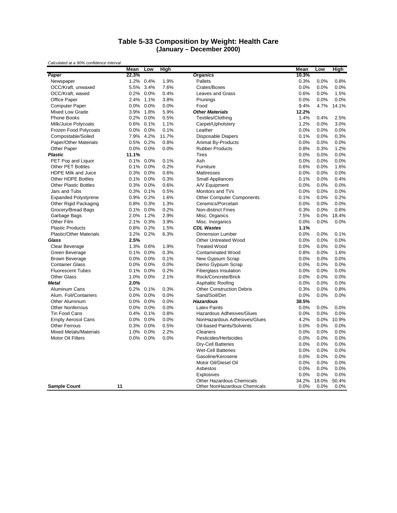#### **Table 5-33 Composition by Weight: Health Care (January – December 2000)**

|                                | Mean    | Low       | High  |                                                           | Mean          | Low           | High          |
|--------------------------------|---------|-----------|-------|-----------------------------------------------------------|---------------|---------------|---------------|
| Paper                          | 22.3%   |           |       | <b>Organics</b>                                           | 10.3%         |               |               |
| Newspaper                      |         | 1.2% 0.4% | 1.9%  | Pallets                                                   | 0.3%          | 0.0%          | 0.8%          |
| OCC/Kraft, unwaxed             | 5.5%    | 3.4%      | 7.6%  | Crates/Boxes                                              | 0.0%          | 0.0%          | 0.0%          |
| OCC/Kraft, waxed               |         | 0.2% 0.0% | 0.4%  | Leaves and Grass                                          | 0.6%          | 0.0%          | 1.5%          |
| <b>Office Paper</b>            | 2.4%    | 1.1%      | 3.8%  | Prunings                                                  | 0.0%          | 0.0%          | 0.0%          |
| <b>Computer Paper</b>          | $0.0\%$ | 0.0%      | 0.0%  | Food                                                      | 9.4%          | 4.7%          | 14.1%         |
| Mixed Low Grade                | 3.9%    | 1.8%      | 5.9%  | <b>Other Materials</b>                                    | 12.2%         |               |               |
| <b>Phone Books</b>             |         | 0.2% 0.0% | 0.5%  | Textiles/Clothing                                         | 1.4%          | 0.4%          | 2.5%          |
| Milk/Juice Polycoats           | 0.6%    | 0.1%      | 1.1%  | Carpet/Upholstery                                         | 1.2%          | 0.0%          | 3.0%          |
| Frozen Food Polycoats          | $0.0\%$ | 0.0%      | 0.1%  | Leather                                                   | 0.0%          | 0.0%          | 0.0%          |
| Compostable/Soiled             |         | 7.9% 4.2% | 11.7% | <b>Disposable Diapers</b>                                 | 0.1%          | 0.0%          | 0.3%          |
| Paper/Other Materials          | 0.5%    | 0.2%      | 0.8%  | Animal By-Products                                        | 0.0%          | 0.0%          | 0.0%          |
| Other Paper                    |         | 0.0% 0.0% | 0.0%  | <b>Rubber Products</b>                                    | 0.8%          | 0.3%          | 1.2%          |
| <b>Plastic</b>                 | 11.1%   |           |       | <b>Tires</b>                                              | 0.0%          | 0.0%          | 0.0%          |
| PET Pop and Liquor             | 0.1%    | 0.0%      | 0.1%  | Ash                                                       | 0.0%          | 0.0%          | 0.0%          |
| <b>Other PET Bottles</b>       | 0.1%    | 0.0%      | 0.2%  | Furniture                                                 | 0.6%          | 0.0%          | 1.6%          |
| HDPE Milk and Juice            | 0.3%    | 0.0%      | 0.6%  | Mattresses                                                | 0.0%          | 0.0%          | 0.0%          |
| <b>Other HDPE Bottles</b>      | $0.1\%$ | 0.0%      | 0.3%  | <b>Small Appliances</b>                                   | 0.1%          | 0.0%          | 0.4%          |
| <b>Other Plastic Bottles</b>   | $0.3\%$ | 0.0%      | 0.6%  | A/V Equipment                                             | 0.0%          | 0.0%          | 0.0%          |
| Jars and Tubs                  |         | 0.3% 0.1% | 0.5%  | Monitors and TVs                                          | 0.0%          | 0.0%          | 0.0%          |
| <b>Expanded Polystyrene</b>    |         | 0.9% 0.2% | 1.6%  | <b>Other Computer Components</b>                          | 0.1%          | 0.0%          | 0.2%          |
| Other Rigid Packaging          | 0.8%    | 0.3%      | 1.3%  | Ceramics/Porcelain                                        | 0.0%          | 0.0%          | 0.0%          |
| Grocery/Bread Bags             | $0.1\%$ | 0.0%      | 0.2%  | <b>Non-distinct Fines</b>                                 | 0.3%          | 0.0%          | 0.6%          |
| Garbage Bags                   | 2.0%    | 1.2%      | 2.9%  | Misc. Organics                                            | 7.5%          | 0.0%          | 18.4%         |
| Other Film                     |         | 2.1% 0.3% | 3.9%  | Misc. Inorganics                                          | 0.0%          | 0.0%          | 0.0%          |
| <b>Plastic Products</b>        |         | 0.8% 0.2% | 1.5%  | <b>CDL Wastes</b>                                         | 1.1%          |               |               |
| <b>Plastic/Other Materials</b> | 3.2%    | 0.2%      | 6.3%  | <b>Dimension Lumber</b>                                   | 0.0%          | 0.0%          | 0.1%          |
| Glass                          | 2.5%    |           |       | <b>Other Untreated Wood</b>                               | 0.0%          | 0.0%          | 0.0%          |
| Clear Beverage                 |         | 1.3% 0.6% | 1.9%  | <b>Treated Wood</b>                                       | 0.0%          | 0.0%          | 0.0%          |
| Green Beverage                 | 0.1%    | 0.0%      | 0.3%  | <b>Contaminated Wood</b>                                  | 0.8%          | 0.0%          | 1.6%          |
| <b>Brown Beverage</b>          |         | 0.0% 0.0% | 0.1%  | New Gypsum Scrap                                          | 0.0%          | 0.0%          | 0.0%          |
| <b>Container Glass</b>         | $0.0\%$ | 0.0%      | 0.0%  | Demo Gypsum Scrap                                         | 0.0%          | 0.0%          | 0.0%          |
| <b>Fluorescent Tubes</b>       |         | 0.1% 0.0% | 0.2%  | <b>Fiberglass Insulation</b>                              | 0.0%          | 0.0%          | 0.0%          |
| <b>Other Glass</b>             | 1.0%    | 0.0%      | 2.1%  | Rock/Concrete/Brick                                       | 0.0%          | 0.0%          | 0.0%          |
| Metal                          | 2.0%    |           |       | Asphaltic Roofing                                         | 0.0%          | 0.0%          | 0.0%          |
| Aluminum Cans                  |         | 0.2% 0.1% | 0.3%  | <b>Other Construction Debris</b>                          | 0.3%          | 0.0%          | 0.8%          |
| Alum. Foil/Containers          | $0.0\%$ | 0.0%      | 0.0%  | Sand/Soil/Dirt                                            | 0.0%          | 0.0%          | 0.0%          |
| Other Aluminum                 | $0.0\%$ | 0.0%      | 0.0%  | <b>Hazardous</b>                                          | 38.5%         |               |               |
| <b>Other Nonferrous</b>        | $0.0\%$ | 0.0%      | 0.0%  | <b>Latex Paints</b>                                       | 0.0%          | 0.0%          | 0.0%          |
| Tin Food Cans                  | $0.4\%$ | 0.1%      | 0.8%  | Hazardous Adhesives/Glues                                 | 0.0%          | 0.0%          | 0.0%          |
| <b>Empty Aerosol Cans</b>      |         | 0.0% 0.0% | 0.0%  | NonHazardous Adhesives/Glues                              | 4.2%          | 0.0%          | 10.9%         |
| <b>Other Ferrous</b>           | 0.3%    | 0.0%      | 0.5%  | Oil-based Paints/Solvents                                 | 0.0%          | 0.0%          | 0.0%          |
|                                |         |           | 2.2%  |                                                           |               |               | 0.0%          |
| <b>Mixed Metals/Materials</b>  | 1.0%    | 0.0%      |       | Cleaners                                                  | 0.0%          | 0.0%          |               |
| Motor Oil Filters              | $0.0\%$ | 0.0%      | 0.0%  | Pesticides/Herbicides                                     | 0.0%          | 0.0%          | 0.0%          |
|                                |         |           |       | <b>Dry-Cell Batteries</b>                                 | 0.0%          | 0.0%          | 0.0%          |
|                                |         |           |       | <b>Wet-Cell Batteries</b>                                 | 0.0%          | 0.0%          | 0.0%          |
|                                |         |           |       | Gasoline/Kerosene                                         | 0.0%          | 0.0%          | 0.0%          |
|                                |         |           |       | Motor Oil/Diesel Oil                                      | 0.0%          | 0.0%          | 0.0%          |
|                                |         |           |       | Asbestos                                                  | 0.0%          | 0.0%          | 0.0%          |
|                                |         |           |       | <b>Explosives</b>                                         | 0.0%          | 0.0%          | 0.0%          |
| <b>Sample Count</b>            | 11      |           |       | Other Hazardous Chemicals<br>Other NonHazardous Chemicals | 34.2%<br>0.0% | 18.0%<br>0.0% | 50.4%<br>0.0% |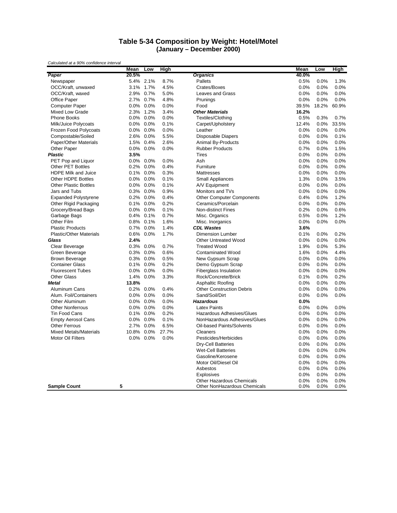#### **Table 5-34 Composition by Weight: Hotel/Motel (January – December 2000)**

|                                                                                                                                                                                          | Mean                                        | Low                                               | High                                          |                                                                                                                                                                                                                                                                                                                                                         | Mean                                                                                                         | Low                                                                                                          | High                                                                                                         |
|------------------------------------------------------------------------------------------------------------------------------------------------------------------------------------------|---------------------------------------------|---------------------------------------------------|-----------------------------------------------|---------------------------------------------------------------------------------------------------------------------------------------------------------------------------------------------------------------------------------------------------------------------------------------------------------------------------------------------------------|--------------------------------------------------------------------------------------------------------------|--------------------------------------------------------------------------------------------------------------|--------------------------------------------------------------------------------------------------------------|
| Paper                                                                                                                                                                                    | 20.5%                                       |                                                   |                                               | <b>Organics</b>                                                                                                                                                                                                                                                                                                                                         | 40.0%                                                                                                        |                                                                                                              |                                                                                                              |
| Newspaper                                                                                                                                                                                |                                             | 5.4% 2.1%                                         | 8.7%                                          | Pallets                                                                                                                                                                                                                                                                                                                                                 | 0.5%                                                                                                         | 0.0%                                                                                                         | 1.3%                                                                                                         |
| OCC/Kraft, unwaxed                                                                                                                                                                       | 3.1%                                        | 1.7%                                              | 4.5%                                          | Crates/Boxes                                                                                                                                                                                                                                                                                                                                            | 0.0%                                                                                                         | 0.0%                                                                                                         | 0.0%                                                                                                         |
| OCC/Kraft, waxed                                                                                                                                                                         |                                             | 2.9% 0.7%                                         | 5.0%                                          | <b>Leaves and Grass</b>                                                                                                                                                                                                                                                                                                                                 | 0.0%                                                                                                         | 0.0%                                                                                                         | 0.0%                                                                                                         |
| <b>Office Paper</b>                                                                                                                                                                      |                                             | 2.7% 0.7%                                         | 4.8%                                          | Prunings                                                                                                                                                                                                                                                                                                                                                | 0.0%                                                                                                         | 0.0%                                                                                                         | 0.0%                                                                                                         |
| Computer Paper                                                                                                                                                                           | $0.0\%$                                     | 0.0%                                              | 0.0%                                          | Food                                                                                                                                                                                                                                                                                                                                                    | 39.5%                                                                                                        | 18.2%                                                                                                        | 60.9%                                                                                                        |
| Mixed Low Grade                                                                                                                                                                          | 2.3%                                        | 1.2%                                              | 3.4%                                          | <b>Other Materials</b>                                                                                                                                                                                                                                                                                                                                  | 16.2%                                                                                                        |                                                                                                              |                                                                                                              |
| <b>Phone Books</b>                                                                                                                                                                       |                                             | 0.0% 0.0%                                         | 0.0%                                          | Textiles/Clothing                                                                                                                                                                                                                                                                                                                                       | 0.5%                                                                                                         | 0.3%                                                                                                         | 0.7%                                                                                                         |
| Milk/Juice Polycoats                                                                                                                                                                     | $0.0\%$ 0.0%                                |                                                   | 0.1%                                          | Carpet/Upholstery                                                                                                                                                                                                                                                                                                                                       | 12.4%                                                                                                        | 0.0%                                                                                                         | 33.5%                                                                                                        |
| Frozen Food Polycoats                                                                                                                                                                    |                                             | 0.0% 0.0%                                         | 0.0%                                          | Leather                                                                                                                                                                                                                                                                                                                                                 | 0.0%                                                                                                         | 0.0%                                                                                                         | 0.0%                                                                                                         |
| Compostable/Soiled                                                                                                                                                                       |                                             | 2.6% 0.0%                                         | 5.5%                                          | <b>Disposable Diapers</b>                                                                                                                                                                                                                                                                                                                               | 0.0%                                                                                                         | 0.0%                                                                                                         | 0.1%                                                                                                         |
| Paper/Other Materials                                                                                                                                                                    | 1.5%                                        | 0.4%                                              | 2.6%                                          | Animal By-Products                                                                                                                                                                                                                                                                                                                                      | 0.0%                                                                                                         | 0.0%                                                                                                         | 0.0%                                                                                                         |
| Other Paper                                                                                                                                                                              |                                             | 0.0% 0.0%                                         | 0.0%                                          | <b>Rubber Products</b>                                                                                                                                                                                                                                                                                                                                  | 0.7%                                                                                                         | 0.0%                                                                                                         | 1.5%                                                                                                         |
| <b>Plastic</b>                                                                                                                                                                           | 3.5%                                        |                                                   |                                               | <b>Tires</b>                                                                                                                                                                                                                                                                                                                                            | 0.0%                                                                                                         | 0.0%                                                                                                         | 0.0%                                                                                                         |
| PET Pop and Liquor                                                                                                                                                                       | $0.0\%$                                     | 0.0%                                              | 0.0%                                          | Ash                                                                                                                                                                                                                                                                                                                                                     | 0.0%                                                                                                         | 0.0%                                                                                                         | 0.0%                                                                                                         |
| <b>Other PET Bottles</b>                                                                                                                                                                 | $0.2\%$                                     | 0.0%                                              | 0.4%                                          | Furniture                                                                                                                                                                                                                                                                                                                                               | 0.0%                                                                                                         | 0.0%                                                                                                         | 0.0%                                                                                                         |
| HDPE Milk and Juice                                                                                                                                                                      | 0.1%                                        | 0.0%                                              | 0.3%                                          | Mattresses                                                                                                                                                                                                                                                                                                                                              | 0.0%                                                                                                         | 0.0%                                                                                                         | 0.0%                                                                                                         |
| <b>Other HDPE Bottles</b>                                                                                                                                                                |                                             | 0.0% 0.0%                                         | 0.1%                                          | Small Appliances                                                                                                                                                                                                                                                                                                                                        | 1.3%                                                                                                         | 0.0%                                                                                                         | 3.5%                                                                                                         |
| <b>Other Plastic Bottles</b>                                                                                                                                                             |                                             | 0.0% 0.0%                                         | 0.1%                                          | A/V Equipment                                                                                                                                                                                                                                                                                                                                           | 0.0%                                                                                                         | 0.0%                                                                                                         | 0.0%                                                                                                         |
| Jars and Tubs                                                                                                                                                                            |                                             | 0.3% 0.0%                                         | 0.9%                                          | Monitors and TVs                                                                                                                                                                                                                                                                                                                                        | 0.0%                                                                                                         | 0.0%                                                                                                         | 0.0%                                                                                                         |
| <b>Expanded Polystyrene</b>                                                                                                                                                              |                                             | 0.2% 0.0%                                         | 0.4%                                          | <b>Other Computer Components</b>                                                                                                                                                                                                                                                                                                                        | 0.4%                                                                                                         | 0.0%                                                                                                         | 1.2%                                                                                                         |
| Other Rigid Packaging                                                                                                                                                                    | 0.1%                                        | 0.0%                                              | 0.2%                                          | Ceramics/Porcelain                                                                                                                                                                                                                                                                                                                                      | 0.0%                                                                                                         | 0.0%                                                                                                         | 0.0%                                                                                                         |
| Grocery/Bread Bags                                                                                                                                                                       |                                             | 0.0% 0.0%                                         | 0.1%                                          | <b>Non-distinct Fines</b>                                                                                                                                                                                                                                                                                                                               | 0.2%                                                                                                         | 0.0%                                                                                                         | 0.6%                                                                                                         |
| Garbage Bags                                                                                                                                                                             |                                             | 0.4% 0.1%                                         | 0.7%                                          | Misc. Organics                                                                                                                                                                                                                                                                                                                                          | 0.5%                                                                                                         | 0.0%                                                                                                         | 1.2%                                                                                                         |
| Other Film                                                                                                                                                                               | $0.8\%$                                     | 0.1%                                              | 1.6%                                          | Misc. Inorganics                                                                                                                                                                                                                                                                                                                                        | 0.0%                                                                                                         | 0.0%                                                                                                         | 0.0%                                                                                                         |
| <b>Plastic Products</b>                                                                                                                                                                  |                                             | 0.7% 0.0%                                         | 1.4%                                          | <b>CDL Wastes</b>                                                                                                                                                                                                                                                                                                                                       | 3.6%                                                                                                         |                                                                                                              |                                                                                                              |
| <b>Plastic/Other Materials</b>                                                                                                                                                           | 0.6%                                        | 0.0%                                              | 1.7%                                          | <b>Dimension Lumber</b>                                                                                                                                                                                                                                                                                                                                 | 0.1%                                                                                                         | 0.0%                                                                                                         | 0.2%                                                                                                         |
| Glass                                                                                                                                                                                    | 2.4%                                        |                                                   |                                               | <b>Other Untreated Wood</b>                                                                                                                                                                                                                                                                                                                             | 0.0%                                                                                                         | 0.0%                                                                                                         | 0.0%                                                                                                         |
| Clear Beverage                                                                                                                                                                           |                                             | 0.3% 0.0%                                         | 0.7%                                          | <b>Treated Wood</b>                                                                                                                                                                                                                                                                                                                                     | 1.9%                                                                                                         | 0.0%                                                                                                         | 5.3%                                                                                                         |
| Green Beverage                                                                                                                                                                           | 0.3%                                        | 0.0%                                              | 0.6%                                          | <b>Contaminated Wood</b>                                                                                                                                                                                                                                                                                                                                | 1.6%                                                                                                         | 0.0%                                                                                                         | 4.4%                                                                                                         |
| <b>Brown Beverage</b>                                                                                                                                                                    |                                             | 0.3% 0.0%                                         | 0.5%                                          | New Gypsum Scrap                                                                                                                                                                                                                                                                                                                                        | 0.0%                                                                                                         | 0.0%                                                                                                         | 0.0%                                                                                                         |
| <b>Container Glass</b>                                                                                                                                                                   | 0.1%                                        | 0.0%                                              | 0.2%                                          | Demo Gypsum Scrap                                                                                                                                                                                                                                                                                                                                       | 0.0%                                                                                                         | 0.0%                                                                                                         | 0.0%                                                                                                         |
| <b>Fluorescent Tubes</b>                                                                                                                                                                 | $0.0\%$                                     | 0.0%                                              | 0.0%                                          | Fiberglass Insulation                                                                                                                                                                                                                                                                                                                                   | 0.0%                                                                                                         | 0.0%                                                                                                         | 0.0%                                                                                                         |
| <b>Other Glass</b>                                                                                                                                                                       | 1.4%                                        | $0.0\%$                                           | 3.3%                                          | Rock/Concrete/Brick                                                                                                                                                                                                                                                                                                                                     | 0.1%                                                                                                         | 0.0%                                                                                                         | 0.2%                                                                                                         |
| Metal                                                                                                                                                                                    | 13.8%                                       |                                                   |                                               | Asphaltic Roofing                                                                                                                                                                                                                                                                                                                                       | 0.0%                                                                                                         | 0.0%                                                                                                         | 0.0%                                                                                                         |
| Aluminum Cans                                                                                                                                                                            |                                             | 0.2% 0.0%                                         | 0.4%                                          | <b>Other Construction Debris</b>                                                                                                                                                                                                                                                                                                                        | 0.0%                                                                                                         | 0.0%                                                                                                         | 0.0%                                                                                                         |
| Alum. Foil/Containers                                                                                                                                                                    | $0.0\%$                                     | 0.0%                                              | 0.0%                                          | Sand/Soil/Dirt                                                                                                                                                                                                                                                                                                                                          | 0.0%                                                                                                         | 0.0%                                                                                                         | 0.0%                                                                                                         |
| Other Aluminum                                                                                                                                                                           | $0.0\%$                                     | 0.0%                                              | 0.0%                                          | <b>Hazardous</b>                                                                                                                                                                                                                                                                                                                                        | 0.0%                                                                                                         |                                                                                                              |                                                                                                              |
|                                                                                                                                                                                          |                                             |                                                   |                                               |                                                                                                                                                                                                                                                                                                                                                         |                                                                                                              |                                                                                                              |                                                                                                              |
|                                                                                                                                                                                          |                                             |                                                   |                                               |                                                                                                                                                                                                                                                                                                                                                         |                                                                                                              |                                                                                                              |                                                                                                              |
|                                                                                                                                                                                          |                                             |                                                   |                                               |                                                                                                                                                                                                                                                                                                                                                         |                                                                                                              |                                                                                                              |                                                                                                              |
|                                                                                                                                                                                          |                                             |                                                   |                                               |                                                                                                                                                                                                                                                                                                                                                         |                                                                                                              |                                                                                                              |                                                                                                              |
|                                                                                                                                                                                          |                                             |                                                   |                                               |                                                                                                                                                                                                                                                                                                                                                         |                                                                                                              |                                                                                                              |                                                                                                              |
|                                                                                                                                                                                          |                                             |                                                   |                                               |                                                                                                                                                                                                                                                                                                                                                         |                                                                                                              |                                                                                                              |                                                                                                              |
|                                                                                                                                                                                          |                                             |                                                   |                                               |                                                                                                                                                                                                                                                                                                                                                         |                                                                                                              |                                                                                                              |                                                                                                              |
|                                                                                                                                                                                          |                                             |                                                   |                                               |                                                                                                                                                                                                                                                                                                                                                         |                                                                                                              |                                                                                                              |                                                                                                              |
|                                                                                                                                                                                          |                                             |                                                   |                                               |                                                                                                                                                                                                                                                                                                                                                         |                                                                                                              |                                                                                                              |                                                                                                              |
|                                                                                                                                                                                          |                                             |                                                   |                                               |                                                                                                                                                                                                                                                                                                                                                         |                                                                                                              |                                                                                                              |                                                                                                              |
|                                                                                                                                                                                          |                                             |                                                   |                                               |                                                                                                                                                                                                                                                                                                                                                         |                                                                                                              |                                                                                                              |                                                                                                              |
|                                                                                                                                                                                          |                                             |                                                   |                                               |                                                                                                                                                                                                                                                                                                                                                         |                                                                                                              |                                                                                                              |                                                                                                              |
|                                                                                                                                                                                          |                                             |                                                   |                                               |                                                                                                                                                                                                                                                                                                                                                         |                                                                                                              |                                                                                                              |                                                                                                              |
|                                                                                                                                                                                          | 5                                           |                                                   |                                               |                                                                                                                                                                                                                                                                                                                                                         |                                                                                                              |                                                                                                              |                                                                                                              |
| <b>Other Nonferrous</b><br><b>Tin Food Cans</b><br><b>Empty Aerosol Cans</b><br><b>Other Ferrous</b><br><b>Mixed Metals/Materials</b><br><b>Motor Oil Filters</b><br><b>Sample Count</b> | $0.0\%$<br>0.1%<br>2.7%<br>10.8%<br>$0.0\%$ | 0.0%<br>0.0%<br>0.0% 0.0%<br>0.0%<br>0.0%<br>0.0% | 0.0%<br>0.2%<br>0.1%<br>6.5%<br>27.7%<br>0.0% | <b>Latex Paints</b><br>Hazardous Adhesives/Glues<br>NonHazardous Adhesives/Glues<br>Oil-based Paints/Solvents<br>Cleaners<br>Pesticides/Herbicides<br><b>Dry-Cell Batteries</b><br><b>Wet-Cell Batteries</b><br>Gasoline/Kerosene<br>Motor Oil/Diesel Oil<br>Asbestos<br><b>Explosives</b><br>Other Hazardous Chemicals<br>Other NonHazardous Chemicals | 0.0%<br>0.0%<br>0.0%<br>0.0%<br>0.0%<br>0.0%<br>0.0%<br>0.0%<br>0.0%<br>0.0%<br>0.0%<br>0.0%<br>0.0%<br>0.0% | 0.0%<br>0.0%<br>0.0%<br>0.0%<br>0.0%<br>0.0%<br>0.0%<br>0.0%<br>0.0%<br>0.0%<br>0.0%<br>0.0%<br>0.0%<br>0.0% | 0.0%<br>0.0%<br>0.0%<br>0.0%<br>0.0%<br>0.0%<br>0.0%<br>0.0%<br>0.0%<br>0.0%<br>0.0%<br>0.0%<br>0.0%<br>0.0% |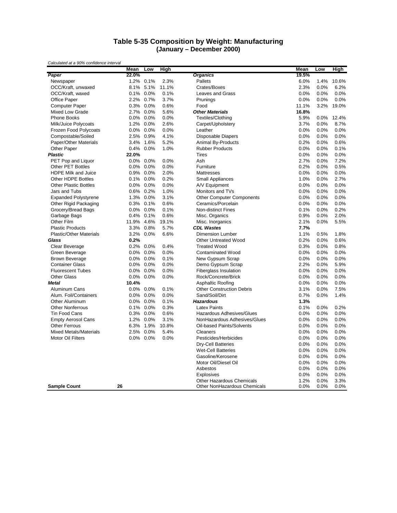#### **Table 5-35 Composition by Weight: Manufacturing (January – December 2000)**

|                                | Mean    | Low       | <b>High</b> |                                  | Mean  | Low  | High  |
|--------------------------------|---------|-----------|-------------|----------------------------------|-------|------|-------|
| Paper                          | 22.0%   |           |             | <b>Organics</b>                  | 19.5% |      |       |
| Newspaper                      | $1.2\%$ | 0.1%      | 2.3%        | <b>Pallets</b>                   | 6.0%  | 1.4% | 10.6% |
| OCC/Kraft, unwaxed             | 8.1%    | 5.1%      | 11.1%       | Crates/Boxes                     | 2.3%  | 0.0% | 6.2%  |
| OCC/Kraft, waxed               |         | 0.1% 0.0% | 0.1%        | Leaves and Grass                 | 0.0%  | 0.0% | 0.0%  |
| Office Paper                   |         | 2.2% 0.7% | 3.7%        | Prunings                         | 0.0%  | 0.0% | 0.0%  |
| <b>Computer Paper</b>          |         | 0.3% 0.0% | 0.6%        | Food                             | 11.1% | 3.2% | 19.0% |
| <b>Mixed Low Grade</b>         | 2.7%    | 0.0%      | 5.6%        | <b>Other Materials</b>           | 16.8% |      |       |
| <b>Phone Books</b>             |         | 0.0% 0.0% | 0.0%        | Textiles/Clothing                | 5.9%  | 0.0% | 12.4% |
| Milk/Juice Polycoats           | 1.2%    | 0.0%      | 2.6%        | Carpet/Upholstery                | 3.7%  | 0.0% | 8.7%  |
| Frozen Food Polycoats          | $0.0\%$ | 0.0%      | 0.0%        | Leather                          | 0.0%  | 0.0% | 0.0%  |
| Compostable/Soiled             | 2.5%    | 0.9%      | 4.1%        | <b>Disposable Diapers</b>        | 0.0%  | 0.0% | 0.0%  |
| Paper/Other Materials          | 3.4%    | 1.6%      | 5.2%        | Animal By-Products               | 0.2%  | 0.0% | 0.6%  |
| Other Paper                    |         | 0.4% 0.0% | 1.0%        | <b>Rubber Products</b>           | 0.0%  | 0.0% | 0.1%  |
| <b>Plastic</b>                 | 22.0%   |           |             | <b>Tires</b>                     | 0.0%  | 0.0% | 0.0%  |
| PET Pop and Liquor             | 0.0%    | 0.0%      | 0.0%        | Ash                              | 2.7%  | 0.0% | 7.2%  |
| <b>Other PET Bottles</b>       | $0.0\%$ | 0.0%      | 0.0%        | Furniture                        | 0.2%  | 0.0% | 0.5%  |
| <b>HDPE Milk and Juice</b>     | 0.9%    | 0.0%      | 2.0%        | Mattresses                       | 0.0%  | 0.0% | 0.0%  |
| <b>Other HDPE Bottles</b>      |         | 0.1% 0.0% | 0.2%        | <b>Small Appliances</b>          | 1.0%  | 0.0% | 2.7%  |
| <b>Other Plastic Bottles</b>   | $0.0\%$ | 0.0%      | 0.0%        | A/V Equipment                    | 0.0%  | 0.0% | 0.0%  |
| Jars and Tubs                  |         | 0.6% 0.2% | 1.0%        | Monitors and TVs                 | 0.0%  | 0.0% | 0.0%  |
| <b>Expanded Polystyrene</b>    |         | 1.3% 0.0% | 3.1%        | <b>Other Computer Components</b> | 0.0%  | 0.0% | 0.0%  |
| Other Rigid Packaging          | 0.3%    | 0.1%      | 0.6%        | Ceramics/Porcelain               | 0.0%  | 0.0% | 0.0%  |
| Grocery/Bread Bags             |         | 0.0% 0.0% | 0.1%        | Non-distinct Fines               | 0.1%  | 0.0% | 0.2%  |
| Garbage Bags                   |         | 0.4% 0.1% | 0.6%        | Misc. Organics                   | 0.9%  | 0.0% | 2.0%  |
| Other Film                     | 11.9%   | 4.6%      | 19.1%       | Misc. Inorganics                 | 2.1%  | 0.0% | 5.5%  |
| <b>Plastic Products</b>        |         | 3.3% 0.8% | 5.7%        | <b>CDL Wastes</b>                | 7.7%  |      |       |
| <b>Plastic/Other Materials</b> | 3.2%    | 0.0%      | 6.6%        | <b>Dimension Lumber</b>          | 1.1%  | 0.5% | 1.8%  |
| Glass                          | 0.2%    |           |             | <b>Other Untreated Wood</b>      | 0.2%  | 0.0% | 0.6%  |
| Clear Beverage                 | $0.2\%$ | 0.0%      | 0.4%        | <b>Treated Wood</b>              | 0.3%  | 0.0% | 0.8%  |
| Green Beverage                 | $0.0\%$ | 0.0%      | 0.0%        | <b>Contaminated Wood</b>         | 0.0%  | 0.0% | 0.0%  |
| <b>Brown Beverage</b>          |         | 0.0% 0.0% | 0.1%        | New Gypsum Scrap                 | 0.0%  | 0.0% | 0.0%  |
| <b>Container Glass</b>         | $0.0\%$ | 0.0%      | 0.0%        | Demo Gypsum Scrap                | 2.2%  | 0.0% | 5.9%  |
| <b>Fluorescent Tubes</b>       | $0.0\%$ | 0.0%      | 0.0%        | Fiberglass Insulation            | 0.0%  | 0.0% | 0.0%  |
| <b>Other Glass</b>             | $0.0\%$ | 0.0%      | 0.0%        | Rock/Concrete/Brick              | 0.0%  | 0.0% | 0.0%  |
| Metal                          | 10.4%   |           |             | Asphaltic Roofing                | 0.0%  | 0.0% | 0.0%  |
| <b>Aluminum Cans</b>           |         | 0.0% 0.0% | 0.1%        | <b>Other Construction Debris</b> | 3.1%  | 0.0% | 7.5%  |
| Alum. Foil/Containers          | $0.0\%$ | 0.0%      | 0.0%        | Sand/Soil/Dirt                   | 0.7%  | 0.0% | 1.4%  |
| Other Aluminum                 | $0.0\%$ | 0.0%      | 0.1%        | <b>Hazardous</b>                 | 1.3%  |      |       |
| <b>Other Nonferrous</b>        | 0.1%    | 0.0%      | 0.3%        | <b>Latex Paints</b>              | 0.1%  | 0.0% | 0.2%  |
| <b>Tin Food Cans</b>           | $0.3\%$ | 0.0%      | 0.6%        | Hazardous Adhesives/Glues        | 0.0%  | 0.0% | 0.0%  |
| <b>Empty Aerosol Cans</b>      | 1.2%    | 0.0%      | 3.1%        | NonHazardous Adhesives/Glues     | 0.0%  | 0.0% | 0.0%  |
| <b>Other Ferrous</b>           | 6.3%    | 1.9%      | 10.8%       | Oil-based Paints/Solvents        | 0.0%  | 0.0% | 0.0%  |
| <b>Mixed Metals/Materials</b>  | 2.5%    | 0.0%      | 5.4%        | Cleaners                         | 0.0%  | 0.0% | 0.0%  |
| Motor Oil Filters              | $0.0\%$ | 0.0%      | 0.0%        | Pesticides/Herbicides            | 0.0%  | 0.0% | 0.0%  |
|                                |         |           |             | <b>Dry-Cell Batteries</b>        | 0.0%  | 0.0% | 0.0%  |
|                                |         |           |             | <b>Wet-Cell Batteries</b>        | 0.0%  | 0.0% | 0.0%  |
|                                |         |           |             | Gasoline/Kerosene                | 0.0%  | 0.0% | 0.0%  |
|                                |         |           |             | Motor Oil/Diesel Oil             | 0.0%  | 0.0% | 0.0%  |
|                                |         |           |             | Asbestos                         | 0.0%  | 0.0% | 0.0%  |
|                                |         |           |             | <b>Explosives</b>                | 0.0%  | 0.0% | 0.0%  |
|                                |         |           |             | Other Hazardous Chemicals        | 1.2%  | 0.0% | 3.3%  |
| <b>Sample Count</b>            | 26      |           |             | Other NonHazardous Chemicals     | 0.0%  | 0.0% | 0.0%  |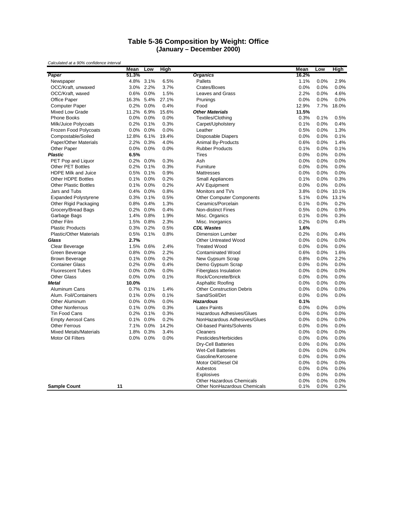#### **Table 5-36 Composition by Weight: Office (January – December 2000)**

|                                | Mean       | Low          | High  |                                  | Mean  | Low  | High  |
|--------------------------------|------------|--------------|-------|----------------------------------|-------|------|-------|
| Paper                          | 51.3%      |              |       | <b>Organics</b>                  | 16.2% |      |       |
| Newspaper                      | 4.8%       | 3.1%         | 6.5%  | Pallets                          | 1.1%  | 0.0% | 2.9%  |
| OCC/Kraft, unwaxed             | $3.0\%$    | 2.2%         | 3.7%  | Crates/Boxes                     | 0.0%  | 0.0% | 0.0%  |
| OCC/Kraft, waxed               |            | 0.6% 0.0%    | 1.5%  | <b>Leaves and Grass</b>          | 2.2%  | 0.0% | 4.6%  |
| <b>Office Paper</b>            | 16.3% 5.4% |              | 27.1% | Prunings                         | 0.0%  | 0.0% | 0.0%  |
| <b>Computer Paper</b>          | 0.2%       | 0.0%         | 0.4%  | Food                             | 12.9% | 7.7% | 18.0% |
| Mixed Low Grade                | 11.2%      | 6.9%         | 15.6% | <b>Other Materials</b>           | 11.5% |      |       |
| <b>Phone Books</b>             | $0.0\%$    | 0.0%         | 0.0%  | Textiles/Clothing                | 0.3%  | 0.1% | 0.5%  |
| Milk/Juice Polycoats           | 0.2%       | 0.1%         | 0.3%  | Carpet/Upholstery                | 0.1%  | 0.0% | 0.4%  |
| Frozen Food Polycoats          |            | 0.0% 0.0%    | 0.0%  | Leather                          | 0.5%  | 0.0% | 1.3%  |
| Compostable/Soiled             | 12.8%      | 6.1%         | 19.4% | <b>Disposable Diapers</b>        | 0.0%  | 0.0% | 0.1%  |
| Paper/Other Materials          | 2.2%       | 0.3%         | 4.0%  | Animal By-Products               | 0.6%  | 0.0% | 1.4%  |
| Other Paper                    |            | 0.0% 0.0%    | 0.0%  | <b>Rubber Products</b>           | 0.1%  | 0.0% | 0.1%  |
| <b>Plastic</b>                 | 6.5%       |              |       | <b>Tires</b>                     | 0.0%  | 0.0% | 0.0%  |
| PET Pop and Liquor             | 0.2%       | 0.0%         | 0.3%  | Ash                              | 0.0%  | 0.0% | 0.0%  |
| <b>Other PET Bottles</b>       | 0.2%       | 0.1%         | 0.3%  | Furniture                        | 0.0%  | 0.0% | 0.0%  |
| HDPE Milk and Juice            | 0.5%       | 0.1%         | 0.9%  | Mattresses                       | 0.0%  | 0.0% | 0.0%  |
| <b>Other HDPE Bottles</b>      |            | 0.1% 0.0%    | 0.2%  | Small Appliances                 | 0.1%  | 0.0% | 0.3%  |
| <b>Other Plastic Bottles</b>   |            | $0.1\%$ 0.0% | 0.2%  | A/V Equipment                    | 0.0%  | 0.0% | 0.0%  |
| Jars and Tubs                  |            | 0.4% 0.0%    | 0.8%  | Monitors and TVs                 | 3.8%  | 0.0% | 10.1% |
| <b>Expanded Polystyrene</b>    |            | 0.3% 0.1%    | 0.5%  | <b>Other Computer Components</b> | 5.1%  | 0.0% | 13.1% |
| Other Rigid Packaging          | 0.8%       | 0.4%         | 1.3%  | Ceramics/Porcelain               | 0.1%  | 0.0% | 0.2%  |
| Grocery/Bread Bags             |            | 0.2% 0.0%    | 0.4%  | Non-distinct Fines               | 0.5%  | 0.0% | 0.9%  |
| Garbage Bags                   |            | 1.4% 0.8%    | 1.9%  | Misc. Organics                   | 0.1%  | 0.0% | 0.3%  |
| Other Film                     | 1.5%       | 0.8%         | 2.3%  | Misc. Inorganics                 | 0.2%  | 0.0% | 0.4%  |
| <b>Plastic Products</b>        |            | 0.3% 0.2%    | 0.5%  | <b>CDL Wastes</b>                | 1.6%  |      |       |
| <b>Plastic/Other Materials</b> | 0.5%       | 0.1%         | 0.8%  | <b>Dimension Lumber</b>          | 0.2%  | 0.0% | 0.4%  |
| Glass                          | 2.7%       |              |       | <b>Other Untreated Wood</b>      | 0.0%  | 0.0% | 0.0%  |
| Clear Beverage                 | 1.5%       | 0.6%         | 2.4%  | <b>Treated Wood</b>              | 0.0%  | 0.0% | 0.0%  |
| Green Beverage                 | 0.8%       | 0.0%         | 2.2%  | <b>Contaminated Wood</b>         | 0.6%  | 0.0% | 1.6%  |
| <b>Brown Beverage</b>          |            | 0.1% 0.0%    | 0.2%  | New Gypsum Scrap                 | 0.8%  | 0.0% | 2.2%  |
| <b>Container Glass</b>         | 0.2%       | 0.0%         | 0.4%  | Demo Gypsum Scrap                | 0.0%  | 0.0% | 0.0%  |
| <b>Fluorescent Tubes</b>       | 0.0%       | 0.0%         | 0.0%  | Fiberglass Insulation            | 0.0%  | 0.0% | 0.0%  |
| <b>Other Glass</b>             | $0.0\%$    | $0.0\%$      | 0.1%  | Rock/Concrete/Brick              | 0.0%  | 0.0% | 0.0%  |
| <b>Metal</b>                   | 10.0%      |              |       | Asphaltic Roofing                | 0.0%  | 0.0% | 0.0%  |
| Aluminum Cans                  |            | 0.7% 0.1%    | 1.4%  | <b>Other Construction Debris</b> | 0.0%  | 0.0% | 0.0%  |
| Alum. Foil/Containers          | 0.1%       | 0.0%         | 0.1%  | Sand/Soil/Dirt                   | 0.0%  | 0.0% | 0.0%  |
| Other Aluminum                 | $0.0\%$    | 0.0%         | 0.0%  | <b>Hazardous</b>                 | 0.1%  |      |       |
| <b>Other Nonferrous</b>        | 0.1%       | 0.0%         | 0.3%  | <b>Latex Paints</b>              | 0.0%  | 0.0% | 0.0%  |
| <b>Tin Food Cans</b>           | 0.2%       | 0.1%         | 0.3%  | Hazardous Adhesives/Glues        | 0.0%  | 0.0% | 0.0%  |
| <b>Empty Aerosol Cans</b>      | 0.1%       | 0.0%         | 0.2%  | NonHazardous Adhesives/Glues     | 0.0%  | 0.0% | 0.0%  |
| <b>Other Ferrous</b>           | 7.1%       | 0.0%         | 14.2% | Oil-based Paints/Solvents        | 0.0%  | 0.0% | 0.0%  |
| <b>Mixed Metals/Materials</b>  | 1.8%       | 0.3%         | 3.4%  | Cleaners                         | 0.0%  | 0.0% | 0.0%  |
| Motor Oil Filters              | $0.0\%$    | 0.0%         | 0.0%  | Pesticides/Herbicides            | 0.0%  | 0.0% | 0.0%  |
|                                |            |              |       | <b>Dry-Cell Batteries</b>        | 0.0%  | 0.0% | 0.0%  |
|                                |            |              |       | <b>Wet-Cell Batteries</b>        | 0.0%  | 0.0% | 0.0%  |
|                                |            |              |       | Gasoline/Kerosene                | 0.0%  | 0.0% | 0.0%  |
|                                |            |              |       | Motor Oil/Diesel Oil             | 0.0%  | 0.0% | 0.0%  |
|                                |            |              |       | Asbestos                         | 0.0%  | 0.0% | 0.0%  |
|                                |            |              |       | <b>Explosives</b>                | 0.0%  | 0.0% | 0.0%  |
|                                |            |              |       | <b>Other Hazardous Chemicals</b> | 0.0%  | 0.0% | 0.0%  |
| <b>Sample Count</b>            | 11         |              |       | Other NonHazardous Chemicals     | 0.1%  | 0.0% | 0.2%  |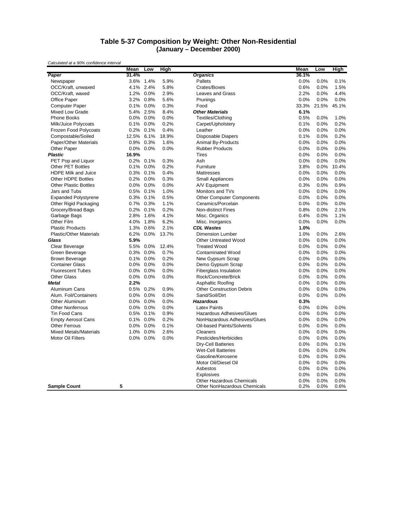#### **Table 5-37 Composition by Weight: Other Non-Residential (January – December 2000)**

|                                | Mean       | Low       | High  |                                  | Mean  | Low   | High  |
|--------------------------------|------------|-----------|-------|----------------------------------|-------|-------|-------|
| Paper                          | 31.4%      |           |       | <b>Organics</b>                  | 36.1% |       |       |
| Newspaper                      | 3.6%       | 1.4%      | 5.9%  | Pallets                          | 0.0%  | 0.0%  | 0.1%  |
| OCC/Kraft, unwaxed             |            | 4.1% 2.4% | 5.8%  | Crates/Boxes                     | 0.6%  | 0.0%  | 1.5%  |
| OCC/Kraft, waxed               |            | 1.2% 0.0% | 2.9%  | Leaves and Grass                 | 2.2%  | 0.0%  | 4.4%  |
| <b>Office Paper</b>            |            | 3.2% 0.8% | 5.6%  | Prunings                         | 0.0%  | 0.0%  | 0.0%  |
| <b>Computer Paper</b>          |            | 0.1% 0.0% | 0.3%  | Food                             | 33.3% | 21.5% | 45.1% |
| Mixed Low Grade                | 5.4%       | 2.5%      | 8.4%  | <b>Other Materials</b>           | 6.1%  |       |       |
| Phone Books                    |            | 0.0% 0.0% | 0.0%  | Textiles/Clothing                | 0.5%  | 0.0%  | 1.0%  |
| Milk/Juice Polycoats           |            | 0.1% 0.0% | 0.2%  | Carpet/Upholstery                | 0.1%  | 0.0%  | 0.2%  |
| Frozen Food Polycoats          |            | 0.2% 0.1% | 0.4%  | Leather                          | 0.0%  | 0.0%  | 0.0%  |
| Compostable/Soiled             | 12.5% 6.1% |           | 18.9% | Disposable Diapers               | 0.1%  | 0.0%  | 0.2%  |
| Paper/Other Materials          | 0.9%       | 0.3%      | 1.6%  | Animal By-Products               | 0.0%  | 0.0%  | 0.0%  |
| Other Paper                    |            | 0.0% 0.0% | 0.0%  | <b>Rubber Products</b>           | 0.0%  | 0.0%  | 0.0%  |
| <b>Plastic</b>                 | 16.9%      |           |       | <b>Tires</b>                     | 0.0%  | 0.0%  | 0.0%  |
| PET Pop and Liquor             | 0.2%       | 0.1%      | 0.3%  | Ash                              | 0.0%  | 0.0%  | 0.0%  |
| <b>Other PET Bottles</b>       | 0.1%       | 0.0%      | 0.2%  | Furniture                        | 3.8%  | 0.0%  | 10.4% |
| <b>HDPE Milk and Juice</b>     | 0.3%       | 0.1%      | 0.4%  | Mattresses                       | 0.0%  | 0.0%  | 0.0%  |
| <b>Other HDPE Bottles</b>      |            | 0.2% 0.0% | 0.3%  | <b>Small Appliances</b>          | 0.0%  | 0.0%  | 0.0%  |
| <b>Other Plastic Bottles</b>   |            | 0.0% 0.0% | 0.0%  | A/V Equipment                    | 0.3%  | 0.0%  | 0.9%  |
| Jars and Tubs                  |            | 0.5% 0.1% | 1.0%  | Monitors and TVs                 | 0.0%  | 0.0%  | 0.0%  |
| <b>Expanded Polystyrene</b>    |            | 0.3% 0.1% | 0.5%  | <b>Other Computer Components</b> | 0.0%  | 0.0%  | 0.0%  |
| Other Rigid Packaging          | 0.7%       | 0.3%      | 1.1%  | Ceramics/Porcelain               | 0.0%  | 0.0%  | 0.0%  |
| Grocery/Bread Bags             |            | 0.2% 0.1% | 0.2%  | Non-distinct Fines               | 0.8%  | 0.0%  | 2.1%  |
| Garbage Bags                   | 2.8%       | 1.6%      | 4.1%  | Misc. Organics                   | 0.4%  | 0.0%  | 1.1%  |
| Other Film                     | 4.0%       | 1.8%      | 6.2%  | Misc. Inorganics                 | 0.0%  | 0.0%  | 0.0%  |
| <b>Plastic Products</b>        |            | 1.3% 0.6% | 2.1%  | <b>CDL Wastes</b>                | 1.0%  |       |       |
| <b>Plastic/Other Materials</b> | 6.2%       | 0.0%      | 13.7% | <b>Dimension Lumber</b>          | 1.0%  | 0.0%  | 2.6%  |
| Glass                          | 5.9%       |           |       | <b>Other Untreated Wood</b>      | 0.0%  | 0.0%  | 0.0%  |
| Clear Beverage                 |            | 5.5% 0.0% | 12.4% | <b>Treated Wood</b>              | 0.0%  | 0.0%  | 0.0%  |
| Green Beverage                 | $0.3\%$    | 0.0%      | 0.7%  | <b>Contaminated Wood</b>         | 0.0%  | 0.0%  | 0.0%  |
| <b>Brown Beverage</b>          |            | 0.1% 0.0% | 0.2%  | New Gypsum Scrap                 | 0.0%  | 0.0%  | 0.0%  |
| <b>Container Glass</b>         |            | 0.0% 0.0% | 0.0%  | Demo Gypsum Scrap                | 0.0%  | 0.0%  | 0.0%  |
| <b>Fluorescent Tubes</b>       |            | 0.0% 0.0% | 0.0%  | <b>Fiberglass Insulation</b>     | 0.0%  | 0.0%  | 0.0%  |
| <b>Other Glass</b>             | $0.0\%$    | 0.0%      | 0.0%  | Rock/Concrete/Brick              | 0.0%  | 0.0%  | 0.0%  |
| <b>Metal</b>                   | 2.2%       |           |       | Asphaltic Roofing                | 0.0%  | 0.0%  | 0.0%  |
| <b>Aluminum Cans</b>           | 0.5%       | 0.2%      | 0.9%  | <b>Other Construction Debris</b> | 0.0%  | 0.0%  | 0.0%  |
| Alum. Foil/Containers          | $0.0\%$    | 0.0%      | 0.0%  | Sand/Soil/Dirt                   | 0.0%  | 0.0%  | 0.0%  |
| Other Aluminum                 |            | 0.0% 0.0% | 0.0%  | <b>Hazardous</b>                 | 0.3%  |       |       |
| <b>Other Nonferrous</b>        | 0.0%       | 0.0%      | 0.0%  | <b>Latex Paints</b>              | 0.0%  | 0.0%  | 0.0%  |
| <b>Tin Food Cans</b>           | $0.5\%$    | 0.1%      | 0.9%  | Hazardous Adhesives/Glues        | 0.0%  | 0.0%  | 0.0%  |
| <b>Empty Aerosol Cans</b>      |            | 0.1% 0.0% | 0.2%  | NonHazardous Adhesives/Glues     | 0.0%  | 0.0%  | 0.0%  |
| <b>Other Ferrous</b>           | $0.0\%$    | 0.0%      | 0.1%  | Oil-based Paints/Solvents        | 0.0%  | 0.0%  | 0.0%  |
| <b>Mixed Metals/Materials</b>  |            | 1.0% 0.0% | 2.6%  | Cleaners                         | 0.0%  | 0.0%  | 0.0%  |
| <b>Motor Oil Filters</b>       | $0.0\%$    | 0.0%      | 0.0%  | Pesticides/Herbicides            | 0.0%  | 0.0%  | 0.0%  |
|                                |            |           |       | <b>Dry-Cell Batteries</b>        | 0.0%  | 0.0%  | 0.1%  |
|                                |            |           |       | <b>Wet-Cell Batteries</b>        | 0.0%  | 0.0%  | 0.0%  |
|                                |            |           |       | Gasoline/Kerosene                | 0.0%  | 0.0%  | 0.0%  |
|                                |            |           |       | Motor Oil/Diesel Oil             | 0.0%  | 0.0%  | 0.0%  |
|                                |            |           |       | Asbestos                         | 0.0%  | 0.0%  | 0.0%  |
|                                |            |           |       | <b>Explosives</b>                | 0.0%  | 0.0%  | 0.0%  |
|                                |            |           |       | <b>Other Hazardous Chemicals</b> | 0.0%  | 0.0%  | 0.0%  |
| <b>Sample Count</b>            | 5          |           |       | Other NonHazardous Chemicals     | 0.2%  | 0.0%  | 0.6%  |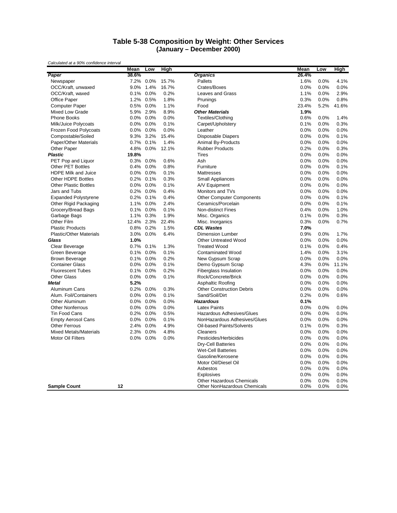#### **Table 5-38 Composition by Weight: Other Services (January – December 2000)**

|                                | Mean    | Low       | High  |                                  | Mean  | Low  | High  |
|--------------------------------|---------|-----------|-------|----------------------------------|-------|------|-------|
| Paper                          | 38.6%   |           |       | <b>Organics</b>                  | 26.4% |      |       |
| Newspaper                      | 7.2%    | $0.0\%$   | 15.7% | Pallets                          | 1.6%  | 0.0% | 4.1%  |
| OCC/Kraft, unwaxed             | 9.0%    | 1.4%      | 16.7% | Crates/Boxes                     | 0.0%  | 0.0% | 0.0%  |
| OCC/Kraft, waxed               |         | 0.1% 0.0% | 0.2%  | <b>Leaves and Grass</b>          | 1.1%  | 0.0% | 2.9%  |
| Office Paper                   | 1.2%    | 0.5%      | 1.8%  | Prunings                         | 0.3%  | 0.0% | 0.8%  |
| <b>Computer Paper</b>          | 0.5%    | 0.0%      | 1.1%  | Food                             | 23.4% | 5.2% | 41.6% |
| <b>Mixed Low Grade</b>         | 5.9%    | 2.9%      | 8.9%  | <b>Other Materials</b>           | 1.9%  |      |       |
| <b>Phone Books</b>             |         | 0.0% 0.0% | 0.0%  | Textiles/Clothing                | 0.6%  | 0.0% | 1.4%  |
| Milk/Juice Polycoats           |         | 0.0% 0.0% | 0.1%  | Carpet/Upholstery                | 0.1%  | 0.0% | 0.3%  |
| Frozen Food Polycoats          | 0.0%    | 0.0%      | 0.0%  | Leather                          | 0.0%  | 0.0% | 0.0%  |
| Compostable/Soiled             | 9.3%    | 3.2%      | 15.4% | <b>Disposable Diapers</b>        | 0.0%  | 0.0% | 0.1%  |
| Paper/Other Materials          | 0.7%    | 0.1%      | 1.4%  | Animal By-Products               | 0.0%  | 0.0% | 0.0%  |
| Other Paper                    | 4.8%    | $0.0\%$   | 12.1% | <b>Rubber Products</b>           | 0.2%  | 0.0% | 0.3%  |
| <b>Plastic</b>                 | 19.8%   |           |       | <b>Tires</b>                     | 0.0%  | 0.0% | 0.0%  |
| PET Pop and Liquor             | 0.3%    | 0.0%      | 0.6%  | Ash                              | 0.0%  | 0.0% | 0.0%  |
| <b>Other PET Bottles</b>       | 0.4%    | 0.0%      | 0.8%  | Furniture                        | 0.0%  | 0.0% | 0.1%  |
| HDPE Milk and Juice            | 0.0%    | 0.0%      | 0.1%  | Mattresses                       | 0.0%  | 0.0% | 0.0%  |
| <b>Other HDPE Bottles</b>      |         | 0.2% 0.1% | 0.3%  | <b>Small Appliances</b>          | 0.0%  | 0.0% | 0.0%  |
| <b>Other Plastic Bottles</b>   | 0.0%    | 0.0%      | 0.1%  | A/V Equipment                    | 0.0%  | 0.0% | 0.0%  |
| Jars and Tubs                  | 0.2%    | $0.0\%$   | 0.4%  | Monitors and TVs                 | 0.0%  | 0.0% | 0.0%  |
| <b>Expanded Polystyrene</b>    |         | 0.2% 0.1% | 0.4%  | <b>Other Computer Components</b> | 0.0%  | 0.0% | 0.1%  |
| Other Rigid Packaging          | 1.1%    | 0.0%      | 2.4%  | Ceramics/Porcelain               | 0.0%  | 0.0% | 0.1%  |
| Grocery/Bread Bags             |         | 0.1% 0.0% | 0.1%  | <b>Non-distinct Fines</b>        | 0.4%  | 0.0% | 1.0%  |
| Garbage Bags                   | 1.1%    | 0.3%      | 1.9%  | Misc. Organics                   | 0.1%  | 0.0% | 0.3%  |
| Other Film                     | 12.4%   | 2.3%      | 22.4% | Misc. Inorganics                 | 0.3%  | 0.0% | 0.7%  |
| <b>Plastic Products</b>        |         | 0.8% 0.2% | 1.5%  | <b>CDL Wastes</b>                | 7.0%  |      |       |
| <b>Plastic/Other Materials</b> | 3.0%    | $0.0\%$   | 6.4%  | <b>Dimension Lumber</b>          | 0.9%  | 0.0% | 1.7%  |
| Glass                          | 1.0%    |           |       | <b>Other Untreated Wood</b>      | 0.0%  | 0.0% | 0.0%  |
| Clear Beverage                 | 0.7%    | 0.1%      | 1.3%  | <b>Treated Wood</b>              | 0.1%  | 0.0% | 0.4%  |
| Green Beverage                 | 0.1%    | 0.0%      | 0.1%  | <b>Contaminated Wood</b>         | 1.4%  | 0.0% | 3.1%  |
| <b>Brown Beverage</b>          |         | 0.1% 0.0% | 0.2%  | New Gypsum Scrap                 | 0.0%  | 0.0% | 0.0%  |
| <b>Container Glass</b>         | $0.0\%$ | 0.0%      | 0.1%  | Demo Gypsum Scrap                | 4.3%  | 0.0% | 11.1% |
| <b>Fluorescent Tubes</b>       | 0.1%    | 0.0%      | 0.2%  | <b>Fiberglass Insulation</b>     | 0.0%  | 0.0% | 0.0%  |
| <b>Other Glass</b>             | 0.0%    | 0.0%      | 0.1%  | Rock/Concrete/Brick              | 0.0%  | 0.0% | 0.0%  |
| <b>Metal</b>                   | 5.2%    |           |       | Asphaltic Roofing                | 0.0%  | 0.0% | 0.0%  |
| Aluminum Cans                  |         | 0.2% 0.0% | 0.3%  | <b>Other Construction Debris</b> | 0.0%  | 0.0% | 0.0%  |
| Alum. Foil/Containers          | 0.0%    | 0.0%      | 0.1%  | Sand/Soil/Dirt                   | 0.2%  | 0.0% | 0.6%  |
| Other Aluminum                 | 0.0%    | 0.0%      | 0.0%  | <b>Hazardous</b>                 | 0.1%  |      |       |
| <b>Other Nonferrous</b>        | 0.0%    | 0.0%      | 0.0%  | <b>Latex Paints</b>              | 0.0%  | 0.0% | 0.0%  |
| <b>Tin Food Cans</b>           | 0.2%    | $0.0\%$   | 0.5%  | Hazardous Adhesives/Glues        | 0.0%  | 0.0% | 0.0%  |
| <b>Empty Aerosol Cans</b>      | 0.0%    | 0.0%      | 0.1%  | NonHazardous Adhesives/Glues     | 0.0%  | 0.0% | 0.0%  |
| <b>Other Ferrous</b>           | 2.4%    | 0.0%      | 4.9%  | Oil-based Paints/Solvents        | 0.1%  | 0.0% | 0.3%  |
| <b>Mixed Metals/Materials</b>  | 2.3%    | 0.0%      | 4.8%  | Cleaners                         | 0.0%  | 0.0% | 0.0%  |
| <b>Motor Oil Filters</b>       | 0.0%    | 0.0%      | 0.0%  | Pesticides/Herbicides            | 0.0%  | 0.0% | 0.0%  |
|                                |         |           |       | Dry-Cell Batteries               | 0.0%  | 0.0% | 0.0%  |
|                                |         |           |       | <b>Wet-Cell Batteries</b>        | 0.0%  | 0.0% | 0.0%  |
|                                |         |           |       | Gasoline/Kerosene                | 0.0%  | 0.0% | 0.0%  |
|                                |         |           |       | Motor Oil/Diesel Oil             | 0.0%  | 0.0% | 0.0%  |
|                                |         |           |       | Asbestos                         | 0.0%  | 0.0% | 0.0%  |
|                                |         |           |       | Explosives                       | 0.0%  | 0.0% | 0.0%  |
|                                |         |           |       | <b>Other Hazardous Chemicals</b> | 0.0%  | 0.0% | 0.0%  |
| <b>Sample Count</b>            | 12      |           |       | Other NonHazardous Chemicals     | 0.0%  | 0.0% | 0.0%  |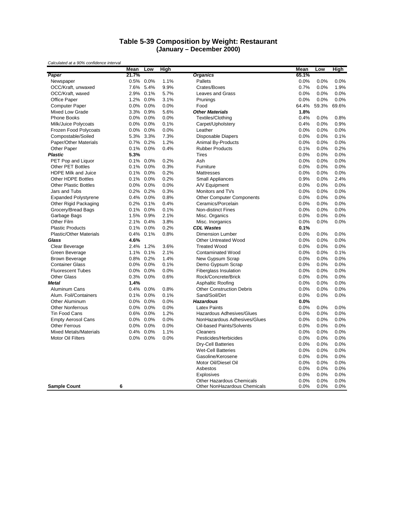#### **Table 5-39 Composition by Weight: Restaurant (January – December 2000)**

|                                | Mean    | Low          | High |                                     | Mean  | Low   | High  |
|--------------------------------|---------|--------------|------|-------------------------------------|-------|-------|-------|
| Paper                          | 21.7%   |              |      | <b>Organics</b>                     | 65.1% |       |       |
| Newspaper                      |         | 0.5% 0.0%    | 1.1% | Pallets                             | 0.0%  | 0.0%  | 0.0%  |
| OCC/Kraft, unwaxed             | 7.6%    | 5.4%         | 9.9% | Crates/Boxes                        | 0.7%  | 0.0%  | 1.9%  |
| OCC/Kraft, waxed               |         | 2.9% 0.1%    | 5.7% | <b>Leaves and Grass</b>             | 0.0%  | 0.0%  | 0.0%  |
| <b>Office Paper</b>            |         | 1.2% 0.0%    | 3.1% | Prunings                            | 0.0%  | 0.0%  | 0.0%  |
| Computer Paper                 | $0.0\%$ | 0.0%         | 0.0% | Food                                | 64.4% | 59.3% | 69.6% |
| Mixed Low Grade                | 3.3%    | 0.9%         | 5.6% | <b>Other Materials</b>              | 1.8%  |       |       |
| <b>Phone Books</b>             | $0.0\%$ | 0.0%         | 0.0% | Textiles/Clothing                   | 0.4%  | 0.0%  | 0.8%  |
| Milk/Juice Polycoats           |         | $0.0\%$ 0.0% | 0.1% | Carpet/Upholstery                   | 0.4%  | 0.0%  | 0.9%  |
| Frozen Food Polycoats          |         | 0.0% 0.0%    | 0.0% | Leather                             | 0.0%  | 0.0%  | 0.0%  |
| Compostable/Soiled             | 5.3%    | 3.3%         | 7.3% | <b>Disposable Diapers</b>           | 0.0%  | 0.0%  | 0.1%  |
| Paper/Other Materials          | $0.7\%$ | 0.2%         | 1.2% | Animal By-Products                  | 0.0%  | 0.0%  | 0.0%  |
| Other Paper                    |         | 0.1% 0.0%    | 0.4% | <b>Rubber Products</b>              | 0.1%  | 0.0%  | 0.2%  |
| <b>Plastic</b>                 | 5.3%    |              |      | <b>Tires</b>                        | 0.0%  | 0.0%  | 0.0%  |
| PET Pop and Liquor             | 0.1%    | 0.0%         | 0.2% | Ash                                 | 0.0%  | 0.0%  | 0.0%  |
| <b>Other PET Bottles</b>       | 0.1%    | 0.0%         | 0.3% | Furniture                           | 0.0%  | 0.0%  | 0.0%  |
| HDPE Milk and Juice            | 0.1%    | 0.0%         | 0.2% | Mattresses                          | 0.0%  | 0.0%  | 0.0%  |
| <b>Other HDPE Bottles</b>      |         | 0.1% 0.0%    | 0.2% | Small Appliances                    | 0.9%  | 0.0%  | 2.4%  |
| <b>Other Plastic Bottles</b>   |         | 0.0% 0.0%    | 0.0% | A/V Equipment                       | 0.0%  | 0.0%  | 0.0%  |
| Jars and Tubs                  |         | 0.2% 0.2%    | 0.3% | Monitors and TVs                    | 0.0%  | 0.0%  | 0.0%  |
| <b>Expanded Polystyrene</b>    |         | 0.4% 0.0%    | 0.8% | <b>Other Computer Components</b>    | 0.0%  | 0.0%  | 0.0%  |
| Other Rigid Packaging          | 0.2%    | 0.1%         | 0.4% | Ceramics/Porcelain                  | 0.0%  | 0.0%  | 0.0%  |
| Grocery/Bread Bags             |         | 0.1% 0.0%    | 0.1% | <b>Non-distinct Fines</b>           | 0.0%  | 0.0%  | 0.0%  |
| Garbage Bags                   |         | 1.5% 0.9%    | 2.1% | Misc. Organics                      | 0.0%  | 0.0%  | 0.0%  |
| Other Film                     | 2.1%    | 0.4%         | 3.8% | Misc. Inorganics                    | 0.0%  | 0.0%  | 0.0%  |
| <b>Plastic Products</b>        |         | 0.1% 0.0%    | 0.2% | <b>CDL Wastes</b>                   | 0.1%  |       |       |
| <b>Plastic/Other Materials</b> | $0.4\%$ | 0.1%         | 0.8% | <b>Dimension Lumber</b>             | 0.0%  | 0.0%  | 0.0%  |
| Glass                          | 4.6%    |              |      | <b>Other Untreated Wood</b>         | 0.0%  | 0.0%  | 0.0%  |
| Clear Beverage                 | 2.4%    | 1.2%         | 3.6% | <b>Treated Wood</b>                 | 0.0%  | 0.0%  | 0.0%  |
| Green Beverage                 |         | 1.1% 0.1%    | 2.1% | <b>Contaminated Wood</b>            | 0.0%  | 0.0%  | 0.1%  |
| <b>Brown Beverage</b>          |         | 0.8% 0.2%    | 1.4% | New Gypsum Scrap                    | 0.0%  | 0.0%  | 0.0%  |
| <b>Container Glass</b>         | $0.0\%$ | 0.0%         | 0.1% | Demo Gypsum Scrap                   | 0.0%  | 0.0%  | 0.0%  |
| <b>Fluorescent Tubes</b>       | $0.0\%$ | 0.0%         | 0.0% | Fiberglass Insulation               | 0.0%  | 0.0%  | 0.0%  |
| <b>Other Glass</b>             |         | 0.3% 0.0%    | 0.6% | Rock/Concrete/Brick                 | 0.0%  | 0.0%  | 0.0%  |
| Metal                          | 1.4%    |              |      | Asphaltic Roofing                   | 0.0%  | 0.0%  | 0.0%  |
| Aluminum Cans                  |         | 0.4% 0.0%    | 0.8% | <b>Other Construction Debris</b>    | 0.0%  | 0.0%  | 0.0%  |
| Alum. Foil/Containers          | $0.1\%$ | 0.0%         | 0.1% | Sand/Soil/Dirt                      | 0.0%  | 0.0%  | 0.0%  |
| Other Aluminum                 | $0.0\%$ | 0.0%         | 0.0% | <b>Hazardous</b>                    | 0.0%  |       |       |
| <b>Other Nonferrous</b>        | $0.0\%$ | 0.0%         | 0.0% | <b>Latex Paints</b>                 | 0.0%  | 0.0%  | 0.0%  |
| <b>Tin Food Cans</b>           | $0.6\%$ | 0.0%         | 1.2% | Hazardous Adhesives/Glues           | 0.0%  | 0.0%  | 0.0%  |
| <b>Empty Aerosol Cans</b>      |         | 0.0% 0.0%    | 0.0% | NonHazardous Adhesives/Glues        | 0.0%  | 0.0%  | 0.0%  |
| <b>Other Ferrous</b>           |         |              |      |                                     |       |       |       |
|                                | $0.0\%$ | 0.0%         | 0.0% | Oil-based Paints/Solvents           | 0.0%  | 0.0%  | 0.0%  |
| <b>Mixed Metals/Materials</b>  | $0.4\%$ | 0.0%         | 1.1% | Cleaners                            | 0.0%  | 0.0%  | 0.0%  |
| <b>Motor Oil Filters</b>       |         | 0.0% 0.0%    | 0.0% | Pesticides/Herbicides               | 0.0%  | 0.0%  | 0.0%  |
|                                |         |              |      | <b>Dry-Cell Batteries</b>           | 0.0%  | 0.0%  | 0.0%  |
|                                |         |              |      | <b>Wet-Cell Batteries</b>           | 0.0%  | 0.0%  | 0.0%  |
|                                |         |              |      | Gasoline/Kerosene                   | 0.0%  | 0.0%  | 0.0%  |
|                                |         |              |      | Motor Oil/Diesel Oil                | 0.0%  | 0.0%  | 0.0%  |
|                                |         |              |      | Asbestos                            | 0.0%  | 0.0%  | 0.0%  |
|                                |         |              |      | <b>Explosives</b>                   | 0.0%  | 0.0%  | 0.0%  |
|                                |         |              |      | Other Hazardous Chemicals           | 0.0%  | 0.0%  | 0.0%  |
| <b>Sample Count</b>            | 6       |              |      | <b>Other NonHazardous Chemicals</b> | 0.0%  | 0.0%  | 0.0%  |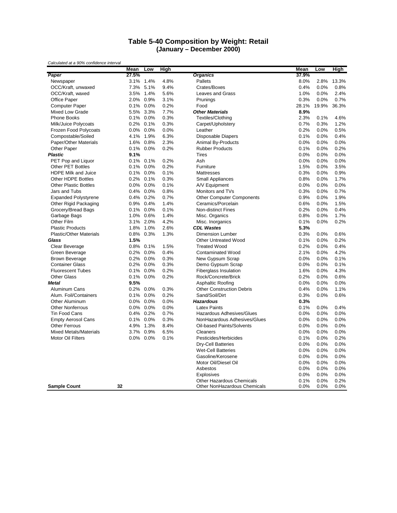#### **Table 5-40 Composition by Weight: Retail (January – December 2000)**

|                                | Mean    | Low       | High |                                  | Mean  | Low   | High  |
|--------------------------------|---------|-----------|------|----------------------------------|-------|-------|-------|
| Paper                          | 27.5%   |           |      | <b>Organics</b>                  | 37.9% |       |       |
| Newspaper                      |         | 3.1% 1.4% | 4.8% | Pallets                          | 8.0%  | 2.8%  | 13.3% |
| OCC/Kraft, unwaxed             | 7.3%    | 5.1%      | 9.4% | Crates/Boxes                     | 0.4%  | 0.0%  | 0.8%  |
| OCC/Kraft, waxed               |         | 3.5% 1.4% | 5.6% | <b>Leaves and Grass</b>          | 1.0%  | 0.0%  | 2.4%  |
| <b>Office Paper</b>            |         | 2.0% 0.9% | 3.1% | Prunings                         | 0.3%  | 0.0%  | 0.7%  |
| Computer Paper                 |         | 0.1% 0.0% | 0.2% | Food                             | 28.1% | 19.9% | 36.3% |
| Mixed Low Grade                | 5.5%    | 3.3%      | 7.7% | <b>Other Materials</b>           | 8.9%  |       |       |
| <b>Phone Books</b>             |         | 0.1% 0.0% | 0.3% | Textiles/Clothing                | 2.3%  | 0.1%  | 4.6%  |
| Milk/Juice Polycoats           | 0.2%    | 0.1%      | 0.3% | Carpet/Upholstery                | 0.7%  | 0.3%  | 1.2%  |
| Frozen Food Polycoats          |         | 0.0% 0.0% | 0.0% | Leather                          | 0.2%  | 0.0%  | 0.5%  |
| Compostable/Soiled             | 4.1%    | 1.9%      | 6.3% | <b>Disposable Diapers</b>        | 0.1%  | 0.0%  | 0.4%  |
| Paper/Other Materials          | 1.6%    | 0.8%      | 2.3% | Animal By-Products               | 0.0%  | 0.0%  | 0.0%  |
| Other Paper                    |         | 0.1% 0.0% | 0.2% | <b>Rubber Products</b>           | 0.1%  | 0.0%  | 0.2%  |
| <b>Plastic</b>                 | 9.1%    |           |      | <b>Tires</b>                     | 0.0%  | 0.0%  | 0.0%  |
| PET Pop and Liquor             | $0.1\%$ | 0.1%      | 0.2% | Ash                              | 0.0%  | 0.0%  | 0.0%  |
| <b>Other PET Bottles</b>       | 0.1%    | 0.0%      | 0.2% | Furniture                        | 1.5%  | 0.0%  | 3.5%  |
| HDPE Milk and Juice            | 0.1%    | 0.0%      | 0.1% | Mattresses                       | 0.3%  | 0.0%  | 0.9%  |
| <b>Other HDPE Bottles</b>      |         | 0.2% 0.1% | 0.3% | Small Appliances                 | 0.8%  | 0.0%  | 1.7%  |
| <b>Other Plastic Bottles</b>   |         | 0.0% 0.0% | 0.1% | A/V Equipment                    | 0.0%  | 0.0%  | 0.0%  |
| Jars and Tubs                  |         | 0.4% 0.0% | 0.8% | Monitors and TVs                 | 0.3%  | 0.0%  | 0.7%  |
| <b>Expanded Polystyrene</b>    |         | 0.4% 0.2% | 0.7% | <b>Other Computer Components</b> | 0.9%  | 0.0%  | 1.9%  |
| Other Rigid Packaging          | 0.9%    | 0.4%      | 1.4% | Ceramics/Porcelain               | 0.6%  | 0.0%  | 1.5%  |
| Grocery/Bread Bags             |         | 0.1% 0.0% | 0.1% | <b>Non-distinct Fines</b>        | 0.2%  | 0.0%  | 0.4%  |
| Garbage Bags                   |         | 1.0% 0.6% | 1.4% | Misc. Organics                   | 0.8%  | 0.0%  | 1.7%  |
| Other Film                     |         | 3.1% 2.0% | 4.2% | Misc. Inorganics                 | 0.1%  | 0.0%  | 0.2%  |
| <b>Plastic Products</b>        |         | 1.8% 1.0% | 2.6% | <b>CDL Wastes</b>                | 5.3%  |       |       |
| <b>Plastic/Other Materials</b> | $0.8\%$ | 0.3%      | 1.3% | <b>Dimension Lumber</b>          | 0.3%  | 0.0%  | 0.6%  |
| Glass                          | 1.5%    |           |      | <b>Other Untreated Wood</b>      | 0.1%  | 0.0%  | 0.2%  |
| Clear Beverage                 |         | 0.8% 0.1% | 1.5% | <b>Treated Wood</b>              | 0.2%  | 0.0%  | 0.4%  |
| Green Beverage                 | $0.2\%$ | 0.0%      | 0.4% | <b>Contaminated Wood</b>         | 2.1%  | 0.0%  | 4.2%  |
| <b>Brown Beverage</b>          |         | 0.2% 0.0% | 0.3% | New Gypsum Scrap                 | 0.0%  | 0.0%  | 0.1%  |
| <b>Container Glass</b>         | $0.2\%$ | 0.0%      | 0.3% | Demo Gypsum Scrap                | 0.0%  | 0.0%  | 0.1%  |
| <b>Fluorescent Tubes</b>       | $0.1\%$ | 0.0%      | 0.2% | Fiberglass Insulation            | 1.6%  | 0.0%  | 4.3%  |
| <b>Other Glass</b>             | $0.1\%$ | $0.0\%$   | 0.2% | Rock/Concrete/Brick              | 0.2%  | 0.0%  | 0.6%  |
| Metal                          | 9.5%    |           |      | Asphaltic Roofing                | 0.0%  | 0.0%  | 0.0%  |
| Aluminum Cans                  |         | 0.2% 0.0% | 0.3% | <b>Other Construction Debris</b> | 0.4%  | 0.0%  | 1.1%  |
| Alum. Foil/Containers          | $0.1\%$ | 0.0%      | 0.2% | Sand/Soil/Dirt                   | 0.3%  | 0.0%  | 0.6%  |
| Other Aluminum                 | $0.0\%$ | 0.0%      | 0.0% | <b>Hazardous</b>                 | 0.3%  |       |       |
| <b>Other Nonferrous</b>        | $0.0\%$ | 0.0%      | 0.0% | <b>Latex Paints</b>              | 0.1%  | 0.0%  | 0.4%  |
| <b>Tin Food Cans</b>           | $0.4\%$ | 0.2%      | 0.7% | Hazardous Adhesives/Glues        | 0.0%  | 0.0%  | 0.0%  |
| <b>Empty Aerosol Cans</b>      |         | 0.1% 0.0% | 0.3% | NonHazardous Adhesives/Glues     | 0.0%  | 0.0%  | 0.0%  |
| <b>Other Ferrous</b>           | 4.9%    | 1.3%      | 8.4% | Oil-based Paints/Solvents        | 0.0%  | 0.0%  | 0.0%  |
| <b>Mixed Metals/Materials</b>  | 3.7%    | 0.9%      | 6.5% | Cleaners                         | 0.0%  | 0.0%  | 0.0%  |
| <b>Motor Oil Filters</b>       | $0.0\%$ | 0.0%      | 0.1% | Pesticides/Herbicides            | 0.1%  | 0.0%  | 0.2%  |
|                                |         |           |      | <b>Dry-Cell Batteries</b>        | 0.0%  | 0.0%  | 0.0%  |
|                                |         |           |      | <b>Wet-Cell Batteries</b>        | 0.0%  | 0.0%  | 0.0%  |
|                                |         |           |      | Gasoline/Kerosene                | 0.0%  | 0.0%  | 0.0%  |
|                                |         |           |      | Motor Oil/Diesel Oil             | 0.0%  | 0.0%  | 0.0%  |
|                                |         |           |      | Asbestos                         | 0.0%  | 0.0%  | 0.0%  |
|                                |         |           |      | <b>Explosives</b>                | 0.0%  | 0.0%  | 0.0%  |
|                                |         |           |      | Other Hazardous Chemicals        | 0.1%  | 0.0%  | 0.2%  |
| <b>Sample Count</b>            | 32      |           |      | Other NonHazardous Chemicals     | 0.0%  | 0.0%  | 0.0%  |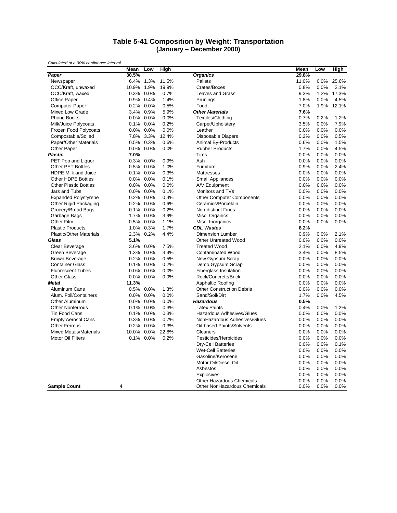#### **Table 5-41 Composition by Weight: Transportation (January – December 2000)**

|                                | Mean    | Low       | High  |                                  | Mean  | Low  | High  |
|--------------------------------|---------|-----------|-------|----------------------------------|-------|------|-------|
| Paper                          | 30.5%   |           |       | <b>Organics</b>                  | 29.8% |      |       |
| Newspaper                      | 6.4%    | 1.3%      | 11.5% | Pallets                          | 11.0% | 0.0% | 25.6% |
| OCC/Kraft, unwaxed             | 10.9%   | 1.9%      | 19.9% | Crates/Boxes                     | 0.8%  | 0.0% | 2.1%  |
| OCC/Kraft, waxed               |         | 0.3% 0.0% | 0.7%  | <b>Leaves and Grass</b>          | 9.3%  | 1.2% | 17.3% |
| <b>Office Paper</b>            | 0.9%    | 0.4%      | 1.4%  | Prunings                         | 1.8%  | 0.0% | 4.5%  |
| <b>Computer Paper</b>          |         | 0.2% 0.0% | 0.5%  | Food                             | 7.0%  | 1.9% | 12.1% |
| Mixed Low Grade                | 3.4%    | 0.9%      | 5.9%  | <b>Other Materials</b>           | 7.6%  |      |       |
| <b>Phone Books</b>             |         | 0.0% 0.0% | 0.0%  | Textiles/Clothing                | 0.7%  | 0.2% | 1.2%  |
| Milk/Juice Polycoats           |         | 0.1% 0.0% | 0.2%  | Carpet/Upholstery                | 3.5%  | 0.0% | 7.9%  |
| Frozen Food Polycoats          | $0.0\%$ | 0.0%      | 0.0%  | Leather                          | 0.0%  | 0.0% | 0.0%  |
| Compostable/Soiled             | 7.8%    | 3.3%      | 12.4% | <b>Disposable Diapers</b>        | 0.2%  | 0.0% | 0.5%  |
| Paper/Other Materials          | 0.5%    | 0.3%      | 0.6%  | Animal By-Products               | 0.6%  | 0.0% | 1.5%  |
| Other Paper                    |         | 0.0% 0.0% | 0.0%  | <b>Rubber Products</b>           | 1.7%  | 0.0% | 4.5%  |
| <b>Plastic</b>                 | 7.0%    |           |       | <b>Tires</b>                     | 0.0%  | 0.0% | 0.0%  |
| PET Pop and Liquor             | 0.3%    | 0.0%      | 0.9%  | Ash                              | 0.0%  | 0.0% | 0.0%  |
| <b>Other PET Bottles</b>       | 0.5%    | 0.0%      | 1.0%  | Furniture                        | 0.9%  | 0.0% | 2.4%  |
| <b>HDPE Milk and Juice</b>     |         | 0.1% 0.0% | 0.3%  | Mattresses                       | 0.0%  | 0.0% | 0.0%  |
| <b>Other HDPE Bottles</b>      | $0.0\%$ | 0.0%      | 0.1%  | Small Appliances                 | 0.0%  | 0.0% | 0.0%  |
| <b>Other Plastic Bottles</b>   |         | 0.0% 0.0% | 0.0%  | A/V Equipment                    | 0.0%  | 0.0% | 0.0%  |
| Jars and Tubs                  |         | 0.0% 0.0% | 0.1%  | Monitors and TVs                 | 0.0%  | 0.0% | 0.0%  |
| <b>Expanded Polystyrene</b>    |         | 0.2% 0.0% | 0.4%  | <b>Other Computer Components</b> | 0.0%  | 0.0% | 0.0%  |
| Other Rigid Packaging          | 0.2%    | 0.0%      | 0.6%  | Ceramics/Porcelain               | 0.0%  | 0.0% | 0.0%  |
| Grocery/Bread Bags             | $0.1\%$ | 0.0%      | 0.2%  | <b>Non-distinct Fines</b>        | 0.0%  | 0.0% | 0.0%  |
| Garbage Bags                   | 1.7%    | 0.0%      | 3.9%  | Misc. Organics                   | 0.0%  | 0.0% | 0.0%  |
| Other Film                     |         | 0.5% 0.0% | 1.1%  | Misc. Inorganics                 | 0.0%  | 0.0% | 0.0%  |
| <b>Plastic Products</b>        |         | 1.0% 0.3% | 1.7%  | <b>CDL Wastes</b>                | 8.2%  |      |       |
| <b>Plastic/Other Materials</b> | 2.3%    | 0.2%      | 4.4%  | <b>Dimension Lumber</b>          | 0.9%  | 0.0% | 2.1%  |
| Glass                          | 5.1%    |           |       | <b>Other Untreated Wood</b>      | 0.0%  | 0.0% | 0.0%  |
| Clear Beverage                 |         | 3.6% 0.0% | 7.5%  | <b>Treated Wood</b>              | 2.1%  | 0.0% | 4.9%  |
| Green Beverage                 |         | 1.3% 0.0% | 3.4%  | <b>Contaminated Wood</b>         | 3.4%  | 0.0% | 8.5%  |
| <b>Brown Beverage</b>          |         | 0.2% 0.0% | 0.5%  | New Gypsum Scrap                 | 0.0%  | 0.0% | 0.0%  |
| <b>Container Glass</b>         | 0.1%    | 0.0%      | 0.2%  | Demo Gypsum Scrap                | 0.0%  | 0.0% | 0.0%  |
| <b>Fluorescent Tubes</b>       |         | 0.0% 0.0% | 0.0%  | <b>Fiberglass Insulation</b>     | 0.0%  | 0.0% | 0.0%  |
| <b>Other Glass</b>             | $0.0\%$ | 0.0%      | 0.0%  | Rock/Concrete/Brick              | 0.0%  | 0.0% | 0.0%  |
| Metal                          | 11.3%   |           |       | Asphaltic Roofing                | 0.0%  | 0.0% | 0.0%  |
| Aluminum Cans                  |         | 0.5% 0.0% | 1.3%  | <b>Other Construction Debris</b> | 0.0%  | 0.0% | 0.0%  |
| Alum. Foil/Containers          | $0.0\%$ | 0.0%      | 0.0%  | Sand/Soil/Dirt                   | 1.7%  | 0.0% | 4.5%  |
| Other Aluminum                 | $0.0\%$ | 0.0%      | 0.0%  | <b>Hazardous</b>                 | 0.5%  |      |       |
| <b>Other Nonferrous</b>        | 0.1%    | 0.0%      | 0.3%  | <b>Latex Paints</b>              | 0.4%  | 0.0% | 1.2%  |
| <b>Tin Food Cans</b>           | 0.1%    | 0.0%      | 0.3%  | <b>Hazardous Adhesives/Glues</b> | 0.0%  | 0.0% | 0.0%  |
| <b>Empty Aerosol Cans</b>      |         | 0.3% 0.0% | 0.7%  | NonHazardous Adhesives/Glues     | 0.0%  | 0.0% | 0.0%  |
| <b>Other Ferrous</b>           | 0.2%    | 0.0%      | 0.3%  | Oil-based Paints/Solvents        | 0.0%  | 0.0% | 0.0%  |
| <b>Mixed Metals/Materials</b>  |         |           |       |                                  |       |      | 0.0%  |
|                                | 10.0%   | 0.0%      | 22.8% | Cleaners                         | 0.0%  | 0.0% |       |
| <b>Motor Oil Filters</b>       | 0.1%    | 0.0%      | 0.2%  | Pesticides/Herbicides            | 0.0%  | 0.0% | 0.0%  |
|                                |         |           |       | <b>Dry-Cell Batteries</b>        | 0.0%  | 0.0% | 0.1%  |
|                                |         |           |       | <b>Wet-Cell Batteries</b>        | 0.0%  | 0.0% | 0.0%  |
|                                |         |           |       | Gasoline/Kerosene                | 0.0%  | 0.0% | 0.0%  |
|                                |         |           |       | Motor Oil/Diesel Oil             | 0.0%  | 0.0% | 0.0%  |
|                                |         |           |       | Asbestos                         | 0.0%  | 0.0% | 0.0%  |
|                                |         |           |       | <b>Explosives</b>                | 0.0%  | 0.0% | 0.0%  |
|                                |         |           |       | Other Hazardous Chemicals        | 0.0%  | 0.0% | 0.0%  |
| <b>Sample Count</b>            | 4       |           |       | Other NonHazardous Chemicals     | 0.0%  | 0.0% | 0.0%  |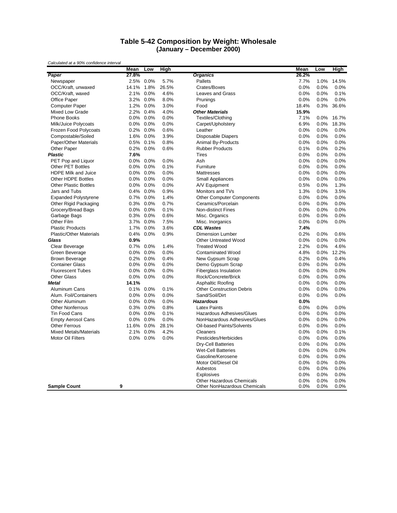#### **Table 5-42 Composition by Weight: Wholesale (January – December 2000)**

|                                | Mean    | Low          | High  |                                  | Mean  | Low  | <b>High</b> |
|--------------------------------|---------|--------------|-------|----------------------------------|-------|------|-------------|
| Paper                          | 27.8%   |              |       | <b>Organics</b>                  | 26.2% |      |             |
| Newspaper                      |         | 2.5% 0.0%    | 5.7%  | Pallets                          | 7.7%  | 1.0% | 14.5%       |
| OCC/Kraft, unwaxed             | 14.1%   | 1.8%         | 26.5% | Crates/Boxes                     | 0.0%  | 0.0% | 0.0%        |
| OCC/Kraft, waxed               |         | 2.1% 0.0%    | 4.6%  | <b>Leaves and Grass</b>          | 0.0%  | 0.0% | 0.1%        |
| <b>Office Paper</b>            | 3.2%    | 0.0%         | 8.0%  | Prunings                         | 0.0%  | 0.0% | 0.0%        |
| Computer Paper                 | 1.2%    | 0.0%         | 3.0%  | Food                             | 18.4% | 0.3% | 36.6%       |
| Mixed Low Grade                | 2.2%    | 0.4%         | 4.0%  | <b>Other Materials</b>           | 15.9% |      |             |
| <b>Phone Books</b>             | $0.0\%$ | 0.0%         | 0.0%  | Textiles/Clothing                | 7.1%  | 0.0% | 16.7%       |
| Milk/Juice Polycoats           |         | $0.0\%$ 0.0% | 0.0%  | Carpet/Upholstery                | 6.9%  | 0.0% | 18.3%       |
| Frozen Food Polycoats          |         | 0.2% 0.0%    | 0.6%  | Leather                          | 0.0%  | 0.0% | 0.0%        |
| Compostable/Soiled             |         | 1.6% 0.0%    | 3.9%  | <b>Disposable Diapers</b>        | 0.0%  | 0.0% | 0.0%        |
| Paper/Other Materials          | 0.5%    | 0.1%         | 0.8%  | Animal By-Products               | 0.0%  | 0.0% | 0.0%        |
| Other Paper                    |         | 0.2% 0.0%    | 0.6%  | <b>Rubber Products</b>           | 0.1%  | 0.0% | 0.2%        |
| <b>Plastic</b>                 | 7.6%    |              |       | <b>Tires</b>                     | 0.0%  | 0.0% | 0.0%        |
| PET Pop and Liquor             | $0.0\%$ | 0.0%         | 0.0%  | Ash                              | 0.0%  | 0.0% | 0.0%        |
| <b>Other PET Bottles</b>       | $0.0\%$ | 0.0%         | 0.1%  | Furniture                        | 0.0%  | 0.0% | 0.0%        |
| HDPE Milk and Juice            | 0.0%    | 0.0%         | 0.0%  | Mattresses                       | 0.0%  | 0.0% | 0.0%        |
| <b>Other HDPE Bottles</b>      |         | 0.0% 0.0%    | 0.0%  | Small Appliances                 | 0.0%  | 0.0% | 0.0%        |
| <b>Other Plastic Bottles</b>   |         | 0.0% 0.0%    | 0.0%  | A/V Equipment                    | 0.5%  | 0.0% | 1.3%        |
| Jars and Tubs                  |         | 0.4% 0.0%    | 0.9%  | Monitors and TVs                 | 1.3%  | 0.0% | 3.5%        |
| <b>Expanded Polystyrene</b>    |         | 0.7% 0.0%    | 1.4%  | <b>Other Computer Components</b> | 0.0%  | 0.0% | 0.0%        |
| Other Rigid Packaging          | 0.3%    | 0.0%         | 0.7%  | Ceramics/Porcelain               | 0.0%  | 0.0% | 0.0%        |
| Grocery/Bread Bags             |         | 0.0% 0.0%    | 0.1%  | <b>Non-distinct Fines</b>        | 0.0%  | 0.0% | 0.0%        |
| Garbage Bags                   |         | 0.3% 0.0%    | 0.6%  | Misc. Organics                   | 0.0%  | 0.0% | 0.0%        |
| Other Film                     | 3.7%    | 0.0%         | 7.5%  | Misc. Inorganics                 | 0.0%  | 0.0% | 0.0%        |
| <b>Plastic Products</b>        |         | 1.7% 0.0%    | 3.6%  | <b>CDL Wastes</b>                | 7.4%  |      |             |
| <b>Plastic/Other Materials</b> | 0.4%    | 0.0%         | 0.9%  | <b>Dimension Lumber</b>          | 0.2%  | 0.0% | 0.6%        |
| Glass                          | 0.9%    |              |       | <b>Other Untreated Wood</b>      | 0.0%  | 0.0% | 0.0%        |
| Clear Beverage                 |         | 0.7% 0.0%    | 1.4%  | <b>Treated Wood</b>              | 2.2%  | 0.0% | 4.6%        |
| Green Beverage                 | $0.0\%$ | 0.0%         | 0.0%  | <b>Contaminated Wood</b>         | 4.8%  | 0.0% | 12.2%       |
| <b>Brown Beverage</b>          |         | 0.2% 0.0%    | 0.4%  | New Gypsum Scrap                 | 0.2%  | 0.0% | 0.4%        |
| <b>Container Glass</b>         | $0.0\%$ | 0.0%         | 0.0%  | Demo Gypsum Scrap                | 0.0%  | 0.0% | 0.0%        |
| <b>Fluorescent Tubes</b>       | $0.0\%$ | 0.0%         | 0.0%  | Fiberglass Insulation            | 0.0%  | 0.0% | 0.0%        |
| <b>Other Glass</b>             | $0.0\%$ | $0.0\%$      | 0.0%  | Rock/Concrete/Brick              | 0.0%  | 0.0% | 0.0%        |
| Metal                          | 14.1%   |              |       | Asphaltic Roofing                | 0.0%  | 0.0% | 0.0%        |
| Aluminum Cans                  |         | 0.1% 0.0%    | 0.1%  | <b>Other Construction Debris</b> | 0.0%  | 0.0% | 0.0%        |
| Alum. Foil/Containers          | $0.0\%$ | 0.0%         | 0.0%  | Sand/Soil/Dirt                   | 0.0%  | 0.0% | 0.0%        |
| Other Aluminum                 | $0.0\%$ | 0.0%         | 0.0%  | <b>Hazardous</b>                 | 0.0%  |      |             |
| <b>Other Nonferrous</b>        | 0.3%    | 0.0%         | 0.8%  | <b>Latex Paints</b>              | 0.0%  | 0.0% | 0.0%        |
| <b>Tin Food Cans</b>           | $0.0\%$ | 0.0%         | 0.1%  | Hazardous Adhesives/Glues        | 0.0%  | 0.0% | 0.0%        |
| <b>Empty Aerosol Cans</b>      |         | 0.0% 0.0%    | 0.0%  | NonHazardous Adhesives/Glues     | 0.0%  | 0.0% | 0.0%        |
| <b>Other Ferrous</b>           | 11.6%   | 0.0%         | 28.1% | Oil-based Paints/Solvents        | 0.0%  | 0.0% | 0.0%        |
| <b>Mixed Metals/Materials</b>  | 2.1%    | 0.0%         | 4.2%  | Cleaners                         | 0.0%  | 0.0% | 0.1%        |
| <b>Motor Oil Filters</b>       | $0.0\%$ | 0.0%         | 0.0%  | Pesticides/Herbicides            | 0.0%  | 0.0% | 0.0%        |
|                                |         |              |       | <b>Dry-Cell Batteries</b>        | 0.0%  | 0.0% | 0.0%        |
|                                |         |              |       | <b>Wet-Cell Batteries</b>        | 0.0%  | 0.0% | 0.0%        |
|                                |         |              |       | Gasoline/Kerosene                | 0.0%  | 0.0% | 0.0%        |
|                                |         |              |       | Motor Oil/Diesel Oil             | 0.0%  | 0.0% | 0.0%        |
|                                |         |              |       | Asbestos                         | 0.0%  | 0.0% | 0.0%        |
|                                |         |              |       | <b>Explosives</b>                | 0.0%  | 0.0% | 0.0%        |
|                                |         |              |       | Other Hazardous Chemicals        | 0.0%  | 0.0% | 0.0%        |
| <b>Sample Count</b>            | 9       |              |       | Other NonHazardous Chemicals     | 0.0%  | 0.0% | 0.0%        |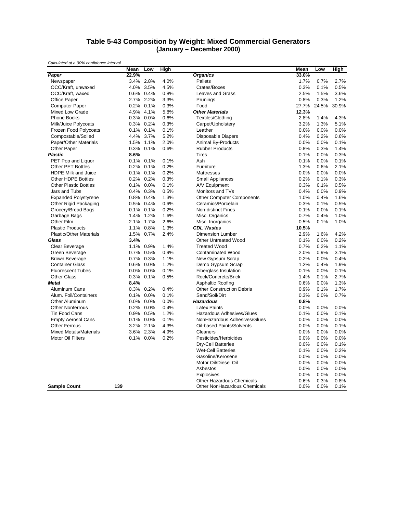#### **Table 5-43 Composition by Weight: Mixed Commercial Generators (January – December 2000)**

|                                | Mean    | Low       | High |                                  | Mean  | Low   | High  |
|--------------------------------|---------|-----------|------|----------------------------------|-------|-------|-------|
| Paper                          | 22.9%   |           |      | <b>Organics</b>                  | 33.0% |       |       |
| Newspaper                      | $3.4\%$ | 2.8%      | 4.0% | <b>Pallets</b>                   | 1.7%  | 0.7%  | 2.7%  |
| OCC/Kraft, unwaxed             |         | 4.0% 3.5% | 4.5% | Crates/Boxes                     | 0.3%  | 0.1%  | 0.5%  |
| OCC/Kraft, waxed               |         | 0.6% 0.4% | 0.8% | Leaves and Grass                 | 2.5%  | 1.5%  | 3.6%  |
| <b>Office Paper</b>            |         | 2.7% 2.2% | 3.3% | Prunings                         | 0.8%  | 0.3%  | 1.2%  |
| <b>Computer Paper</b>          |         | 0.2% 0.1% | 0.3% | Food                             | 27.7% | 24.5% | 30.9% |
| Mixed Low Grade                | 4.9%    | 4.1%      | 5.8% | <b>Other Materials</b>           | 12.3% |       |       |
| Phone Books                    |         | 0.3% 0.0% | 0.6% | Textiles/Clothing                | 2.8%  | 1.4%  | 4.3%  |
| Milk/Juice Polycoats           |         | 0.3% 0.2% | 0.3% | Carpet/Upholstery                | 3.2%  | 1.3%  | 5.1%  |
| Frozen Food Polycoats          | $0.1\%$ | 0.1%      | 0.1% | Leather                          | 0.0%  | 0.0%  | 0.0%  |
| Compostable/Soiled             |         | 4.4% 3.7% | 5.2% | <b>Disposable Diapers</b>        | 0.4%  | 0.2%  | 0.6%  |
| Paper/Other Materials          | 1.5%    | 1.1%      | 2.0% | Animal By-Products               | 0.0%  | 0.0%  | 0.1%  |
| Other Paper                    |         | 0.3% 0.1% | 0.6% | <b>Rubber Products</b>           | 0.8%  | 0.3%  | 1.4%  |
| <b>Plastic</b>                 | 8.6%    |           |      | <b>Tires</b>                     | 0.1%  | 0.0%  | 0.3%  |
| PET Pop and Liquor             | 0.1%    | 0.1%      | 0.1% | Ash                              | 0.1%  | 0.0%  | 0.1%  |
| <b>Other PET Bottles</b>       |         | 0.2% 0.1% | 0.2% | Furniture                        | 1.3%  | 0.6%  | 2.1%  |
| <b>HDPE Milk and Juice</b>     | 0.1%    | 0.1%      | 0.2% | <b>Mattresses</b>                | 0.0%  | 0.0%  | 0.0%  |
| <b>Other HDPE Bottles</b>      |         | 0.2% 0.2% | 0.3% | Small Appliances                 | 0.2%  | 0.1%  | 0.3%  |
| <b>Other Plastic Bottles</b>   |         | 0.1% 0.0% | 0.1% | A/V Equipment                    | 0.3%  | 0.1%  | 0.5%  |
| Jars and Tubs                  |         | 0.4% 0.3% | 0.5% | Monitors and TVs                 | 0.4%  | 0.0%  | 0.9%  |
| <b>Expanded Polystyrene</b>    |         | 0.8% 0.4% | 1.3% | <b>Other Computer Components</b> | 1.0%  | 0.4%  | 1.6%  |
| Other Rigid Packaging          | $0.5\%$ | 0.4%      | 0.6% | Ceramics/Porcelain               | 0.3%  | 0.1%  | 0.5%  |
| Grocery/Bread Bags             |         | 0.1% 0.1% | 0.2% | Non-distinct Fines               | 0.1%  | 0.0%  | 0.1%  |
| Garbage Bags                   | 1.4%    | 1.2%      | 1.6% | Misc. Organics                   | 0.7%  | 0.4%  | 1.0%  |
| Other Film                     | 2.1%    | 1.7%      | 2.6% | Misc. Inorganics                 | 0.5%  | 0.1%  | 1.0%  |
| <b>Plastic Products</b>        |         | 1.1% 0.8% | 1.3% | <b>CDL Wastes</b>                | 10.5% |       |       |
| <b>Plastic/Other Materials</b> |         | 1.5% 0.7% | 2.4% | <b>Dimension Lumber</b>          | 2.9%  | 1.6%  | 4.2%  |
| Glass                          | 3.4%    |           |      | <b>Other Untreated Wood</b>      | 0.1%  | 0.0%  | 0.2%  |
| Clear Beverage                 |         | 1.1% 0.9% | 1.4% | <b>Treated Wood</b>              | 0.7%  | 0.2%  | 1.1%  |
| Green Beverage                 |         | 0.7% 0.5% | 0.9% | <b>Contaminated Wood</b>         | 2.0%  | 0.9%  | 3.1%  |
| <b>Brown Beverage</b>          |         | 0.7% 0.3% | 1.1% | New Gypsum Scrap                 | 0.2%  | 0.0%  | 0.4%  |
| <b>Container Glass</b>         |         | 0.6% 0.0% | 1.2% | Demo Gypsum Scrap                | 1.2%  | 0.4%  | 1.9%  |
| <b>Fluorescent Tubes</b>       |         | 0.0% 0.0% | 0.1% | <b>Fiberglass Insulation</b>     | 0.1%  | 0.0%  | 0.1%  |
| <b>Other Glass</b>             | $0.3\%$ | 0.1%      | 0.5% | Rock/Concrete/Brick              | 1.4%  | 0.1%  | 2.7%  |
| <b>Metal</b>                   | 8.4%    |           |      | Asphaltic Roofing                | 0.6%  | 0.0%  | 1.3%  |
| Aluminum Cans                  |         | 0.3% 0.2% | 0.4% | <b>Other Construction Debris</b> | 0.9%  | 0.1%  | 1.7%  |
| Alum. Foil/Containers          |         | 0.1% 0.0% | 0.1% | Sand/Soil/Dirt                   | 0.3%  | 0.0%  | 0.7%  |
| <b>Other Aluminum</b>          |         | 0.0% 0.0% | 0.0% | <b>Hazardous</b>                 | 0.8%  |       |       |
| <b>Other Nonferrous</b>        | 0.2%    | 0.0%      | 0.4% | <b>Latex Paints</b>              | 0.0%  | 0.0%  | 0.0%  |
| Tin Food Cans                  | $0.9\%$ | 0.5%      | 1.2% | Hazardous Adhesives/Glues        | 0.1%  | 0.0%  | 0.1%  |
| <b>Empty Aerosol Cans</b>      |         | 0.1% 0.0% | 0.1% | NonHazardous Adhesives/Glues     | 0.0%  | 0.0%  | 0.0%  |
| <b>Other Ferrous</b>           |         | 3.2% 2.1% | 4.3% | Oil-based Paints/Solvents        | 0.0%  | 0.0%  | 0.1%  |
| <b>Mixed Metals/Materials</b>  |         | 3.6% 2.3% | 4.9% | Cleaners                         | 0.0%  | 0.0%  | 0.0%  |
| <b>Motor Oil Filters</b>       | 0.1%    | 0.0%      | 0.2% | Pesticides/Herbicides            | 0.0%  | 0.0%  | 0.0%  |
|                                |         |           |      | Dry-Cell Batteries               | 0.0%  | 0.0%  | 0.1%  |
|                                |         |           |      | <b>Wet-Cell Batteries</b>        | 0.1%  | 0.0%  | 0.2%  |
|                                |         |           |      | Gasoline/Kerosene                | 0.0%  | 0.0%  | 0.0%  |
|                                |         |           |      | Motor Oil/Diesel Oil             | 0.0%  | 0.0%  | 0.0%  |
|                                |         |           |      | Asbestos                         | 0.0%  | 0.0%  | 0.0%  |
|                                |         |           |      | <b>Explosives</b>                | 0.0%  | 0.0%  | 0.0%  |
|                                |         |           |      | Other Hazardous Chemicals        | 0.6%  | 0.3%  | 0.8%  |
| <b>Sample Count</b>            | 139     |           |      | Other NonHazardous Chemicals     | 0.0%  | 0.0%  | 0.1%  |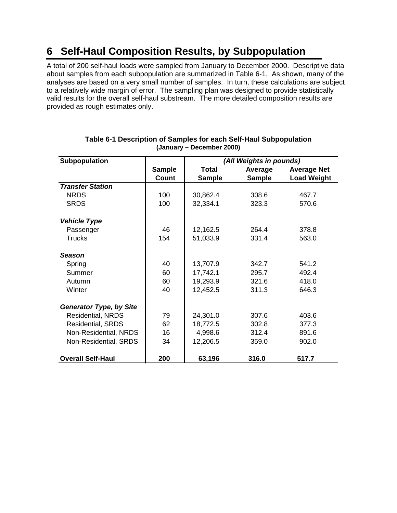# **6 Self-Haul Composition Results, by Subpopulation**

A total of 200 self-haul loads were sampled from January to December 2000. Descriptive data about samples from each subpopulation are summarized in Table 6-1. As shown, many of the analyses are based on a very small number of samples. In turn, these calculations are subject to a relatively wide margin of error. The sampling plan was designed to provide statistically valid results for the overall self-haul substream. The more detailed composition results are provided as rough estimates only.

| Subpopulation                  |               |               | (All Weights in pounds) |                    |  |  |
|--------------------------------|---------------|---------------|-------------------------|--------------------|--|--|
|                                | <b>Sample</b> | <b>Total</b>  | Average                 | <b>Average Net</b> |  |  |
|                                | <b>Count</b>  | <b>Sample</b> | <b>Sample</b>           | <b>Load Weight</b> |  |  |
| <b>Transfer Station</b>        |               |               |                         |                    |  |  |
| <b>NRDS</b>                    | 100           | 30,862.4      | 308.6                   | 467.7              |  |  |
| <b>SRDS</b>                    | 100           | 32,334.1      | 323.3                   | 570.6              |  |  |
| <b>Vehicle Type</b>            |               |               |                         |                    |  |  |
| Passenger                      | 46            | 12,162.5      | 264.4                   | 378.8              |  |  |
| <b>Trucks</b>                  | 154           | 51,033.9      | 331.4                   | 563.0              |  |  |
| <b>Season</b>                  |               |               |                         |                    |  |  |
| Spring                         | 40            | 13,707.9      | 342.7                   | 541.2              |  |  |
| Summer                         | 60            | 17,742.1      | 295.7                   | 492.4              |  |  |
| Autumn                         | 60            | 19,293.9      | 321.6                   | 418.0              |  |  |
| Winter                         | 40            | 12,452.5      | 311.3                   | 646.3              |  |  |
| <b>Generator Type, by Site</b> |               |               |                         |                    |  |  |
| Residential, NRDS              | 79            | 24,301.0      | 307.6                   | 403.6              |  |  |
| <b>Residential, SRDS</b>       | 62            | 18,772.5      | 302.8                   | 377.3              |  |  |
| Non-Residential, NRDS          | 16            | 4,998.6       | 312.4                   | 891.6              |  |  |
| Non-Residential, SRDS          | 34            | 12,206.5      | 359.0                   | 902.0              |  |  |
| <b>Overall Self-Haul</b>       | 200           | 63,196        | 316.0                   | 517.7              |  |  |

## **Table 6-1 Description of Samples for each Self-Haul Subpopulation (January – December 2000)**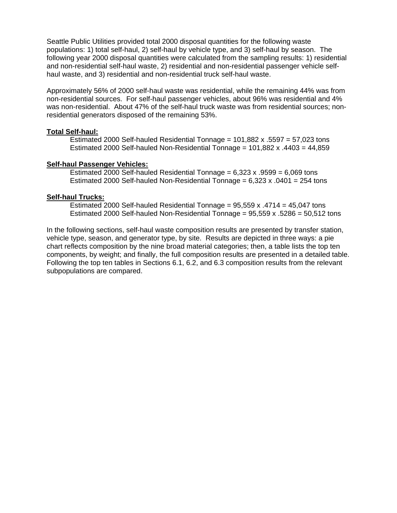Seattle Public Utilities provided total 2000 disposal quantities for the following waste populations: 1) total self-haul, 2) self-haul by vehicle type, and 3) self-haul by season. The following year 2000 disposal quantities were calculated from the sampling results: 1) residential and non-residential self-haul waste, 2) residential and non-residential passenger vehicle selfhaul waste, and 3) residential and non-residential truck self-haul waste.

Approximately 56% of 2000 self-haul waste was residential, while the remaining 44% was from non-residential sources. For self-haul passenger vehicles, about 96% was residential and 4% was non-residential. About 47% of the self-haul truck waste was from residential sources; nonresidential generators disposed of the remaining 53%.

#### **Total Self-haul:**

Estimated 2000 Self-hauled Residential Tonnage =  $101.882 \times 0.5597 = 57.023$  tons Estimated 2000 Self-hauled Non-Residential Tonnage = 101,882 x .4403 = 44,859

#### **Self-haul Passenger Vehicles:**

Estimated 2000 Self-hauled Residential Tonnage =  $6,323$  x .9599 =  $6,069$  tons Estimated 2000 Self-hauled Non-Residential Tonnage =  $6,323$  x  $.0401$  = 254 tons

#### **Self-haul Trucks:**

Estimated 2000 Self-hauled Residential Tonnage =  $95,559$  x  $.4714$  =  $45,047$  tons Estimated 2000 Self-hauled Non-Residential Tonnage =  $95,559$  x  $.5286$  =  $50,512$  tons

In the following sections, self-haul waste composition results are presented by transfer station, vehicle type, season, and generator type, by site. Results are depicted in three ways: a pie chart reflects composition by the nine broad material categories; then, a table lists the top ten components, by weight; and finally, the full composition results are presented in a detailed table. Following the top ten tables in Sections 6.1, 6.2, and 6.3 composition results from the relevant subpopulations are compared.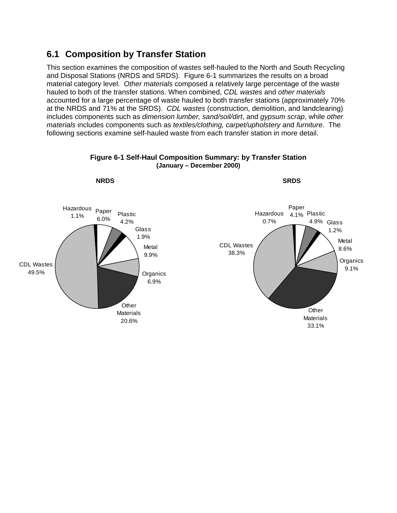## **6.1 Composition by Transfer Station**

This section examines the composition of wastes self-hauled to the North and South Recycling and Disposal Stations (NRDS and SRDS). Figure 6-1 summarizes the results on a broad material category level. *Other materials* composed a relatively large percentage of the waste hauled to both of the transfer stations. When combined, *CDL wastes* and *other materials* accounted for a large percentage of waste hauled to both transfer stations (approximately 70% at the NRDS and 71% at the SRDS). *CDL wastes* (construction, demolition, and landclearing) includes components such as *dimension lumber, sand/soil/dirt*, and *gypsum scrap*, while *other materials* includes components such as *textiles/clothing, carpet/upholstery* and *furniture*. The following sections examine self-hauled waste from each transfer station in more detail.



## **Figure 6-1 Self-Haul Composition Summary: by Transfer Station (January – December 2000)**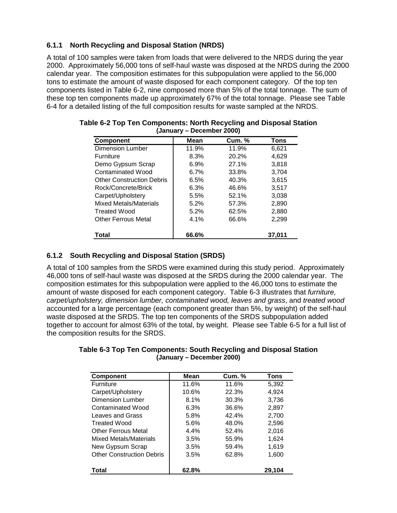## **6.1.1 North Recycling and Disposal Station (NRDS)**

A total of 100 samples were taken from loads that were delivered to the NRDS during the year 2000. Approximately 56,000 tons of self-haul waste was disposed at the NRDS during the 2000 calendar year. The composition estimates for this subpopulation were applied to the 56,000 tons to estimate the amount of waste disposed for each component category. Of the top ten components listed in Table 6-2, nine composed more than 5% of the total tonnage. The sum of these top ten components made up approximately 67% of the total tonnage. Please see Table 6-4 for a detailed listing of the full composition results for waste sampled at the NRDS.

| <b>Component</b>                 | Mean    | <b>Cum.</b> % | Tons   |
|----------------------------------|---------|---------------|--------|
| <b>Dimension Lumber</b>          | 11.9%   | 11.9%         | 6,621  |
| <b>Furniture</b>                 | 8.3%    | 20.2%         | 4,629  |
| Demo Gypsum Scrap                | 6.9%    | 27.1%         | 3,818  |
| Contaminated Wood                | $6.7\%$ | 33.8%         | 3,704  |
| <b>Other Construction Debris</b> | 6.5%    | 40.3%         | 3,615  |
| Rock/Concrete/Brick              | 6.3%    | 46.6%         | 3.517  |
| Carpet/Upholstery                | 5.5%    | 52.1%         | 3,038  |
| Mixed Metals/Materials           | 5.2%    | 57.3%         | 2,890  |
| <b>Treated Wood</b>              | 5.2%    | 62.5%         | 2,880  |
| <b>Other Ferrous Metal</b>       | 4.1%    | 66.6%         | 2,299  |
| Total                            | 66.6%   |               | 37.011 |

#### **Table 6-2 Top Ten Components: North Recycling and Disposal Station (January – December 2000)**

## **6.1.2 South Recycling and Disposal Station (SRDS)**

A total of 100 samples from the SRDS were examined during this study period. Approximately 46,000 tons of self-haul waste was disposed at the SRDS during the 2000 calendar year. The composition estimates for this subpopulation were applied to the 46,000 tons to estimate the amount of waste disposed for each component category. Table 6-3 illustrates that *furniture, carpet/upholstery, dimension lumber, contaminated wood, leaves and grass*, and *treated wood* accounted for a large percentage (each component greater than 5%, by weight) of the self-haul waste disposed at the SRDS. The top ten components of the SRDS subpopulation added together to account for almost 63% of the total, by weight. Please see Table 6-5 for a full list of the composition results for the SRDS.

## **Table 6-3 Top Ten Components: South Recycling and Disposal Station (January – December 2000)**

| <b>Component</b>                 | Mean    | <b>Cum. %</b> | Tons   |
|----------------------------------|---------|---------------|--------|
| Furniture                        | 11.6%   | 11.6%         | 5,392  |
| Carpet/Upholstery                | 10.6%   | 22.3%         | 4,924  |
| <b>Dimension Lumber</b>          | 8.1%    | 30.3%         | 3,736  |
| Contaminated Wood                | 6.3%    | 36.6%         | 2,897  |
| Leaves and Grass                 | 5.8%    | 42.4%         | 2,700  |
| <b>Treated Wood</b>              | 5.6%    | 48.0%         | 2,596  |
| Other Ferrous Metal              | $4.4\%$ | 52.4%         | 2,016  |
| Mixed Metals/Materials           | 3.5%    | 55.9%         | 1.624  |
| New Gypsum Scrap                 | 3.5%    | 59.4%         | 1,619  |
| <b>Other Construction Debris</b> | 3.5%    | 62.8%         | 1,600  |
| Total                            | 62.8%   |               | 29.104 |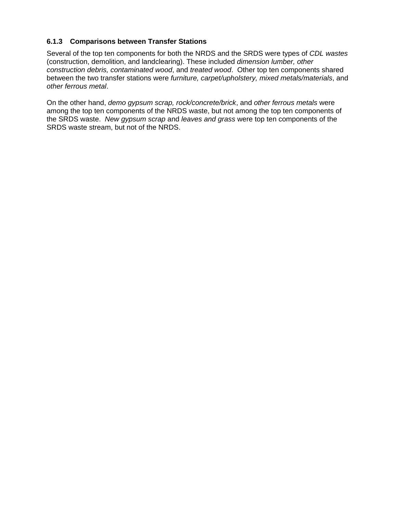## **6.1.3 Comparisons between Transfer Stations**

Several of the top ten components for both the NRDS and the SRDS were types of *CDL wastes* (construction, demolition, and landclearing). These included *dimension lumber, other construction debris, contaminated wood*, and *treated wood*. Other top ten components shared between the two transfer stations were *furniture, carpet/upholstery, mixed metals/materials*, and *other ferrous metal*.

On the other hand, *demo gypsum scrap, rock/concrete/brick*, and *other ferrous metals* were among the top ten components of the NRDS waste, but not among the top ten components of the SRDS waste. *New gypsum scrap* and *leaves and grass* were top ten components of the SRDS waste stream, but not of the NRDS.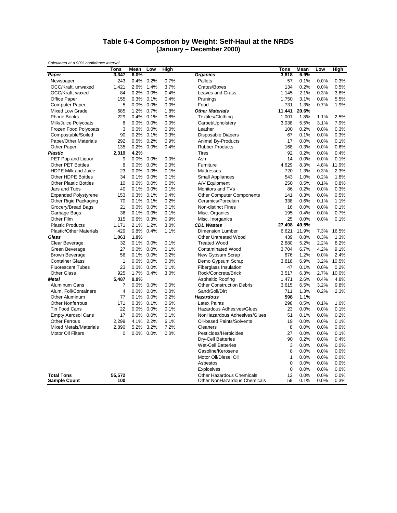#### **Table 6-4 Composition by Weight: Self-Haul at the NRDS (January – December 2000)**

|                                                   | Tons           | Mean    | Low       | High |                                                           | Tons         | Mean         | Low          | High         |
|---------------------------------------------------|----------------|---------|-----------|------|-----------------------------------------------------------|--------------|--------------|--------------|--------------|
| Paper                                             | 3,347          | 6.0%    |           |      | <b>Organics</b>                                           | 3,818        | 6.9%         |              |              |
| Newspaper                                         | 243            | 0.4%    | 0.2%      | 0.7% | Pallets                                                   | 57           | 0.1%         | 0.0%         | 0.3%         |
| OCC/Kraft, unwaxed                                | 1,421          | 2.6%    | 1.4%      | 3.7% | Crates/Boxes                                              | 134          | 0.2%         | 0.0%         | 0.5%         |
| OCC/Kraft, waxed                                  | 84             | 0.2%    | 0.0%      | 0.4% | Leaves and Grass                                          | 1,145        | 2.1%         | 0.3%         | 3.8%         |
| Office Paper                                      | 155            | 0.3%    | 0.1%      | 0.4% | Prunings                                                  | 1,750        | 3.1%         | 0.8%         | 5.5%         |
| <b>Computer Paper</b>                             | 5              | 0.0%    | 0.0%      | 0.0% | Food                                                      | 731          | 1.3%         | 0.7%         | 1.9%         |
| Mixed Low Grade                                   | 685            | 1.2%    | 0.7%      | 1.8% | <b>Other Materials</b>                                    | 11,441       | 20.6%        |              |              |
| <b>Phone Books</b>                                | 229            | 0.4%    | 0.1%      | 0.8% | Textiles/Clothing                                         | 1,001        | 1.8%         | 1.1%         | 2.5%         |
| Milk/Juice Polycoats                              | 6              | 0.0%    | 0.0%      | 0.0% | Carpet/Upholstery                                         | 3,038        | 5.5%         | 3.1%         | 7.9%         |
| Frozen Food Polycoats                             | 3              | 0.0%    | 0.0%      | 0.0% | Leather                                                   | 100          | 0.2%         | 0.0%         | 0.3%         |
| Compostable/Soiled                                | 90             | 0.2%    | 0.1%      | 0.3% | Disposable Diapers                                        | 67           | 0.1%         | 0.0%         | 0.3%         |
| Paper/Other Materials                             | 292            | 0.5%    | 0.2%      | 0.9% | Animal By-Products                                        | 17           | 0.0%         | 0.0%         | 0.1%         |
| Other Paper                                       | 135            | 0.2%    | 0.0%      | 0.4% | <b>Rubber Products</b>                                    | 168          | 0.3%         | 0.0%         | 0.6%         |
| <b>Plastic</b>                                    | 2,319          | 4.2%    |           |      | <b>Tires</b>                                              | 92           | 0.2%         | 0.0%         | 0.4%         |
| PET Pop and Liquor                                | 9              | 0.0%    | 0.0%      | 0.0% | Ash                                                       | 14           | 0.0%         | 0.0%         | 0.1%         |
| <b>Other PET Bottles</b>                          | 8              | 0.0%    | 0.0%      | 0.0% | Furniture                                                 | 4,629        | 8.3%         | 4.8%         | 11.9%        |
| HDPE Milk and Juice                               | 23             | 0.0%    | 0.0%      | 0.1% | Mattresses                                                | 720          | 1.3%         | 0.3%         | 2.3%         |
| Other HDPE Bottles                                | 34             | 0.1%    | 0.0%      | 0.1% | <b>Small Appliances</b>                                   | 543          | 1.0%         | 0.2%         | 1.8%         |
| <b>Other Plastic Bottles</b>                      | 10             | 0.0%    | 0.0%      | 0.0% | A/V Equipment                                             | 250          | 0.5%         | 0.1%         | 0.8%         |
| Jars and Tubs                                     | 40             | 0.1%    | 0.0%      | 0.1% | Monitors and TVs                                          | 86           | 0.2%         | 0.0%         | 0.3%         |
| <b>Expanded Polystyrene</b>                       | 153            | 0.3%    | 0.1%      | 0.4% | <b>Other Computer Components</b>                          | 141          | 0.3%         | 0.0%         | 0.5%         |
| Other Rigid Packaging                             | 70             | 0.1%    | 0.1%      | 0.2% | Ceramics/Porcelain                                        | 338          | 0.6%         | 0.1%         | 1.1%         |
| Grocery/Bread Bags                                | 21             | 0.0%    | 0.0%      | 0.1% | <b>Non-distinct Fines</b>                                 | 16           | 0.0%         | 0.0%         | 0.1%         |
| Garbage Bags                                      | 36             | 0.1%    | 0.0%      | 0.1% | Misc. Organics                                            | 195          | 0.4%         | 0.0%         | 0.7%         |
| Other Film                                        | 315            | 0.6%    | 0.3%      | 0.9% | Misc. Inorganics                                          | 25           | 0.0%         | 0.0%         | 0.1%         |
| <b>Plastic Products</b>                           | 1.171          | 2.1%    | 1.2%      | 3.0% | <b>CDL Wastes</b>                                         | 27,498       | 49.5%        |              |              |
| <b>Plastic/Other Materials</b>                    | 429            | 0.8%    | 0.4%      | 1.1% | <b>Dimension Lumber</b>                                   | 6,621        | 11.9%        | 7.3%         | 16.5%        |
| Glass                                             | 1,063          | 1.9%    |           |      | <b>Other Untreated Wood</b>                               | 439          | 0.8%         | 0.3%         | 1.3%         |
| Clear Beverage                                    | 32             | 0.1%    | 0.0%      | 0.1% | <b>Treated Wood</b>                                       | 2,880        | 5.2%         | 2.2%         | 8.2%         |
| Green Beverage                                    | 27             | 0.0%    | 0.0%      | 0.1% | <b>Contaminated Wood</b>                                  | 3,704        | 6.7%         | 4.2%         | 9.1%         |
| <b>Brown Beverage</b>                             | 56             | 0.1%    | 0.0%      | 0.2% | New Gypsum Scrap                                          | 676          | 1.2%         | 0.0%         | 2.4%         |
| <b>Container Glass</b>                            | 1              | 0.0%    | 0.0%      | 0.0% | Demo Gypsum Scrap                                         | 3,818        | 6.9%         | 3.2%         | 10.5%        |
| <b>Fluorescent Tubes</b>                          | 23             | 0.0%    | 0.0%      | 0.1% | <b>Fiberglass Insulation</b>                              | 47           | 0.1%         | 0.0%         | 0.2%         |
| <b>Other Glass</b>                                | 925            | 1.7%    | 0.4%      | 3.0% | Rock/Concrete/Brick                                       | 3,517        | 6.3%         | 2.7%         | 10.0%        |
| <b>Metal</b>                                      | 5,487          | 9.9%    |           |      | Asphaltic Roofing                                         | 1,471        | 2.6%         | 0.4%         | 4.8%         |
| Aluminum Cans                                     | $\overline{7}$ | 0.0%    | 0.0%      | 0.0% | <b>Other Construction Debris</b>                          | 3,615        | 6.5%         | 3.2%         | 9.8%         |
| Alum. Foil/Containers                             | $\overline{4}$ | 0.0%    | 0.0%      | 0.0% | Sand/Soil/Dirt                                            | 711          | 1.3%         | 0.2%         | 2.3%         |
| <b>Other Aluminum</b>                             | 77             | 0.1%    | 0.0%      | 0.2% | <b>Hazardous</b>                                          | 598          | 1.1%         |              |              |
| <b>Other Nonferrous</b>                           | 171            | 0.3%    | 0.1%      | 0.6% | <b>Latex Paints</b>                                       | 298          | 0.5%         | 0.1%         | 1.0%         |
|                                                   | 22             | 0.0%    | 0.0%      | 0.1% | Hazardous Adhesives/Glues                                 | 23           | 0.0%         | 0.0%         | 0.1%         |
| Tin Food Cans                                     | 17             | 0.0%    | 0.0%      | 0.1% | NonHazardous Adhesives/Glues                              | 51           | 0.1%         | 0.0%         | 0.2%         |
| <b>Empty Aerosol Cans</b><br><b>Other Ferrous</b> | 2,299          |         | 4.1% 2.2% | 6.1% | Oil-based Paints/Solvents                                 | 19           | 0.0%         | 0.0%         | 0.1%         |
|                                                   |                |         |           |      |                                                           |              |              |              |              |
| <b>Mixed Metals/Materials</b>                     | 2,890          | 5.2%    | 3.2%      | 7.2% | Cleaners                                                  | 8            | 0.0%         | 0.0%         | 0.0%         |
| Motor Oil Filters                                 | 0              | $0.0\%$ | $0.0\%$   | 0.0% | Pesticides/Herbicides                                     | 27           | 0.0%         | 0.0%         | 0.1%         |
|                                                   |                |         |           |      | <b>Dry-Cell Batteries</b>                                 | 90           | 0.2%         | 0.0%         | 0.4%         |
|                                                   |                |         |           |      | <b>Wet-Cell Batteries</b>                                 | 3            | 0.0%         | 0.0%         | 0.0%         |
|                                                   |                |         |           |      | Gasoline/Kerosene                                         | 8            | 0.0%         | 0.0%         | 0.0%         |
|                                                   |                |         |           |      | Motor Oil/Diesel Oil                                      | $\mathbf{1}$ | 0.0%         | 0.0%         | 0.0%         |
|                                                   |                |         |           |      | Asbestos                                                  | $\mathbf 0$  | 0.0%         | 0.0%         | 0.0%         |
|                                                   |                |         |           |      | Explosives                                                | $\mathbf 0$  | 0.0%         | 0.0%         | 0.0%         |
| <b>Total Tons</b><br><b>Sample Count</b>          | 55,572<br>100  |         |           |      | Other Hazardous Chemicals<br>Other NonHazardous Chemicals | 12<br>59     | 0.0%<br>0.1% | 0.0%<br>0.0% | 0.0%<br>0.3% |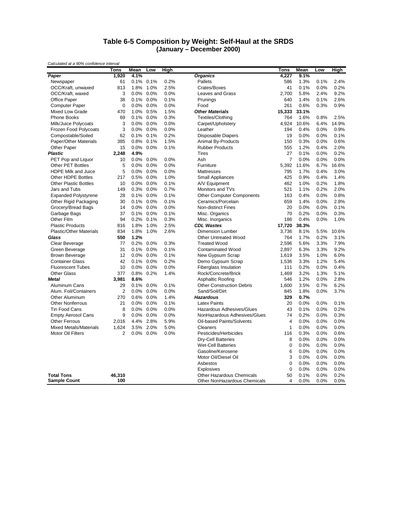#### **Table 6-5 Composition by Weight: Self-Haul at the SRDS (January – December 2000)**

|                                | Tons           | Mean    | Low       | High |                                  | Tons           | Mean  | Low  | High  |
|--------------------------------|----------------|---------|-----------|------|----------------------------------|----------------|-------|------|-------|
| Paper                          | 1,920          | 4.1%    |           |      | <b>Organics</b>                  | 4,227          | 9.1%  |      |       |
| Newspaper                      | 61             | 0.1%    | 0.1%      | 0.2% | Pallets                          | 586            | 1.3%  | 0.1% | 2.4%  |
| OCC/Kraft, unwaxed             | 813            | 1.8%    | 1.0%      | 2.5% | Crates/Boxes                     | 41             | 0.1%  | 0.0% | 0.2%  |
| OCC/Kraft, waxed               | 3              | 0.0%    | 0.0%      | 0.0% | Leaves and Grass                 | 2,700          | 5.8%  | 2.4% | 9.2%  |
| Office Paper                   | 38             | 0.1%    | 0.0%      | 0.1% | Prunings                         | 640            | 1.4%  | 0.1% | 2.6%  |
| <b>Computer Paper</b>          | $\mathbf 0$    | 0.0%    | 0.0%      | 0.0% | Food                             | 261            | 0.6%  | 0.3% | 0.9%  |
| Mixed Low Grade                | 470            | 1.0%    | 0.5%      | 1.5% | <b>Other Materials</b>           | 15,333         | 33.1% |      |       |
| Phone Books                    | 69             | 0.1%    | 0.0%      | 0.3% | Textiles/Clothing                | 764            | 1.6%  | 0.8% | 2.5%  |
| Milk/Juice Polycoats           | 3              | 0.0%    | 0.0%      | 0.0% | Carpet/Upholstery                | 4.924          | 10.6% | 6.4% | 14.9% |
| Frozen Food Polycoats          | 3              | 0.0%    | 0.0%      | 0.0% | Leather                          | 194            | 0.4%  | 0.0% | 0.9%  |
| Compostable/Soiled             | 62             | 0.1%    | 0.1%      | 0.2% | <b>Disposable Diapers</b>        | 19             | 0.0%  | 0.0% | 0.1%  |
| Paper/Other Materials          | 385            | 0.8%    | 0.1%      | 1.5% | Animal By-Products               | 150            | 0.3%  | 0.0% | 0.6%  |
| Other Paper                    | 15             |         | 0.0% 0.0% | 0.1% | <b>Rubber Products</b>           | 555            | 1.2%  | 0.4% | 2.0%  |
| <b>Plastic</b>                 | 2,248          | 4.9%    |           |      | <b>Tires</b>                     | 27             | 0.1%  | 0.0% | 0.2%  |
| PET Pop and Liquor             | 10             | 0.0%    | 0.0%      | 0.0% | Ash                              | $\overline{7}$ | 0.0%  | 0.0% | 0.0%  |
| <b>Other PET Bottles</b>       | 5              | 0.0%    | 0.0%      | 0.0% | Furniture                        | 5,392          | 11.6% | 6.7% | 16.6% |
| <b>HDPE Milk and Juice</b>     | 5              | 0.0%    | 0.0%      | 0.0% | Mattresses                       | 795            | 1.7%  | 0.4% | 3.0%  |
| Other HDPE Bottles             | 217            | 0.5%    | 0.0%      | 1.0% | <b>Small Appliances</b>          | 425            | 0.9%  | 0.4% | 1.4%  |
| <b>Other Plastic Bottles</b>   | 10             | 0.0%    | 0.0%      | 0.1% | A/V Equipment                    | 462            | 1.0%  | 0.2% | 1.8%  |
| Jars and Tubs                  | 149            | 0.3%    | 0.0%      | 0.7% | Monitors and TVs                 | 521            | 1.1%  | 0.2% | 2.0%  |
| <b>Expanded Polystyrene</b>    | 28             | 0.1%    | 0.0%      | 0.1% | <b>Other Computer Components</b> | 163            | 0.4%  | 0.0% | 0.8%  |
| Other Rigid Packaging          | 30             | 0.1%    | 0.0%      | 0.1% | Ceramics/Porcelain               | 659            | 1.4%  | 0.0% | 2.8%  |
| Grocery/Bread Bags             | 14             | 0.0%    | 0.0%      | 0.0% | Non-distinct Fines               | 20             | 0.0%  | 0.0% | 0.1%  |
| Garbage Bags                   | 37             | 0.1%    | 0.0%      | 0.1% | Misc. Organics                   | 70             | 0.2%  | 0.0% | 0.3%  |
| Other Film                     | 94             | 0.2%    | 0.1%      | 0.3% | Misc. Inorganics                 | 186            | 0.4%  | 0.0% | 1.0%  |
| <b>Plastic Products</b>        | 816            | 1.8%    | 1.0%      | 2.5% | <b>CDL Wastes</b>                | 17,720         | 38.3% |      |       |
| <b>Plastic/Other Materials</b> | 834            | 1.8%    | 1.0%      | 2.6% | <b>Dimension Lumber</b>          | 3,736          | 8.1%  | 5.5% | 10.6% |
| Glass                          | 550            | 1.2%    |           |      | <b>Other Untreated Wood</b>      | 764            | 1.7%  | 0.2% | 3.1%  |
| Clear Beverage                 | 77             | 0.2%    | 0.0%      | 0.3% | <b>Treated Wood</b>              | 2,596          | 5.6%  | 3.3% | 7.9%  |
| Green Beverage                 | 31             | 0.1%    | 0.0%      | 0.1% | <b>Contaminated Wood</b>         | 2,897          | 6.3%  | 3.3% | 9.2%  |
| <b>Brown Beverage</b>          | 12             | 0.0%    | 0.0%      | 0.1% | New Gypsum Scrap                 | 1,619          | 3.5%  | 1.0% | 6.0%  |
| <b>Container Glass</b>         | 42             | 0.1%    | 0.0%      | 0.2% | Demo Gypsum Scrap                | 1,536          | 3.3%  | 1.2% | 5.4%  |
| <b>Fluorescent Tubes</b>       | 10             | 0.0%    | 0.0%      | 0.0% | Fiberglass Insulation            | 111            | 0.2%  | 0.0% | 0.4%  |
| <b>Other Glass</b>             | 377            | 0.8%    | 0.2%      | 1.4% | Rock/Concrete/Brick              | 1,469          | 3.2%  | 1.3% | 5.1%  |
| Metal                          | 3,981          | 8.6%    |           |      | <b>Asphaltic Roofing</b>         | 546            | 1.2%  | 0.0% | 2.8%  |
| Aluminum Cans                  | 29             | 0.1%    | 0.0%      | 0.1% | <b>Other Construction Debris</b> | 1,600          | 3.5%  | 0.7% | 6.2%  |
| Alum. Foil/Containers          | $\overline{2}$ | 0.0%    | 0.0%      | 0.0% | Sand/Soil/Dirt                   | 845            | 1.8%  | 0.0% | 3.7%  |
| Other Aluminum                 | 270            | 0.6%    | $0.0\%$   | 1.4% | <b>Hazardous</b>                 | 329            | 0.7%  |      |       |
| <b>Other Nonferrous</b>        | 21             | 0.0%    | 0.0%      | 0.1% | <b>Latex Paints</b>              | 20             | 0.0%  | 0.0% | 0.1%  |
| <b>Tin Food Cans</b>           | 8              | 0.0%    | 0.0%      | 0.0% | Hazardous Adhesives/Glues        | 43             | 0.1%  | 0.0% | 0.2%  |
| <b>Empty Aerosol Cans</b>      | 9              | 0.0%    | 0.0%      | 0.0% | NonHazardous Adhesives/Glues     | 74             | 0.2%  | 0.0% | 0.3%  |
| <b>Other Ferrous</b>           | 2,016          | 4.4%    | 2.8%      | 5.9% | Oil-based Paints/Solvents        | 4              | 0.0%  | 0.0% | 0.0%  |
| <b>Mixed Metals/Materials</b>  | 1,624          | 3.5%    | 2.0%      | 5.0% | Cleaners                         | $\mathbf{1}$   | 0.0%  | 0.0% | 0.0%  |
| Motor Oil Filters              | 2              | $0.0\%$ | 0.0%      | 0.0% | Pesticides/Herbicides            | 116            | 0.3%  | 0.0% | 0.6%  |
|                                |                |         |           |      | <b>Dry-Cell Batteries</b>        | 8              | 0.0%  | 0.0% | 0.0%  |
|                                |                |         |           |      | <b>Wet-Cell Batteries</b>        | 0              | 0.0%  | 0.0% | 0.0%  |
|                                |                |         |           |      | Gasoline/Kerosene                | 6              | 0.0%  | 0.0% | 0.0%  |
|                                |                |         |           |      | Motor Oil/Diesel Oil             | 3              | 0.0%  | 0.0% | 0.0%  |
|                                |                |         |           |      | Asbestos                         | $\mathbf 0$    | 0.0%  | 0.0% | 0.0%  |
|                                |                |         |           |      | Explosives                       | 0              | 0.0%  | 0.0% | 0.0%  |
| <b>Total Tons</b>              | 46,310         |         |           |      | <b>Other Hazardous Chemicals</b> | 50             | 0.1%  | 0.0% | 0.2%  |
| <b>Sample Count</b>            | 100            |         |           |      | Other NonHazardous Chemicals     | 4              | 0.0%  | 0.0% | 0.0%  |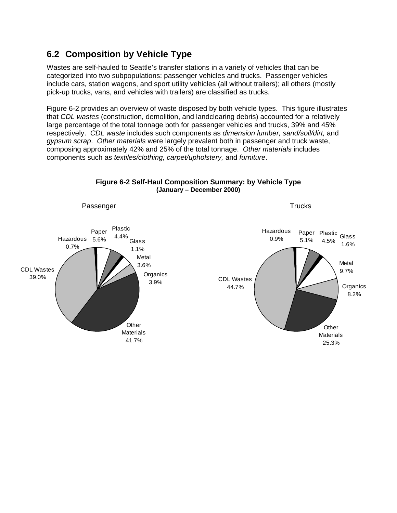## **6.2 Composition by Vehicle Type**

Wastes are self-hauled to Seattle's transfer stations in a variety of vehicles that can be categorized into two subpopulations: passenger vehicles and trucks. Passenger vehicles include cars, station wagons, and sport utility vehicles (all without trailers); all others (mostly pick-up trucks, vans, and vehicles with trailers) are classified as trucks.

Figure 6-2 provides an overview of waste disposed by both vehicle types. This figure illustrates that *CDL wastes* (construction, demolition, and landclearing debris) accounted for a relatively large percentage of the total tonnage both for passenger vehicles and trucks, 39% and 45% respectively. *CDL waste* includes such components as *dimension lumber, sand/soil/dirt,* and *gypsum scrap*. *Other materials* were largely prevalent both in passenger and truck waste, composing approximately 42% and 25% of the total tonnage. *Other materials* includes components such as *textiles/clothing, carpet/upholstery,* and *furniture*.



#### **Figure 6-2 Self-Haul Composition Summary: by Vehicle Type (January – December 2000)**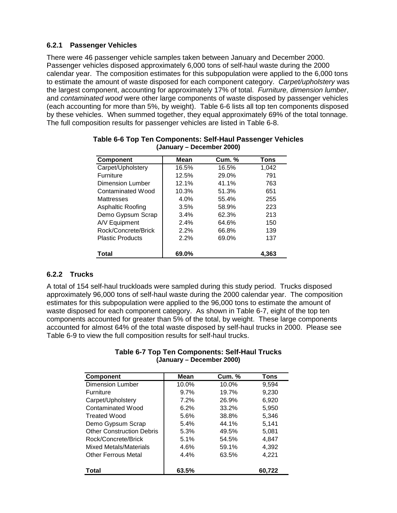### **6.2.1 Passenger Vehicles**

There were 46 passenger vehicle samples taken between January and December 2000. Passenger vehicles disposed approximately 6,000 tons of self-haul waste during the 2000 calendar year. The composition estimates for this subpopulation were applied to the 6,000 tons to estimate the amount of waste disposed for each component category. *Carpet/upholstery* was the largest component, accounting for approximately 17% of total. *Furniture, dimension lumber*, and *contaminated wood* were other large components of waste disposed by passenger vehicles (each accounting for more than 5%, by weight). Table 6-6 lists all top ten components disposed by these vehicles. When summed together, they equal approximately 69% of the total tonnage. The full composition results for passenger vehicles are listed in Table 6-8.

| <b>Component</b>        | Mean    | <b>Cum. %</b> | Tons  |
|-------------------------|---------|---------------|-------|
| Carpet/Upholstery       | 16.5%   | 16.5%         | 1,042 |
| <b>Furniture</b>        | 12.5%   | 29.0%         | 791   |
| Dimension Lumber        | 12.1%   | 41.1%         | 763   |
| Contaminated Wood       | 10.3%   | 51.3%         | 651   |
| <b>Mattresses</b>       | $4.0\%$ | 55.4%         | 255   |
| Asphaltic Roofing       | 3.5%    | 58.9%         | 223   |
| Demo Gypsum Scrap       | 3.4%    | 62.3%         | 213   |
| A/V Equipment           | 2.4%    | 64.6%         | 150   |
| Rock/Concrete/Brick     | 2.2%    | 66.8%         | 139   |
| <b>Plastic Products</b> | 2.2%    | 69.0%         | 137   |
| Total                   | 69.0%   |               | 4,363 |

#### **Table 6-6 Top Ten Components: Self-Haul Passenger Vehicles (January – December 2000)**

## **6.2.2 Trucks**

A total of 154 self-haul truckloads were sampled during this study period. Trucks disposed approximately 96,000 tons of self-haul waste during the 2000 calendar year. The composition estimates for this subpopulation were applied to the 96,000 tons to estimate the amount of waste disposed for each component category. As shown in Table 6-7, eight of the top ten components accounted for greater than 5% of the total, by weight. These large components accounted for almost 64% of the total waste disposed by self-haul trucks in 2000. Please see Table 6-9 to view the full composition results for self-haul trucks.

#### **Table 6-7 Top Ten Components: Self-Haul Trucks (January – December 2000)**

| <b>Component</b>                 | Mean    | <b>Cum. %</b> | <b>Tons</b> |
|----------------------------------|---------|---------------|-------------|
| <b>Dimension Lumber</b>          | 10.0%   | 10.0%         | 9,594       |
| <b>Furniture</b>                 | $9.7\%$ | 19.7%         | 9.230       |
| Carpet/Upholstery                | 7.2%    | 26.9%         | 6.920       |
| Contaminated Wood                | 6.2%    | 33.2%         | 5,950       |
| <b>Treated Wood</b>              | 5.6%    | 38.8%         | 5.346       |
| Demo Gypsum Scrap                | 5.4%    | 44.1%         | 5,141       |
| <b>Other Construction Debris</b> | 5.3%    | 49.5%         | 5.081       |
| Rock/Concrete/Brick              | 5.1%    | 54.5%         | 4.847       |
| Mixed Metals/Materials           | 4.6%    | 59.1%         | 4.392       |
| <b>Other Ferrous Metal</b>       | 4.4%    | 63.5%         | 4.221       |
| Total                            | 63.5%   |               | 60,722      |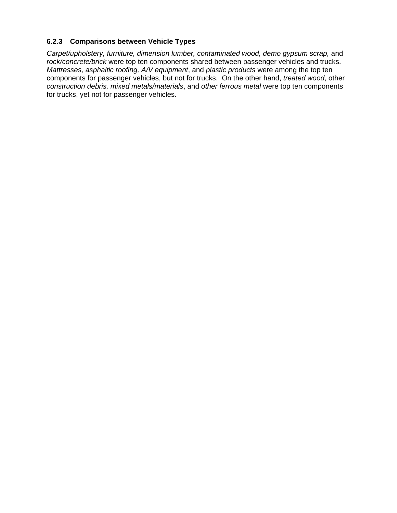### **6.2.3 Comparisons between Vehicle Types**

*Carpet/upholstery, furniture, dimension lumber, contaminated wood, demo gypsum scrap,* and *rock/concrete/brick* were top ten components shared between passenger vehicles and trucks. *Mattresses, asphaltic roofing, A/V equipment*, and *plastic products* were among the top ten components for passenger vehicles, but not for trucks. On the other hand, *treated wood*, other *construction debris, mixed metals/materials*, and *other ferrous metal* were top ten components for trucks, yet not for passenger vehicles.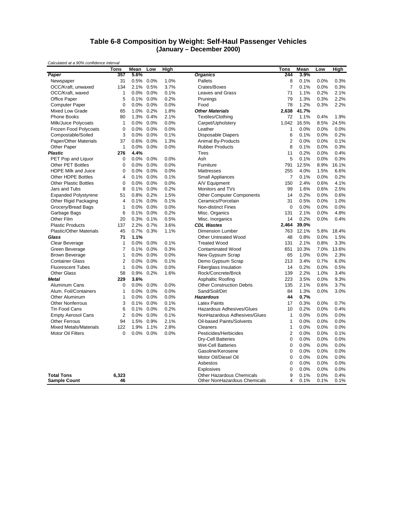#### **Table 6-8 Composition by Weight: Self-Haul Passenger Vehicles (January – December 2000)**

|                                | <b>Tons</b>    | Mean | Low     | High         |                                  | Tons           | Mean  | Low  | High  |
|--------------------------------|----------------|------|---------|--------------|----------------------------------|----------------|-------|------|-------|
| Paper                          | 357            | 5.6% |         |              | <b>Organics</b>                  | 244            | 3.9%  |      |       |
| Newspaper                      | 31             | 0.5% | 0.0%    | 1.0%         | Pallets                          | 8              | 0.1%  | 0.0% | 0.3%  |
| OCC/Kraft, unwaxed             | 134            | 2.1% | 0.5%    | 3.7%         | Crates/Boxes                     | $\overline{7}$ | 0.1%  | 0.0% | 0.3%  |
| OCC/Kraft, waxed               | 1              | 0.0% | 0.0%    | 0.1%         | Leaves and Grass                 | 71             | 1.1%  | 0.2% | 2.1%  |
| Office Paper                   | 5              | 0.1% | 0.0%    | 0.2%         | Prunings                         | 79             | 1.3%  | 0.3% | 2.2%  |
| <b>Computer Paper</b>          | $\mathbf 0$    | 0.0% | 0.0%    | 0.0%         | Food                             | 78             | 1.2%  | 0.3% | 2.2%  |
| Mixed Low Grade                | 65             | 1.0% | 0.2%    | 1.8%         | <b>Other Materials</b>           | 2,638          | 41.7% |      |       |
| <b>Phone Books</b>             | 80             | 1.3% | 0.4%    | 2.1%         | <b>Textiles/Clothing</b>         | 72             | 1.1%  | 0.4% | 1.9%  |
| Milk/Juice Polycoats           | $\mathbf{1}$   | 0.0% | 0.0%    | 0.0%         | Carpet/Upholstery                | 1,042          | 16.5% | 8.5% | 24.5% |
| Frozen Food Polycoats          | $\mathbf 0$    | 0.0% | 0.0%    | 0.0%         | Leather                          | 1              | 0.0%  | 0.0% | 0.0%  |
| Compostable/Soiled             | 3              | 0.0% | 0.0%    | 0.1%         | Disposable Diapers               | 6              | 0.1%  | 0.0% | 0.2%  |
| Paper/Other Materials          | 37             | 0.6% | 0.0%    | 1.3%         | Animal By-Products               | $\overline{2}$ | 0.0%  | 0.0% | 0.1%  |
| Other Paper                    | 1              | 0.0% | 0.0%    | 0.0%         | <b>Rubber Products</b>           | 8              | 0.1%  | 0.0% | 0.3%  |
| <b>Plastic</b>                 | 276            | 4.4% |         |              | <b>Tires</b>                     | 11             | 0.2%  | 0.0% | 0.4%  |
|                                | $\mathbf 0$    | 0.0% | 0.0%    |              | Ash                              | 5              | 0.1%  |      | 0.3%  |
| PET Pop and Liquor             | $\Omega$       | 0.0% | 0.0%    | 0.0%<br>0.0% |                                  |                | 12.5% | 0.0% |       |
| <b>Other PET Bottles</b>       |                |      |         |              | Furniture                        | 791            |       | 8.9% | 16.1% |
| HDPE Milk and Juice            | $\mathbf 0$    | 0.0% | 0.0%    | 0.0%         | Mattresses                       | 255            | 4.0%  | 1.5% | 6.6%  |
| Other HDPE Bottles             | 4              | 0.1% | 0.0%    | 0.1%         | <b>Small Appliances</b>          | 7              | 0.1%  | 0.0% | 0.2%  |
| <b>Other Plastic Bottles</b>   | $\mathbf 0$    | 0.0% | 0.0%    | 0.0%         | A/V Equipment                    | 150            | 2.4%  | 0.6% | 4.1%  |
| Jars and Tubs                  | 8              | 0.1% | 0.0%    | 0.2%         | Monitors and TVs                 | 99             | 1.6%  | 0.6% | 2.5%  |
| <b>Expanded Polystyrene</b>    | 51             | 0.8% | 0.2%    | 1.5%         | <b>Other Computer Components</b> | 14             | 0.2%  | 0.0% | 0.6%  |
| Other Rigid Packaging          | $\overline{4}$ | 0.1% | 0.0%    | 0.1%         | Ceramics/Porcelain               | 31             | 0.5%  | 0.0% | 1.0%  |
| Grocery/Bread Bags             | $\mathbf{1}$   | 0.0% | 0.0%    | 0.0%         | <b>Non-distinct Fines</b>        | $\mathbf 0$    | 0.0%  | 0.0% | 0.0%  |
| Garbage Bags                   | 6              | 0.1% | 0.0%    | 0.2%         | Misc. Organics                   | 131            | 2.1%  | 0.0% | 4.8%  |
| Other Film                     | 20             | 0.3% | 0.1%    | 0.5%         | Misc. Inorganics                 | 14             | 0.2%  | 0.0% | 0.4%  |
| <b>Plastic Products</b>        | 137            | 2.2% | 0.7%    | 3.6%         | <b>CDL Wastes</b>                | 2,464          | 39.0% |      |       |
| <b>Plastic/Other Materials</b> | 45             | 0.7% | 0.3%    | 1.1%         | <b>Dimension Lumber</b>          | 763            | 12.1% | 5.8% | 18.4% |
| Glass                          | 71             | 1.1% |         |              | <b>Other Untreated Wood</b>      | 48             | 0.8%  | 0.0% | 1.5%  |
| Clear Beverage                 | 1              | 0.0% | 0.0%    | 0.1%         | <b>Treated Wood</b>              | 131            | 2.1%  | 0.8% | 3.3%  |
| Green Beverage                 | $\overline{7}$ | 0.1% | 0.0%    | 0.3%         | <b>Contaminated Wood</b>         | 651            | 10.3% | 7.0% | 13.6% |
| <b>Brown Beverage</b>          | 1              | 0.0% | 0.0%    | 0.0%         | New Gypsum Scrap                 | 65             | 1.0%  | 0.0% | 2.3%  |
| <b>Container Glass</b>         | $\overline{2}$ | 0.0% | 0.0%    | 0.1%         | Demo Gypsum Scrap                | 213            | 3.4%  | 0.7% | 6.0%  |
| <b>Fluorescent Tubes</b>       | $\mathbf{1}$   | 0.0% | 0.0%    | 0.0%         | <b>Fiberglass Insulation</b>     | 14             | 0.2%  | 0.0% | 0.5%  |
| <b>Other Glass</b>             | 58             | 0.9% | 0.2%    | 1.6%         | Rock/Concrete/Brick              | 139            | 2.2%  | 1.0% | 3.4%  |
| <b>Metal</b>                   | 229            | 3.6% |         |              | Asphaltic Roofing                | 223            | 3.5%  | 0.0% | 9.3%  |
| Aluminum Cans                  | $\mathbf 0$    | 0.0% | 0.0%    | 0.0%         | <b>Other Construction Debris</b> | 135            | 2.1%  | 0.6% | 3.7%  |
| Alum. Foil/Containers          | 1              | 0.0% | 0.0%    | 0.0%         | Sand/Soil/Dirt                   | 84             | 1.3%  | 0.0% | 3.0%  |
| <b>Other Aluminum</b>          | 1              | 0.0% | 0.0%    | 0.0%         | <b>Hazardous</b>                 | 44             | 0.7%  |      |       |
| <b>Other Nonferrous</b>        | 3              | 0.1% | 0.0%    | 0.1%         | <b>Latex Paints</b>              | 17             | 0.3%  | 0.0% | 0.7%  |
| Tin Food Cans                  | 6              | 0.1% | $0.0\%$ | 0.2%         | Hazardous Adhesives/Glues        | 10             | 0.2%  | 0.0% | 0.4%  |
| <b>Empty Aerosol Cans</b>      | $\overline{2}$ | 0.0% | 0.0%    | 0.1%         | NonHazardous Adhesives/Glues     | $\mathbf{1}$   | 0.0%  | 0.0% | 0.0%  |
| <b>Other Ferrous</b>           | 94             | 1.5% | 0.9%    | 2.1%         | Oil-based Paints/Solvents        | $\mathbf{1}$   | 0.0%  | 0.0% | 0.0%  |
| <b>Mixed Metals/Materials</b>  | 122            | 1.9% | 1.1%    | 2.8%         | Cleaners                         | 1              | 0.0%  | 0.0% | 0.0%  |
| Motor Oil Filters              | $\mathbf 0$    | 0.0% | 0.0%    | 0.0%         | Pesticides/Herbicides            | $\overline{2}$ | 0.0%  | 0.0% | 0.1%  |
|                                |                |      |         |              | <b>Dry-Cell Batteries</b>        | $\mathbf 0$    | 0.0%  | 0.0% | 0.0%  |
|                                |                |      |         |              | <b>Wet-Cell Batteries</b>        | $\mathbf 0$    | 0.0%  | 0.0% | 0.0%  |
|                                |                |      |         |              | Gasoline/Kerosene                | $\mathbf 0$    | 0.0%  | 0.0% | 0.0%  |
|                                |                |      |         |              | Motor Oil/Diesel Oil             | $\mathbf 0$    | 0.0%  | 0.0% | 0.0%  |
|                                |                |      |         |              | Asbestos                         | $\mathbf 0$    | 0.0%  | 0.0% | 0.0%  |
|                                |                |      |         |              | Explosives                       | $\mathbf 0$    | 0.0%  | 0.0% | 0.0%  |
| <b>Total Tons</b>              | 6,323          |      |         |              | Other Hazardous Chemicals        | 9              | 0.1%  | 0.0% | 0.4%  |
| <b>Sample Count</b>            | 46             |      |         |              | Other NonHazardous Chemicals     | 4              | 0.1%  | 0.1% | 0.1%  |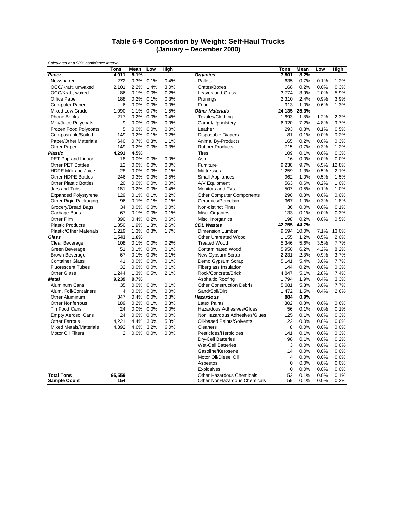#### **Table 6-9 Composition by Weight: Self-Haul Trucks (January – December 2000)**

| Calculated at a 3070 confidence filterval | <b>Tons</b>   | Mean         | Low          | High         |                                                                  | Tons           | Mean         | Low          | High         |
|-------------------------------------------|---------------|--------------|--------------|--------------|------------------------------------------------------------------|----------------|--------------|--------------|--------------|
| Paper                                     | 4,911         | 5.1%         |              |              | <b>Organics</b>                                                  | 7,801          | 8.2%         |              |              |
| Newspaper                                 | 272           | 0.3%         | 0.1%         | 0.4%         | Pallets                                                          | 635            | 0.7%         | 0.1%         | 1.2%         |
| OCC/Kraft, unwaxed                        | 2,101         | 2.2%         | 1.4%         | 3.0%         | Crates/Boxes                                                     | 168            | 0.2%         | 0.0%         | 0.3%         |
| OCC/Kraft, waxed                          | 86            | 0.1%         | 0.0%         | 0.2%         | <b>Leaves and Grass</b>                                          | 3.774          | 3.9%         | 2.0%         | 5.9%         |
| Office Paper                              | 188           | 0.2%         | 0.1%         | 0.3%         | Prunings                                                         | 2,310          | 2.4%         | 0.9%         | 3.9%         |
| <b>Computer Paper</b>                     | 6             | 0.0%         | 0.0%         | 0.0%         | Food                                                             | 913            | 1.0%         | 0.6%         | 1.3%         |
| Mixed Low Grade                           | 1,090         | 1.1%         | 0.7%         | 1.5%         | <b>Other Materials</b>                                           | 24,135         | 25.3%        |              |              |
| <b>Phone Books</b>                        | 217           | 0.2%         | 0.0%         | 0.4%         | Textiles/Clothing                                                | 1,693          | 1.8%         | 1.2%         | 2.3%         |
| Milk/Juice Polycoats                      | 9             | 0.0%         | 0.0%         | 0.0%         | Carpet/Upholstery                                                | 6,920          | 7.2%         | 4.8%         | 9.7%         |
| Frozen Food Polycoats                     | 5             | 0.0%         | 0.0%         | 0.0%         | Leather                                                          | 293            | 0.3%         | 0.1%         | 0.5%         |
| Compostable/Soiled                        | 149           | 0.2%         | 0.1%         | 0.2%         | <b>Disposable Diapers</b>                                        | 81             | 0.1%         | 0.0%         | 0.2%         |
| Paper/Other Materials                     | 640           | 0.7%         | 0.3%         | 1.1%         | Animal By-Products                                               | 165            | 0.2%         | 0.0%         | 0.3%         |
| Other Paper                               | 149           | 0.2%         | $0.0\%$      | 0.3%         | <b>Rubber Products</b>                                           | 715            | 0.7%         | 0.3%         | 1.2%         |
| <b>Plastic</b>                            | 4,291         | 4.5%         |              |              | <b>Tires</b>                                                     | 109            | 0.1%         | 0.0%         | 0.3%         |
| PET Pop and Liquor                        | 18            | 0.0%         | 0.0%         | 0.0%         | Ash                                                              | 16             | 0.0%         | 0.0%         | 0.0%         |
| <b>Other PET Bottles</b>                  | 12            | 0.0%         | 0.0%         | 0.0%         | Furniture                                                        | 9,230          | 9.7%         | 6.5%         | 12.8%        |
| <b>HDPE Milk and Juice</b>                | 28            | 0.0%         | 0.0%         | 0.1%         | Mattresses                                                       | 1,259          | 1.3%         | 0.5%         | 2.1%         |
| Other HDPE Bottles                        | 246           | 0.3%         | 0.0%         | 0.5%         | <b>Small Appliances</b>                                          | 962            | 1.0%         | 0.5%         | 1.5%         |
| <b>Other Plastic Bottles</b>              | 20            | 0.0%         | 0.0%         | 0.0%         | A/V Equipment                                                    | 563            | 0.6%         | 0.2%         | 1.0%         |
| Jars and Tubs                             | 181           | 0.2%         | 0.0%         | 0.4%         | Monitors and TVs                                                 | 507            | 0.5%         | 0.1%         | 1.0%         |
| <b>Expanded Polystyrene</b>               | 129           | 0.1%         | 0.1%         | 0.2%         | <b>Other Computer Components</b>                                 | 290            | 0.3%         | 0.0%         | 0.6%         |
| Other Rigid Packaging                     | 96            | 0.1%         | 0.1%         | 0.1%         | Ceramics/Porcelain                                               | 967            | 1.0%         | 0.3%         | 1.8%         |
| Grocery/Bread Bags                        | 34            | 0.0%         | 0.0%         | 0.0%         | <b>Non-distinct Fines</b>                                        | 36             | 0.0%         | 0.0%         | 0.1%         |
|                                           | 67            | 0.1%         | 0.0%         | 0.1%         | Misc. Organics                                                   | 133            | 0.1%         | 0.0%         | 0.3%         |
| Garbage Bags<br>Other Film                | 390           |              |              |              |                                                                  | 198            | 0.2%         |              | 0.5%         |
|                                           | 1.850         | 0.4%<br>1.9% | 0.2%<br>1.3% | 0.6%<br>2.6% | Misc. Inorganics<br><b>CDL Wastes</b>                            | 42,755         | 44.7%        | 0.0%         |              |
| <b>Plastic Products</b>                   |               |              |              |              |                                                                  |                |              |              |              |
| <b>Plastic/Other Materials</b><br>Glass   | 1,219         | 1.3%         | 0.8%         | 1.7%         | Dimension Lumber                                                 | 9,594          | 10.0%        | 7.1%         | 13.0%        |
|                                           | 1,543         | 1.6%         |              |              | <b>Other Untreated Wood</b>                                      | 1,155          | 1.2%         | 0.5%         | 2.0%         |
| Clear Beverage                            | 108           | 0.1%         | 0.0%         | 0.2%<br>0.1% | <b>Treated Wood</b>                                              | 5,346          | 5.6%         | 3.5%         | 7.7%         |
| Green Beverage                            | 51            | 0.1%         | 0.0%<br>0.0% | 0.1%         | Contaminated Wood                                                | 5,950          | 6.2%<br>2.3% | 4.2%         | 8.2%<br>3.7% |
| <b>Brown Beverage</b>                     | 67            | 0.1%         |              |              | New Gypsum Scrap                                                 | 2,231          |              | 0.9%         |              |
| <b>Container Glass</b>                    | 41            | 0.0%         | 0.0%         | 0.1%         | Demo Gypsum Scrap                                                | 5,141          | 5.4%         | 3.0%         | 7.7%         |
| <b>Fluorescent Tubes</b>                  | 32            | 0.0%         | 0.0%         | 0.1%         | Fiberglass Insulation                                            | 144            | 0.2%         | 0.0%         | 0.3%         |
| <b>Other Glass</b>                        | 1,244         | 1.3%         | 0.5%         | 2.1%         | Rock/Concrete/Brick                                              | 4,847          | 5.1%         | 2.8%         | 7.4%         |
| <b>Metal</b>                              | 9,239         | 9.7%         |              |              | Asphaltic Roofing                                                | 1,794          | 1.9%         | 0.4%         | 3.3%         |
| Aluminum Cans                             | 35            | 0.0%         | 0.0%         | 0.1%         | <b>Other Construction Debris</b>                                 | 5,081          | 5.3%         | 3.0%         | 7.7%         |
| Alum. Foil/Containers                     | 4             | 0.0%         | 0.0%         | 0.0%         | Sand/Soil/Dirt                                                   | 1,472          | 1.5%         | 0.4%         | 2.6%         |
| Other Aluminum                            | 347           | 0.4%         | 0.0%         | 0.8%         | <b>Hazardous</b>                                                 | 884            | 0.9%         |              |              |
| <b>Other Nonferrous</b>                   | 189           | 0.2%         | 0.1%         | 0.3%         | <b>Latex Paints</b>                                              | 302            | 0.3%         | 0.0%         | 0.6%         |
| <b>Tin Food Cans</b>                      | 24            | 0.0%         | 0.0%         | 0.0%         | Hazardous Adhesives/Glues                                        | 56             | 0.1%         | 0.0%         | 0.1%         |
| <b>Empty Aerosol Cans</b>                 | 24            | 0.0%         | 0.0%         | 0.0%         | NonHazardous Adhesives/Glues                                     | 125            | 0.1%         | 0.0%         | 0.3%         |
| <b>Other Ferrous</b>                      | 4,221         | 4.4%         | 3.0%         | 5.8%         | Oil-based Paints/Solvents                                        | 22             | 0.0%         | 0.0%         | 0.0%         |
| <b>Mixed Metals/Materials</b>             | 4,392         | 4.6%         | 3.2%         | 6.0%         | Cleaners                                                         | 8              | 0.0%         | 0.0%         | 0.0%         |
| <b>Motor Oil Filters</b>                  | 2             |              | 0.0% 0.0%    | 0.0%         | Pesticides/Herbicides                                            | 141            | 0.1%         | 0.0%         | 0.3%         |
|                                           |               |              |              |              | <b>Dry-Cell Batteries</b>                                        | 98             | 0.1%         | 0.0%         | 0.2%         |
|                                           |               |              |              |              | <b>Wet-Cell Batteries</b>                                        | 3              | 0.0%         | 0.0%         | 0.0%         |
|                                           |               |              |              |              | Gasoline/Kerosene                                                | 14             | 0.0%         | 0.0%         | 0.0%         |
|                                           |               |              |              |              | Motor Oil/Diesel Oil                                             | $\overline{4}$ | 0.0%         | 0.0%         | 0.0%         |
|                                           |               |              |              |              | Asbestos                                                         | 0              | 0.0%         | 0.0%         | 0.0%         |
|                                           |               |              |              |              | Explosives                                                       | $\mathbf 0$    | 0.0%         | 0.0%         | 0.0%         |
| <b>Total Tons</b><br><b>Sample Count</b>  | 95,559<br>154 |              |              |              | <b>Other Hazardous Chemicals</b><br>Other NonHazardous Chemicals | 52<br>59       | 0.1%<br>0.1% | 0.0%<br>0.0% | 0.1%<br>0.2% |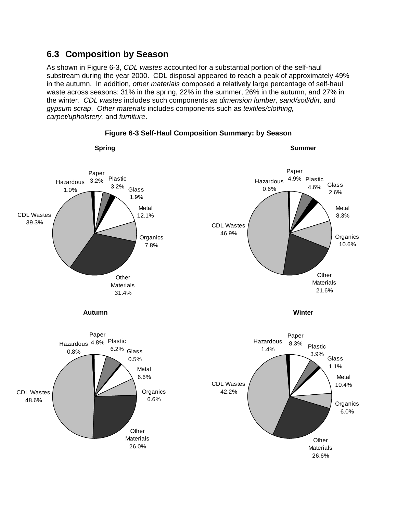## **6.3 Composition by Season**

As shown in Figure 6-3, *CDL wastes* accounted for a substantial portion of the self-haul substream during the year 2000. CDL disposal appeared to reach a peak of approximately 49% in the autumn. In addition, *other materials* composed a relatively large percentage of self-haul waste across seasons: 31% in the spring, 22% in the summer, 26% in the autumn, and 27% in the winter*. CDL wastes* includes such components as *dimension lumber, sand/soil/dirt,* and *gypsum scrap*. *Other materials* includes components such as *textiles/clothing, carpet/upholstery,* and *furniture*.



**Figure 6-3 Self-Haul Composition Summary: by Season**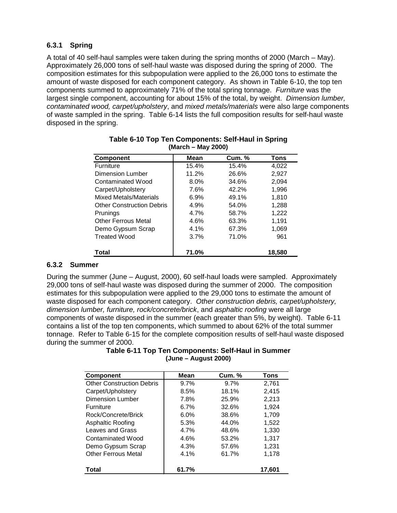### **6.3.1 Spring**

A total of 40 self-haul samples were taken during the spring months of 2000 (March – May). Approximately 26,000 tons of self-haul waste was disposed during the spring of 2000. The composition estimates for this subpopulation were applied to the 26,000 tons to estimate the amount of waste disposed for each component category. As shown in Table 6-10, the top ten components summed to approximately 71% of the total spring tonnage. *Furniture* was the largest single component, accounting for about 15% of the total, by weight. *Dimension lumber, contaminated wood, carpet/upholstery*, and *mixed metals/materials* were also large components of waste sampled in the spring. Table 6-14 lists the full composition results for self-haul waste disposed in the spring.

| <b>Component</b>                 | Mean  | <b>Cum. %</b> | <b>Tons</b> |
|----------------------------------|-------|---------------|-------------|
| Furniture                        | 15.4% | 15.4%         | 4,022       |
| Dimension Lumber                 | 11.2% | 26.6%         | 2,927       |
| Contaminated Wood                | 8.0%  | 34.6%         | 2,094       |
| Carpet/Upholstery                | 7.6%  | 42.2%         | 1,996       |
| Mixed Metals/Materials           | 6.9%  | 49.1%         | 1,810       |
| <b>Other Construction Debris</b> | 4.9%  | 54.0%         | 1,288       |
| Prunings                         | 4.7%  | 58.7%         | 1,222       |
| <b>Other Ferrous Metal</b>       | 4.6%  | 63.3%         | 1.191       |
| Demo Gypsum Scrap                | 4.1%  | 67.3%         | 1,069       |
| <b>Treated Wood</b>              | 3.7%  | 71.0%         | 961         |
| Total                            | 71.0% |               | 18,580      |

| Table 6-10 Top Ten Components: Self-Haul in Spring |  |
|----------------------------------------------------|--|
| (March – May 2000)                                 |  |

### **6.3.2 Summer**

During the summer (June – August, 2000), 60 self-haul loads were sampled. Approximately 29,000 tons of self-haul waste was disposed during the summer of 2000. The composition estimates for this subpopulation were applied to the 29,000 tons to estimate the amount of waste disposed for each component category. *Other construction debris, carpet/upholstery, dimension lumber, furniture, rock/concrete/brick*, and *asphaltic roofing* were all large components of waste disposed in the summer (each greater than 5%, by weight). Table 6-11 contains a list of the top ten components, which summed to about 62% of the total summer tonnage. Refer to Table 6-15 for the complete composition results of self-haul waste disposed during the summer of 2000.

| <b>Component</b>                 | Mean  | <b>Cum.</b> % | Tons   |
|----------------------------------|-------|---------------|--------|
| <b>Other Construction Debris</b> | 9.7%  | 9.7%          | 2,761  |
| Carpet/Upholstery                | 8.5%  | 18.1%         | 2,415  |
| Dimension Lumber                 | 7.8%  | 25.9%         | 2,213  |
| <b>Furniture</b>                 | 6.7%  | 32.6%         | 1.924  |
| Rock/Concrete/Brick              | 6.0%  | 38.6%         | 1,709  |
| Asphaltic Roofing                | 5.3%  | 44.0%         | 1.522  |
| Leaves and Grass                 | 4.7%  | 48.6%         | 1,330  |
| Contaminated Wood                | 4.6%  | 53.2%         | 1,317  |
| Demo Gypsum Scrap                | 4.3%  | 57.6%         | 1,231  |
| Other Ferrous Metal              | 4.1%  | 61.7%         | 1,178  |
| Total                            | 61.7% |               | 17,601 |

#### **Table 6-11 Top Ten Components: Self-Haul in Summer (June – August 2000)**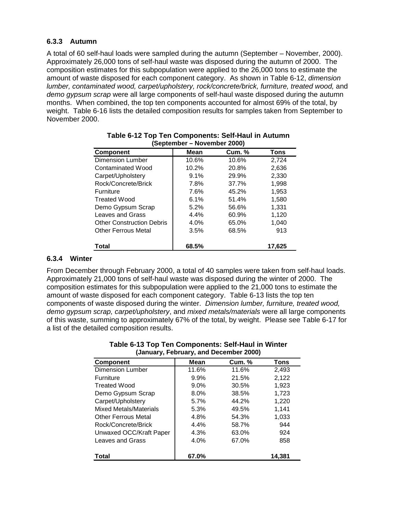### **6.3.3 Autumn**

A total of 60 self-haul loads were sampled during the autumn (September – November, 2000). Approximately 26,000 tons of self-haul waste was disposed during the autumn of 2000. The composition estimates for this subpopulation were applied to the 26,000 tons to estimate the amount of waste disposed for each component category. As shown in Table 6-12, *dimension lumber, contaminated wood, carpet/upholstery, rock/concrete/brick, furniture, treated wood,* and *demo gypsum scrap* were all large components of self-haul waste disposed during the autumn months. When combined, the top ten components accounted for almost 69% of the total, by weight. Table 6-16 lists the detailed composition results for samples taken from September to November 2000.

| <b>Component</b>                 | Mean    | <b>Cum. %</b> | Tons   |
|----------------------------------|---------|---------------|--------|
| <b>Dimension Lumber</b>          |         |               |        |
|                                  | 10.6%   | 10.6%         | 2,724  |
| Contaminated Wood                | 10.2%   | 20.8%         | 2,636  |
| Carpet/Upholstery                | 9.1%    | 29.9%         | 2,330  |
| Rock/Concrete/Brick              | 7.8%    | 37.7%         | 1,998  |
| <b>Furniture</b>                 | 7.6%    | 45.2%         | 1,953  |
| <b>Treated Wood</b>              | 6.1%    | 51.4%         | 1,580  |
| Demo Gypsum Scrap                | 5.2%    | 56.6%         | 1,331  |
| Leaves and Grass                 | $4.4\%$ | 60.9%         | 1,120  |
| <b>Other Construction Debris</b> | 4.0%    | 65.0%         | 1,040  |
| <b>Other Ferrous Metal</b>       | 3.5%    | 68.5%         | 913    |
| Total                            | 68.5%   |               | 17,625 |

| Table 6-12 Top Ten Components: Self-Haul in Autumn |  |
|----------------------------------------------------|--|
| (September – November 2000)                        |  |

### **6.3.4 Winter**

From December through February 2000, a total of 40 samples were taken from self-haul loads. Approximately 21,000 tons of self-haul waste was disposed during the winter of 2000. The composition estimates for this subpopulation were applied to the 21,000 tons to estimate the amount of waste disposed for each component category. Table 6-13 lists the top ten components of waste disposed during the winter. *Dimension lumber, furniture, treated wood, demo gypsum scrap, carpet/upholstery*, and *mixed metals/materials* were all large components of this waste, summing to approximately 67% of the total, by weight. Please see Table 6-17 for a list of the detailed composition results.

| <b>Component</b>              | Mean    | <b>Cum. %</b> | <b>Tons</b> |
|-------------------------------|---------|---------------|-------------|
| <b>Dimension Lumber</b>       | 11.6%   | 11.6%         | 2.493       |
| <b>Furniture</b>              | $9.9\%$ | 21.5%         | 2,122       |
| <b>Treated Wood</b>           | $9.0\%$ | 30.5%         | 1.923       |
| Demo Gypsum Scrap             | $8.0\%$ | 38.5%         | 1,723       |
| Carpet/Upholstery             | 5.7%    | 44.2%         | 1.220       |
| <b>Mixed Metals/Materials</b> | 5.3%    | 49.5%         | 1,141       |
| <b>Other Ferrous Metal</b>    | 4.8%    | 54.3%         | 1,033       |
| Rock/Concrete/Brick           | $4.4\%$ | 58.7%         | 944         |
| Unwaxed OCC/Kraft Paper       | 4.3%    | 63.0%         | 924         |
| <b>Leaves and Grass</b>       | 4.0%    | 67.0%         | 858         |
| <b>Total</b>                  | 67.0%   |               | 14,381      |

#### **Table 6-13 Top Ten Components: Self-Haul in Winter (January, February, and December 2000)**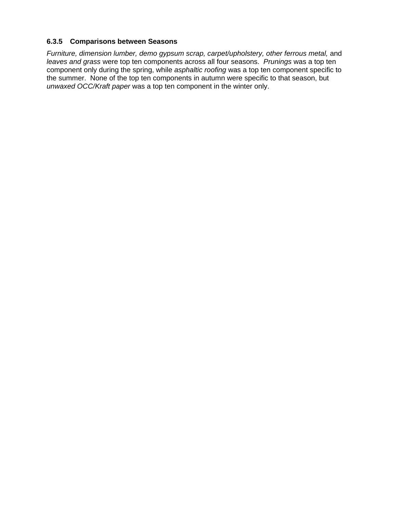### **6.3.5 Comparisons between Seasons**

*Furniture, dimension lumber, demo gypsum scrap, carpet/upholstery, other ferrous metal,* and *leaves and grass* were top ten components across all four seasons. *Prunings* was a top ten component only during the spring, while *asphaltic roofing* was a top ten component specific to the summer. None of the top ten components in autumn were specific to that season, but *unwaxed OCC/Kraft paper* was a top ten component in the winter only.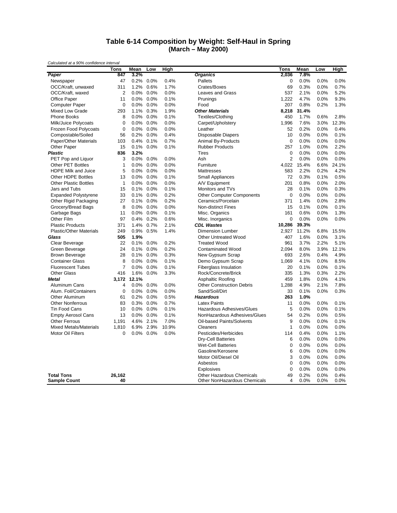#### **Table 6-14 Composition by Weight: Self-Haul in Spring (March – May 2000)**

| 300                            | <b>Tons</b>    | Mean         | Low          | High         |                                  | Tons           | Mean  | Low     | High  |
|--------------------------------|----------------|--------------|--------------|--------------|----------------------------------|----------------|-------|---------|-------|
| Paper                          | 847            | 3.2%         |              |              | <b>Organics</b>                  | 2,036          | 7.8%  |         |       |
| Newspaper                      | 47             | 0.2%         | 0.0%         | 0.4%         | Pallets                          | $\mathbf 0$    | 0.0%  | 0.0%    | 0.0%  |
| OCC/Kraft, unwaxed             | 311            | 1.2%         | 0.6%         | 1.7%         | Crates/Boxes                     | 69             | 0.3%  | 0.0%    | 0.7%  |
| OCC/Kraft, waxed               | 2              | 0.0%         | 0.0%         | 0.0%         | Leaves and Grass                 | 537            | 2.1%  | 0.0%    | 5.2%  |
| Office Paper                   | 11             | 0.0%         | 0.0%         | 0.1%         | Prunings                         | 1,222          | 4.7%  | 0.0%    | 9.3%  |
| <b>Computer Paper</b>          | $\mathbf 0$    | 0.0%         | 0.0%         | 0.0%         | Food                             | 207            | 0.8%  | 0.2%    | 1.3%  |
| Mixed Low Grade                | 293            | 1.1%         | 0.3%         | 1.9%         | <b>Other Materials</b>           | 8,218          | 31.4% |         |       |
| <b>Phone Books</b>             | 8              | 0.0%         | 0.0%         | 0.1%         | Textiles/Clothing                | 450            | 1.7%  | 0.6%    | 2.8%  |
| Milk/Juice Polycoats           | $\mathbf 0$    | 0.0%         | 0.0%         | 0.0%         | Carpet/Upholstery                | 1,996          | 7.6%  | 3.0%    | 12.3% |
| Frozen Food Polycoats          | $\mathbf 0$    | 0.0%         | 0.0%         | 0.0%         | Leather                          | 52             | 0.2%  | 0.0%    | 0.4%  |
| Compostable/Soiled             | 56             | 0.2%         | 0.0%         | 0.4%         | <b>Disposable Diapers</b>        | 10             | 0.0%  | 0.0%    | 0.1%  |
| Paper/Other Materials          | 103            | 0.4%         | 0.1%         | 0.7%         | Animal By-Products               | $\mathbf 0$    | 0.0%  | 0.0%    | 0.0%  |
| Other Paper                    | 15             | 0.1%         | 0.0%         | 0.1%         | <b>Rubber Products</b>           | 257            | 1.0%  | 0.0%    | 2.2%  |
| <b>Plastic</b>                 | 836            | 3.2%         |              |              | <b>Tires</b>                     | $\mathbf 0$    | 0.0%  | 0.0%    | 0.0%  |
|                                | 3              |              |              |              |                                  | $\overline{2}$ |       |         | 0.0%  |
| PET Pop and Liquor             | $\mathbf{1}$   | 0.0%<br>0.0% | 0.0%<br>0.0% | 0.0%<br>0.0% | Ash                              | 4,022          | 0.0%  | 0.0%    |       |
| <b>Other PET Bottles</b>       |                |              |              |              | Furniture                        |                | 15.4% | 6.6%    | 24.1% |
| HDPE Milk and Juice            | 5              | 0.0%         | 0.0%         | 0.0%         | Mattresses                       | 583            | 2.2%  | 0.2%    | 4.2%  |
| Other HDPE Bottles             | 13             | 0.0%         | $0.0\%$      | 0.1%         | <b>Small Appliances</b>          | 72             | 0.3%  | 0.1%    | 0.5%  |
| <b>Other Plastic Bottles</b>   | $\mathbf{1}$   | 0.0%         | 0.0%         | 0.0%         | A/V Equipment                    | 201            | 0.8%  | 0.0%    | 2.0%  |
| Jars and Tubs                  | 15             | 0.1%         | 0.0%         | 0.1%         | Monitors and TVs                 | 28             | 0.1%  | 0.0%    | 0.3%  |
| <b>Expanded Polystyrene</b>    | 33             | 0.1%         | 0.0%         | 0.2%         | <b>Other Computer Components</b> | $\mathbf 0$    | 0.0%  | 0.0%    | 0.0%  |
| Other Rigid Packaging          | 27             | 0.1%         | 0.0%         | 0.2%         | Ceramics/Porcelain               | 371            | 1.4%  | 0.0%    | 2.8%  |
| Grocery/Bread Bags             | 8              | 0.0%         | 0.0%         | 0.0%         | <b>Non-distinct Fines</b>        | 15             | 0.1%  | 0.0%    | 0.1%  |
| Garbage Bags                   | 11             | 0.0%         | 0.0%         | 0.1%         | Misc. Organics                   | 161            | 0.6%  | 0.0%    | 1.3%  |
| Other Film                     | 97             | 0.4%         | 0.2%         | 0.6%         | Misc. Inorganics                 | $\mathbf 0$    | 0.0%  | 0.0%    | 0.0%  |
| <b>Plastic Products</b>        | 371            | 1.4%         | 0.7%         | 2.1%         | <b>CDL Wastes</b>                | 10,286         | 39.3% |         |       |
| <b>Plastic/Other Materials</b> | 249            | 0.9%         | 0.5%         | 1.4%         | <b>Dimension Lumber</b>          | 2,927          | 11.2% | 6.8%    | 15.5% |
| Glass                          | 505            | 1.9%         |              |              | <b>Other Untreated Wood</b>      | 407            | 1.6%  | 0.0%    | 3.1%  |
| Clear Beverage                 | 22             | 0.1%         | 0.0%         | 0.2%         | <b>Treated Wood</b>              | 961            | 3.7%  | 2.2%    | 5.1%  |
| Green Beverage                 | 24             | 0.1%         | 0.0%         | 0.2%         | Contaminated Wood                | 2,094          | 8.0%  | 3.9%    | 12.1% |
| <b>Brown Beverage</b>          | 28             | 0.1%         | 0.0%         | 0.3%         | New Gypsum Scrap                 | 693            | 2.6%  | 0.4%    | 4.9%  |
| <b>Container Glass</b>         | 8              | 0.0%         | 0.0%         | 0.1%         | Demo Gypsum Scrap                | 1,069          | 4.1%  | 0.0%    | 8.5%  |
| <b>Fluorescent Tubes</b>       | $\overline{7}$ | 0.0%         | 0.0%         | 0.1%         | <b>Fiberglass Insulation</b>     | 20             | 0.1%  | 0.0%    | 0.1%  |
| <b>Other Glass</b>             | 416            | 1.6%         | 0.0%         | 3.3%         | Rock/Concrete/Brick              | 335            | 1.3%  | 0.3%    | 2.2%  |
| <b>Metal</b>                   |                | 3,172 12.1%  |              |              | Asphaltic Roofing                | 459            | 1.8%  | 0.0%    | 4.1%  |
| Aluminum Cans                  | $\overline{4}$ | 0.0%         | 0.0%         | 0.0%         | <b>Other Construction Debris</b> | 1,288          | 4.9%  | 2.1%    | 7.8%  |
| Alum. Foil/Containers          | $\mathbf 0$    | 0.0%         | 0.0%         | 0.0%         | Sand/Soil/Dirt                   | 33             | 0.1%  | 0.0%    | 0.3%  |
| <b>Other Aluminum</b>          | 61             | 0.2%         | 0.0%         | 0.5%         | <b>Hazardous</b>                 | 263            | 1.0%  |         |       |
| <b>Other Nonferrous</b>        | 83             | 0.3%         | 0.0%         | 0.7%         | <b>Latex Paints</b>              | 11             | 0.0%  | 0.0%    | 0.1%  |
| Tin Food Cans                  | 10             | 0.0%         | 0.0%         | 0.1%         | Hazardous Adhesives/Glues        | 5              | 0.0%  | 0.0%    | 0.1%  |
| <b>Empty Aerosol Cans</b>      | 13             | 0.0%         | 0.0%         | 0.1%         | NonHazardous Adhesives/Glues     | 54             | 0.2%  | 0.0%    | 0.5%  |
| <b>Other Ferrous</b>           | 1,191          | 4.6%         | 2.1%         | 7.0%         | Oil-based Paints/Solvents        | 9              | 0.0%  | 0.0%    | 0.1%  |
| <b>Mixed Metals/Materials</b>  | 1.810          | 6.9%         | 2.9%         | 10.9%        | Cleaners                         | $\mathbf{1}$   | 0.0%  | 0.0%    | 0.0%  |
| Motor Oil Filters              | 0              | 0.0%         | 0.0%         | 0.0%         | Pesticides/Herbicides            | 114            | 0.4%  | 0.0%    | 1.1%  |
|                                |                |              |              |              | Dry-Cell Batteries               | 6              | 0.0%  | 0.0%    | 0.0%  |
|                                |                |              |              |              | <b>Wet-Cell Batteries</b>        | $\mathbf 0$    | 0.0%  | 0.0%    | 0.0%  |
|                                |                |              |              |              | Gasoline/Kerosene                | 6              | 0.0%  | 0.0%    | 0.0%  |
|                                |                |              |              |              | Motor Oil/Diesel Oil             | 3              | 0.0%  | 0.0%    | 0.0%  |
|                                |                |              |              |              | Asbestos                         | $\mathbf 0$    | 0.0%  | 0.0%    | 0.0%  |
|                                |                |              |              |              | Explosives                       | $\mathbf 0$    | 0.0%  | 0.0%    | 0.0%  |
| <b>Total Tons</b>              | 26,162         |              |              |              | <b>Other Hazardous Chemicals</b> | 49             | 0.2%  | 0.0%    | 0.4%  |
| <b>Sample Count</b>            | 40             |              |              |              | Other NonHazardous Chemicals     | 4              | 0.0%  | $0.0\%$ | 0.0%  |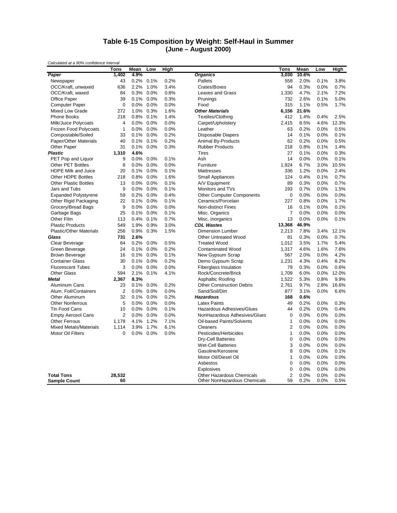#### **Table 6-15 Composition by Weight: Self-Haul in Summer (June – August 2000)**

|                                          | <b>Tons</b>    | Mean         | Low     | <b>High</b> |                                                           | Tons                 | Mean         | Low          | <b>High</b>  |
|------------------------------------------|----------------|--------------|---------|-------------|-----------------------------------------------------------|----------------------|--------------|--------------|--------------|
| Paper                                    | 1,402          | 4.9%         |         |             | <b>Organics</b>                                           | 3,030                | 10.6%        |              |              |
| Newspaper                                | 43             | 0.2%         | 0.1%    | 0.2%        | Pallets                                                   | 558                  | 2.0%         | 0.1%         | 3.8%         |
| OCC/Kraft, unwaxed                       | 636            | 2.2%         | 1.0%    | 3.4%        | Crates/Boxes                                              | 94                   | 0.3%         | 0.0%         | 0.7%         |
| OCC/Kraft, waxed                         | 84             | 0.3%         | 0.0%    | 0.8%        | <b>Leaves and Grass</b>                                   | 1,330                | 4.7%         | 2.1%         | 7.2%         |
| Office Paper                             | 39             | 0.1%         | 0.0%    | 0.3%        | Prunings                                                  | 732                  | 2.6%         | 0.1%         | 5.0%         |
| <b>Computer Paper</b>                    | $\mathbf 0$    | 0.0%         | 0.0%    | 0.0%        | Food                                                      | 315                  | 1.1%         | 0.5%         | 1.7%         |
| Mixed Low Grade                          | 272            | 1.0%         | 0.3%    | 1.6%        | <b>Other Materials</b>                                    | 6,156                | 21.6%        |              |              |
| Phone Books                              | 218            | 0.8%         | 0.1%    | 1.4%        | Textiles/Clothing                                         | 412                  | 1.4%         | 0.4%         | 2.5%         |
| Milk/Juice Polycoats                     | 4              | 0.0%         | 0.0%    | 0.0%        | Carpet/Upholstery                                         | 2,415                | 8.5%         | 4.6%         | 12.3%        |
| Frozen Food Polycoats                    | $\mathbf{1}$   | 0.0%         | 0.0%    | 0.0%        | Leather                                                   | 63                   | 0.2%         | 0.0%         | 0.5%         |
| Compostable/Soiled                       | 33             | 0.1%         | 0.0%    | 0.2%        | Disposable Diapers                                        | 14                   | 0.1%         | 0.0%         | 0.1%         |
| Paper/Other Materials                    | 40             | 0.1%         | 0.1%    | 0.2%        | Animal By-Products                                        | 62                   | 0.2%         | 0.0%         | 0.5%         |
| Other Paper                              | 31             | 0.1%         | $0.0\%$ | 0.3%        | <b>Rubber Products</b>                                    | 218                  | 0.8%         | 0.1%         | 1.4%         |
| <b>Plastic</b>                           | 1,310          | 4.6%         |         |             | <b>Tires</b>                                              | 27                   | 0.1%         | 0.0%         | 0.3%         |
| PET Pop and Liquor                       | 9              | 0.0%         | 0.0%    | 0.1%        | Ash                                                       | 14                   | 0.0%         | 0.0%         | 0.1%         |
| Other PET Bottles                        | 8              | 0.0%         | 0.0%    | 0.0%        | Furniture                                                 | 1,924                | 6.7%         | 3.0%         | 10.5%        |
| <b>HDPE Milk and Juice</b>               | 20             | 0.1%         | 0.0%    | 0.1%        | Mattresses                                                | 336                  | 1.2%         | 0.0%         | 2.4%         |
| <b>Other HDPE Bottles</b>                | 218            | 0.8%         | 0.0%    | 1.6%        | <b>Small Appliances</b>                                   | 124                  | 0.4%         | 0.1%         | 0.7%         |
| <b>Other Plastic Bottles</b>             | 13             | 0.0%         | 0.0%    | 0.1%        | A/V Equipment                                             | 89                   | 0.3%         | 0.0%         | 0.7%         |
| Jars and Tubs                            | 9              | 0.0%         | 0.0%    | 0.1%        | Monitors and TVs                                          | 193                  | 0.7%         | 0.0%         | 1.5%         |
| <b>Expanded Polystyrene</b>              | 59             | 0.2%         | 0.0%    | 0.4%        | <b>Other Computer Components</b>                          | $\mathbf 0$          | 0.0%         | 0.0%         | 0.0%         |
| Other Rigid Packaging                    | 22             | 0.1%         | 0.0%    | 0.1%        | Ceramics/Porcelain                                        | 227                  | 0.8%         | 0.0%         | 1.7%         |
| Grocery/Bread Bags                       | 9              | 0.0%         | 0.0%    | 0.0%        | <b>Non-distinct Fines</b>                                 | 16                   | 0.1%         | 0.0%         | 0.1%         |
|                                          | 25             | 0.1%         | 0.0%    | 0.1%        | Misc. Organics                                            | $\overline{7}$       | 0.0%         | 0.0%         | 0.0%         |
| Garbage Bags<br>Other Film               | 113            | 0.4%         | 0.1%    | 0.7%        | Misc. Inorganics                                          | 13                   | 0.0%         | 0.0%         | 0.1%         |
| <b>Plastic Products</b>                  | 549            | 1.9%         | 0.9%    | 3.0%        | <b>CDL Wastes</b>                                         | 13,368               | 46.9%        |              |              |
| <b>Plastic/Other Materials</b>           | 256            | 0.9%         | 0.3%    | 1.5%        | <b>Dimension Lumber</b>                                   | 2,213                | 7.8%         | 3.4%         | 12.1%        |
| Glass                                    | 731            | 2.6%         |         |             | <b>Other Untreated Wood</b>                               | 81                   | 0.3%         | 0.0%         | 0.7%         |
|                                          | 64             | 0.2%         | 0.0%    | 0.5%        | <b>Treated Wood</b>                                       | 1,012                | 3.5%         | 1.7%         | 5.4%         |
| Clear Beverage<br>Green Beverage         | 24             | 0.1%         | 0.0%    | 0.2%        | <b>Contaminated Wood</b>                                  | 1,317                | 4.6%         | 1.6%         | 7.6%         |
| <b>Brown Beverage</b>                    | 16             | 0.1%         | 0.0%    | 0.1%        | New Gypsum Scrap                                          | 567                  | 2.0%         | 0.0%         | 4.2%         |
| <b>Container Glass</b>                   | 30             |              |         |             |                                                           |                      |              |              |              |
|                                          |                | 0.1%         | 0.0%    | 0.2%        | Demo Gypsum Scrap                                         | 1,231                | 4.3%         | 0.4%         | 8.2%         |
| <b>Fluorescent Tubes</b>                 | 3              | 0.0%         | 0.0%    | 0.0%        | Fiberglass Insulation                                     | 79                   | 0.3%         | 0.0%         | 0.6%         |
| <b>Other Glass</b>                       | 594            | 2.1%<br>8.3% | 0.1%    | 4.1%        | Rock/Concrete/Brick                                       | 1,709                | 6.0%         | 0.0%         | 12.0%        |
| <b>Metal</b>                             | 2,367          |              |         |             | <b>Asphaltic Roofing</b>                                  | 1,522                | 5.3%         | 0.8%         | 9.9%         |
| Aluminum Cans                            | 23             | 0.1%         | 0.0%    | 0.2%        | <b>Other Construction Debris</b>                          | 2,761                | 9.7%         | 2.8%         | 16.6%        |
| Alum. Foil/Containers                    | $\overline{2}$ | 0.0%         | $0.0\%$ | 0.0%        | Sand/Soil/Dirt                                            | 877                  | 3.1%         | 0.0%         | 6.6%         |
| Other Aluminum                           | 32             | 0.1%         | 0.0%    | 0.2%        | <b>Hazardous</b>                                          | 168                  | 0.6%         |              |              |
| <b>Other Nonferrous</b>                  | 5              | 0.0%         | 0.0%    | 0.0%        | <b>Latex Paints</b>                                       | 49                   | 0.2%         | 0.0%         | 0.3%         |
| <b>Tin Food Cans</b>                     | 10             | $0.0\%$      | $0.0\%$ | 0.1%        | Hazardous Adhesives/Glues                                 | 44                   | 0.2%         | 0.0%         | 0.4%         |
| <b>Empty Aerosol Cans</b>                | $\overline{2}$ | 0.0%         | 0.0%    | 0.0%        | NonHazardous Adhesives/Glues                              | $\mathbf 0$          | 0.0%         | 0.0%         | 0.0%         |
| <b>Other Ferrous</b>                     | 1,178          | 4.1%         | 1.2%    | 7.1%        | Oil-based Paints/Solvents                                 | $\mathbf{1}$         | 0.0%         | 0.0%         | 0.0%         |
| <b>Mixed Metals/Materials</b>            | 1.114          | 3.9%         | 1.7%    | 6.1%        | Cleaners                                                  | $\overline{2}$       | 0.0%         | 0.0%         | 0.0%         |
| <b>Motor Oil Filters</b>                 | $\mathbf 0$    | 0.0%         | $0.0\%$ | 0.0%        | Pesticides/Herbicides                                     | $\mathbf{1}$         | 0.0%         | 0.0%         | 0.0%         |
|                                          |                |              |         |             | Dry-Cell Batteries                                        | $\boldsymbol{0}$     | 0.0%         | 0.0%         | 0.0%         |
|                                          |                |              |         |             | <b>Wet-Cell Batteries</b>                                 | 3                    | 0.0%         | 0.0%         | 0.0%         |
|                                          |                |              |         |             | Gasoline/Kerosene                                         | 8                    | 0.0%         | 0.0%         | 0.1%         |
|                                          |                |              |         |             | Motor Oil/Diesel Oil                                      | $\mathbf{1}$         | 0.0%         | 0.0%         | 0.0%         |
|                                          |                |              |         |             | Asbestos                                                  | $\mathbf 0$          | 0.0%         | 0.0%         | 0.0%         |
|                                          |                |              |         |             | <b>Explosives</b>                                         | $\mathbf 0$          | 0.0%         | 0.0%         | 0.0%         |
| <b>Total Tons</b><br><b>Sample Count</b> | 28,532<br>60   |              |         |             | Other Hazardous Chemicals<br>Other NonHazardous Chemicals | $\overline{2}$<br>59 | 0.0%<br>0.2% | 0.0%<br>0.0% | 0.0%<br>0.5% |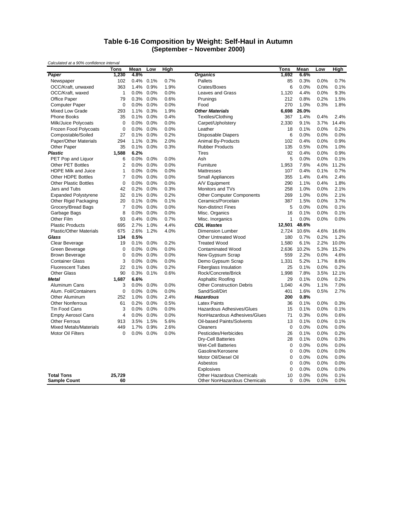#### **Table 6-16 Composition by Weight: Self-Haul in Autumn (September – November 2000)**

| Calculated at a 50% confidence interval  | <b>Tons</b>      | Mean         | Low          | High         |                                                                  | Tons             | Mean         | Low          | High          |
|------------------------------------------|------------------|--------------|--------------|--------------|------------------------------------------------------------------|------------------|--------------|--------------|---------------|
| Paper                                    | 1,230            | 4.8%         |              |              | <b>Organics</b>                                                  | 1,692            | 6.6%         |              |               |
| Newspaper                                | 102              | 0.4%         | 0.1%         | 0.7%         | Pallets                                                          | 85               | 0.3%         | 0.0%         | 0.7%          |
| OCC/Kraft, unwaxed                       | 363              | 1.4%         | 0.9%         | 1.9%         | Crates/Boxes                                                     | 6                | 0.0%         | 0.0%         | 0.1%          |
| OCC/Kraft, waxed                         | $\mathbf{1}$     | 0.0%         | 0.0%         | 0.0%         | <b>Leaves and Grass</b>                                          | 1,120            | 4.4%         | 0.0%         | 9.3%          |
| <b>Office Paper</b>                      | 79               | 0.3%         | 0.0%         | 0.6%         | Prunings                                                         | 212              | 0.8%         | 0.2%         | 1.5%          |
| <b>Computer Paper</b>                    | $\mathbf 0$      | 0.0%         | 0.0%         | 0.0%         | Food                                                             | 270              | 1.0%         | 0.3%         | 1.8%          |
| Mixed Low Grade                          | 293              | 1.1%         | 0.3%         | 1.9%         | <b>Other Materials</b>                                           | 6,698            | 26.0%        |              |               |
| Phone Books                              | 35               | 0.1%         | 0.0%         | 0.4%         | Textiles/Clothing                                                | 367              | 1.4%         | 0.4%         | 2.4%          |
| Milk/Juice Polycoats                     | $\mathbf 0$      | 0.0%         | 0.0%         | 0.0%         | Carpet/Upholstery                                                | 2,330            | 9.1%         | 3.7%         | 14.4%         |
| <b>Frozen Food Polycoats</b>             | $\mathbf 0$      | 0.0%         | 0.0%         | 0.0%         | Leather                                                          | 18               | 0.1%         | 0.0%         | 0.2%          |
| Compostable/Soiled                       | 27               | 0.1%         | 0.0%         | 0.2%         | <b>Disposable Diapers</b>                                        | 6                | 0.0%         | 0.0%         | 0.0%          |
| Paper/Other Materials                    | 294              | 1.1%         | 0.3%         | 2.0%         | Animal By-Products                                               | 102              | 0.4%         | 0.0%         | 0.9%          |
| Other Paper                              | 35               | 0.1%         | 0.0%         | 0.3%         | <b>Rubber Products</b>                                           | 135              | 0.5%         | 0.0%         | 1.0%          |
| <b>Plastic</b>                           | 1,588            | 6.2%         |              |              | <b>Tires</b>                                                     | 92               | 0.4%         | 0.0%         | 0.9%          |
| PET Pop and Liquor                       | 6                | 0.0%         | 0.0%         | 0.0%         | Ash                                                              | 5                | 0.0%         | 0.0%         | 0.1%          |
| <b>Other PET Bottles</b>                 | $\overline{2}$   | 0.0%         | 0.0%         | 0.0%         | Furniture                                                        | 1,953            | 7.6%         | 4.0%         | 11.2%         |
| <b>HDPE Milk and Juice</b>               | $\mathbf{1}$     | 0.0%         | 0.0%         | 0.0%         | Mattresses                                                       | 107              | 0.4%         | 0.1%         | 0.7%          |
| Other HDPE Bottles                       | $\overline{7}$   | 0.0%         | 0.0%         | 0.0%         | <b>Small Appliances</b>                                          | 355              | 1.4%         | 0.4%         | 2.4%          |
| <b>Other Plastic Bottles</b>             | $\mathbf 0$      | 0.0%         | 0.0%         | 0.0%         | A/V Equipment                                                    | 290              | 1.1%         | 0.4%         | 1.8%          |
| Jars and Tubs                            | 42               | 0.2%         | 0.0%         | 0.3%         | Monitors and TVs                                                 | 258              | 1.0%         | 0.0%         | 2.1%          |
| <b>Expanded Polystyrene</b>              | 32               | 0.1%         | 0.0%         | 0.2%         | <b>Other Computer Components</b>                                 | 269              | 1.0%         | 0.0%         | 2.1%          |
| Other Rigid Packaging                    | 20               | 0.1%         | 0.0%         | 0.1%         | Ceramics/Porcelain                                               | 387              | 1.5%         | 0.0%         | 3.7%          |
| Grocery/Bread Bags                       | $\overline{7}$   | 0.0%         | 0.0%         | 0.0%         | <b>Non-distinct Fines</b>                                        | 5                | 0.0%         | 0.0%         | 0.1%          |
|                                          | 8                | 0.0%         | 0.0%         | 0.0%         |                                                                  | 16               | 0.1%         | 0.0%         | 0.1%          |
| Garbage Bags<br>Other Film               |                  |              | 0.0%         |              | Misc. Organics                                                   | 1                | 0.0%         |              | 0.0%          |
| <b>Plastic Products</b>                  | 93               | 0.4%<br>2.7% | 1.0%         | 0.7%<br>4.4% | Misc. Inorganics<br><b>CDL Wastes</b>                            | 12,501           | 48.6%        | 0.0%         |               |
|                                          | 695              |              |              |              |                                                                  |                  |              |              |               |
| <b>Plastic/Other Materials</b><br>Glass  | 675<br>134       | 2.6%<br>0.5% | 1.2%         | 4.0%         | Dimension Lumber                                                 | 2,724            | 10.6%        | 4.6%         | 16.6%<br>1.2% |
|                                          |                  |              |              |              | <b>Other Untreated Wood</b>                                      | 180              | 0.7%         | 0.2%         |               |
| Clear Beverage                           | 19               | 0.1%         | 0.0%         | 0.2%         | <b>Treated Wood</b>                                              | 1,580            | 6.1%         | 2.2%         | 10.0%         |
| Green Beverage                           | 0<br>$\mathbf 0$ | 0.0%<br>0.0% | 0.0%<br>0.0% | 0.0%<br>0.0% | <b>Contaminated Wood</b>                                         | 2,636<br>559     | 10.2%        | 5.3%         | 15.2%<br>4.6% |
| <b>Brown Beverage</b>                    |                  |              |              |              | New Gypsum Scrap                                                 |                  | 2.2%         | 0.0%         |               |
| <b>Container Glass</b>                   | 3                | 0.0%         | 0.0%         | 0.0%         | Demo Gypsum Scrap                                                | 1,331            | 5.2%         | 1.7%         | 8.6%          |
| <b>Fluorescent Tubes</b>                 | 22               | 0.1%         | 0.0%         | 0.2%         | Fiberglass Insulation                                            | 25               | 0.1%         | 0.0%         | 0.2%          |
| <b>Other Glass</b>                       | 90               | 0.3%         | 0.1%         | 0.6%         | Rock/Concrete/Brick                                              | 1,998            | 7.8%         | 3.5%         | 12.1%         |
| <b>Metal</b>                             | 1,687            | 6.6%         |              |              | Asphaltic Roofing                                                | 29               | 0.1%         | 0.0%         | 0.2%          |
| Aluminum Cans                            | 3                | 0.0%         | 0.0%         | 0.0%         | <b>Other Construction Debris</b>                                 | 1,040            | 4.0%         | 1.1%         | 7.0%          |
| Alum. Foil/Containers                    | $\mathbf 0$      | 0.0%         | 0.0%         | 0.0%         | Sand/Soil/Dirt                                                   | 401              | 1.6%         | 0.5%         | 2.7%          |
| Other Aluminum                           | 252              | 1.0%         | 0.0%         | 2.4%         | <b>Hazardous</b>                                                 | 200              | 0.8%         |              |               |
| <b>Other Nonferrous</b>                  | 61               | 0.2%         | 0.0%         | 0.5%         | <b>Latex Paints</b>                                              | 36               | 0.1%         | 0.0%         | 0.3%          |
| Tin Food Cans                            | 3                | 0.0%         | 0.0%         | 0.0%         | Hazardous Adhesives/Glues                                        | 15               | 0.1%         | 0.0%         | 0.1%          |
| <b>Empty Aerosol Cans</b>                | $\overline{4}$   | 0.0%         | 0.0%         | 0.0%         | NonHazardous Adhesives/Glues                                     | 71               | 0.3%         | 0.0%         | 0.6%          |
| <b>Other Ferrous</b>                     | 913              | 3.5%         | 1.5%         | 5.6%         | Oil-based Paints/Solvents                                        | 13               | 0.1%         | 0.0%         | 0.1%          |
| <b>Mixed Metals/Materials</b>            | 449              | 1.7%         | 0.9%         | 2.6%         | Cleaners                                                         | $\mathbf 0$      | 0.0%         | 0.0%         | 0.0%          |
| <b>Motor Oil Filters</b>                 | $\mathbf 0$      | 0.0%         | $0.0\%$      | 0.0%         | Pesticides/Herbicides                                            | 26               | 0.1%         | 0.0%         | 0.2%          |
|                                          |                  |              |              |              | <b>Dry-Cell Batteries</b>                                        | 28               | 0.1%         | 0.0%         | 0.3%          |
|                                          |                  |              |              |              | <b>Wet-Cell Batteries</b>                                        | $\mathbf 0$      | 0.0%         | 0.0%         | 0.0%          |
|                                          |                  |              |              |              | Gasoline/Kerosene                                                | $\mathbf 0$      | 0.0%         | 0.0%         | 0.0%          |
|                                          |                  |              |              |              | Motor Oil/Diesel Oil                                             | $\boldsymbol{0}$ | 0.0%         | 0.0%         | 0.0%          |
|                                          |                  |              |              |              | Asbestos                                                         | 0                | 0.0%         | 0.0%         | 0.0%          |
|                                          |                  |              |              |              | Explosives                                                       | $\mathbf 0$      | 0.0%         | 0.0%         | 0.0%          |
| <b>Total Tons</b><br><b>Sample Count</b> | 25.729<br>60     |              |              |              | <b>Other Hazardous Chemicals</b><br>Other NonHazardous Chemicals | 10<br>$\Omega$   | 0.0%<br>0.0% | 0.0%<br>0.0% | 0.1%<br>0.0%  |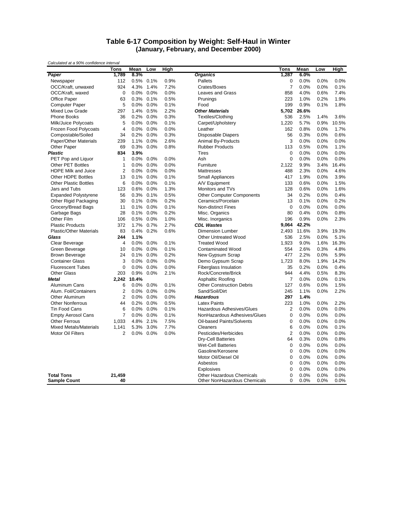#### **Table 6-17 Composition by Weight: Self-Haul in Winter (January, February, and December 2000)**

| Calculated at a 50% confidence interval | <b>Tons</b>             | Mean  | Low       | High |                                  | Tons             | Mean  | Low     | High  |
|-----------------------------------------|-------------------------|-------|-----------|------|----------------------------------|------------------|-------|---------|-------|
| Paper                                   | 1,789                   | 8.3%  |           |      | <b>Organics</b>                  | 1,287            | 6.0%  |         |       |
| Newspaper                               | 112                     | 0.5%  | 0.1%      | 0.9% | Pallets                          | $\boldsymbol{0}$ | 0.0%  | 0.0%    | 0.0%  |
| OCC/Kraft, unwaxed                      | 924                     | 4.3%  | 1.4%      | 7.2% | Crates/Boxes                     | $\overline{7}$   | 0.0%  | 0.0%    | 0.1%  |
| OCC/Kraft, waxed                        | $\mathbf 0$             | 0.0%  | 0.0%      | 0.0% | <b>Leaves and Grass</b>          | 858              | 4.0%  | 0.6%    | 7.4%  |
| Office Paper                            | 63                      | 0.3%  | 0.1%      | 0.5% | Prunings                         | 223              | 1.0%  | 0.2%    | 1.9%  |
| <b>Computer Paper</b>                   | 5                       | 0.0%  | 0.0%      | 0.1% | Food                             | 199              | 0.9%  | 0.1%    | 1.8%  |
| Mixed Low Grade                         | 297                     | 1.4%  | 0.5%      | 2.2% | <b>Other Materials</b>           | 5,702            | 26.6% |         |       |
| <b>Phone Books</b>                      | 36                      | 0.2%  | 0.0%      | 0.3% | Textiles/Clothing                | 536              | 2.5%  | 1.4%    | 3.6%  |
| Milk/Juice Polycoats                    | 5                       | 0.0%  | 0.0%      | 0.1% | Carpet/Upholstery                | 1,220            | 5.7%  | 0.9%    | 10.5% |
| Frozen Food Polycoats                   | $\overline{\mathbf{4}}$ | 0.0%  | 0.0%      | 0.0% | Leather                          | 162              | 0.8%  | 0.0%    | 1.7%  |
| Compostable/Soiled                      | 34                      | 0.2%  | 0.0%      | 0.3% | <b>Disposable Diapers</b>        | 56               | 0.3%  | 0.0%    | 0.6%  |
| Paper/Other Materials                   | 239                     | 1.1%  | 0.0%      | 2.6% | Animal By-Products               | 3                | 0.0%  | 0.0%    | 0.0%  |
| Other Paper                             | 69                      | 0.3%  | 0.0%      | 0.8% | <b>Rubber Products</b>           | 113              | 0.5%  | 0.0%    | 1.1%  |
| <b>Plastic</b>                          | 834                     | 3.9%  |           |      | <b>Tires</b>                     | $\mathbf 0$      | 0.0%  | 0.0%    | 0.0%  |
| PET Pop and Liquor                      | $\mathbf{1}$            | 0.0%  | $0.0\%$   | 0.0% | Ash                              | $\boldsymbol{0}$ | 0.0%  | 0.0%    | 0.0%  |
| Other PET Bottles                       | $\mathbf{1}$            | 0.0%  | 0.0%      | 0.0% | Furniture                        | 2,122            | 9.9%  | 3.4%    | 16.4% |
| <b>HDPE Milk and Juice</b>              | $\overline{2}$          | 0.0%  | 0.0%      | 0.0% | <b>Mattresses</b>                | 488              | 2.3%  | 0.0%    | 4.6%  |
| <b>Other HDPE Bottles</b>               |                         |       | $0.0\%$   | 0.1% |                                  | 417              | 1.9%  | 0.0%    | 3.9%  |
|                                         | 13                      | 0.1%  |           |      | <b>Small Appliances</b>          |                  |       |         |       |
| <b>Other Plastic Bottles</b>            | 6                       | 0.0%  | 0.0%      | 0.1% | A/V Equipment                    | 133              | 0.6%  | 0.0%    | 1.5%  |
| Jars and Tubs                           | 123                     | 0.6%  | 0.0%      | 1.3% | Monitors and TVs                 | 128              | 0.6%  | 0.0%    | 1.6%  |
| <b>Expanded Polystyrene</b>             | 56                      | 0.3%  | 0.1%      | 0.5% | <b>Other Computer Components</b> | 34               | 0.2%  | 0.0%    | 0.4%  |
| Other Rigid Packaging                   | 30                      | 0.1%  | 0.0%      | 0.2% | Ceramics/Porcelain               | 13               | 0.1%  | 0.0%    | 0.2%  |
| Grocery/Bread Bags                      | 11                      |       | 0.1% 0.0% | 0.1% | Non-distinct Fines               | 0                | 0.0%  | 0.0%    | 0.0%  |
| Garbage Bags                            | 28                      | 0.1%  | 0.0%      | 0.2% | Misc. Organics                   | 80               | 0.4%  | 0.0%    | 0.8%  |
| Other Film                              | 106                     | 0.5%  | 0.0%      | 1.0% | Misc. Inorganics                 | 196              | 0.9%  | 0.0%    | 2.3%  |
| <b>Plastic Products</b>                 | 372                     | 1.7%  | 0.7%      | 2.7% | <b>CDL Wastes</b>                | 9,064            | 42.2% |         |       |
| <b>Plastic/Other Materials</b>          | 83                      | 0.4%  | 0.2%      | 0.6% | <b>Dimension Lumber</b>          | 2.493            | 11.6% | 3.9%    | 19.3% |
| Glass                                   | 244                     | 1.1%  |           |      | <b>Other Untreated Wood</b>      | 536              | 2.5%  | 0.0%    | 5.1%  |
| Clear Beverage                          | $\overline{4}$          | 0.0%  | 0.0%      | 0.1% | <b>Treated Wood</b>              | 1,923            | 9.0%  | 1.6%    | 16.3% |
| Green Beverage                          | 10                      | 0.0%  | 0.0%      | 0.1% | <b>Contaminated Wood</b>         | 554              | 2.6%  | 0.3%    | 4.8%  |
| <b>Brown Beverage</b>                   | 24                      | 0.1%  | 0.0%      | 0.2% | New Gypsum Scrap                 | 477              | 2.2%  | 0.0%    | 5.9%  |
| <b>Container Glass</b>                  | 3                       | 0.0%  | 0.0%      | 0.0% | Demo Gypsum Scrap                | 1,723            | 8.0%  | 1.9%    | 14.2% |
| <b>Fluorescent Tubes</b>                | $\mathbf 0$             | 0.0%  | 0.0%      | 0.0% | Fiberglass Insulation            | 35               | 0.2%  | 0.0%    | 0.4%  |
| <b>Other Glass</b>                      | 203                     | 0.9%  | 0.0%      | 2.1% | Rock/Concrete/Brick              | 944              | 4.4%  | 0.5%    | 8.3%  |
| <b>Metal</b>                            | 2,242                   | 10.4% |           |      | <b>Asphaltic Roofing</b>         | $\overline{7}$   | 0.0%  | 0.0%    | 0.1%  |
| Aluminum Cans                           | 6                       | 0.0%  | 0.0%      | 0.1% | <b>Other Construction Debris</b> | 127              | 0.6%  | 0.0%    | 1.5%  |
| Alum. Foil/Containers                   | $\overline{2}$          | 0.0%  | 0.0%      | 0.0% | Sand/Soil/Dirt                   | 245              | 1.1%  | 0.0%    | 2.2%  |
| <b>Other Aluminum</b>                   | $\overline{2}$          | 0.0%  | $0.0\%$   | 0.0% | <b>Hazardous</b>                 | 297              | 1.4%  |         |       |
| <b>Other Nonferrous</b>                 | 44                      | 0.2%  | 0.0%      | 0.5% | <b>Latex Paints</b>              | 223              | 1.0%  | 0.0%    | 2.2%  |
| Tin Food Cans                           | 6                       | 0.0%  | 0.0%      | 0.1% | Hazardous Adhesives/Glues        | $\overline{2}$   | 0.0%  | 0.0%    | 0.0%  |
| <b>Empty Aerosol Cans</b>               | $\overline{7}$          | 0.0%  | 0.0%      | 0.1% | NonHazardous Adhesives/Glues     | $\boldsymbol{0}$ | 0.0%  | 0.0%    | 0.0%  |
| <b>Other Ferrous</b>                    | 1,033                   |       | 4.8% 2.1% | 7.5% | Oil-based Paints/Solvents        | 0                | 0.0%  | 0.0%    | 0.0%  |
| <b>Mixed Metals/Materials</b>           | 1,141                   | 5.3%  | 3.0%      | 7.7% | Cleaners                         | 6                | 0.0%  | 0.0%    | 0.1%  |
| <b>Motor Oil Filters</b>                | $\overline{2}$          | 0.0%  | 0.0%      | 0.0% | Pesticides/Herbicides            | $\overline{2}$   | 0.0%  | 0.0%    | 0.0%  |
|                                         |                         |       |           |      | Dry-Cell Batteries               | 64               | 0.3%  | 0.0%    | 0.8%  |
|                                         |                         |       |           |      | <b>Wet-Cell Batteries</b>        | $\boldsymbol{0}$ | 0.0%  | 0.0%    | 0.0%  |
|                                         |                         |       |           |      | Gasoline/Kerosene                | $\mathbf 0$      | 0.0%  | 0.0%    | 0.0%  |
|                                         |                         |       |           |      | Motor Oil/Diesel Oil             | 0                | 0.0%  | 0.0%    | 0.0%  |
|                                         |                         |       |           |      | Asbestos                         | 0                | 0.0%  | 0.0%    | 0.0%  |
|                                         |                         |       |           |      | Explosives                       | $\mathbf 0$      | 0.0%  | 0.0%    | 0.0%  |
| <b>Total Tons</b>                       | 21,459                  |       |           |      | <b>Other Hazardous Chemicals</b> | $\Omega$         | 0.0%  | 0.0%    | 0.0%  |
| <b>Sample Count</b>                     | 40                      |       |           |      | Other NonHazardous Chemicals     | $\Omega$         | 0.0%  | $0.0\%$ | 0.0%  |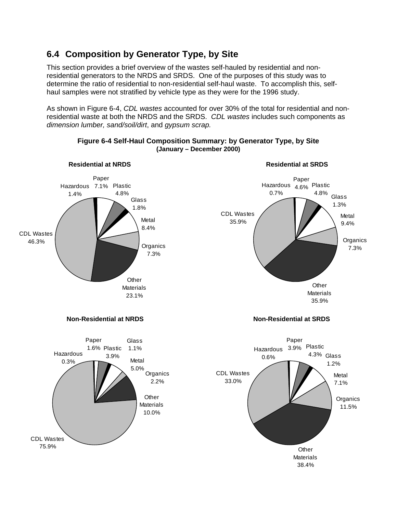## **6.4 Composition by Generator Type, by Site**

CDL Wastes 75.9%

This section provides a brief overview of the wastes self-hauled by residential and nonresidential generators to the NRDS and SRDS. One of the purposes of this study was to determine the ratio of residential to non-residential self-haul waste. To accomplish this, selfhaul samples were not stratified by vehicle type as they were for the 1996 study.

As shown in Figure 6-4, *CDL wastes* accounted for over 30% of the total for residential and nonresidential waste at both the NRDS and the SRDS. *CDL wastes* includes such components as *dimension lumber, sand/soil/dirt*, and *gypsum scrap.*



### **Figure 6-4 Self-Haul Composition Summary: by Generator Type, by Site (January – December 2000)**

**Other Materials** 38.4%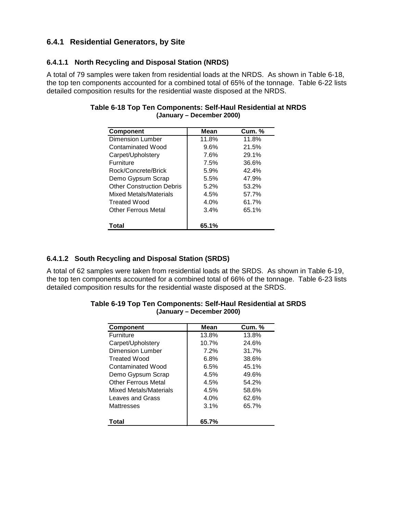### **6.4.1 Residential Generators, by Site**

### **6.4.1.1 North Recycling and Disposal Station (NRDS)**

A total of 79 samples were taken from residential loads at the NRDS. As shown in Table 6-18, the top ten components accounted for a combined total of 65% of the tonnage. Table 6-22 lists detailed composition results for the residential waste disposed at the NRDS.

| <b>Component</b>                 | Mean  | <b>Cum. %</b> |
|----------------------------------|-------|---------------|
| Dimension Lumber                 | 11.8% | 11.8%         |
| Contaminated Wood                | 9.6%  | 21.5%         |
| Carpet/Upholstery                | 7.6%  | 29.1%         |
| Furniture                        | 7.5%  | 36.6%         |
| Rock/Concrete/Brick              | 5.9%  | 42.4%         |
| Demo Gypsum Scrap                | 5.5%  | 47.9%         |
| <b>Other Construction Debris</b> | 5.2%  | 53.2%         |
| Mixed Metals/Materials           | 4.5%  | 57.7%         |
| Treated Wood                     | 4.0%  | 61.7%         |
| Other Ferrous Metal              | 3.4%  | 65.1%         |
| Total                            | 65.1% |               |

#### **Table 6-18 Top Ten Components: Self-Haul Residential at NRDS (January – December 2000)**

### **6.4.1.2 South Recycling and Disposal Station (SRDS)**

A total of 62 samples were taken from residential loads at the SRDS. As shown in Table 6-19, the top ten components accounted for a combined total of 66% of the tonnage. Table 6-23 lists detailed composition results for the residential waste disposed at the SRDS.

| <b>Component</b>        | Mean  | <b>Cum. %</b> |
|-------------------------|-------|---------------|
| <b>Furniture</b>        | 13.8% | 13.8%         |
| Carpet/Upholstery       | 10.7% | 24.6%         |
| <b>Dimension Lumber</b> | 7.2%  | 31.7%         |
| <b>Treated Wood</b>     | 6.8%  | 38.6%         |
| Contaminated Wood       | 6.5%  | 45.1%         |
| Demo Gypsum Scrap       | 4.5%  | 49.6%         |
| Other Ferrous Metal     | 4.5%  | 54.2%         |
| Mixed Metals/Materials  | 4.5%  | 58.6%         |
| Leaves and Grass        | 4.0%  | 62.6%         |
| Mattresses              | 3.1%  | 65.7%         |
| Total                   | 65.7% |               |

| Table 6-19 Top Ten Components: Self-Haul Residential at SRDS |  |
|--------------------------------------------------------------|--|
| (January – December 2000)                                    |  |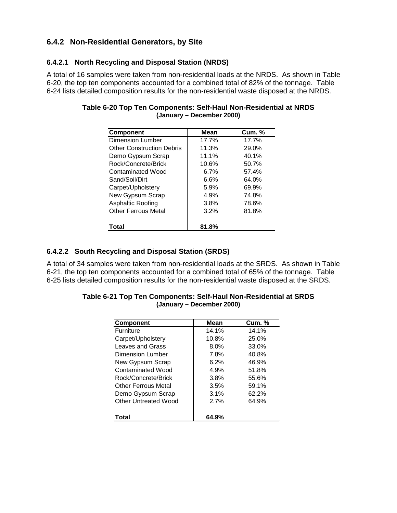## **6.4.2 Non-Residential Generators, by Site**

### **6.4.2.1 North Recycling and Disposal Station (NRDS)**

A total of 16 samples were taken from non-residential loads at the NRDS. As shown in Table 6-20, the top ten components accounted for a combined total of 82% of the tonnage. Table 6-24 lists detailed composition results for the non-residential waste disposed at the NRDS.

| <b>Component</b>                 | <b>Mean</b> | <b>Cum. %</b> |
|----------------------------------|-------------|---------------|
| <b>Dimension Lumber</b>          | 17.7%       | 17.7%         |
| <b>Other Construction Debris</b> | 11.3%       | 29.0%         |
| Demo Gypsum Scrap                | 11.1%       | 40.1%         |
| Rock/Concrete/Brick              | 10.6%       | 50.7%         |
| Contaminated Wood                | 6.7%        | 57.4%         |
| Sand/Soil/Dirt                   | 6.6%        | 64.0%         |
| Carpet/Upholstery                | 5.9%        | 69.9%         |
| New Gypsum Scrap                 | 4.9%        | 74.8%         |
| Asphaltic Roofing                | 3.8%        | 78.6%         |
| <b>Other Ferrous Metal</b>       | 3.2%        | 81.8%         |
|                                  |             |               |
| Total                            | 81.8%       |               |

#### **Table 6-20 Top Ten Components: Self-Haul Non-Residential at NRDS (January – December 2000)**

### **6.4.2.2 South Recycling and Disposal Station (SRDS)**

A total of 34 samples were taken from non-residential loads at the SRDS. As shown in Table 6-21, the top ten components accounted for a combined total of 65% of the tonnage. Table 6-25 lists detailed composition results for the non-residential waste disposed at the SRDS.

| <b>Component</b>         | Mean  | <b>Cum. %</b> |
|--------------------------|-------|---------------|
| <b>Furniture</b>         | 14.1% | 14.1%         |
| Carpet/Upholstery        | 10.8% | 25.0%         |
| Leaves and Grass         | 8.0%  | 33.0%         |
| Dimension Lumber         | 7.8%  | 40.8%         |
| New Gypsum Scrap         | 6.2%  | 46.9%         |
| <b>Contaminated Wood</b> | 4.9%  | 51.8%         |
| Rock/Concrete/Brick      | 3.8%  | 55.6%         |
| Other Ferrous Metal      | 3.5%  | 59.1%         |
| Demo Gypsum Scrap        | 3.1%  | 62.2%         |
| Other Untreated Wood     | 2.7%  | 64.9%         |
| Total                    | 64.9% |               |

| Table 6-21 Top Ten Components: Self-Haul Non-Residential at SRDS |
|------------------------------------------------------------------|
| (January – December 2000)                                        |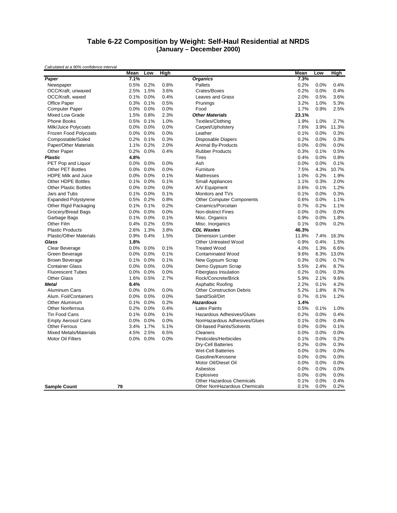#### **Table 6-22 Composition by Weight: Self-Haul Residential at NRDS (January – December 2000)**

|                                | Mean    | Low       | High |                                  | Mean  | Low  | High  |
|--------------------------------|---------|-----------|------|----------------------------------|-------|------|-------|
| Paper                          | 7.1%    |           |      | <b>Organics</b>                  | 7.3%  |      |       |
| Newspaper                      |         | 0.5% 0.2% | 0.8% | Pallets                          | 0.2%  | 0.0% | 0.4%  |
| OCC/Kraft, unwaxed             | 2.5%    | 1.5%      | 3.6% | Crates/Boxes                     | 0.2%  | 0.0% | 0.4%  |
| OCC/Kraft, waxed               | 0.1%    | 0.0%      | 0.4% | <b>Leaves and Grass</b>          | 2.0%  | 0.5% | 3.6%  |
| Office Paper                   | 0.3%    | 0.1%      | 0.5% | Prunings                         | 3.2%  | 1.0% | 5.3%  |
| <b>Computer Paper</b>          | 0.0%    | 0.0%      | 0.0% | Food                             | 1.7%  | 0.9% | 2.5%  |
| <b>Mixed Low Grade</b>         | 1.5%    | 0.8%      | 2.3% | <b>Other Materials</b>           | 23.1% |      |       |
| <b>Phone Books</b>             | 0.5%    | 0.1%      | 1.0% | Textiles/Clothing                | 1.9%  | 1.0% | 2.7%  |
| Milk/Juice Polycoats           | $0.0\%$ | 0.0%      | 0.0% | Carpet/Upholstery                | 7.6%  | 3.9% | 11.3% |
| Frozen Food Polycoats          | 0.0%    | 0.0%      | 0.0% | Leather                          | 0.1%  | 0.0% | 0.3%  |
| Compostable/Soiled             | 0.2%    | 0.1%      | 0.3% | <b>Disposable Diapers</b>        | 0.2%  | 0.0% | 0.3%  |
| <b>Paper/Other Materials</b>   | 1.1%    | 0.2%      | 2.0% | Animal By-Products               | 0.0%  | 0.0% | 0.0%  |
| Other Paper                    | 0.2%    | 0.0%      | 0.4% | <b>Rubber Products</b>           | 0.3%  | 0.1% | 0.5%  |
| <b>Plastic</b>                 | 4.8%    |           |      | <b>Tires</b>                     | 0.4%  | 0.0% | 0.8%  |
| PET Pop and Liquor             | $0.0\%$ | 0.0%      | 0.0% | Ash                              | 0.0%  | 0.0% | 0.1%  |
| <b>Other PET Bottles</b>       | 0.0%    | 0.0%      | 0.0% | Furniture                        | 7.5%  | 4.3% | 10.7% |
| <b>HDPE Milk and Juice</b>     | $0.0\%$ | 0.0%      | 0.1% | Mattresses                       | 1.0%  | 0.2% | 1.9%  |
| <b>Other HDPE Bottles</b>      | 0.1%    | 0.0%      | 0.1% | <b>Small Appliances</b>          | 1.1%  | 0.3% | 2.0%  |
| <b>Other Plastic Bottles</b>   | $0.0\%$ | $0.0\%$   | 0.0% | A/V Equipment                    | 0.6%  | 0.1% | 1.2%  |
| Jars and Tubs                  | 0.1%    | 0.0%      | 0.1% | Monitors and TVs                 | 0.1%  | 0.0% | 0.3%  |
| <b>Expanded Polystyrene</b>    | 0.5%    | 0.2%      | 0.8% | <b>Other Computer Components</b> | 0.6%  | 0.0% | 1.1%  |
| Other Rigid Packaging          | 0.1%    | 0.1%      | 0.2% | Ceramics/Porcelain               | 0.7%  | 0.2% | 1.1%  |
| Grocery/Bread Bags             | 0.0%    | 0.0%      | 0.0% | <b>Non-distinct Fines</b>        | 0.0%  | 0.0% | 0.0%  |
| Garbage Bags                   |         | 0.1% 0.0% | 0.1% | Misc. Organics                   | 0.9%  | 0.0% | 1.8%  |
| Other Film                     | 0.4%    | 0.2%      | 0.5% | Misc. Inorganics                 | 0.1%  | 0.0% | 0.2%  |
| <b>Plastic Products</b>        | 2.6%    | 1.3%      | 3.8% | <b>CDL Wastes</b>                | 46.3% |      |       |
| <b>Plastic/Other Materials</b> | 0.9%    | 0.4%      | 1.5% | <b>Dimension Lumber</b>          | 11.8% | 7.4% | 16.3% |
| Glass                          | 1.8%    |           |      | <b>Other Untreated Wood</b>      | 0.9%  | 0.4% | 1.5%  |
| Clear Beverage                 | $0.0\%$ | 0.0%      | 0.1% | <b>Treated Wood</b>              | 4.0%  | 1.3% | 6.6%  |
| Green Beverage                 | 0.0%    | 0.0%      | 0.1% | <b>Contaminated Wood</b>         | 9.6%  | 6.3% | 13.0% |
| <b>Brown Beverage</b>          |         | 0.1% 0.0% | 0.1% | New Gypsum Scrap                 | 0.3%  | 0.0% | 0.7%  |
| <b>Container Glass</b>         | 0.0%    | 0.0%      | 0.0% | Demo Gypsum Scrap                | 5.5%  | 2.4% | 8.7%  |
| <b>Fluorescent Tubes</b>       | 0.0%    | 0.0%      | 0.0% | <b>Fiberglass Insulation</b>     | 0.2%  | 0.0% | 0.3%  |
| <b>Other Glass</b>             | 1.6%    | 0.5%      | 2.7% | Rock/Concrete/Brick              | 5.9%  | 2.1% | 9.6%  |
| <b>Metal</b>                   | 8.4%    |           |      | <b>Asphaltic Roofing</b>         | 2.2%  | 0.1% | 4.2%  |
| <b>Aluminum Cans</b>           | 0.0%    | 0.0%      | 0.0% | <b>Other Construction Debris</b> | 5.2%  | 1.8% | 8.7%  |
| Alum. Foil/Containers          | 0.0%    | 0.0%      | 0.0% | Sand/Soil/Dirt                   | 0.7%  | 0.1% | 1.2%  |
| Other Aluminum                 | 0.1%    | 0.0%      | 0.2% | <b>Hazardous</b>                 | 1.4%  |      |       |
| <b>Other Nonferrous</b>        | 0.2%    | 0.0%      | 0.4% | <b>Latex Paints</b>              | 0.5%  | 0.1% | 1.0%  |
| <b>Tin Food Cans</b>           | 0.1%    | 0.0%      | 0.1% | Hazardous Adhesives/Glues        | 0.2%  | 0.0% | 0.4%  |
| <b>Empty Aerosol Cans</b>      | $0.0\%$ | 0.0%      | 0.0% | NonHazardous Adhesives/Glues     | 0.1%  | 0.0% | 0.4%  |
| <b>Other Ferrous</b>           | 3.4%    | 1.7%      | 5.1% | Oil-based Paints/Solvents        | 0.0%  | 0.0% | 0.1%  |
| <b>Mixed Metals/Materials</b>  |         | 4.5% 2.5% | 6.5% | Cleaners                         | 0.0%  | 0.0% | 0.0%  |
| <b>Motor Oil Filters</b>       | $0.0\%$ | 0.0%      | 0.0% | Pesticides/Herbicides            | 0.1%  | 0.0% | 0.2%  |
|                                |         |           |      | Dry-Cell Batteries               | 0.2%  | 0.0% | 0.3%  |
|                                |         |           |      | <b>Wet-Cell Batteries</b>        | 0.0%  | 0.0% | 0.0%  |
|                                |         |           |      | Gasoline/Kerosene                | 0.0%  | 0.0% | 0.0%  |
|                                |         |           |      | Motor Oil/Diesel Oil             | 0.0%  | 0.0% | 0.0%  |
|                                |         |           |      | Asbestos                         | 0.0%  | 0.0% | 0.0%  |
|                                |         |           |      | Explosives                       | 0.0%  | 0.0% | 0.0%  |
|                                |         |           |      | <b>Other Hazardous Chemicals</b> | 0.1%  | 0.0% | 0.4%  |
| <b>Sample Count</b>            | 79      |           |      | Other NonHazardous Chemicals     | 0.1%  | 0.0% | 0.2%  |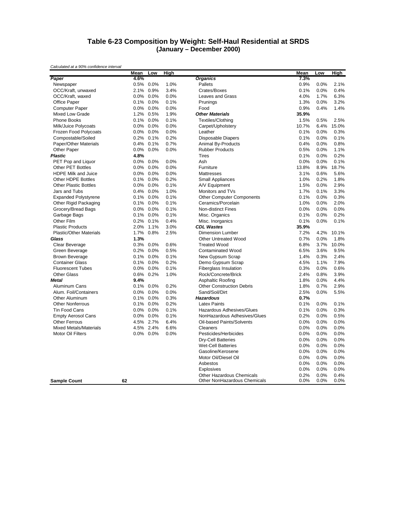#### **Table 6-23 Composition by Weight: Self-Haul Residential at SRDS (January – December 2000)**

|                                | Mean | Low  | High |                                  | Mean  | Low  | High  |
|--------------------------------|------|------|------|----------------------------------|-------|------|-------|
| Paper                          | 4.6% |      |      | <b>Organics</b>                  | 7.3%  |      |       |
| Newspaper                      | 0.5% | 0.0% | 1.0% | Pallets                          | 0.9%  | 0.0% | 2.1%  |
| OCC/Kraft, unwaxed             | 2.1% | 0.9% | 3.4% | Crates/Boxes                     | 0.1%  | 0.0% | 0.4%  |
| OCC/Kraft, waxed               | 0.0% | 0.0% | 0.0% | Leaves and Grass                 | 4.0%  | 1.7% | 6.3%  |
| <b>Office Paper</b>            | 0.1% | 0.0% | 0.1% | Prunings                         | 1.3%  | 0.0% | 3.2%  |
| <b>Computer Paper</b>          | 0.0% | 0.0% | 0.0% | Food                             | 0.9%  | 0.4% | 1.4%  |
| <b>Mixed Low Grade</b>         | 1.2% | 0.5% | 1.9% | <b>Other Materials</b>           | 35.9% |      |       |
| <b>Phone Books</b>             | 0.1% | 0.0% | 0.1% | Textiles/Clothing                | 1.5%  | 0.5% | 2.5%  |
| Milk/Juice Polycoats           | 0.0% | 0.0% | 0.0% | Carpet/Upholstery                | 10.7% | 6.4% | 15.0% |
| Frozen Food Polycoats          | 0.0% | 0.0% | 0.0% | Leather                          | 0.1%  | 0.0% | 0.3%  |
| Compostable/Soiled             | 0.2% | 0.1% | 0.2% | <b>Disposable Diapers</b>        | 0.1%  | 0.0% | 0.1%  |
| <b>Paper/Other Materials</b>   | 0.4% | 0.1% | 0.7% | Animal By-Products               | 0.4%  | 0.0% | 0.8%  |
| Other Paper                    | 0.0% | 0.0% | 0.0% | <b>Rubber Products</b>           | 0.5%  | 0.0% | 1.1%  |
| <b>Plastic</b>                 | 4.8% |      |      | Tires                            | 0.1%  | 0.0% | 0.2%  |
| PET Pop and Liquor             | 0.0% | 0.0% | 0.0% | Ash                              | 0.0%  | 0.0% | 0.1%  |
| <b>Other PET Bottles</b>       | 0.0% | 0.0% | 0.0% | Furniture                        | 13.8% | 8.9% | 18.7% |
| <b>HDPE Milk and Juice</b>     | 0.0% | 0.0% | 0.0% | <b>Mattresses</b>                | 3.1%  | 0.6% | 5.6%  |
| <b>Other HDPE Bottles</b>      | 0.1% | 0.0% | 0.2% | <b>Small Appliances</b>          | 1.0%  | 0.2% | 1.8%  |
| <b>Other Plastic Bottles</b>   | 0.0% | 0.0% | 0.1% | A/V Equipment                    | 1.5%  | 0.0% | 2.9%  |
| Jars and Tubs                  | 0.4% | 0.0% | 1.0% | Monitors and TVs                 | 1.7%  | 0.1% | 3.3%  |
| <b>Expanded Polystyrene</b>    | 0.1% | 0.0% | 0.1% | <b>Other Computer Components</b> | 0.1%  | 0.0% | 0.3%  |
| Other Rigid Packaging          | 0.1% | 0.0% | 0.1% | Ceramics/Porcelain               | 1.0%  | 0.0% | 2.0%  |
| Grocery/Bread Bags             | 0.0% | 0.0% | 0.1% | <b>Non-distinct Fines</b>        | 0.0%  | 0.0% | 0.0%  |
| Garbage Bags                   | 0.1% | 0.0% | 0.1% | Misc. Organics                   | 0.1%  | 0.0% | 0.2%  |
| Other Film                     | 0.2% | 0.1% | 0.4% | Misc. Inorganics                 | 0.1%  | 0.0% | 0.1%  |
| <b>Plastic Products</b>        | 2.0% | 1.1% | 3.0% | <b>CDL Wastes</b>                | 35.9% |      |       |
| <b>Plastic/Other Materials</b> | 1.7% | 0.8% | 2.5% | <b>Dimension Lumber</b>          | 7.2%  | 4.2% | 10.1% |
| Glass                          | 1.3% |      |      | <b>Other Untreated Wood</b>      | 0.7%  | 0.0% | 1.8%  |
| Clear Beverage                 | 0.3% | 0.0% | 0.6% | <b>Treated Wood</b>              | 6.8%  | 3.7% | 10.0% |
| Green Beverage                 | 0.2% | 0.0% | 0.5% | <b>Contaminated Wood</b>         | 6.5%  | 3.6% | 9.5%  |
| <b>Brown Beverage</b>          | 0.1% | 0.0% | 0.1% | New Gypsum Scrap                 | 1.4%  | 0.3% | 2.4%  |
| <b>Container Glass</b>         | 0.1% | 0.0% | 0.2% | Demo Gypsum Scrap                | 4.5%  | 1.1% | 7.9%  |
| <b>Fluorescent Tubes</b>       | 0.0% | 0.0% | 0.1% | <b>Fiberglass Insulation</b>     | 0.3%  | 0.0% | 0.6%  |
| <b>Other Glass</b>             | 0.6% | 0.2% | 1.0% | Rock/Concrete/Brick              | 2.4%  | 0.8% | 3.9%  |
| <b>Metal</b>                   | 9.4% |      |      | <b>Asphaltic Roofing</b>         | 1.8%  | 0.0% | 4.4%  |
| Aluminum Cans                  | 0.1% | 0.0% | 0.2% | <b>Other Construction Debris</b> | 1.8%  | 0.7% | 2.9%  |
| Alum. Foil/Containers          | 0.0% | 0.0% | 0.0% | Sand/Soil/Dirt                   | 2.5%  | 0.0% | 5.5%  |
| Other Aluminum                 | 0.1% | 0.0% | 0.3% | <b>Hazardous</b>                 | 0.7%  |      |       |
| <b>Other Nonferrous</b>        | 0.1% | 0.0% | 0.2% | <b>Latex Paints</b>              | 0.1%  | 0.0% | 0.1%  |
| Tin Food Cans                  | 0.0% | 0.0% | 0.1% | Hazardous Adhesives/Glues        | 0.1%  | 0.0% | 0.3%  |
| <b>Empty Aerosol Cans</b>      | 0.0% | 0.0% | 0.1% | NonHazardous Adhesives/Glues     | 0.2%  | 0.0% | 0.5%  |
| <b>Other Ferrous</b>           | 4.5% | 2.7% | 6.4% | Oil-based Paints/Solvents        | 0.0%  | 0.0% | 0.0%  |
| <b>Mixed Metals/Materials</b>  | 4.5% | 2.4% | 6.6% | Cleaners                         | 0.0%  | 0.0% | 0.0%  |
| <b>Motor Oil Filters</b>       | 0.0% | 0.0% | 0.0% | Pesticides/Herbicides            | 0.0%  | 0.0% | 0.0%  |
|                                |      |      |      | <b>Dry-Cell Batteries</b>        | 0.0%  | 0.0% | 0.0%  |
|                                |      |      |      | <b>Wet-Cell Batteries</b>        | 0.0%  | 0.0% | 0.0%  |
|                                |      |      |      | Gasoline/Kerosene                | 0.0%  | 0.0% | 0.0%  |
|                                |      |      |      | Motor Oil/Diesel Oil             | 0.0%  | 0.0% | 0.0%  |
|                                |      |      |      | Asbestos                         | 0.0%  | 0.0% | 0.0%  |
|                                |      |      |      | <b>Explosives</b>                | 0.0%  | 0.0% | 0.0%  |
|                                |      |      |      | <b>Other Hazardous Chemicals</b> | 0.2%  | 0.0% | 0.4%  |
| <b>Sample Count</b>            | 62   |      |      | Other NonHazardous Chemicals     | 0.0%  | 0.0% | 0.0%  |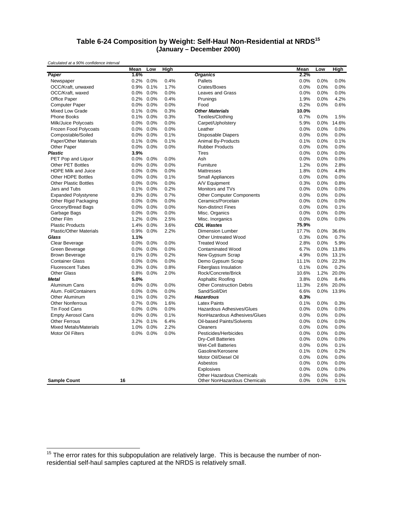#### **Table 6-24 Composition by Weight: Self-Haul Non-Residential at NRDS<sup>15</sup> (January – December 2000)**

*Calculated at a 90% confidence interval*

|                                | Mean | Low       | High |                                  | Mean  | Low  | High  |
|--------------------------------|------|-----------|------|----------------------------------|-------|------|-------|
| Paper                          | 1.6% |           |      | <b>Organics</b>                  | 2.2%  |      |       |
| Newspaper                      |      | 0.2% 0.0% | 0.4% | Pallets                          | 0.0%  | 0.0% | 0.0%  |
| OCC/Kraft, unwaxed             | 0.9% | 0.1%      | 1.7% | Crates/Boxes                     | 0.0%  | 0.0% | 0.0%  |
| OCC/Kraft, waxed               |      | 0.0% 0.0% | 0.0% | Leaves and Grass                 | 0.0%  | 0.0% | 0.0%  |
| Office Paper                   | 0.2% | 0.0%      | 0.4% | Prunings                         | 1.9%  | 0.0% | 4.2%  |
| <b>Computer Paper</b>          | 0.0% | 0.0%      | 0.0% | Food                             | 0.2%  | 0.0% | 0.6%  |
| Mixed Low Grade                | 0.1% | $0.0\%$   | 0.3% | <b>Other Materials</b>           | 10.0% |      |       |
| <b>Phone Books</b>             | 0.1% | 0.0%      | 0.3% | Textiles/Clothing                | 0.7%  | 0.0% | 1.5%  |
| Milk/Juice Polycoats           | 0.0% | 0.0%      | 0.0% | Carpet/Upholstery                | 5.9%  | 0.0% | 14.6% |
| Frozen Food Polycoats          | 0.0% | 0.0%      | 0.0% | Leather                          | 0.0%  | 0.0% | 0.0%  |
| Compostable/Soiled             | 0.0% | 0.0%      | 0.1% | <b>Disposable Diapers</b>        | 0.0%  | 0.0% | 0.0%  |
| Paper/Other Materials          | 0.1% | 0.0%      | 0.1% | Animal By-Products               | 0.1%  | 0.0% | 0.1%  |
| Other Paper                    | 0.0% | $0.0\%$   | 0.0% | <b>Rubber Products</b>           | 0.0%  | 0.0% | 0.0%  |
| <b>Plastic</b>                 | 3.9% |           |      | <b>Tires</b>                     | 0.0%  | 0.0% | 0.0%  |
| PET Pop and Liquor             | 0.0% | 0.0%      | 0.0% | Ash                              | 0.0%  | 0.0% | 0.0%  |
| <b>Other PET Bottles</b>       | 0.0% | 0.0%      | 0.0% | Furniture                        | 1.2%  | 0.0% | 2.8%  |
| <b>HDPE Milk and Juice</b>     | 0.0% | 0.0%      | 0.0% | Mattresses                       | 1.8%  | 0.0% | 4.8%  |
| <b>Other HDPE Bottles</b>      | 0.0% | 0.0%      | 0.1% | Small Appliances                 | 0.0%  | 0.0% | 0.0%  |
| <b>Other Plastic Bottles</b>   |      | 0.0% 0.0% | 0.0% | A/V Equipment                    | 0.3%  | 0.0% | 0.8%  |
| Jars and Tubs                  | 0.1% | 0.0%      | 0.2% | Monitors and TVs                 | 0.0%  | 0.0% | 0.0%  |
| <b>Expanded Polystyrene</b>    | 0.3% | 0.0%      | 0.7% | <b>Other Computer Components</b> | 0.0%  | 0.0% | 0.0%  |
| Other Rigid Packaging          | 0.0% | 0.0%      | 0.0% | Ceramics/Porcelain               | 0.0%  | 0.0% | 0.0%  |
|                                |      |           |      | <b>Non-distinct Fines</b>        | 0.0%  |      |       |
| Grocery/Bread Bags             | 0.0% | 0.0%      | 0.0% |                                  |       | 0.0% | 0.1%  |
| Garbage Bags                   | 0.0% | 0.0%      | 0.0% | Misc. Organics                   | 0.0%  | 0.0% | 0.0%  |
| Other Film                     | 1.2% | 0.0%      | 2.5% | Misc. Inorganics                 | 0.0%  | 0.0% | 0.0%  |
| <b>Plastic Products</b>        | 1.4% | 0.0%      | 3.6% | <b>CDL Wastes</b>                | 75.9% |      |       |
| <b>Plastic/Other Materials</b> | 0.9% | 0.0%      | 2.2% | <b>Dimension Lumber</b>          | 17.7% | 0.0% | 36.6% |
| Glass                          | 1.1% |           |      | <b>Other Untreated Wood</b>      | 0.3%  | 0.0% | 0.7%  |
| Clear Beverage                 | 0.0% | $0.0\%$   | 0.0% | <b>Treated Wood</b>              | 2.8%  | 0.0% | 5.9%  |
| Green Beverage                 | 0.0% | 0.0%      | 0.0% | <b>Contaminated Wood</b>         | 6.7%  | 0.0% | 13.8% |
| <b>Brown Beverage</b>          | 0.1% | 0.0%      | 0.2% | New Gypsum Scrap                 | 4.9%  | 0.0% | 13.1% |
| <b>Container Glass</b>         | 0.0% | 0.0%      | 0.0% | Demo Gypsum Scrap                | 11.1% | 0.0% | 22.3% |
| <b>Fluorescent Tubes</b>       | 0.3% | 0.0%      | 0.8% | <b>Fiberglass Insulation</b>     | 0.1%  | 0.0% | 0.2%  |
| <b>Other Glass</b>             | 0.8% | 0.0%      | 2.0% | Rock/Concrete/Brick              | 10.6% | 1.2% | 20.0% |
| Metal                          | 5.0% |           |      | Asphaltic Roofing                | 3.8%  | 0.0% | 8.4%  |
| Aluminum Cans                  |      | 0.0% 0.0% | 0.0% | <b>Other Construction Debris</b> | 11.3% | 2.6% | 20.0% |
| Alum. Foil/Containers          | 0.0% | 0.0%      | 0.0% | Sand/Soil/Dirt                   | 6.6%  | 0.0% | 13.9% |
| <b>Other Aluminum</b>          | 0.1% | 0.0%      | 0.2% | <b>Hazardous</b>                 | 0.3%  |      |       |
| <b>Other Nonferrous</b>        | 0.7% | 0.0%      | 1.6% | <b>Latex Paints</b>              | 0.1%  | 0.0% | 0.3%  |
| <b>Tin Food Cans</b>           | 0.0% | 0.0%      | 0.0% | Hazardous Adhesives/Glues        | 0.0%  | 0.0% | 0.0%  |
| <b>Empty Aerosol Cans</b>      | 0.0% | $0.0\%$   | 0.1% | NonHazardous Adhesives/Glues     | 0.0%  | 0.0% | 0.0%  |
| <b>Other Ferrous</b>           | 3.2% | 0.1%      | 6.4% | Oil-based Paints/Solvents        | 0.0%  | 0.0% | 0.0%  |
| <b>Mixed Metals/Materials</b>  | 1.0% | 0.0%      | 2.2% | Cleaners                         | 0.0%  | 0.0% | 0.0%  |
| Motor Oil Filters              |      | 0.0% 0.0% | 0.0% | Pesticides/Herbicides            | 0.0%  | 0.0% | 0.0%  |
|                                |      |           |      | <b>Dry-Cell Batteries</b>        | 0.0%  | 0.0% | 0.0%  |
|                                |      |           |      | <b>Wet-Cell Batteries</b>        | 0.0%  | 0.0% | 0.1%  |
|                                |      |           |      | Gasoline/Kerosene                | 0.1%  | 0.0% | 0.2%  |
|                                |      |           |      | Motor Oil/Diesel Oil             | 0.0%  | 0.0% | 0.0%  |
|                                |      |           |      | Asbestos                         | 0.0%  | 0.0% | 0.0%  |
|                                |      |           |      | <b>Explosives</b>                | 0.0%  | 0.0% | 0.0%  |
|                                |      |           |      | Other Hazardous Chemicals        | 0.0%  | 0.0% | 0.0%  |
| <b>Sample Count</b>            | 16   |           |      | Other NonHazardous Chemicals     | 0.0%  | 0.0% | 0.1%  |

 $15$  The error rates for this subpopulation are relatively large. This is because the number of nonresidential self-haul samples captured at the NRDS is relatively small.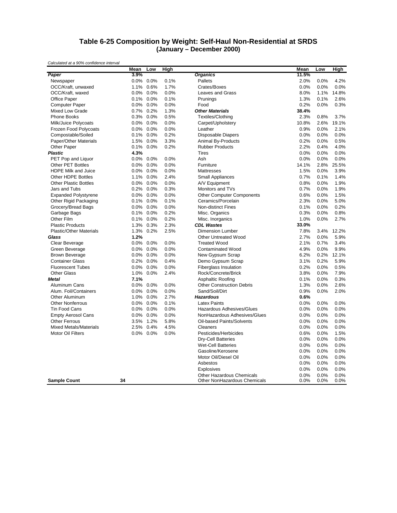#### **Table 6-25 Composition by Weight: Self-Haul Non-Residential at SRDS (January – December 2000)**

|                                | Mean    | Low          | High |                                                           | Mean         | Low          | <u>High</u>  |
|--------------------------------|---------|--------------|------|-----------------------------------------------------------|--------------|--------------|--------------|
| Paper                          | 3.9%    |              |      | <b>Organics</b>                                           | 11.5%        |              |              |
| Newspaper                      | 0.0%    | 0.0%         | 0.1% | Pallets                                                   | 2.0%         | 0.0%         | 4.2%         |
| OCC/Kraft, unwaxed             | 1.1%    | 0.6%         | 1.7% | Crates/Boxes                                              | 0.0%         | 0.0%         | 0.0%         |
| OCC/Kraft, waxed               |         | $0.0\%$ 0.0% | 0.0% | <b>Leaves and Grass</b>                                   | 8.0%         | 1.1%         | 14.8%        |
| Office Paper                   |         | 0.1% 0.0%    | 0.1% | Prunings                                                  | 1.3%         | 0.1%         | 2.6%         |
| <b>Computer Paper</b>          | 0.0%    | 0.0%         | 0.0% | Food                                                      | 0.2%         | 0.0%         | 0.3%         |
| Mixed Low Grade                | 0.7%    | 0.2%         | 1.3% | <b>Other Materials</b>                                    | 38.4%        |              |              |
| Phone Books                    |         | 0.3% 0.0%    | 0.5% | Textiles/Clothing                                         | 2.3%         | 0.8%         | 3.7%         |
| Milk/Juice Polycoats           |         | 0.0% 0.0%    | 0.0% | Carpet/Upholstery                                         | 10.8%        | 2.6%         | 19.1%        |
| Frozen Food Polycoats          | 0.0%    | $0.0\%$      | 0.0% | Leather                                                   | 0.9%         | 0.0%         | 2.1%         |
| Compostable/Soiled             | 0.1%    | 0.0%         | 0.2% | Disposable Diapers                                        | 0.0%         | 0.0%         | 0.0%         |
| Paper/Other Materials          | 1.5%    | 0.0%         | 3.3% | Animal By-Products                                        | 0.2%         | 0.0%         | 0.5%         |
| Other Paper                    |         | 0.1% 0.0%    | 0.2% | <b>Rubber Products</b>                                    | 2.2%         | 0.4%         | 4.0%         |
| <b>Plastic</b>                 | 4.3%    |              |      | <b>Tires</b>                                              | 0.0%         | 0.0%         | 0.0%         |
| PET Pop and Liquor             | 0.0%    | $0.0\%$      | 0.0% | Ash                                                       | 0.0%         | 0.0%         | 0.0%         |
| Other PET Bottles              | 0.0%    | 0.0%         | 0.0% | Furniture                                                 | 14.1%        | 2.8%         | 25.5%        |
| <b>HDPE Milk and Juice</b>     | 0.0%    | $0.0\%$      | 0.0% | Mattresses                                                | 1.5%         | 0.0%         | 3.9%         |
| <b>Other HDPE Bottles</b>      | 1.1%    | $0.0\%$      | 2.4% | <b>Small Appliances</b>                                   | 0.7%         | 0.1%         | 1.4%         |
| <b>Other Plastic Bottles</b>   | 0.0%    | 0.0%         | 0.0% | A/V Equipment                                             | 0.8%         | 0.0%         | 1.9%         |
| Jars and Tubs                  | 0.2%    | 0.0%         | 0.3% | Monitors and TVs                                          | 0.7%         | 0.0%         | 1.9%         |
| <b>Expanded Polystyrene</b>    |         | $0.0\%$ 0.0% | 0.0% | <b>Other Computer Components</b>                          | 0.6%         | 0.0%         | 1.5%         |
| Other Rigid Packaging          |         | 0.1% 0.0%    | 0.1% | Ceramics/Porcelain                                        | 2.3%         | 0.0%         | 5.0%         |
| Grocery/Bread Bags             | 0.0%    | 0.0%         | 0.0% | <b>Non-distinct Fines</b>                                 | 0.1%         | 0.0%         | 0.2%         |
| Garbage Bags                   | 0.1%    | 0.0%         | 0.2% | Misc. Organics                                            | 0.3%         | 0.0%         | 0.8%         |
| Other Film                     | 0.1%    | 0.0%         | 0.2% | Misc. Inorganics                                          | 1.0%         | 0.0%         | 2.7%         |
| <b>Plastic Products</b>        | 1.3%    | 0.3%         | 2.3% | <b>CDL Wastes</b>                                         | 33.0%        |              |              |
| <b>Plastic/Other Materials</b> | 1.3%    | 0.2%         | 2.5% | <b>Dimension Lumber</b>                                   | 7.8%         | 3.4%         | 12.2%        |
| Glass                          | 1.2%    |              |      | <b>Other Untreated Wood</b>                               | 2.7%         | 0.0%         | 5.9%         |
| Clear Beverage                 | 0.0%    | 0.0%         | 0.0% | <b>Treated Wood</b>                                       | 2.1%         | 0.7%         | 3.4%         |
| Green Beverage                 | 0.0%    | 0.0%         | 0.0% | <b>Contaminated Wood</b>                                  | 4.9%         | 0.0%         | 9.9%         |
| <b>Brown Beverage</b>          |         | 0.0% 0.0%    | 0.0% | New Gypsum Scrap                                          | 6.2%         | 0.2%         | 12.1%        |
| <b>Container Glass</b>         | 0.2%    | $0.0\%$      | 0.4% | Demo Gypsum Scrap                                         | 3.1%         | 0.2%         | 5.9%         |
| <b>Fluorescent Tubes</b>       | $0.0\%$ | 0.0%         | 0.0% | <b>Fiberglass Insulation</b>                              | 0.2%         | 0.0%         | 0.5%         |
| <b>Other Glass</b>             | 1.0%    | 0.0%         | 2.4% | Rock/Concrete/Brick                                       | 3.8%         | 0.0%         | 7.9%         |
| <b>Metal</b>                   | 7.1%    |              |      | <b>Asphaltic Roofing</b>                                  | 0.1%         | 0.0%         | 0.3%         |
| Aluminum Cans                  | 0.0%    | 0.0%         | 0.0% | <b>Other Construction Debris</b>                          | 1.3%         | 0.0%         | 2.6%         |
| Alum. Foil/Containers          | 0.0%    | 0.0%         | 0.0% | Sand/Soil/Dirt                                            | 0.9%         | 0.0%         | 2.0%         |
| Other Aluminum                 |         | 1.0% 0.0%    | 2.7% | <b>Hazardous</b>                                          | 0.6%         |              |              |
| <b>Other Nonferrous</b>        | 0.0%    | $0.0\%$      | 0.1% | <b>Latex Paints</b>                                       | 0.0%         | 0.0%         | 0.0%         |
| <b>Tin Food Cans</b>           | 0.0%    | $0.0\%$      | 0.0% | Hazardous Adhesives/Glues                                 | 0.0%         | 0.0%         | 0.0%         |
| <b>Empty Aerosol Cans</b>      | 0.0%    | 0.0%         | 0.0% | NonHazardous Adhesives/Glues                              | 0.0%         | 0.0%         | 0.0%         |
| <b>Other Ferrous</b>           | 3.5%    | 1.2%         | 5.8% | Oil-based Paints/Solvents                                 | 0.0%         | 0.0%         | 0.0%         |
| <b>Mixed Metals/Materials</b>  | 2.5%    | 0.4%         | 4.5% | Cleaners                                                  | 0.0%         | 0.0%         | 0.0%         |
| <b>Motor Oil Filters</b>       |         | 0.0% 0.0%    | 0.0% | Pesticides/Herbicides                                     | 0.6%         | 0.0%         | 1.5%         |
|                                |         |              |      |                                                           | 0.0%         | 0.0%         | 0.0%         |
|                                |         |              |      | Dry-Cell Batteries<br><b>Wet-Cell Batteries</b>           | 0.0%         |              | 0.0%         |
|                                |         |              |      |                                                           |              | 0.0%         |              |
|                                |         |              |      | Gasoline/Kerosene                                         | 0.0%         | 0.0%         | 0.0%         |
|                                |         |              |      | Motor Oil/Diesel Oil                                      | 0.0%         | 0.0%         | 0.0%         |
|                                |         |              |      | Asbestos                                                  | 0.0%         | 0.0%         | 0.0%         |
|                                |         |              |      | <b>Explosives</b>                                         | 0.0%         | 0.0%         | 0.0%         |
| <b>Sample Count</b>            | 34      |              |      | Other Hazardous Chemicals<br>Other NonHazardous Chemicals | 0.0%<br>0.0% | 0.0%<br>0.0% | 0.0%<br>0.0% |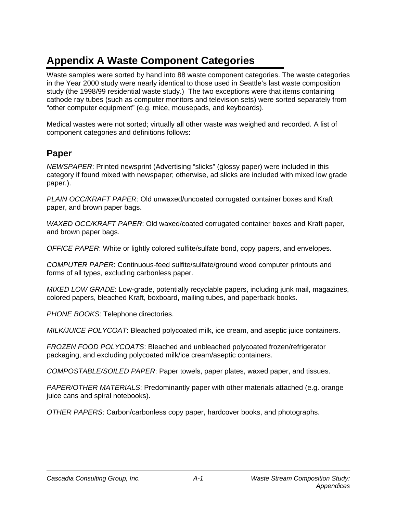# **Appendix A Waste Component Categories**

Waste samples were sorted by hand into 88 waste component categories. The waste categories in the Year 2000 study were nearly identical to those used in Seattle's last waste composition study (the 1998/99 residential waste study.) The two exceptions were that items containing cathode ray tubes (such as computer monitors and television sets) were sorted separately from "other computer equipment" (e.g. mice, mousepads, and keyboards).

Medical wastes were not sorted; virtually all other waste was weighed and recorded. A list of component categories and definitions follows:

## **Paper**

*NEWSPAPER*: Printed newsprint (Advertising "slicks" (glossy paper) were included in this category if found mixed with newspaper; otherwise, ad slicks are included with mixed low grade paper.).

*PLAIN OCC/KRAFT PAPER*: Old unwaxed/uncoated corrugated container boxes and Kraft paper, and brown paper bags.

*WAXED OCC/KRAFT PAPER*: Old waxed/coated corrugated container boxes and Kraft paper, and brown paper bags.

*OFFICE PAPER*: White or lightly colored sulfite/sulfate bond, copy papers, and envelopes.

*COMPUTER PAPER*: Continuous-feed sulfite/sulfate/ground wood computer printouts and forms of all types, excluding carbonless paper.

*MIXED LOW GRADE*: Low-grade, potentially recyclable papers, including junk mail, magazines, colored papers, bleached Kraft, boxboard, mailing tubes, and paperback books.

*PHONE BOOKS*: Telephone directories.

*MILK/JUICE POLYCOAT*: Bleached polycoated milk, ice cream, and aseptic juice containers.

*FROZEN FOOD POLYCOATS*: Bleached and unbleached polycoated frozen/refrigerator packaging, and excluding polycoated milk/ice cream/aseptic containers.

*COMPOSTABLE/SOILED PAPER*: Paper towels, paper plates, waxed paper, and tissues.

*PAPER/OTHER MATERIALS*: Predominantly paper with other materials attached (e.g. orange juice cans and spiral notebooks).

*OTHER PAPERS*: Carbon/carbonless copy paper, hardcover books, and photographs.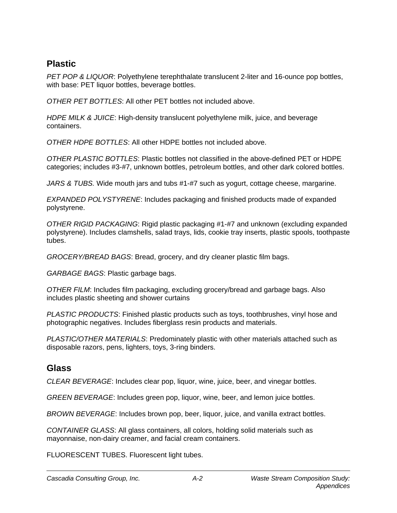## **Plastic**

*PET POP & LIQUOR*: Polyethylene terephthalate translucent 2-liter and 16-ounce pop bottles, with base: PET liquor bottles, beverage bottles.

*OTHER PET BOTTLES*: All other PET bottles not included above.

*HDPE MILK & JUICE*: High-density translucent polyethylene milk, juice, and beverage containers.

*OTHER HDPE BOTTLES*: All other HDPE bottles not included above.

*OTHER PLASTIC BOTTLES*: Plastic bottles not classified in the above-defined PET or HDPE categories; includes #3-#7, unknown bottles, petroleum bottles, and other dark colored bottles.

*JARS & TUBS.* Wide mouth jars and tubs #1-#7 such as yogurt, cottage cheese, margarine.

*EXPANDED POLYSTYRENE*: Includes packaging and finished products made of expanded polystyrene.

*OTHER RIGID PACKAGING*: Rigid plastic packaging #1-#7 and unknown (excluding expanded polystyrene). Includes clamshells, salad trays, lids, cookie tray inserts, plastic spools, toothpaste tubes.

*GROCERY/BREAD BAGS*: Bread, grocery, and dry cleaner plastic film bags.

*GARBAGE BAGS*: Plastic garbage bags.

*OTHER FILM*: Includes film packaging, excluding grocery/bread and garbage bags. Also includes plastic sheeting and shower curtains

*PLASTIC PRODUCTS*: Finished plastic products such as toys, toothbrushes, vinyl hose and photographic negatives. Includes fiberglass resin products and materials.

*PLASTIC/OTHER MATERIALS*: Predominately plastic with other materials attached such as disposable razors, pens, lighters, toys, 3-ring binders.

## **Glass**

*CLEAR BEVERAGE*: Includes clear pop, liquor, wine, juice, beer, and vinegar bottles.

*GREEN BEVERAGE*: Includes green pop, liquor, wine, beer, and lemon juice bottles.

*BROWN BEVERAGE*: Includes brown pop, beer, liquor, juice, and vanilla extract bottles.

*CONTAINER GLASS*: All glass containers, all colors, holding solid materials such as mayonnaise, non-dairy creamer, and facial cream containers.

FLUORESCENT TUBES. Fluorescent light tubes.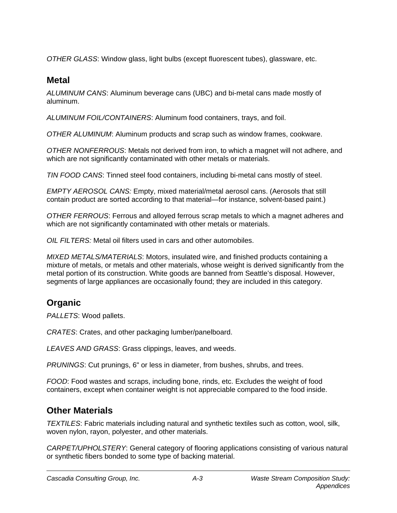*OTHER GLASS*: Window glass, light bulbs (except fluorescent tubes), glassware, etc.

## **Metal**

*ALUMINUM CANS*: Aluminum beverage cans (UBC) and bi-metal cans made mostly of aluminum.

*ALUMINUM FOIL/CONTAINERS*: Aluminum food containers, trays, and foil.

*OTHER ALUMINUM*: Aluminum products and scrap such as window frames, cookware.

*OTHER NONFERROUS*: Metals not derived from iron, to which a magnet will not adhere, and which are not significantly contaminated with other metals or materials.

*TIN FOOD CANS*: Tinned steel food containers, including bi-metal cans mostly of steel.

*EMPTY AEROSOL CANS:* Empty, mixed material/metal aerosol cans. (Aerosols that still contain product are sorted according to that material—for instance, solvent-based paint.)

*OTHER FERROUS*: Ferrous and alloyed ferrous scrap metals to which a magnet adheres and which are not significantly contaminated with other metals or materials.

*OIL FILTERS:* Metal oil filters used in cars and other automobiles.

*MIXED METALS/MATERIALS*: Motors, insulated wire, and finished products containing a mixture of metals, or metals and other materials, whose weight is derived significantly from the metal portion of its construction. White goods are banned from Seattle's disposal. However, segments of large appliances are occasionally found; they are included in this category.

## **Organic**

*PALLETS*: Wood pallets.

*CRATES*: Crates, and other packaging lumber/panelboard.

*LEAVES AND GRASS*: Grass clippings, leaves, and weeds.

*PRUNINGS*: Cut prunings, 6" or less in diameter, from bushes, shrubs, and trees.

*FOOD*: Food wastes and scraps, including bone, rinds, etc. Excludes the weight of food containers, except when container weight is not appreciable compared to the food inside.

## **Other Materials**

*TEXTILES*: Fabric materials including natural and synthetic textiles such as cotton, wool, silk, woven nylon, rayon, polyester, and other materials.

*CARPET/UPHOLSTERY*: General category of flooring applications consisting of various natural or synthetic fibers bonded to some type of backing material.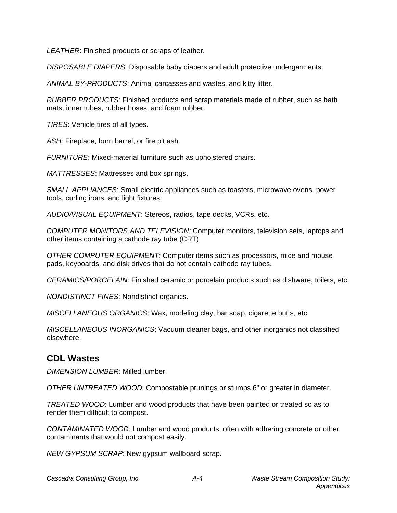*LEATHER*: Finished products or scraps of leather.

*DISPOSABLE DIAPERS*: Disposable baby diapers and adult protective undergarments.

*ANIMAL BY-PRODUCTS*: Animal carcasses and wastes, and kitty litter.

*RUBBER PRODUCTS*: Finished products and scrap materials made of rubber, such as bath mats, inner tubes, rubber hoses, and foam rubber.

*TIRES*: Vehicle tires of all types.

*ASH*: Fireplace, burn barrel, or fire pit ash.

*FURNITURE*: Mixed-material furniture such as upholstered chairs.

*MATTRESSES*: Mattresses and box springs.

*SMALL APPLIANCES*: Small electric appliances such as toasters, microwave ovens, power tools, curling irons, and light fixtures.

*AUDIO/VISUAL EQUIPMENT*: Stereos, radios, tape decks, VCRs, etc.

*COMPUTER MONITORS AND TELEVISION:* Computer monitors, television sets, laptops and other items containing a cathode ray tube (CRT)

*OTHER COMPUTER EQUIPMENT:* Computer items such as processors, mice and mouse pads, keyboards, and disk drives that do not contain cathode ray tubes.

*CERAMICS/PORCELAIN*: Finished ceramic or porcelain products such as dishware, toilets, etc.

*NONDISTINCT FINES*: Nondistinct organics.

*MISCELLANEOUS ORGANICS*: Wax, modeling clay, bar soap, cigarette butts, etc.

*MISCELLANEOUS INORGANICS*: Vacuum cleaner bags, and other inorganics not classified elsewhere.

## **CDL Wastes**

*DIMENSION LUMBER:* Milled lumber.

*OTHER UNTREATED WOOD*: Compostable prunings or stumps 6" or greater in diameter.

*TREATED WOOD*: Lumber and wood products that have been painted or treated so as to render them difficult to compost.

*CONTAMINATED WOOD:* Lumber and wood products, often with adhering concrete or other contaminants that would not compost easily.

*NEW GYPSUM SCRAP*: New gypsum wallboard scrap.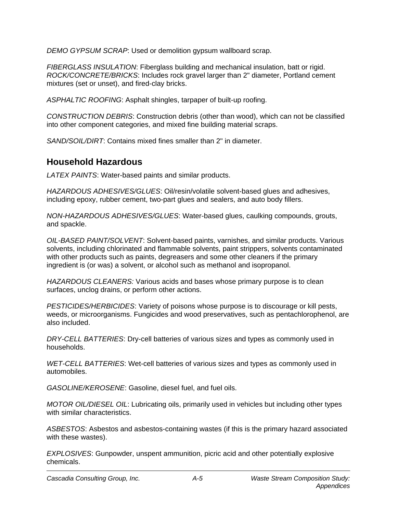*DEMO GYPSUM SCRAP*: Used or demolition gypsum wallboard scrap.

*FIBERGLASS INSULATION*: Fiberglass building and mechanical insulation, batt or rigid. *ROCK/CONCRETE/BRICKS*: Includes rock gravel larger than 2" diameter, Portland cement mixtures (set or unset), and fired-clay bricks.

*ASPHALTIC ROOFING*: Asphalt shingles, tarpaper of built-up roofing.

*CONSTRUCTION DEBRIS*: Construction debris (other than wood), which can not be classified into other component categories, and mixed fine building material scraps.

*SAND/SOIL/DIRT*: Contains mixed fines smaller than 2" in diameter.

## **Household Hazardous**

*LATEX PAINTS*: Water-based paints and similar products.

*HAZARDOUS ADHESIVES/GLUES*: Oil/resin/volatile solvent-based glues and adhesives, including epoxy, rubber cement, two-part glues and sealers, and auto body fillers.

*NON-HAZARDOUS ADHESIVES/GLUES*: Water-based glues, caulking compounds, grouts, and spackle.

*OIL-BASED PAINT/SOLVENT*: Solvent-based paints, varnishes, and similar products. Various solvents, including chlorinated and flammable solvents, paint strippers, solvents contaminated with other products such as paints, degreasers and some other cleaners if the primary ingredient is (or was) a solvent, or alcohol such as methanol and isopropanol.

*HAZARDOUS CLEANERS:* Various acids and bases whose primary purpose is to clean surfaces, unclog drains, or perform other actions.

*PESTICIDES/HERBICIDES*: Variety of poisons whose purpose is to discourage or kill pests, weeds, or microorganisms. Fungicides and wood preservatives, such as pentachlorophenol, are also included.

*DRY-CELL BATTERIES*: Dry-cell batteries of various sizes and types as commonly used in households.

*WET-CELL BATTERIES*: Wet-cell batteries of various sizes and types as commonly used in automobiles.

*GASOLINE/KEROSENE*: Gasoline, diesel fuel, and fuel oils.

*MOTOR OIL/DIESEL OIL*: Lubricating oils, primarily used in vehicles but including other types with similar characteristics.

*ASBESTOS*: Asbestos and asbestos-containing wastes (if this is the primary hazard associated with these wastes).

*EXPLOSIVES*: Gunpowder, unspent ammunition, picric acid and other potentially explosive chemicals.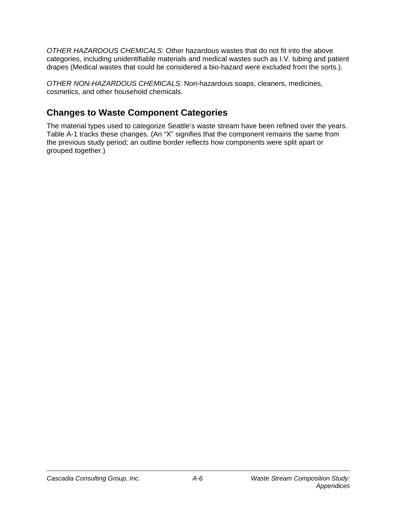*OTHER HAZARDOUS CHEMICALS*: Other hazardous wastes that do not fit into the above categories, including unidentifiable materials and medical wastes such as I.V. tubing and patient drapes (Medical wastes that could be considered a bio-hazard were excluded from the sorts.).

*OTHER NON-HAZARDOUS CHEMICALS*: Non-hazardous soaps, cleaners, medicines, cosmetics, and other household chemicals.

## **Changes to Waste Component Categories**

The material types used to categorize Seattle's waste stream have been refined over the years. Table A-1 tracks these changes. (An "X" signifies that the component remains the same from the previous study period; an outline border reflects how components were split apart or grouped together.)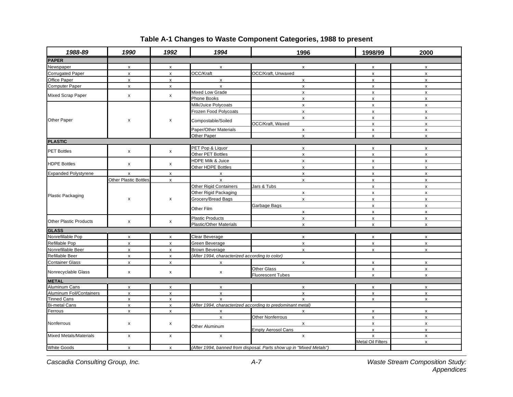| 1988-89                       | 1990                  | 1992                      | 1994                                           | 1996                                                                | 1998/99            | 2000               |
|-------------------------------|-----------------------|---------------------------|------------------------------------------------|---------------------------------------------------------------------|--------------------|--------------------|
| <b>PAPER</b>                  |                       |                           |                                                |                                                                     |                    |                    |
| Newspaper                     | x                     | x                         | X                                              | X                                                                   | x                  | X                  |
| <b>Corrugated Paper</b>       | $\pmb{\chi}$          | x                         | OCC/Kraft                                      | OCC/Kraft, Unwaxed                                                  | x                  | $\pmb{\mathsf{x}}$ |
| Office Paper                  | X                     | X                         | $\mathsf{x}$                                   | x                                                                   | x                  | $\pmb{\mathsf{x}}$ |
| <b>Computer Paper</b>         | $\mathsf X$           | x                         | $\mathsf{x}$                                   | X                                                                   | $\pmb{\mathsf{x}}$ | $\pmb{\mathsf{x}}$ |
|                               |                       |                           | Mixed Low Grade                                | X                                                                   | x                  | $\pmb{\mathsf{x}}$ |
| <b>Mixed Scrap Paper</b>      | x                     | x                         | Phone Books                                    | X                                                                   | $\pmb{\mathsf{x}}$ | $\pmb{\mathsf{x}}$ |
|                               |                       |                           | Milk/Juice Polycoats                           | $\pmb{\mathsf{x}}$                                                  | $\mathsf X$        | $\pmb{\mathsf{x}}$ |
|                               |                       |                           | Frozen Food Polycoats                          | x                                                                   | $\pmb{\mathsf{x}}$ | $\pmb{\mathsf{x}}$ |
| Other Paper                   | x                     | x                         | Compostable/Soiled                             | x                                                                   | X                  | $\pmb{\mathsf{x}}$ |
|                               |                       |                           |                                                | OCC/Kraft, Waxed                                                    | $\pmb{\mathsf{x}}$ | $\pmb{\mathsf{x}}$ |
|                               |                       |                           | Paper/Other Materials                          | x                                                                   | $\mathsf{x}$       | $\pmb{\mathsf{x}}$ |
|                               |                       |                           | Other Paper                                    | $\pmb{\mathsf{x}}$                                                  | $\pmb{\mathsf{x}}$ | $\pmb{\mathsf{x}}$ |
| <b>PLASTIC</b>                |                       |                           |                                                |                                                                     |                    |                    |
| <b>PET Bottles</b>            | $\pmb{\mathsf{x}}$    | x                         | PET Pop & Liquor                               | x                                                                   | x                  | $\pmb{\mathsf{x}}$ |
|                               |                       |                           | Other PET Bottles                              | x                                                                   | $\mathsf{x}$       | $\pmb{\mathsf{x}}$ |
| <b>HDPE Bottles</b>           | x                     | x                         | HDPE Milk & Juice                              | X                                                                   | X                  | $\pmb{\mathsf{x}}$ |
|                               |                       |                           | Other HDPE Bottles                             | $\pmb{\chi}$                                                        | $\mathsf{x}$       | $\pmb{\mathsf{x}}$ |
| <b>Expanded Polystyrene</b>   | x                     | x                         | X                                              | $\pmb{\mathsf{x}}$                                                  | x                  | $\pmb{\mathsf{x}}$ |
|                               | Other Plastic Bottles | x                         | $\mathsf{x}$                                   | $\mathsf X$                                                         | $\mathsf X$        | $\pmb{\mathsf{x}}$ |
|                               | x                     |                           | Other Rigid Containers                         | Jars & Tubs                                                         | $\pmb{\mathsf{x}}$ | $\pmb{\mathsf{x}}$ |
| <b>Plastic Packaging</b>      |                       |                           | Other Rigid Packaging                          | x                                                                   | X                  | $\pmb{\mathsf{x}}$ |
|                               |                       | x                         | Grocery/Bread Bags                             | $\pmb{\mathsf{X}}$                                                  | x                  | $\pmb{\mathsf{x}}$ |
|                               |                       |                           | Other Film                                     | Garbage Bags                                                        | x                  | $\pmb{\mathsf{x}}$ |
|                               |                       |                           |                                                | $\pmb{\times}$                                                      | $\mathsf X$        | $\pmb{\mathsf{x}}$ |
| <b>Other Plastic Products</b> | $\pmb{\mathsf{x}}$    | x                         | <b>Plastic Products</b>                        | $\pmb{\mathsf{x}}$                                                  | x                  | X                  |
| <b>GLASS</b>                  |                       |                           | Plastic/Other Materials                        | $\mathsf{x}$                                                        | $\mathsf{x}$       | $\pmb{\mathsf{x}}$ |
| Nonrefillable Pop             | $\pmb{\mathsf{x}}$    | x                         | Clear Beverage                                 | $\boldsymbol{\mathsf{x}}$                                           | x                  | $\pmb{\mathsf{x}}$ |
| Refillable Pop                | $\pmb{\mathsf{x}}$    | x                         | Green Beverage                                 | $\mathsf{x}$                                                        | $\mathsf X$        | $\pmb{\mathsf{x}}$ |
| Nonrefillable Beer            | x                     | x                         | <b>Brown Beverage</b>                          | x                                                                   | x                  | $\pmb{\mathsf{x}}$ |
| Refillable Beer               | X                     | x                         | (After 1994, characterized according to color) |                                                                     |                    |                    |
| <b>Container Glass</b>        | x                     | x                         | х                                              | X                                                                   | X                  | X                  |
|                               |                       |                           |                                                | <b>Other Glass</b>                                                  | X                  | $\pmb{\mathsf{x}}$ |
| Nonrecyclable Glass           | x                     | x                         | X                                              | <b>Fluorescent Tubes</b>                                            | x                  | $\pmb{\mathsf{x}}$ |
| <b>METAL</b>                  |                       |                           |                                                |                                                                     |                    |                    |
| <b>Aluminum Cans</b>          | $\pmb{\chi}$          | $\pmb{\mathsf{x}}$        | $\pmb{\mathsf{X}}$                             | $\pmb{\times}$                                                      | $\mathsf{x}$       | $\pmb{\mathsf{x}}$ |
| Aluminum Foil/Containers      | $\pmb{\mathsf{X}}$    | $\pmb{\chi}$              | $\pmb{\mathsf{x}}$                             | $\pmb{\chi}$                                                        | $\pmb{\mathsf{x}}$ | $\pmb{\mathsf{x}}$ |
| <b>Tinned Cans</b>            | $\pmb{\chi}$          | X                         | $\pmb{\mathsf{x}}$                             | $\mathsf{x}$                                                        | x                  | $\pmb{\mathsf{x}}$ |
| <b>Bi-metal Cans</b>          | $\pmb{\mathsf{x}}$    | $\pmb{\chi}$              |                                                | (After 1994, characterized according to predominant metal)          |                    |                    |
| Ferrous                       | x                     | x                         | X                                              | X                                                                   | x                  | $\pmb{\mathsf{x}}$ |
|                               |                       |                           | $\mathsf{x}$                                   | Other Nonferrous                                                    | $\mathsf X$        | $\pmb{\mathsf{x}}$ |
| Nonferrous                    | X                     | x                         | Other Aluminum                                 | $\mathsf{x}$                                                        | $\mathsf X$        | $\pmb{\mathsf{x}}$ |
|                               |                       |                           |                                                | <b>Empty Aerosol Cans</b>                                           | X                  | $\pmb{\mathsf{x}}$ |
| <b>Mixed Metals/Materials</b> | X                     | x                         | $\mathsf{x}$                                   | $\pmb{\mathsf{x}}$                                                  | x                  | $\pmb{\mathsf{x}}$ |
|                               |                       |                           |                                                |                                                                     | Metal Oil Filters  | $\mathsf{x}$       |
| <b>White Goods</b>            | X                     | $\boldsymbol{\mathsf{x}}$ |                                                | (After 1994, banned from disposal. Parts show up in "Mixed Metals") |                    |                    |

### **Table A-1 Changes to Waste Component Categories, 1988 to present**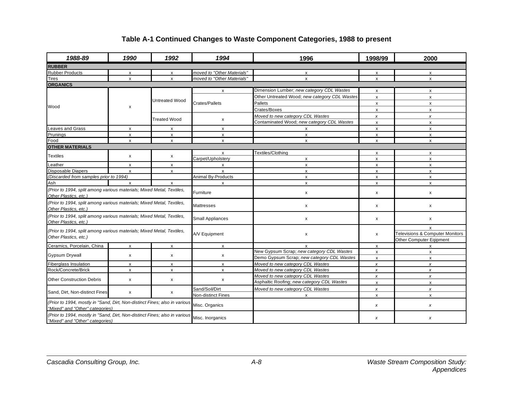### **Table A-1 Continued Changes to Waste Component Categories, 1988 to present**

| 1988-89                                                                                                       | 1990               | 1992                  | 1994                       | 1996                                          | 1998/99            | 2000                            |
|---------------------------------------------------------------------------------------------------------------|--------------------|-----------------------|----------------------------|-----------------------------------------------|--------------------|---------------------------------|
| <b>RUBBER</b>                                                                                                 |                    |                       |                            |                                               |                    |                                 |
| <b>Rubber Products</b>                                                                                        | x                  | x                     | moved to "Other Materials" | x                                             | X                  | x                               |
| <b>Tires</b>                                                                                                  | X                  | $\pmb{\mathsf{X}}$    | moved to "Other Materials" | $\mathsf{x}$                                  | X                  | $\pmb{\chi}$                    |
| <b>ORGANICS</b>                                                                                               |                    |                       |                            |                                               |                    |                                 |
|                                                                                                               |                    | <b>Untreated Wood</b> | $\mathsf{x}$               | Dimension Lumber; new category CDL Wastes     | X                  | X                               |
|                                                                                                               |                    |                       |                            | Other Untreated Wood; new category CDL Wastes | $\mathsf{x}$       | $\mathsf{x}$                    |
|                                                                                                               |                    |                       | Crates/Pallets             | Pallets                                       | x                  | x                               |
| Wood                                                                                                          | X                  |                       |                            | Crates/Boxes                                  | x                  | x                               |
|                                                                                                               |                    |                       |                            | Moved to new category CDL Wastes              | $\boldsymbol{x}$   | $\boldsymbol{x}$                |
|                                                                                                               |                    | <b>Treated Wood</b>   | X                          | Contaminated Wood; new category CDL Wastes    | x                  | x                               |
| <b>Leaves and Grass</b>                                                                                       | X                  | X                     | X                          | x                                             | x                  | X                               |
| Prunings                                                                                                      | $\pmb{\mathsf{x}}$ | $\pmb{\mathsf{x}}$    | $\pmb{\mathsf{x}}$         | $\mathsf{x}$                                  | X                  | $\mathsf X$                     |
| Food                                                                                                          | X                  | $\pmb{\mathsf{X}}$    | $\pmb{\mathsf{x}}$         | $\mathsf{x}$                                  | x                  | $\boldsymbol{\mathsf{x}}$       |
| <b>OTHER MATERIALS</b>                                                                                        |                    |                       |                            |                                               |                    |                                 |
| <b>Textiles</b>                                                                                               |                    |                       | $\mathsf{x}$               | Textiles/Clothing                             | X                  | x                               |
|                                                                                                               | x                  | x                     | Carpet/Upholstery          | x                                             | x                  | X                               |
| Leather                                                                                                       | $\mathsf{x}$       | $\mathsf{x}$          | $\mathsf{x}$               | $\mathsf{x}$                                  | $\mathsf{x}$       | $\mathsf{x}$                    |
| <b>Disposable Diapers</b>                                                                                     | X                  | $\pmb{\mathsf{x}}$    | $\boldsymbol{\mathsf{x}}$  | X                                             | $\pmb{\mathsf{x}}$ | x                               |
| (Discarded from samples prior to 1994)                                                                        |                    | Animal By-Products    | $\mathsf{x}$               | $\mathsf{x}$                                  | X                  |                                 |
| Ash                                                                                                           | $\mathsf{x}$       | $\mathsf{x}$          | $\boldsymbol{\mathsf{x}}$  | $\mathsf{x}$                                  | $\mathsf{x}$       | $\mathsf{x}$                    |
| (Prior to 1994, split among various materials; Mixed Metal, Textiles,<br>Other Plastics, etc.)                |                    | Furniture             | x                          | X                                             | X                  |                                 |
| (Prior to 1994, split among various materials; Mixed Metal, Textiles,<br>Other Plastics, etc.)                |                    |                       | Mattresses                 | X                                             | x                  | x                               |
| (Prior to 1994, split among various materials; Mixed Metal, Textiles,<br>Other Plastics, etc.)                |                    |                       | <b>Small Appliances</b>    | X                                             | x                  | x                               |
|                                                                                                               |                    |                       |                            |                                               |                    | X                               |
| (Prior to 1994, split among various materials; Mixed Metal, Textiles,                                         |                    |                       | A/V Equipment              | $\pmb{\times}$                                | X                  | Televisions & Computer Monitors |
| Other Plastics, etc.)                                                                                         |                    |                       |                            |                                               |                    | Other Computer Eqipment         |
| Ceramics, Porcelain, China                                                                                    | X                  | $\pmb{\mathsf{X}}$    | $\mathsf{x}$               | $\mathbf{x}$                                  | $\mathsf{x}$       | X                               |
|                                                                                                               |                    |                       |                            | New Gypsum Scrap; new category CDL Wastes     | x                  | X                               |
| <b>Gypsum Drywall</b>                                                                                         | x                  | X                     | x                          | Demo Gypsum Scrap; new category CDL Wastes    | $\mathsf{x}$       | $\mathsf{x}$                    |
| Fiberglass Insulation                                                                                         | X                  | $\pmb{\mathsf{x}}$    | $\mathsf{x}$               | Moved to new category CDL Wastes              | $\pmb{\chi}$       | $\boldsymbol{x}$                |
| Rock/Concrete/Brick                                                                                           | x                  | X                     | X                          | Moved to new category CDL Wastes              | x                  | x                               |
| Other Construction Debris                                                                                     |                    |                       |                            | Moved to new category CDL Wastes              | $\boldsymbol{x}$   | $\boldsymbol{x}$                |
|                                                                                                               | x                  | $\pmb{\chi}$          | X                          | Asphaltic Roofing; new category CDL Wastes    | $\mathsf{x}$       | X                               |
|                                                                                                               |                    |                       | Sand/Soil/Dirt             | Moved to new category CDL Wastes              | x                  | x                               |
| Sand, Dirt, Non-distinct Fines                                                                                | x                  | x                     | Non-distinct Fines         | x                                             | X                  | x                               |
| (Prior to 1994, mostly in "Sand, Dirt, Non-distinct Fines; also in various<br>"Mixed" and "Other" categories) |                    |                       | Misc. Organics             |                                               | x                  | x                               |
| (Prior to 1994, mostly in "Sand, Dirt, Non-distinct Fines; also in various<br>"Mixed" and "Other" categories) |                    |                       | Misc. Inorganics           |                                               | x                  | x                               |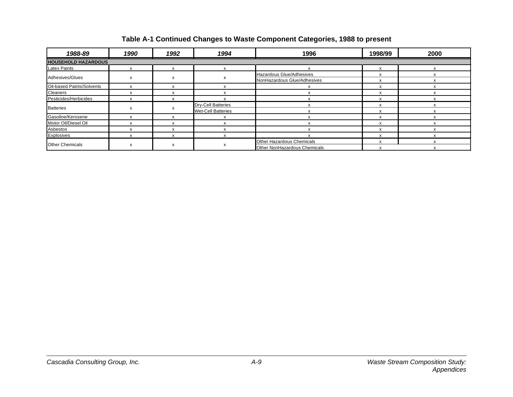### **Table A-1 Continued Changes to Waste Component Categories, 1988 to present**

| 1988-89                    | 1990 | 1992    | 1994                      | 1996                             | 1998/99 | 2000 |
|----------------------------|------|---------|---------------------------|----------------------------------|---------|------|
| <b>HOUSEHOLD HAZARDOUS</b> |      |         |                           |                                  |         |      |
| <b>Latex Paints</b>        |      |         |                           |                                  |         |      |
| Adhesives/Glues            |      |         |                           | Hazardous Glue/Adhesives         | х       |      |
|                            |      |         |                           | NonHazardous Glue/Adhesives      |         |      |
| Oil-based Paints/Solvents  |      | X       |                           |                                  |         |      |
| Cleaners                   |      |         |                           |                                  |         |      |
| Pesticides/Herbicides      |      |         |                           | X                                |         |      |
| <b>Batteries</b>           |      |         | <b>Dry-Cell Batteries</b> |                                  | x       |      |
|                            |      |         | <b>Wet-Cell Batteries</b> |                                  |         |      |
| Gasoline/Kerosene          |      |         |                           |                                  |         |      |
| Motor Oil/Diesel Oil       |      |         |                           |                                  |         |      |
| Asbestos                   |      | $\cdot$ |                           |                                  |         |      |
| Explosives                 |      |         |                           |                                  |         |      |
|                            |      |         |                           | <b>Other Hazardous Chemicals</b> |         |      |
| <b>Other Chemicals</b>     |      |         | x                         | Other NonHazardous Chemicals     |         |      |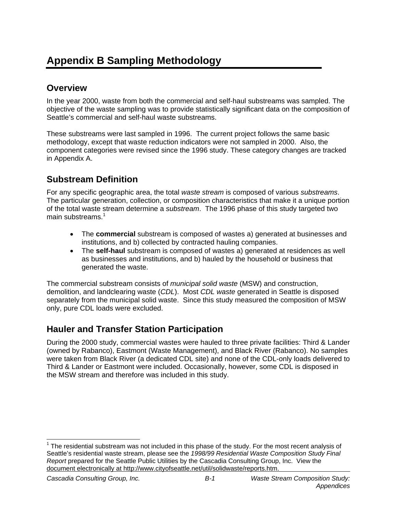# **Appendix B Sampling Methodology**

## **Overview**

In the year 2000, waste from both the commercial and self-haul substreams was sampled. The objective of the waste sampling was to provide statistically significant data on the composition of Seattle's commercial and self-haul waste substreams.

These substreams were last sampled in 1996. The current project follows the same basic methodology, except that waste reduction indicators were not sampled in 2000. Also, the component categories were revised since the 1996 study. These category changes are tracked in Appendix A.

## **Substream Definition**

For any specific geographic area, the total *waste stream* is composed of various *substreams*. The particular generation, collection, or composition characteristics that make it a unique portion of the total waste stream determine a *substream*. The 1996 phase of this study targeted two main substreams. $<sup>1</sup>$ </sup>

- The **commercial** substream is composed of wastes a) generated at businesses and institutions, and b) collected by contracted hauling companies.
- The **self-haul** substream is composed of wastes a) generated at residences as well as businesses and institutions, and b) hauled by the household or business that generated the waste.

The commercial substream consists of *municipal solid waste* (MSW) and construction, demolition, and landclearing waste (*CDL*). Most *CDL waste* generated in Seattle is disposed separately from the municipal solid waste. Since this study measured the composition of MSW only, pure CDL loads were excluded.

## **Hauler and Transfer Station Participation**

During the 2000 study, commercial wastes were hauled to three private facilities: Third & Lander (owned by Rabanco), Eastmont (Waste Management), and Black River (Rabanco). No samples were taken from Black River (a dedicated CDL site) and none of the CDL-only loads delivered to Third & Lander or Eastmont were included. Occasionally, however, some CDL is disposed in the MSW stream and therefore was included in this study.

  $1$  The residential substream was not included in this phase of the study. For the most recent analysis of Seattle's residential waste stream, please see the *1998/99 Residential Waste Composition Study Final Report* prepared for the Seattle Public Utilities by the Cascadia Consulting Group, Inc. View the document electronically at http://www.cityofseattle.net/util/solidwaste/reports.htm.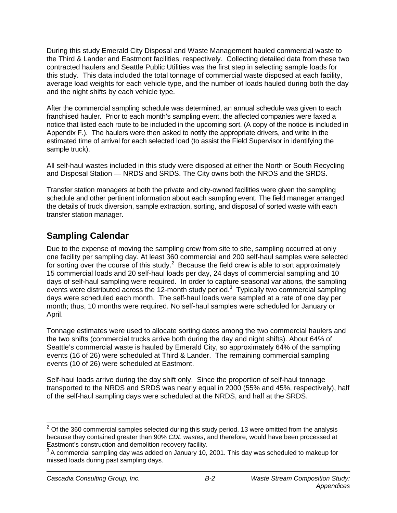During this study Emerald City Disposal and Waste Management hauled commercial waste to the Third & Lander and Eastmont facilities, respectively. Collecting detailed data from these two contracted haulers and Seattle Public Utilities was the first step in selecting sample loads for this study. This data included the total tonnage of commercial waste disposed at each facility, average load weights for each vehicle type, and the number of loads hauled during both the day and the night shifts by each vehicle type.

After the commercial sampling schedule was determined, an annual schedule was given to each franchised hauler. Prior to each month's sampling event, the affected companies were faxed a notice that listed each route to be included in the upcoming sort. (A copy of the notice is included in Appendix F.). The haulers were then asked to notify the appropriate drivers, and write in the estimated time of arrival for each selected load (to assist the Field Supervisor in identifying the sample truck).

All self-haul wastes included in this study were disposed at either the North or South Recycling and Disposal Station — NRDS and SRDS. The City owns both the NRDS and the SRDS.

Transfer station managers at both the private and city-owned facilities were given the sampling schedule and other pertinent information about each sampling event. The field manager arranged the details of truck diversion, sample extraction, sorting, and disposal of sorted waste with each transfer station manager.

## **Sampling Calendar**

Due to the expense of moving the sampling crew from site to site, sampling occurred at only one facility per sampling day. At least 360 commercial and 200 self-haul samples were selected for sorting over the course of this study.<sup>2</sup> Because the field crew is able to sort approximately 15 commercial loads and 20 self-haul loads per day, 24 days of commercial sampling and 10 days of self-haul sampling were required. In order to capture seasonal variations, the sampling events were distributed across the 12-month study period. $3$  Typically two commercial sampling days were scheduled each month. The self-haul loads were sampled at a rate of one day per month; thus, 10 months were required. No self-haul samples were scheduled for January or April.

Tonnage estimates were used to allocate sorting dates among the two commercial haulers and the two shifts (commercial trucks arrive both during the day and night shifts). About 64% of Seattle's commercial waste is hauled by Emerald City, so approximately 64% of the sampling events (16 of 26) were scheduled at Third & Lander. The remaining commercial sampling events (10 of 26) were scheduled at Eastmont.

Self-haul loads arrive during the day shift only. Since the proportion of self-haul tonnage transported to the NRDS and SRDS was nearly equal in 2000 (55% and 45%, respectively), half of the self-haul sampling days were scheduled at the NRDS, and half at the SRDS.

 $\overline{a}$ 

 $2$  Of the 360 commercial samples selected during this study period, 13 were omitted from the analysis because they contained greater than 90% *CDL wastes*, and therefore, would have been processed at Eastmont's construction and demolition recovery facility.

 $3$  A commercial sampling day was added on January 10, 2001. This day was scheduled to makeup for missed loads during past sampling days.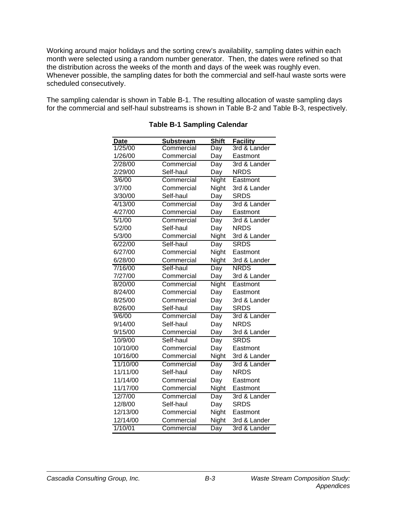Working around major holidays and the sorting crew's availability, sampling dates within each month were selected using a random number generator. Then, the dates were refined so that the distribution across the weeks of the month and days of the week was roughly even. Whenever possible, the sampling dates for both the commercial and self-haul waste sorts were scheduled consecutively.

The sampling calendar is shown in Table B-1. The resulting allocation of waste sampling days for the commercial and self-haul substreams is shown in Table B-2 and Table B-3, respectively.

| <b>Date</b> | <b>Substream</b> | <b>Shift</b> | <b>Facility</b> |
|-------------|------------------|--------------|-----------------|
| 1/25/00     | Commercial       | Day          | 3rd & Lander    |
| 1/26/00     | Commercial       | Day          | Eastmont        |
| 2/28/00     | Commercial       | Day          | 3rd & Lander    |
| 2/29/00     | Self-haul        | Day          | <b>NRDS</b>     |
| 3/6/00      | Commercial       | Night        | Eastmont        |
| 3/7/00      | Commercial       | Night        | 3rd & Lander    |
| 3/30/00     | Self-haul        | Day          | <b>SRDS</b>     |
| 4/13/00     | Commercial       | Day          | 3rd & Lander    |
| 4/27/00     | Commercial       | Day          | Eastmont        |
| 5/1/00      | Commercial       | Day          | 3rd & Lander    |
| 5/2/00      | Self-haul        | Day          | <b>NRDS</b>     |
| 5/3/00      | Commercial       | Night        | 3rd & Lander    |
| 6/22/00     | Self-haul        | Day          | <b>SRDS</b>     |
| 6/27/00     | Commercial       | Night        | Eastmont        |
| 6/28/00     | Commercial       | Night        | 3rd & Lander    |
| 7/16/00     | Self-haul        | Day          | <b>NRDS</b>     |
| 7/27/00     | Commercial       | Day          | 3rd & Lander    |
| 8/20/00     | Commercial       | <b>Night</b> | Eastmont        |
| 8/24/00     | Commercial       | Day          | Eastmont        |
| 8/25/00     | Commercial       | Day          | 3rd & Lander    |
| 8/26/00     | Self-haul        | Day          | <b>SRDS</b>     |
| 9/6/00      | Commercial       | Day          | 3rd & Lander    |
| 9/14/00     | Self-haul        | Day          | <b>NRDS</b>     |
| 9/15/00     | Commercial       | Day          | 3rd & Lander    |
| 10/9/00     | Self-haul        | Day          | <b>SRDS</b>     |
| 10/10/00    | Commercial       | Day          | Eastmont        |
| 10/16/00    | Commercial       | Night        | 3rd & Lander    |
| 11/10/00    | Commercial       | Day          | 3rd & Lander    |
| 11/11/00    | Self-haul        | Day          | <b>NRDS</b>     |
| 11/14/00    | Commercial       | Day          | Eastmont        |
| 11/17/00    | Commercial       | Night        | Eastmont        |
| 12/7/00     | Commercial       | Day          | 3rd & Lander    |
| 12/8/00     | Self-haul        | Day          | <b>SRDS</b>     |
| 12/13/00    | Commercial       | Night        | Eastmont        |
| 12/14/00    | Commercial       | Night        | 3rd & Lander    |
| 1/10/01     | Commercial       | Day          | 3rd & Lander    |

### **Table B-1 Sampling Calendar**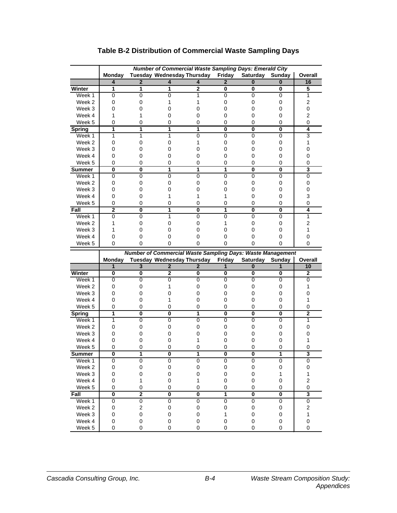|                  |                         |                         |                         | <b>Number of Commercial Waste Sampling Days: Emerald City</b> |                         |                         |                         |                         |
|------------------|-------------------------|-------------------------|-------------------------|---------------------------------------------------------------|-------------------------|-------------------------|-------------------------|-------------------------|
|                  | <b>Monday</b>           |                         |                         | Tuesday Wednesday Thursday                                    | Friday                  | Saturday                | Sunday                  | Overall                 |
|                  | 4                       | 2                       | 4                       |                                                               |                         | 0                       | 0                       | 16                      |
| Winter           | 1                       | 1                       | 1                       | $\overline{2}$                                                | 0                       | 0                       | 0                       | 5                       |
| Week 1           | 0                       | 0                       | $\overline{0}$          | 1                                                             | $\overline{0}$          | $\overline{0}$          | $\overline{0}$          | $\overline{1}$          |
| Week 2           | 0                       | 0                       | 1                       | 1                                                             | 0                       | $\mathbf 0$             | 0                       | $\overline{c}$          |
| Week 3           | 0                       | 0                       | 0                       | 0                                                             | 0                       | $\mathbf 0$             | 0                       | $\mathbf 0$             |
| Week 4           | 1                       | 1                       | 0                       | 0                                                             | 0                       | 0                       | 0                       | $\overline{c}$          |
| Week 5           | 0                       | 0                       | 0                       | 0                                                             | 0                       | 0                       | 0                       | 0                       |
| <b>Spring</b>    | 1                       | 1                       | 1                       | 1                                                             | 0                       | 0                       | 0                       | 4                       |
| Week 1           | 1                       | 1                       | 1                       | $\overline{0}$                                                | 0                       | 0                       | 0                       | 3                       |
| Week 2           | 0                       | 0                       | 0                       | 1                                                             | 0                       | $\mathbf 0$             | 0                       | 1                       |
| Week 3           | 0                       | 0                       | 0                       | 0                                                             | 0                       | $\mathbf 0$             | 0                       | 0                       |
| Week 4           | 0                       | 0                       | 0                       | 0                                                             | 0                       | $\mathbf 0$             | 0                       | 0                       |
| Week 5           | 0                       | 0                       | 0                       | 0                                                             | 0                       | 0                       | 0                       | 0                       |
| <b>Summer</b>    | 0                       | 0                       | 1                       | 1                                                             | 1                       | 0                       | 0                       | 3                       |
| Week 1           | 0                       | 0                       | 0                       | 0                                                             | 0                       | 0                       | 0                       | $\overline{0}$          |
| Week 2           | 0                       | 0                       | 0                       | 0                                                             | 0                       | 0                       | 0                       | 0                       |
| Week 3           | 0                       | 0                       | 0                       | 0                                                             | 0                       | $\mathbf 0$             | 0                       | 0                       |
| Week 4           | 0                       | 0                       | 1                       | 1                                                             | 1                       | 0                       | 0                       | 3                       |
| Week 5           | 0                       | 0                       | 0                       | 0                                                             | 0                       | 0                       | 0                       | 0                       |
| Fall             | $\overline{2}$          | 0                       | 1                       | 0                                                             | 1                       | 0                       | 0                       | 4                       |
| Week 1           | $\overline{0}$          | 0                       | $\overline{1}$          | $\overline{0}$                                                | $\overline{0}$          | $\overline{0}$          | $\overline{0}$          | $\overline{1}$          |
| Week 2           | 1                       | 0                       | 0                       | 0                                                             | 1                       | $\mathbf 0$             | 0                       | $\overline{2}$          |
| Week 3           | 1                       | 0                       | 0                       | 0                                                             | 0                       | $\mathbf 0$             | 0                       | 1                       |
| Week 4           | 0                       | 0                       | 0                       | 0                                                             | 0                       | 0                       | 0                       | 0                       |
| Week 5           | 0                       | 0                       | 0                       | 0                                                             | 0                       | 0                       | 0                       | 0                       |
|                  |                         |                         |                         |                                                               |                         |                         |                         |                         |
|                  |                         |                         |                         | Number of Commercial Waste Sampling Days: Waste Management    |                         |                         |                         |                         |
|                  | Monday                  |                         |                         | Tuesday Wednesday Thursday                                    | Friday                  | <b>Saturday</b>         | Sunday                  | Overall                 |
|                  | $\mathbf{1}$            | $\overline{3}$          | $\overline{2}$          | $\overline{2}$                                                | 1                       | $\overline{\mathbf{0}}$ | 1                       | 10                      |
| Winter           | 0                       | 0                       | $\mathbf{2}$            | 0                                                             | 0                       | 0                       | 0                       | 2                       |
| Week 1           | 0                       | 0                       | 0                       | $\overline{0}$                                                | $\overline{0}$          | 0                       | 0                       | 0                       |
| Week 2           | 0                       | 0                       | 1                       | 0                                                             | 0                       | $\mathbf 0$             | 0                       | 1                       |
| Week 3           | 0                       | 0                       | 0                       | 0                                                             | 0                       | $\mathbf 0$             | 0                       | 0                       |
| Week 4           | 0                       | 0                       | 1                       | 0                                                             | 0                       | 0                       | 0                       | 1                       |
| Week 5           | 0                       | 0                       | 0                       | 0                                                             | 0                       | 0                       | 0                       | 0                       |
| <b>Spring</b>    | 1                       | 0                       | 0                       | 1                                                             | $\overline{\mathbf{0}}$ | $\overline{\mathbf{0}}$ | $\overline{\mathbf{0}}$ | $\overline{2}$          |
| Week 1           | 1                       | 0                       | 0                       | $\overline{0}$                                                | $\overline{0}$          | $\overline{0}$          | $\overline{0}$          | 1                       |
| Week 2           | 0                       | 0                       | 0                       | 0                                                             | 0                       | $\mathbf 0$             | 0                       | 0                       |
| Week 3           | 0                       | 0                       | 0                       | 0                                                             | 0                       | 0                       | 0                       | 0                       |
| Week 4           | 0                       | 0                       | 0                       | 1                                                             | 0                       | 0                       | 0                       | 1                       |
| Week 5           | 0                       | 0                       | 0                       | 0                                                             | 0                       | 0                       | 0                       | 0                       |
| Summer           | U                       |                         | U                       |                                                               | U                       | U                       |                         | 3                       |
| Week 1           | 0                       | 0                       | 0                       | $\overline{0}$                                                | $\overline{0}$          | $\overline{0}$          | 0                       | $\overline{0}$          |
| Week 2           | 0                       | 0                       | 0                       | $\pmb{0}$                                                     | 0                       | $\mathbf 0$             | 0                       | 0                       |
| Week 3           | 0                       | 0                       | 0                       | $\pmb{0}$                                                     | $\pmb{0}$               | $\mathbf 0$             | 1                       | 1                       |
| Week 4           | 0                       | $\mathbf{1}$            | 0                       | 1                                                             | 0                       | 0                       | 0                       | $\overline{c}$          |
| Week 5           | 0                       | 0                       | 0                       | $\mathbf 0$                                                   | 0                       | 0                       | 0                       | $\mathbf 0$             |
| Fall             | $\overline{\mathbf{0}}$ | $\overline{\mathbf{2}}$ | $\overline{\mathbf{0}}$ | $\overline{\mathbf{0}}$                                       | $\overline{1}$          | $\overline{\mathbf{0}}$ | $\overline{\mathbf{0}}$ | $\overline{\mathbf{3}}$ |
| Week 1           | 0                       | 0                       | 0                       | $\overline{0}$                                                | $\overline{0}$          | 0                       | 0                       | $\overline{0}$          |
| Week 2           | 0                       | $\overline{c}$          | 0                       | $\pmb{0}$                                                     | 0                       | 0                       | 0                       | $\overline{c}$          |
| Week 3<br>Week 4 | 0<br>0                  | 0<br>0                  | 0<br>0                  | $\pmb{0}$<br>0                                                | 1<br>0                  | 0<br>0                  | 0<br>0                  | 1<br>$\pmb{0}$          |

## **Table B-2 Distribution of Commercial Waste Sampling Days**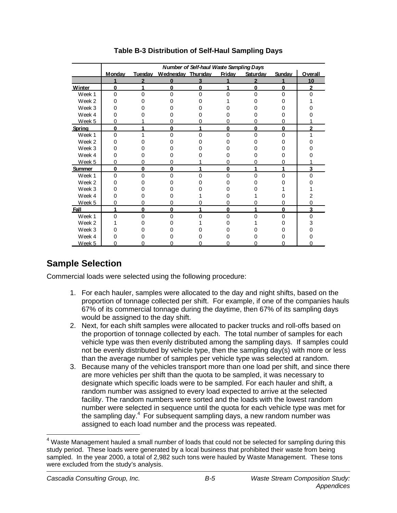|                   | <b>Number of Self-haul Waste Sampling Days</b> |                |                    |          |               |                |               |                |
|-------------------|------------------------------------------------|----------------|--------------------|----------|---------------|----------------|---------------|----------------|
|                   | <b>Monday</b>                                  | Tuesday        | Wednesday Thursday |          | <b>Friday</b> | Saturday       | <b>Sunday</b> | Overall        |
|                   | 1                                              | $\overline{2}$ | $\bf{0}$           | 3        |               | $\overline{2}$ | 1             | 10             |
| Winter            | $\bf{0}$                                       |                | $\Omega$           | $\bf{0}$ | 1             | $\mathbf 0$    | $\mathbf{0}$  | $\overline{2}$ |
| Week 1            | $\Omega$                                       | 0              | $\Omega$           | 0        | U             | $\Omega$       | 0             | $\Omega$       |
| Week 2            |                                                |                |                    |          |               |                |               |                |
| Week 3            |                                                |                |                    |          |               |                |               |                |
| Week 4            |                                                |                |                    |          |               |                |               |                |
| Week 5            | O                                              |                |                    |          |               |                |               |                |
| Spring            | $\bf{0}$                                       |                | 0                  |          | 0             | $\bf{0}$       | 0             | 2              |
| Week 1            | $\Omega$                                       |                | U                  | ∩        | O             | 0              | 0             |                |
| Week <sub>2</sub> |                                                |                |                    |          |               |                |               |                |
| Week 3            |                                                |                |                    |          |               |                |               |                |
| Week 4            |                                                |                |                    |          |               |                |               |                |
| Week 5            | ∩                                              |                |                    |          | O             |                | n             |                |
| Summer            | $\bf{0}$                                       | 0              | O                  |          | $\bf{0}$      |                |               | 3              |
| Week 1            | $\Omega$                                       | $\Omega$       | ∩                  | U        | O             | U              | O             | n              |
| Week 2            |                                                |                |                    |          |               |                |               |                |
| Week 3            |                                                |                |                    |          |               |                |               |                |
| Week 4            |                                                |                |                    |          |               |                |               |                |
| Week 5            | 0                                              |                |                    |          | 0             |                | O             |                |
| Fall              | 1                                              | 0              | $\bf{0}$           | 4        | 0             | 4              | 0             | 3              |
| Week 1            | $\Omega$                                       | U              | ∩                  | ∩        | U             | n              | 0             | O              |
| Week 2            |                                                |                |                    |          |               |                |               |                |
| Week 3            |                                                |                |                    |          |               |                |               |                |
| Week 4            |                                                |                |                    |          |               |                |               |                |
| Week 5            | n                                              |                |                    |          |               |                |               |                |

## **Table B-3 Distribution of Self-Haul Sampling Days**

## **Sample Selection**

Commercial loads were selected using the following procedure:

- 1. For each hauler, samples were allocated to the day and night shifts, based on the proportion of tonnage collected per shift. For example, if one of the companies hauls 67% of its commercial tonnage during the daytime, then 67% of its sampling days would be assigned to the day shift.
- 2. Next, for each shift samples were allocated to packer trucks and roll-offs based on the proportion of tonnage collected by each. The total number of samples for each vehicle type was then evenly distributed among the sampling days. If samples could not be evenly distributed by vehicle type, then the sampling day(s) with more or less than the average number of samples per vehicle type was selected at random.
- 3. Because many of the vehicles transport more than one load per shift, and since there are more vehicles per shift than the quota to be sampled, it was necessary to designate which specific loads were to be sampled. For each hauler and shift, a random number was assigned to every load expected to arrive at the selected facility. The random numbers were sorted and the loads with the lowest random number were selected in sequence until the quota for each vehicle type was met for the sampling day. $4$  For subsequent sampling days, a new random number was assigned to each load number and the process was repeated.

 $<sup>4</sup>$  Waste Management hauled a small number of loads that could not be selected for sampling during this</sup> study period. These loads were generated by a local business that prohibited their waste from being sampled. In the year 2000, a total of 2,982 such tons were hauled by Waste Management. These tons were excluded from the study's analysis.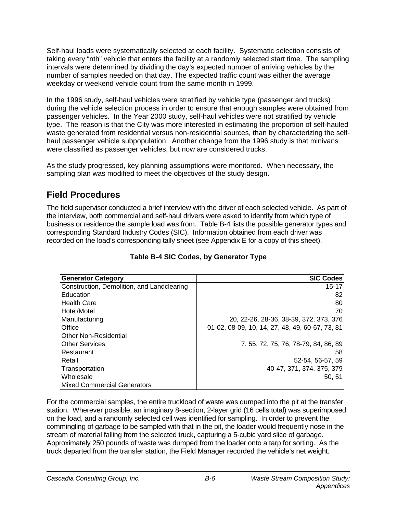Self-haul loads were systematically selected at each facility. Systematic selection consists of taking every "nth" vehicle that enters the facility at a randomly selected start time. The sampling intervals were determined by dividing the day's expected number of arriving vehicles by the number of samples needed on that day. The expected traffic count was either the average weekday or weekend vehicle count from the same month in 1999.

In the 1996 study, self-haul vehicles were stratified by vehicle type (passenger and trucks) during the vehicle selection process in order to ensure that enough samples were obtained from passenger vehicles. In the Year 2000 study, self-haul vehicles were not stratified by vehicle type. The reason is that the City was more interested in estimating the proportion of self-hauled waste generated from residential versus non-residential sources, than by characterizing the selfhaul passenger vehicle subpopulation. Another change from the 1996 study is that minivans were classified as passenger vehicles, but now are considered trucks.

As the study progressed, key planning assumptions were monitored. When necessary, the sampling plan was modified to meet the objectives of the study design.

## **Field Procedures**

The field supervisor conducted a brief interview with the driver of each selected vehicle. As part of the interview, both commercial and self-haul drivers were asked to identify from which type of business or residence the sample load was from. Table B-4 lists the possible generator types and corresponding Standard Industry Codes (SIC). Information obtained from each driver was recorded on the load's corresponding tally sheet (see Appendix E for a copy of this sheet).

| <b>Generator Category</b>                  | <b>SIC Codes</b>                                |
|--------------------------------------------|-------------------------------------------------|
| Construction, Demolition, and Landclearing | $15 - 17$                                       |
| Education                                  | 82                                              |
| <b>Health Care</b>                         | 80                                              |
| Hotel/Motel                                | 70                                              |
| Manufacturing                              | 20, 22-26, 28-36, 38-39, 372, 373, 376          |
| Office                                     | 01-02, 08-09, 10, 14, 27, 48, 49, 60-67, 73, 81 |
| <b>Other Non-Residential</b>               |                                                 |
| <b>Other Services</b>                      | 7, 55, 72, 75, 76, 78-79, 84, 86, 89            |
| Restaurant                                 | 58                                              |
| Retail                                     | 52-54, 56-57, 59                                |
| Transportation                             | 40-47, 371, 374, 375, 379                       |
| Wholesale                                  | 50.51                                           |
| <b>Mixed Commercial Generators</b>         |                                                 |

## **Table B-4 SIC Codes, by Generator Type**

For the commercial samples, the entire truckload of waste was dumped into the pit at the transfer station. Wherever possible, an imaginary 8-section, 2-layer grid (16 cells total) was superimposed on the load, and a randomly selected cell was identified for sampling. In order to prevent the commingling of garbage to be sampled with that in the pit, the loader would frequently nose in the stream of material falling from the selected truck, capturing a 5-cubic yard slice of garbage. Approximately 250 pounds of waste was dumped from the loader onto a tarp for sorting. As the truck departed from the transfer station, the Field Manager recorded the vehicle's net weight.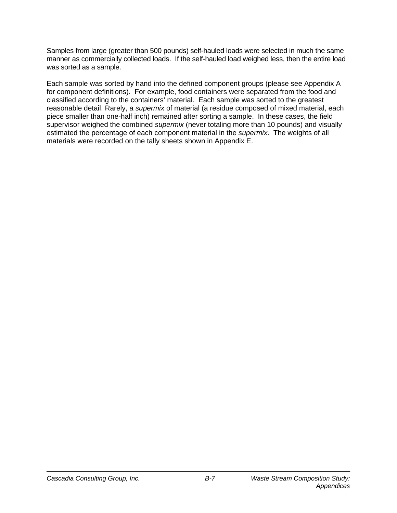Samples from large (greater than 500 pounds) self-hauled loads were selected in much the same manner as commercially collected loads. If the self-hauled load weighed less, then the entire load was sorted as a sample.

Each sample was sorted by hand into the defined component groups (please see Appendix A for component definitions). For example, food containers were separated from the food and classified according to the containers' material. Each sample was sorted to the greatest reasonable detail. Rarely, a *supermix* of material (a residue composed of mixed material, each piece smaller than one-half inch) remained after sorting a sample. In these cases, the field supervisor weighed the combined *supermix* (never totaling more than 10 pounds) and visually estimated the percentage of each component material in the *supermix*. The weights of all materials were recorded on the tally sheets shown in Appendix E.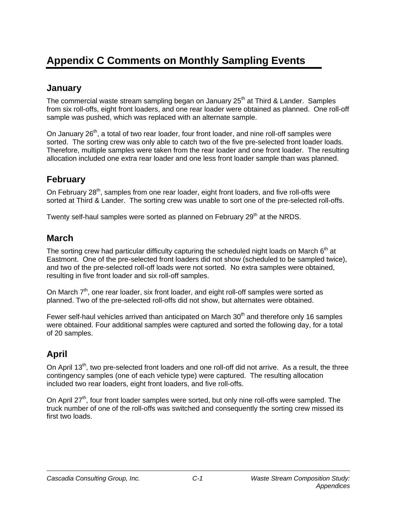# **Appendix C Comments on Monthly Sampling Events**

## **January**

The commercial waste stream sampling began on January  $25<sup>th</sup>$  at Third & Lander. Samples from six roll-offs, eight front loaders, and one rear loader were obtained as planned. One roll-off sample was pushed, which was replaced with an alternate sample.

On January 26<sup>th</sup>, a total of two rear loader, four front loader, and nine roll-off samples were sorted. The sorting crew was only able to catch two of the five pre-selected front loader loads. Therefore, multiple samples were taken from the rear loader and one front loader. The resulting allocation included one extra rear loader and one less front loader sample than was planned.

# **February**

On February  $28<sup>th</sup>$ , samples from one rear loader, eight front loaders, and five roll-offs were sorted at Third & Lander. The sorting crew was unable to sort one of the pre-selected roll-offs.

Twenty self-haul samples were sorted as planned on February 29<sup>th</sup> at the NRDS.

## **March**

The sorting crew had particular difficulty capturing the scheduled night loads on March 6<sup>th</sup> at Eastmont. One of the pre-selected front loaders did not show (scheduled to be sampled twice), and two of the pre-selected roll-off loads were not sorted. No extra samples were obtained, resulting in five front loader and six roll-off samples.

On March  $7<sup>th</sup>$ , one rear loader, six front loader, and eight roll-off samples were sorted as planned. Two of the pre-selected roll-offs did not show, but alternates were obtained.

Fewer self-haul vehicles arrived than anticipated on March  $30<sup>th</sup>$  and therefore only 16 samples were obtained. Four additional samples were captured and sorted the following day, for a total of 20 samples.

# **April**

On April 13<sup>th</sup>, two pre-selected front loaders and one roll-off did not arrive. As a result, the three contingency samples (one of each vehicle type) were captured. The resulting allocation included two rear loaders, eight front loaders, and five roll-offs.

On April 27<sup>th</sup>, four front loader samples were sorted, but only nine roll-offs were sampled. The truck number of one of the roll-offs was switched and consequently the sorting crew missed its first two loads.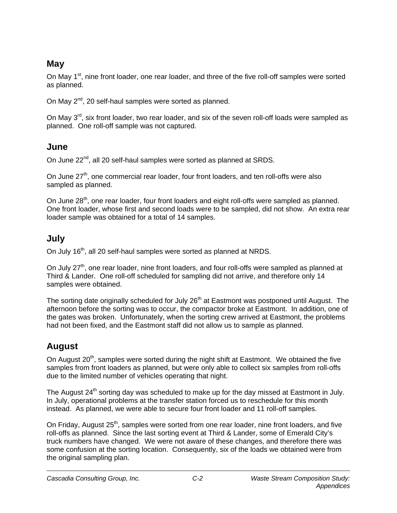# **May**

On May 1<sup>st</sup>, nine front loader, one rear loader, and three of the five roll-off samples were sorted as planned.

On May 2<sup>nd</sup>, 20 self-haul samples were sorted as planned.

On May  $3<sup>rd</sup>$ , six front loader, two rear loader, and six of the seven roll-off loads were sampled as planned. One roll-off sample was not captured.

# **June**

On June 22<sup>nd</sup>, all 20 self-haul samples were sorted as planned at SRDS.

On June  $27<sup>th</sup>$ , one commercial rear loader, four front loaders, and ten roll-offs were also sampled as planned.

On June 28<sup>th</sup>, one rear loader, four front loaders and eight roll-offs were sampled as planned. One front loader, whose first and second loads were to be sampled, did not show. An extra rear loader sample was obtained for a total of 14 samples.

## **July**

On July 16<sup>th</sup>, all 20 self-haul samples were sorted as planned at NRDS.

On July 27<sup>th</sup>, one rear loader, nine front loaders, and four roll-offs were sampled as planned at Third & Lander. One roll-off scheduled for sampling did not arrive, and therefore only 14 samples were obtained.

The sorting date originally scheduled for July 26<sup>th</sup> at Eastmont was postponed until August. The afternoon before the sorting was to occur, the compactor broke at Eastmont. In addition, one of the gates was broken. Unfortunately, when the sorting crew arrived at Eastmont, the problems had not been fixed, and the Eastmont staff did not allow us to sample as planned.

# **August**

On August  $20<sup>th</sup>$ , samples were sorted during the night shift at Eastmont. We obtained the five samples from front loaders as planned, but were only able to collect six samples from roll-offs due to the limited number of vehicles operating that night.

The August 24<sup>th</sup> sorting day was scheduled to make up for the day missed at Eastmont in July. In July, operational problems at the transfer station forced us to reschedule for this month instead. As planned, we were able to secure four front loader and 11 roll-off samples.

On Friday, August 25<sup>th</sup>, samples were sorted from one rear loader, nine front loaders, and five roll-offs as planned. Since the last sorting event at Third & Lander, some of Emerald City's truck numbers have changed. We were not aware of these changes, and therefore there was some confusion at the sorting location. Consequently, six of the loads we obtained were from the original sampling plan.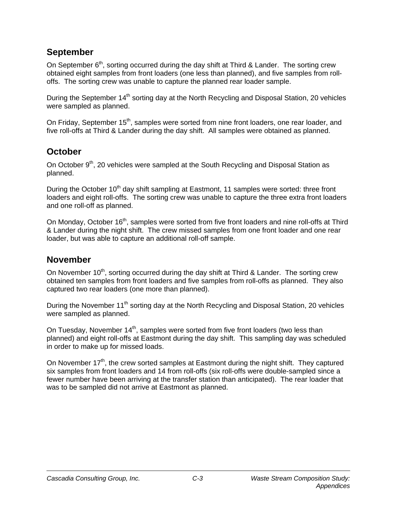## **September**

On September 6<sup>th</sup>, sorting occurred during the day shift at Third & Lander. The sorting crew obtained eight samples from front loaders (one less than planned), and five samples from rolloffs. The sorting crew was unable to capture the planned rear loader sample.

During the September 14<sup>th</sup> sorting day at the North Recycling and Disposal Station, 20 vehicles were sampled as planned.

On Friday, September 15<sup>th</sup>, samples were sorted from nine front loaders, one rear loader, and five roll-offs at Third & Lander during the day shift. All samples were obtained as planned.

# **October**

On October 9<sup>th</sup>, 20 vehicles were sampled at the South Recycling and Disposal Station as planned.

During the October 10<sup>th</sup> day shift sampling at Eastmont, 11 samples were sorted: three front loaders and eight roll-offs. The sorting crew was unable to capture the three extra front loaders and one roll-off as planned.

On Monday, October 16<sup>th</sup>, samples were sorted from five front loaders and nine roll-offs at Third & Lander during the night shift. The crew missed samples from one front loader and one rear loader, but was able to capture an additional roll-off sample.

# **November**

On November 10<sup>th</sup>, sorting occurred during the day shift at Third & Lander. The sorting crew obtained ten samples from front loaders and five samples from roll-offs as planned. They also captured two rear loaders (one more than planned).

During the November 11<sup>th</sup> sorting day at the North Recycling and Disposal Station, 20 vehicles were sampled as planned.

On Tuesday, November  $14<sup>th</sup>$ , samples were sorted from five front loaders (two less than planned) and eight roll-offs at Eastmont during the day shift. This sampling day was scheduled in order to make up for missed loads.

On November 17<sup>th</sup>, the crew sorted samples at Eastmont during the night shift. They captured six samples from front loaders and 14 from roll-offs (six roll-offs were double-sampled since a fewer number have been arriving at the transfer station than anticipated). The rear loader that was to be sampled did not arrive at Eastmont as planned.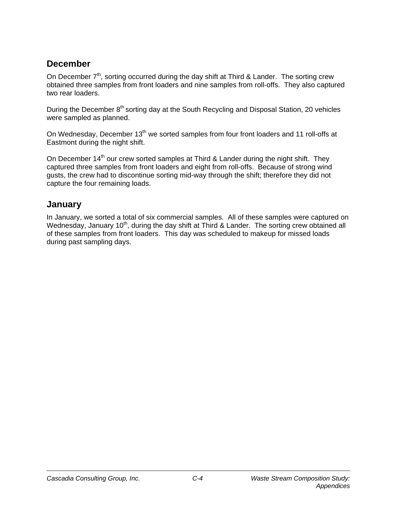# **December**

On December  $7<sup>th</sup>$ , sorting occurred during the day shift at Third & Lander. The sorting crew obtained three samples from front loaders and nine samples from roll-offs. They also captured two rear loaders.

During the December 8<sup>th</sup> sorting day at the South Recycling and Disposal Station, 20 vehicles were sampled as planned.

On Wednesday, December 13<sup>th</sup> we sorted samples from four front loaders and 11 roll-offs at Eastmont during the night shift.

On December  $14<sup>th</sup>$  our crew sorted samples at Third & Lander during the night shift. They captured three samples from front loaders and eight from roll-offs. Because of strong wind gusts, the crew had to discontinue sorting mid-way through the shift; therefore they did not capture the four remaining loads.

# **January**

In January, we sorted a total of six commercial samples. All of these samples were captured on Wednesday, January 10<sup>th</sup>, during the day shift at Third & Lander. The sorting crew obtained all of these samples from front loaders. This day was scheduled to makeup for missed loads during past sampling days.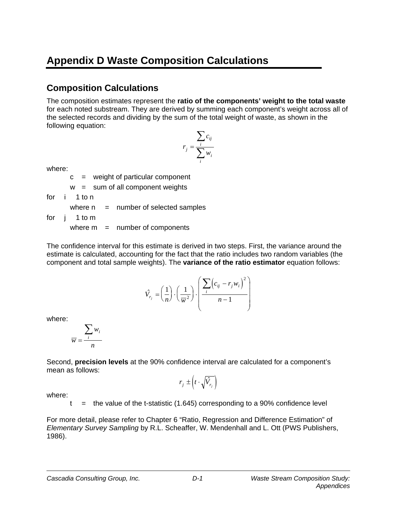# **Appendix D Waste Composition Calculations**

# **Composition Calculations**

The composition estimates represent the **ratio of the components' weight to the total waste** for each noted substream. They are derived by summing each component's weight across all of the selected records and dividing by the sum of the total weight of waste, as shown in the following equation:

$$
r_j = \frac{\sum_i c_{ij}}{\sum_i w_i}
$$

where:

 $c =$  weight of particular component

 $w = sum of all component weights$ 

for i 1 to n

where  $n =$  number of selected samples

for j 1 to m

where  $m =$  number of components

The confidence interval for this estimate is derived in two steps. First, the variance around the estimate is calculated, accounting for the fact that the ratio includes two random variables (the component and total sample weights). The **variance of the ratio estimator** equation follows:

$$
\hat{V}_{r_j} = \left(\frac{1}{n}\right) \cdot \left(\frac{1}{\overline{w}^2}\right) \cdot \left(\frac{\sum_i \left(c_{ij} - r_j w_i\right)^2}{n - 1}\right)
$$

where:

$$
\overline{w} = \frac{\sum_i w_i}{n}
$$

Second, **precision levels** at the 90% confidence interval are calculated for a component's mean as follows:

$$
r_j \pm \left(t \cdot \sqrt{\hat{V}_{r_j}}\right)
$$

where:

t  $=$  the value of the t-statistic (1.645) corresponding to a 90% confidence level

For more detail, please refer to Chapter 6 "Ratio, Regression and Difference Estimation" of *Elementary Survey Sampling* by R.L. Scheaffer, W. Mendenhall and L. Ott (PWS Publishers, 1986).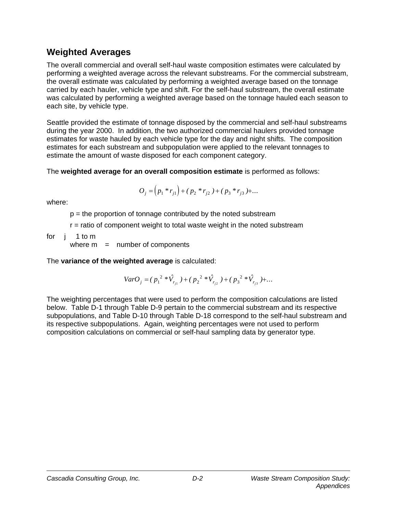# **Weighted Averages**

The overall commercial and overall self-haul waste composition estimates were calculated by performing a weighted average across the relevant substreams. For the commercial substream, the overall estimate was calculated by performing a weighted average based on the tonnage carried by each hauler, vehicle type and shift. For the self-haul substream, the overall estimate was calculated by performing a weighted average based on the tonnage hauled each season to each site, by vehicle type.

Seattle provided the estimate of tonnage disposed by the commercial and self-haul substreams during the year 2000. In addition, the two authorized commercial haulers provided tonnage estimates for waste hauled by each vehicle type for the day and night shifts. The composition estimates for each substream and subpopulation were applied to the relevant tonnages to estimate the amount of waste disposed for each component category.

The **weighted average for an overall composition estimate** is performed as follows:

$$
O_j = (p_1 * r_{j1}) + (p_2 * r_{j2}) + (p_3 * r_{j3}) + \dots
$$

where:

 $p =$  the proportion of tonnage contributed by the noted substream

r = ratio of component weight to total waste weight in the noted substream

for j 1 to m

where  $m =$  number of components

The **variance of the weighted average** is calculated:

$$
VarO_j = (p_1^{2} * \hat{V}_{r_{j1}}) + (p_2^{2} * \hat{V}_{r_{j2}}) + (p_3^{2} * \hat{V}_{r_{j3}}) + ...
$$

The weighting percentages that were used to perform the composition calculations are listed below. Table D-1 through Table D-9 pertain to the commercial substream and its respective subpopulations, and Table D-10 through Table D-18 correspond to the self-haul substream and its respective subpopulations. Again, weighting percentages were not used to perform composition calculations on commercial or self-haul sampling data by generator type.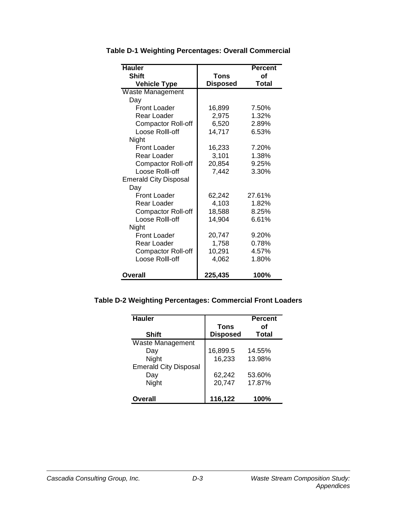| <b>Hauler</b>                |                 | <b>Percent</b> |
|------------------------------|-----------------|----------------|
| <b>Shift</b>                 | <b>Tons</b>     | Οf             |
| <b>Vehicle Type</b>          | <b>Disposed</b> | <b>Total</b>   |
| Waste Management             |                 |                |
| Day                          |                 |                |
| <b>Front Loader</b>          | 16,899          | 7.50%          |
| Rear Loader                  | 2,975           | 1.32%          |
| <b>Compactor Roll-off</b>    | 6,520           | 2.89%          |
| Loose Rolll-off              | 14,717          | 6.53%          |
| Night                        |                 |                |
| Front Loader                 | 16,233          | 7.20%          |
| Rear Loader                  | 3,101           | 1.38%          |
| Compactor Roll-off           | 20,854          | 9.25%          |
| Loose Rolll-off              | 7,442           | 3.30%          |
| <b>Emerald City Disposal</b> |                 |                |
| Day                          |                 |                |
| <b>Front Loader</b>          | 62,242          | 27.61%         |
| Rear Loader                  | 4,103           | 1.82%          |
| <b>Compactor Roll-off</b>    | 18,588          | 8.25%          |
| Loose Rolll-off              | 14,904          | 6.61%          |
| Night                        |                 |                |
| <b>Front Loader</b>          | 20,747          | 9.20%          |
| Rear Loader                  | 1,758           | 0.78%          |
| <b>Compactor Roll-off</b>    | 10,291          | 4.57%          |
| Loose Rolll-off              | 4,062           | 1.80%          |
|                              |                 |                |
| Overall                      | 225,435         | 100%           |

**Table D-1 Weighting Percentages: Overall Commercial**

#### **Table D-2 Weighting Percentages: Commercial Front Loaders**

| <b>Hauler</b>                |                 | <b>Percent</b> |
|------------------------------|-----------------|----------------|
|                              | <b>Tons</b>     | Ωf             |
| <b>Shift</b>                 | <b>Disposed</b> | Total          |
| Waste Management             |                 |                |
| Day                          | 16,899.5        | 14.55%         |
| Night                        | 16,233          | 13.98%         |
| <b>Emerald City Disposal</b> |                 |                |
| Day                          | 62,242          | 53.60%         |
| Night                        | 20,747          | 17.87%         |
|                              |                 |                |
| <b>Overall</b>               | 116,122         | 100%           |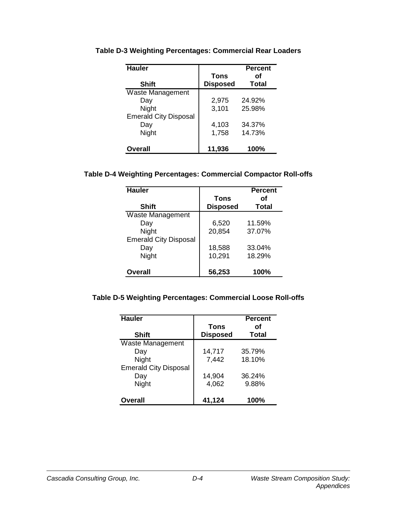| <b>Hauler</b>                | <b>Tons</b>     | <b>Percent</b><br>Ωf |
|------------------------------|-----------------|----------------------|
| <b>Shift</b>                 | <b>Disposed</b> | <b>Total</b>         |
| Waste Management             |                 |                      |
| Day                          | 2,975           | 24.92%               |
| Night                        | 3,101           | 25.98%               |
| <b>Emerald City Disposal</b> |                 |                      |
| Day                          | 4,103           | 34.37%               |
| Night                        | 1,758           | 14.73%               |
| <b>Overall</b>               | 11,936          | 100%                 |

**Table D-3 Weighting Percentages: Commercial Rear Loaders**

#### **Table D-4 Weighting Percentages: Commercial Compactor Roll-offs**

| <b>Hauler</b>                | <b>Tons</b>     | <b>Percent</b><br>Οf |
|------------------------------|-----------------|----------------------|
| <b>Shift</b>                 | <b>Disposed</b> | <b>Total</b>         |
| Waste Management             |                 |                      |
| Day                          | 6,520           | 11.59%               |
| <b>Night</b>                 | 20,854          | 37.07%               |
| <b>Emerald City Disposal</b> |                 |                      |
| Day                          | 18,588          | 33.04%               |
| Night                        | 10,291          | 18.29%               |
| <b>Overall</b>               | 56,253          | 100%                 |

### **Table D-5 Weighting Percentages: Commercial Loose Roll-offs**

| <b>Hauler</b>                | Tons            | <b>Percent</b><br>Ωf |
|------------------------------|-----------------|----------------------|
| <b>Shift</b>                 | <b>Disposed</b> | <b>Total</b>         |
| <b>Waste Management</b>      |                 |                      |
| Day                          | 14,717          | 35.79%               |
| Night                        | 7,442           | 18.10%               |
| <b>Emerald City Disposal</b> |                 |                      |
| Day                          | 14,904          | 36.24%               |
| Night                        | 4,062           | 9.88%                |
| <b>Overall</b>               | 41,124          | 100%                 |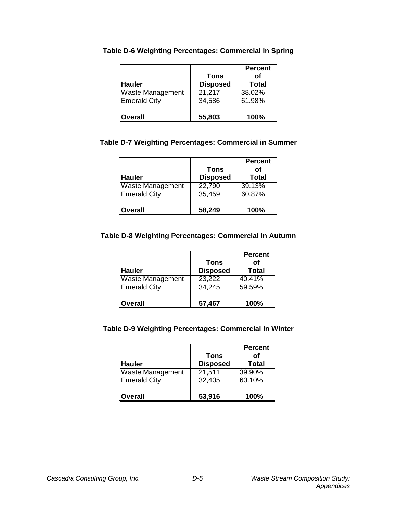|                     |                 | <b>Percent</b> |
|---------------------|-----------------|----------------|
|                     | Tons            | οf             |
| <b>Hauler</b>       | <b>Disposed</b> | <b>Total</b>   |
| Waste Management    | 21,217          | 38.02%         |
| <b>Emerald City</b> | 34,586          | 61.98%         |
| <b>Overall</b>      | 55,803          | <b>100%</b>    |

#### **Table D-6 Weighting Percentages: Commercial in Spring**

#### **Table D-7 Weighting Percentages: Commercial in Summer**

| <b>Hauler</b>       | Tons<br><b>Disposed</b> | <b>Percent</b><br>Ωf<br><b>Total</b> |
|---------------------|-------------------------|--------------------------------------|
| Waste Management    | 22,790                  | 39.13%                               |
| <b>Emerald City</b> | 35,459                  | 60.87%                               |
| <b>Overall</b>      | 58,249                  | <b>100%</b>                          |

#### **Table D-8 Weighting Percentages: Commercial in Autumn**

| <b>Hauler</b>       | Tons<br><b>Disposed</b> | <b>Percent</b><br>Οf<br><b>Total</b> |
|---------------------|-------------------------|--------------------------------------|
| Waste Management    | 23,222                  | 40.41%                               |
| <b>Emerald City</b> | 34,245                  | 59.59%                               |
| <b>Overall</b>      | 57,467                  | <b>100%</b>                          |

#### **Table D-9 Weighting Percentages: Commercial in Winter**

|                         | Tons            | <b>Percent</b><br>οf |
|-------------------------|-----------------|----------------------|
| <b>Hauler</b>           | <b>Disposed</b> | <b>Total</b>         |
| <b>Waste Management</b> | 21,511          | 39.90%               |
| <b>Emerald City</b>     | 32,405          | 60.10%               |
| <b>Overall</b>          | 53,916          | 100%                 |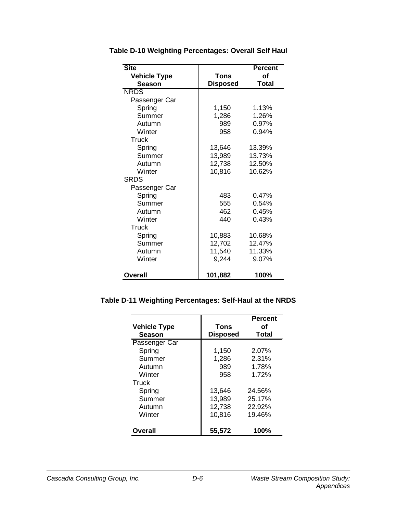| <b>Site</b>         |                 | <b>Percent</b> |
|---------------------|-----------------|----------------|
| <b>Vehicle Type</b> | Tons            | of             |
| <b>Season</b>       | <b>Disposed</b> | <b>Total</b>   |
| <b>NRDS</b>         |                 |                |
| Passenger Car       |                 |                |
| Spring              | 1,150           | 1.13%          |
| Summer              | 1,286           | 1.26%          |
| Autumn              | 989             | 0.97%          |
| Winter              | 958             | 0.94%          |
| Truck               |                 |                |
| Spring              | 13,646          | 13.39%         |
| Summer              | 13,989          | 13.73%         |
| Autumn              | 12,738          | 12.50%         |
| Winter              | 10,816          | 10.62%         |
| <b>SRDS</b>         |                 |                |
| Passenger Car       |                 |                |
| Spring              | 483             | 0.47%          |
| Summer              | 555             | 0.54%          |
| Autumn              | 462             | 0.45%          |
| Winter              | 440             | 0.43%          |
| Truck               |                 |                |
| Spring              | 10,883          | 10.68%         |
| Summer              | 12,702          | 12.47%         |
| Autumn              | 11,540          | 11.33%         |
| Winter              | 9,244           | 9.07%          |
| Overall             | 101,882         | 100%           |

**Table D-10 Weighting Percentages: Overall Self Haul**

#### **Table D-11 Weighting Percentages: Self-Haul at the NRDS**

| <b>Vehicle Type</b><br><b>Season</b> | Tons<br><b>Disposed</b> | <b>Percent</b><br>οf<br><b>Total</b> |
|--------------------------------------|-------------------------|--------------------------------------|
| Passenger Car                        |                         |                                      |
| Spring                               | 1,150                   | 2.07%                                |
| Summer                               | 1,286                   | 2.31%                                |
| Autumn                               | 989                     | 1.78%                                |
| Winter                               | 958                     | 1.72%                                |
| Truck                                |                         |                                      |
| Spring                               | 13,646                  | 24.56%                               |
| Summer                               | 13,989                  | 25.17%                               |
| Autumn                               | 12,738                  | 22.92%                               |
| Winter                               | 10,816                  | 19.46%                               |
| Overall                              | 55,572                  | 100%                                 |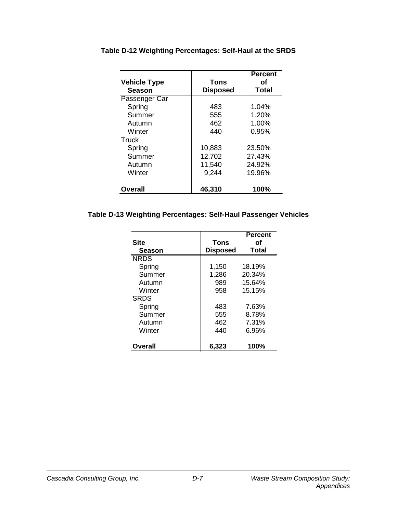|                     |                 | <b>Percent</b> |
|---------------------|-----------------|----------------|
| <b>Vehicle Type</b> | Tons            | Ωf             |
| <b>Season</b>       | <b>Disposed</b> | <b>Total</b>   |
| Passenger Car       |                 |                |
| Spring              | 483             | 1.04%          |
| Summer              | 555             | 1.20%          |
| Autumn              | 462             | 1.00%          |
| Winter              | 440             | 0.95%          |
| <b>Truck</b>        |                 |                |
| Spring              | 10,883          | 23.50%         |
| Summer              | 12,702          | 27.43%         |
| Autumn              | 11,540          | 24.92%         |
| Winter              | 9,244           | 19.96%         |
| Overall             | 46,310          | 100%           |

**Table D-12 Weighting Percentages: Self-Haul at the SRDS**

#### **Table D-13 Weighting Percentages: Self-Haul Passenger Vehicles**

| <b>Site</b><br><b>Season</b> | Tons<br><b>Disposed</b> | <b>Percent</b><br>οf<br><b>Total</b> |
|------------------------------|-------------------------|--------------------------------------|
| <b>NRDS</b>                  |                         |                                      |
| Spring                       | 1,150                   | 18.19%                               |
| Summer                       | 1,286                   | 20.34%                               |
| Autumn                       | 989                     | 15.64%                               |
| Winter                       | 958                     | 15.15%                               |
| <b>SRDS</b>                  |                         |                                      |
| Spring                       | 483                     | 7.63%                                |
| Summer                       | 555                     | 8.78%                                |
| Autumn                       | 462                     | 7.31%                                |
| Winter                       | 440                     | 6.96%                                |
| Overall                      | 6,323                   | 100%                                 |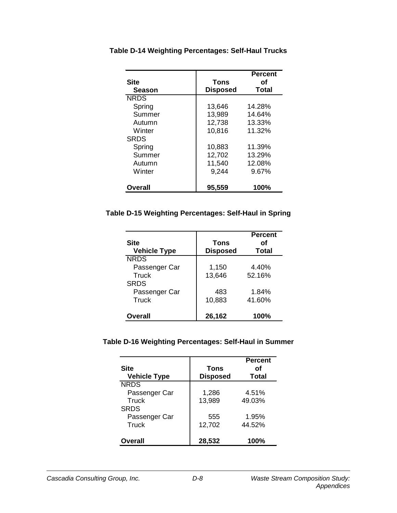|               |                 | <b>Percent</b> |
|---------------|-----------------|----------------|
| <b>Site</b>   | Tons            | Ωf             |
| <b>Season</b> | <b>Disposed</b> | <b>Total</b>   |
| <b>NRDS</b>   |                 |                |
| Spring        | 13,646          | 14.28%         |
| Summer        | 13,989          | 14.64%         |
| Autumn        | 12,738          | 13.33%         |
| Winter        | 10,816          | 11.32%         |
| <b>SRDS</b>   |                 |                |
| Spring        | 10,883          | 11.39%         |
| Summer        | 12,702          | 13.29%         |
| Autumn        | 11,540          | 12.08%         |
| Winter        | 9,244           | 9.67%          |
| Overall       | 95,559          | 100%           |

**Table D-14 Weighting Percentages: Self-Haul Trucks**

#### **Table D-15 Weighting Percentages: Self-Haul in Spring**

| Site<br><b>Vehicle Type</b> | Tons<br><b>Disposed</b> | <b>Percent</b><br>Ωf<br><b>Total</b> |
|-----------------------------|-------------------------|--------------------------------------|
| <b>NRDS</b>                 |                         |                                      |
| Passenger Car               | 1,150                   | 4.40%                                |
| <b>Truck</b><br><b>SRDS</b> | 13,646                  | 52.16%                               |
| Passenger Car               | 483                     | 1.84%                                |
| Truck                       | 10,883                  | 41.60%                               |
| Overall                     | 26,162                  | 100%                                 |

#### **Table D-16 Weighting Percentages: Self-Haul in Summer**

| Site<br><b>Vehicle Type</b> | Tons<br><b>Disposed</b> | <b>Percent</b><br>Ωf<br><b>Total</b> |
|-----------------------------|-------------------------|--------------------------------------|
| <b>NRDS</b>                 |                         |                                      |
| Passenger Car               | 1,286                   | 4.51%                                |
| Truck<br><b>SRDS</b>        | 13,989                  | 49.03%                               |
| Passenger Car               | 555                     | 1.95%                                |
| Truck                       | 12,702                  | 44.52%                               |
| <b>Overall</b>              | 28,532                  | 100%                                 |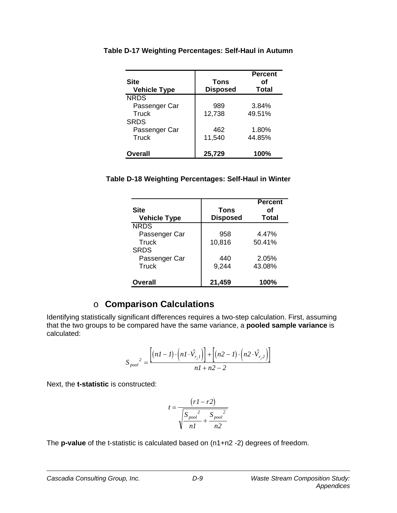| <b>Site</b><br><b>Vehicle Type</b> | <b>Tons</b><br><b>Disposed</b> | <b>Percent</b><br>Ωf<br><b>Total</b> |
|------------------------------------|--------------------------------|--------------------------------------|
| <b>NRDS</b>                        |                                |                                      |
| Passenger Car                      | 989                            | 3.84%                                |
| Truck<br><b>SRDS</b>               | 12,738                         | 49.51%                               |
| Passenger Car                      | 462                            | 1.80%                                |
| Truck                              | 11,540                         | 44.85%                               |
| <b>Overall</b>                     | 25,729                         | 100%                                 |

**Table D-17 Weighting Percentages: Self-Haul in Autumn**

#### **Table D-18 Weighting Percentages: Self-Haul in Winter**

| <b>Site</b><br><b>Vehicle Type</b> | <b>Tons</b><br><b>Disposed</b> | <b>Percent</b><br>Ωf<br>Total |
|------------------------------------|--------------------------------|-------------------------------|
| <b>NRDS</b>                        |                                |                               |
| Passenger Car                      | 958                            | 4.47%                         |
| <b>Truck</b><br><b>SRDS</b>        | 10,816                         | 50.41%                        |
| Passenger Car                      | 440                            | 2.05%                         |
| Truck                              | 9,244                          | 43.08%                        |
| <b>Overall</b>                     | 21,459                         | 100%                          |

### o **Comparison Calculations**

Identifying statistically significant differences requires a two-step calculation. First, assuming that the two groups to be compared have the same variance, a **pooled sample variance** is calculated:

$$
S_{pool}^2 = \frac{\left[ (nI - I) \cdot \left( nI \cdot \hat{V}_{r_j I} \right) \right] + \left[ (n2 - I) \cdot \left( n2 \cdot \hat{V}_{r_j 2} \right) \right]}{nI + n2 - 2}
$$

Next, the **t-statistic** is constructed:

$$
t = \frac{(rI - r2)}{\sqrt{\frac{S_{pool}^2}{nI} + \frac{S_{pool}^2}{n2}}}
$$

The **p-value** of the t-statistic is calculated based on (n1+n2 -2) degrees of freedom.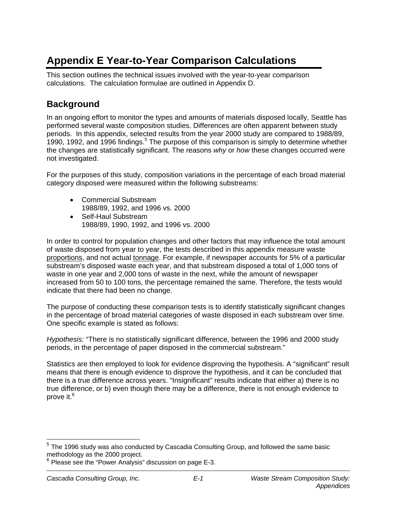# **Appendix E Year-to-Year Comparison Calculations**

This section outlines the technical issues involved with the year-to-year comparison calculations. The calculation formulae are outlined in Appendix D.

# **Background**

In an ongoing effort to monitor the types and amounts of materials disposed locally, Seattle has performed several waste composition studies. Differences are often apparent between study periods. In this appendix, selected results from the year 2000 study are compared to 1988/89, 1990, 1992, and 1996 findings.<sup>5</sup> The purpose of this comparison is simply to determine whether the changes are statistically significant. The reasons *why* or *how* these changes occurred were not investigated.

For the purposes of this study, composition variations in the percentage of each broad material category disposed were measured within the following substreams:

- Commercial Substream 1988/89, 1992, and 1996 vs. 2000
- Self-Haul Substream 1988/89, 1990, 1992, and 1996 vs. 2000

In order to control for population changes and other factors that may influence the total amount of waste disposed from year to year, the tests described in this appendix measure waste proportions, and not actual tonnage. For example, if newspaper accounts for 5% of a particular substream's disposed waste each year, and that substream disposed a total of 1,000 tons of waste in one year and 2,000 tons of waste in the next, while the amount of newspaper increased from 50 to 100 tons, the percentage remained the same. Therefore, the tests would indicate that there had been no change.

The purpose of conducting these comparison tests is to identify statistically significant changes in the percentage of broad material categories of waste disposed in each substream over time. One specific example is stated as follows:

*Hypothesis:* "There is no statistically significant difference, between the 1996 and 2000 study periods, in the percentage of paper disposed in the commercial substream."

Statistics are then employed to look for evidence disproving the hypothesis. A "significant" result means that there is enough evidence to disprove the hypothesis, and it can be concluded that there is a true difference across years. "Insignificant" results indicate that either a) there is no true difference, or b) even though there may be a difference, there is not enough evidence to prove it.<sup>6</sup>

 $^5$  The 1996 study was also conducted by Cascadia Consulting Group, and followed the same basic methodology as the 2000 project.

 $6$  Please see the "Power Analysis" discussion on page E-3.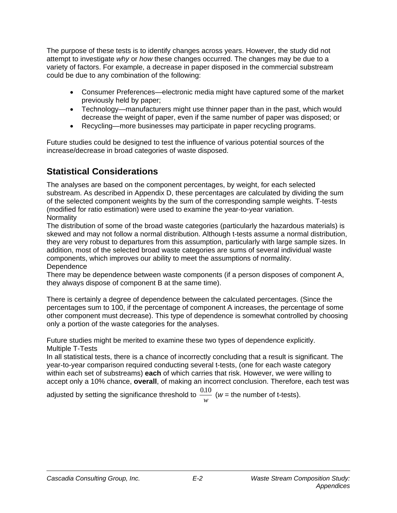The purpose of these tests is to identify changes across years. However, the study did not attempt to investigate *why* or *how* these changes occurred. The changes may be due to a variety of factors. For example, a decrease in paper disposed in the commercial substream could be due to any combination of the following:

- Consumer Preferences—electronic media might have captured some of the market previously held by paper;
- Technology—manufacturers might use thinner paper than in the past, which would decrease the weight of paper, even if the same number of paper was disposed; or
- Recycling—more businesses may participate in paper recycling programs.

Future studies could be designed to test the influence of various potential sources of the increase/decrease in broad categories of waste disposed.

# **Statistical Considerations**

The analyses are based on the component percentages, by weight, for each selected substream. As described in Appendix D, these percentages are calculated by dividing the sum of the selected component weights by the sum of the corresponding sample weights. T-tests (modified for ratio estimation) were used to examine the year-to-year variation. Normality

The distribution of some of the broad waste categories (particularly the hazardous materials) is skewed and may not follow a normal distribution. Although t-tests assume a normal distribution, they are very robust to departures from this assumption, particularly with large sample sizes. In addition, most of the selected broad waste categories are sums of several individual waste components, which improves our ability to meet the assumptions of normality. **Dependence** 

There may be dependence between waste components (if a person disposes of component A, they always dispose of component B at the same time).

There is certainly a degree of dependence between the calculated percentages. (Since the percentages sum to 100, if the percentage of component A increases, the percentage of some other component must decrease). This type of dependence is somewhat controlled by choosing only a portion of the waste categories for the analyses.

Future studies might be merited to examine these two types of dependence explicitly. Multiple T-Tests

In all statistical tests, there is a chance of incorrectly concluding that a result is significant. The year-to-year comparison required conducting several t-tests, (one for each waste category within each set of substreams) **each** of which carries that risk. However, we were willing to accept only a 10% chance, **overall**, of making an incorrect conclusion. Therefore, each test was

adjusted by setting the significance threshold to  $\frac{0.10}{.}$ *w* ( $w =$  the number of t-tests).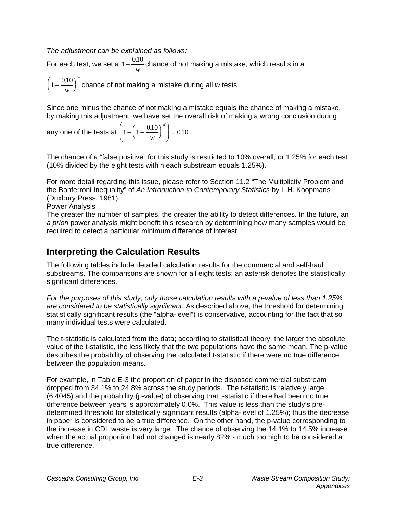*The adjustment can be explained as follows:*

For each test, we set a  $1 - \frac{0.10}{w}$ chance of not making a mistake, which results in a *w*

 $\left(1 - \frac{0.10}{w}\right)$ chance of not making a mistake during all *w* tests.

Since one minus the chance of not making a mistake equals the chance of making a mistake, by making this adjustment, we have set the overall risk of making a wrong conclusion during

any one of the tests at 
$$
\left(1 - \left(1 - \frac{0.10}{w}\right)^w\right) = 0.10
$$
.

The chance of a "false positive" for this study is restricted to 10% overall, or 1.25% for each test (10% divided by the eight tests within each substream equals 1.25%).

For more detail regarding this issue, please refer to Section 11.2 "The Multiplicity Problem and the Bonferroni Inequality" of *An Introduction to Contemporary Statistics* by L.H. Koopmans (Duxbury Press, 1981).

Power Analysis

The greater the number of samples, the greater the ability to detect differences. In the future, an *a priori* power analysis might benefit this research by determining how many samples would be required to detect a particular minimum difference of interest.

# **Interpreting the Calculation Results**

The following tables include detailed calculation results for the commercial and self-haul substreams. The comparisons are shown for all eight tests; an asterisk denotes the statistically significant differences.

*For the purposes of this study, only those calculation results with a p-value of less than 1.25% are considered to be statistically significant.* As described above, the threshold for determining statistically significant results (the "alpha-level") is conservative, accounting for the fact that so many individual tests were calculated.

The t-statistic is calculated from the data; according to statistical theory, the larger the absolute value of the t-statistic, the less likely that the two populations have the same mean. The p-value describes the probability of observing the calculated t-statistic if there were no true difference between the population means.

For example, in Table E-3 the proportion of paper in the disposed commercial substream dropped from 34.1% to 24.8% across the study periods. The t-statistic is relatively large (6.4045) and the probability (p-value) of observing that t-statistic if there had been no true difference between years is approximately 0.0%. This value is less than the study's predetermined threshold for statistically significant results (alpha-level of 1.25%); thus the decrease in paper is considered to be a true difference. On the other hand, the p-value corresponding to the increase in CDL waste is very large. The chance of observing the 14.1% to 14.5% increase when the actual proportion had not changed is nearly 82% - much too high to be considered a true difference.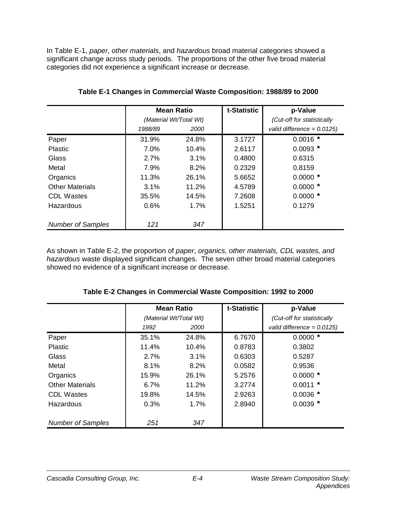In Table E-1, *paper*, *other materials*, and *hazardous* broad material categories showed a significant change across study periods. The proportions of the other five broad material categories did not experience a significant increase or decrease.

|                          | <b>Mean Ratio</b>      |             | t-Statistic | p-Value                       |
|--------------------------|------------------------|-------------|-------------|-------------------------------|
|                          | (Material Wt/Total Wt) |             |             | (Cut-off for statistically    |
|                          | 1988/89                | <i>2000</i> |             | valid difference = $0.0125$ ) |
| Paper                    | 31.9%                  | 24.8%       | 3.1727      | $0.0016$ *                    |
| <b>Plastic</b>           | 7.0%                   | 10.4%       | 2.6117      | $0.0093*$                     |
| <b>Glass</b>             | 2.7%                   | $3.1\%$     | 0.4800      | 0.6315                        |
| Metal                    | 7.9%                   | 8.2%        | 0.2329      | 0.8159                        |
| Organics                 | 11.3%                  | 26.1%       | 5.6652      | $0.0000*$                     |
| <b>Other Materials</b>   | 3.1%                   | 11.2%       | 4.5789      | $0.0000*$                     |
| <b>CDL Wastes</b>        | 35.5%                  | 14.5%       | 7.2608      | $0.0000*$                     |
| Hazardous                | 0.6%                   | $1.7\%$     | 1.5251      | 0.1279                        |
|                          |                        |             |             |                               |
| <b>Number of Samples</b> | 121                    | 347         |             |                               |

#### **Table E-1 Changes in Commercial Waste Composition: 1988/89 to 2000**

As shown in Table E-2, the proportion of *paper*, *organics, other materials, CDL wastes, and hazardous* waste displayed significant changes. The seven other broad material categories showed no evidence of a significant increase or decrease.

|                          | <b>Mean Ratio</b><br>(Material Wt/Total Wt) |       | t-Statistic | p-Value                       |
|--------------------------|---------------------------------------------|-------|-------------|-------------------------------|
|                          |                                             |       |             | (Cut-off for statistically    |
|                          | 1992                                        | 2000  |             | valid difference = $0.0125$ ) |
| Paper                    | 35.1%                                       | 24.8% | 6.7670      | $0.0000*$                     |
| Plastic                  | 11.4%                                       | 10.4% | 0.8783      | 0.3802                        |
| Glass                    | 2.7%                                        | 3.1%  | 0.6303      | 0.5287                        |
| Metal                    | 8.1%                                        | 8.2%  | 0.0582      | 0.9536                        |
| Organics                 | 15.9%                                       | 26.1% | 5.2576      | $0.0000*$                     |
| <b>Other Materials</b>   | 6.7%                                        | 11.2% | 3.2774      | $0.0011$ *                    |
| <b>CDL Wastes</b>        | 19.8%                                       | 14.5% | 2.9263      | $0.0036$ *                    |
| Hazardous                | 0.3%                                        | 1.7%  | 2.8940      | $0.0039*$                     |
| <b>Number of Samples</b> | 251                                         | 347   |             |                               |

#### **Table E-2 Changes in Commercial Waste Composition: 1992 to 2000**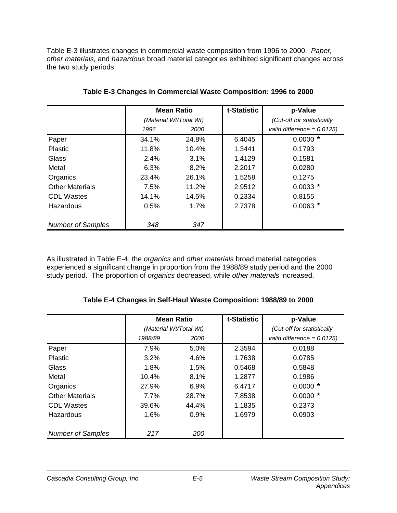Table E-3 illustrates changes in commercial waste composition from 1996 to 2000. *Paper, other materials,* and *hazardous* broad material categories exhibited significant changes across the two study periods.

|                          | <b>Mean Ratio</b>      |             | t-Statistic | p-Value                       |
|--------------------------|------------------------|-------------|-------------|-------------------------------|
|                          | (Material Wt/Total Wt) |             |             | (Cut-off for statistically    |
|                          | 1996                   | <i>2000</i> |             | valid difference = $0.0125$ ) |
| Paper                    | 34.1%                  | 24.8%       | 6.4045      | $0.0000*$                     |
| <b>Plastic</b>           | 11.8%                  | 10.4%       | 1.3441      | 0.1793                        |
| Glass                    | 2.4%                   | $3.1\%$     | 1.4129      | 0.1581                        |
| Metal                    | 6.3%                   | 8.2%        | 2.2017      | 0.0280                        |
| Organics                 | 23.4%                  | 26.1%       | 1.5258      | 0.1275                        |
| <b>Other Materials</b>   | 7.5%                   | 11.2%       | 2.9512      | $0.0033*$                     |
| <b>CDL Wastes</b>        | 14.1%                  | 14.5%       | 0.2334      | 0.8155                        |
| Hazardous                | 0.5%                   | $1.7\%$     | 2.7378      | $0.0063*$                     |
|                          |                        |             |             |                               |
| <b>Number of Samples</b> | 348                    | 347         |             |                               |

#### **Table E-3 Changes in Commercial Waste Composition: 1996 to 2000**

As illustrated in Table E-4, the *organics* and *other materials* broad material categories experienced a significant change in proportion from the 1988/89 study period and the 2000 study period. The proportion of *organics* decreased, while *other materials* increased.

#### **Table E-4 Changes in Self-Haul Waste Composition: 1988/89 to 2000**

|                          | <b>Mean Ratio</b><br>(Material Wt/Total Wt) |       | t-Statistic | p-Value                       |
|--------------------------|---------------------------------------------|-------|-------------|-------------------------------|
|                          |                                             |       |             | (Cut-off for statistically    |
|                          | 1988/89                                     | 2000  |             | valid difference = $0.0125$ ) |
| Paper                    | 7.9%                                        | 5.0%  | 2.3594      | 0.0188                        |
| Plastic                  | 3.2%                                        | 4.6%  | 1.7638      | 0.0785                        |
| Glass                    | 1.8%                                        | 1.5%  | 0.5468      | 0.5848                        |
| Metal                    | 10.4%                                       | 8.1%  | 1.2877      | 0.1986                        |
| Organics                 | 27.9%                                       | 6.9%  | 6.4717      | $0.0000*$                     |
| <b>Other Materials</b>   | 7.7%                                        | 28.7% | 7.8538      | $0.0000*$                     |
| <b>CDL Wastes</b>        | 39.6%                                       | 44.4% | 1.1835      | 0.2373                        |
| Hazardous                | 1.6%                                        | 0.9%  | 1.6979      | 0.0903                        |
| <b>Number of Samples</b> | 217                                         | 200   |             |                               |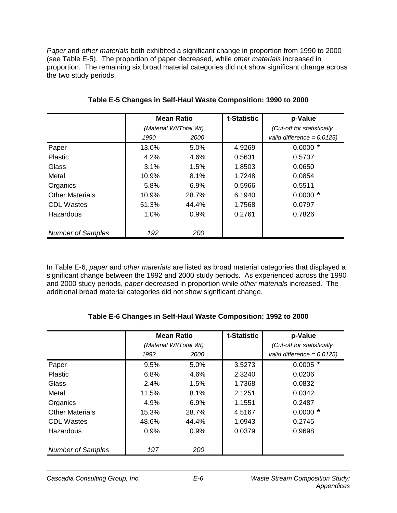*Paper* and *other materials* both exhibited a significant change in proportion from 1990 to 2000 (see Table E-5). The proportion of paper decreased, while *other materials* increased in proportion. The remaining six broad material categories did not show significant change across the two study periods.

|                          | <b>Mean Ratio</b><br>(Material Wt/Total Wt) |       | t-Statistic | p-Value                       |
|--------------------------|---------------------------------------------|-------|-------------|-------------------------------|
|                          |                                             |       |             | (Cut-off for statistically    |
|                          | 1990                                        | 2000  |             | valid difference = $0.0125$ ) |
| Paper                    | 13.0%                                       | 5.0%  | 4.9269      | $0.0000*$                     |
| Plastic                  | 4.2%                                        | 4.6%  | 0.5631      | 0.5737                        |
| Glass                    | 3.1%                                        | 1.5%  | 1.8503      | 0.0650                        |
| Metal                    | 10.9%                                       | 8.1%  | 1.7248      | 0.0854                        |
| Organics                 | 5.8%                                        | 6.9%  | 0.5966      | 0.5511                        |
| <b>Other Materials</b>   | 10.9%                                       | 28.7% | 6.1940      | $0.0000*$                     |
| <b>CDL Wastes</b>        | 51.3%                                       | 44.4% | 1.7568      | 0.0797                        |
| Hazardous                | 1.0%                                        | 0.9%  | 0.2761      | 0.7826                        |
|                          |                                             |       |             |                               |
| <b>Number of Samples</b> | 192                                         | 200   |             |                               |

**Table E-5 Changes in Self-Haul Waste Composition: 1990 to 2000**

In Table E-6, *paper* and *other materials* are listed as broad material categories that displayed a significant change between the 1992 and 2000 study periods. As experienced across the 1990 and 2000 study periods, *paper* decreased in proportion while *other materials* increased. The additional broad material categories did not show significant change.

|                          | <b>Mean Ratio</b><br>(Material Wt/Total Wt) |       | t-Statistic | p-Value                       |
|--------------------------|---------------------------------------------|-------|-------------|-------------------------------|
|                          |                                             |       |             | (Cut-off for statistically    |
|                          | 1992                                        | 2000  |             | valid difference = $0.0125$ ) |
| Paper                    | 9.5%                                        | 5.0%  | 3.5273      | $0.0005$ *                    |
| Plastic                  | 6.8%                                        | 4.6%  | 2.3240      | 0.0206                        |
| Glass                    | 2.4%                                        | 1.5%  | 1.7368      | 0.0832                        |
| Metal                    | 11.5%                                       | 8.1%  | 2.1251      | 0.0342                        |
| Organics                 | 4.9%                                        | 6.9%  | 1.1551      | 0.2487                        |
| <b>Other Materials</b>   | 15.3%                                       | 28.7% | 4.5167      | $0.0000*$                     |
| <b>CDL Wastes</b>        | 48.6%                                       | 44.4% | 1.0943      | 0.2745                        |
| Hazardous                | 0.9%                                        | 0.9%  | 0.0379      | 0.9698                        |
|                          |                                             |       |             |                               |
| <b>Number of Samples</b> | 197                                         | 200   |             |                               |

**Table E-6 Changes in Self-Haul Waste Composition: 1992 to 2000**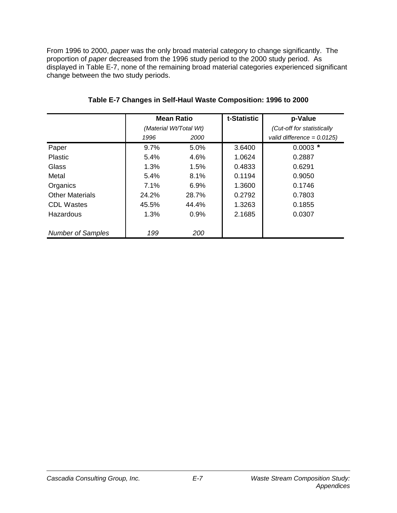From 1996 to 2000, *paper* was the only broad material category to change significantly. The proportion of *paper* decreased from the 1996 study period to the 2000 study period. As displayed in Table E-7, none of the remaining broad material categories experienced significant change between the two study periods.

|                          |       | <b>Mean Ratio</b>      | t-Statistic | p-Value                       |
|--------------------------|-------|------------------------|-------------|-------------------------------|
|                          |       | (Material Wt/Total Wt) |             | (Cut-off for statistically    |
|                          | 1996  | 2000                   |             | valid difference = $0.0125$ ) |
| Paper                    | 9.7%  | $5.0\%$                | 3.6400      | $0.0003$ *                    |
| <b>Plastic</b>           | 5.4%  | 4.6%                   | 1.0624      | 0.2887                        |
| Glass                    | 1.3%  | 1.5%                   | 0.4833      | 0.6291                        |
| Metal                    | 5.4%  | 8.1%                   | 0.1194      | 0.9050                        |
| Organics                 | 7.1%  | 6.9%                   | 1.3600      | 0.1746                        |
| <b>Other Materials</b>   | 24.2% | 28.7%                  | 0.2792      | 0.7803                        |
| <b>CDL Wastes</b>        | 45.5% | 44.4%                  | 1.3263      | 0.1855                        |
| Hazardous                | 1.3%  | 0.9%                   | 2.1685      | 0.0307                        |
|                          |       |                        |             |                               |
| <b>Number of Samples</b> | 199   | 200                    |             |                               |

#### **Table E-7 Changes in Self-Haul Waste Composition: 1996 to 2000**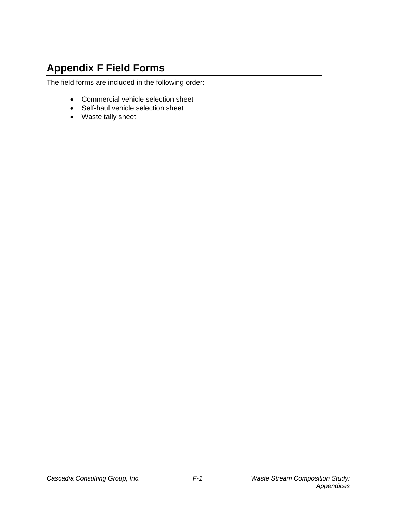# **Appendix F Field Forms**

The field forms are included in the following order:

- Commercial vehicle selection sheet
- Self-haul vehicle selection sheet
- Waste tally sheet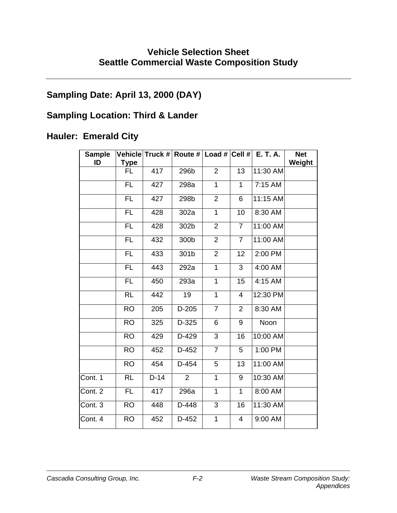# **Vehicle Selection Sheet Seattle Commercial Waste Composition Study**

# **Sampling Date: April 13, 2000 (DAY)**

# **Sampling Location: Third & Lander**

# **Hauler: Emerald City**

| <b>Sample</b><br>ID | Type      |        | Vehicle Truck # Route # Load # Cell # |                |                | E. T. A. | <b>Net</b><br>Weight |
|---------------------|-----------|--------|---------------------------------------|----------------|----------------|----------|----------------------|
|                     | FL        | 417    | 296b                                  | 2              | 13             | 11:30 AM |                      |
|                     | <b>FL</b> | 427    | 298a                                  | 1              | 1              | 7:15 AM  |                      |
|                     | FL        | 427    | 298b                                  | $\overline{2}$ | 6              | 11:15 AM |                      |
|                     | <b>FL</b> | 428    | 302a                                  | $\overline{1}$ | 10             | 8:30 AM  |                      |
|                     | <b>FL</b> | 428    | 302b                                  | $\overline{2}$ | $\overline{7}$ | 11:00 AM |                      |
|                     | <b>FL</b> | 432    | 300b                                  | $\overline{2}$ | $\overline{7}$ | 11:00 AM |                      |
|                     | <b>FL</b> | 433    | 301b                                  | $\overline{2}$ | 12             | 2:00 PM  |                      |
|                     | <b>FL</b> | 443    | 292a                                  | $\mathbf{1}$   | 3              | 4:00 AM  |                      |
|                     | <b>FL</b> | 450    | 293a                                  | 1              | 15             | 4:15 AM  |                      |
|                     | <b>RL</b> | 442    | 19                                    | 1              | $\overline{4}$ | 12:30 PM |                      |
|                     | <b>RO</b> | 205    | $D-205$                               | $\overline{7}$ | 2              | 8:30 AM  |                      |
|                     | <b>RO</b> | 325    | D-325                                 | 6              | 9              | Noon     |                      |
|                     | <b>RO</b> | 429    | D-429                                 | 3              | 16             | 10:00 AM |                      |
|                     | <b>RO</b> | 452    | D-452                                 | $\overline{7}$ | 5              | 1:00 PM  |                      |
|                     | <b>RO</b> | 454    | D-454                                 | 5              | 13             | 11:00 AM |                      |
| Cont. 1             | <b>RL</b> | $D-14$ | $\overline{2}$                        | 1              | 9              | 10:30 AM |                      |
| Cont. 2             | <b>FL</b> | 417    | 296a                                  | $\mathbf{1}$   | $\mathbf{1}$   | 8:00 AM  |                      |
| Cont. 3             | <b>RO</b> | 448    | D-448                                 | 3              | 16             | 11:30 AM |                      |
| Cont. 4             | <b>RO</b> | 452    | D-452                                 | $\mathbf 1$    | 4              | 9:00 AM  |                      |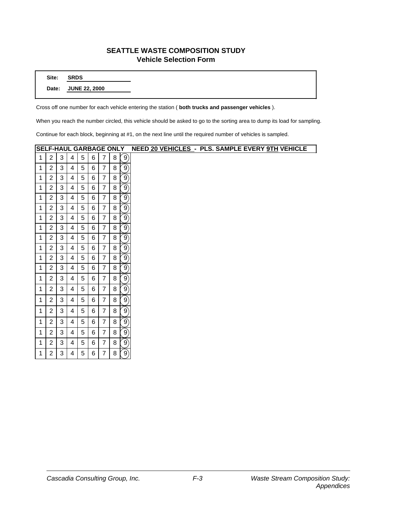#### **SEATTLE WASTE COMPOSITION STUDY Vehicle Selection Form**

**Site: SRDS**

**Date: JUNE 22, 2000**

Cross off one number for each vehicle entering the station ( **both trucks and passenger vehicles** ).

When you reach the number circled, this vehicle should be asked to go to the sorting area to dump its load for sampling.

Continue for each block, beginning at #1, on the next line until the required number of vehicles is sampled.

|              |                |              |                |            |   |                | <b>SELF-HAUL GARBAGE ONLY</b> |                   | NEED 20 VEHICLES - PLS. SAMPLE EVERY 9TH VEHICLE |  |
|--------------|----------------|--------------|----------------|------------|---|----------------|-------------------------------|-------------------|--------------------------------------------------|--|
| $\mathbf{1}$ | $\overline{2}$ | 3            | 4              | 5          | 6 | $\overline{7}$ | 8                             | $\left(9\right)$  |                                                  |  |
| 1            | $\overline{2}$ | 3            | 4              | 5          | 6 | $\overline{7}$ | 8                             | $\left(9\right)$  |                                                  |  |
| 1            | $\overline{2}$ | 3            | 4              | 5          | 6 | $\overline{7}$ | 8                             | $\ket{9}$         |                                                  |  |
| $\mathbf{1}$ | $\overline{2}$ | 3            | 4              | 5          | 6 | $\overline{7}$ | 8                             | $\ket{9}$         |                                                  |  |
| 1            | $\overline{2}$ | 3            | 4              | $\sqrt{5}$ | 6 | $\overline{7}$ | 8                             | $\ket{9}$         |                                                  |  |
| 1            | $\overline{2}$ | $\mathbf{3}$ | 4              | 5          | 6 | $\overline{7}$ | 8                             | $\ket{9}$         |                                                  |  |
| $\mathbf{1}$ | $\overline{2}$ | 3            | 4              | 5          | 6 | $\overline{7}$ | 8                             | $\ket{9}$         |                                                  |  |
| 1            | $\overline{2}$ | 3            | 4              | 5          | 6 | $\overline{7}$ | 8                             | $\ket{9}$         |                                                  |  |
| 1            | $\overline{2}$ | 3            | 4              | 5          | 6 | $\overline{7}$ | 8                             | $\ket{9}$         |                                                  |  |
| 1            | $\overline{2}$ | 3            | $\overline{4}$ | 5          | 6 | $\overline{7}$ | 8                             | $\left( 9\right)$ |                                                  |  |
| 1            | $\overline{2}$ | $\mathbf{3}$ | 4              | 5          | 6 | $\overline{7}$ | 8                             | $\ket{9}$         |                                                  |  |
| 1            | $\overline{2}$ | 3            | 4              | 5          | 6 | $\overline{7}$ | 8                             | $\ket{9}$         |                                                  |  |
| 1            | $\overline{2}$ | 3            | 4              | 5          | 6 | $\overline{7}$ | 8                             | $\left(9\right)$  |                                                  |  |
| 1            | $\overline{2}$ | 3            | 4              | 5          | 6 | $\overline{7}$ | 8                             | $\left(9\right)$  |                                                  |  |
| 1            | $\overline{2}$ | 3            | 4              | 5          | 6 | $\overline{7}$ | 8                             | $ 9\rangle$       |                                                  |  |
| 1            | $\overline{2}$ | 3            | 4              | 5          | 6 | $\overline{7}$ | 8                             | $\left( 9\right)$ |                                                  |  |
| 1            | $\overline{2}$ | 3            | 4              | 5          | 6 | $\overline{7}$ | 8                             | $\left(9\right)$  |                                                  |  |
| 1            | $\overline{2}$ | 3            | 4              | 5          | 6 | $\overline{7}$ | 8                             | $\left(9\right)$  |                                                  |  |
| 1            | $\overline{2}$ | 3            | 4              | 5          | 6 | $\overline{7}$ | 8                             | $\left(9\right)$  |                                                  |  |
| 1            | $\overline{2}$ | 3            | 4              | 5          | 6 | $\overline{7}$ | 8                             | $\left(9\right)$  |                                                  |  |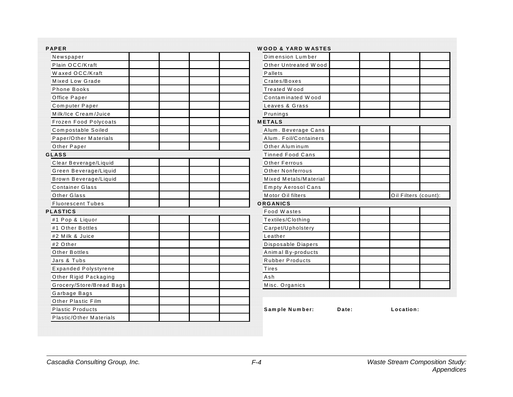| <b>PAPER</b>             | WOOD & YARD WASTES        |       |                      |
|--------------------------|---------------------------|-------|----------------------|
| Newspaper                | Dimension Lumber          |       |                      |
| Plain OCC/Kraft          | Other Untreated Wood      |       |                      |
| Waxed OCC/Kraft          | Pallets                   |       |                      |
| Mixed Low Grade          | Crates/Boxes              |       |                      |
| Phone Books              | Treated Wood              |       |                      |
| Office Paper             | Contaminated Wood         |       |                      |
| Computer Paper           | Leaves & Grass            |       |                      |
| Milk/Ice Cream/Juice     | Prunings                  |       |                      |
| Frozen Food Polycoats    | <b>METALS</b>             |       |                      |
| Compostable Soiled       | Alum. Beverage Cans       |       |                      |
| Paper/Other Materials    | Alum. Foil/Containers     |       |                      |
| Other Paper              | Other Aluminum            |       |                      |
| <b>GLASS</b>             | <b>Tinned Food Cans</b>   |       |                      |
| Clear Beverage/Liquid    | Other Ferrous             |       |                      |
| Green Beverage/Liquid    | Other Nonferrous          |       |                      |
| Brown Beverage/Liquid    | Mixed Metals/Material     |       |                      |
| <b>Container Glass</b>   | <b>Empty Aerosol Cans</b> |       |                      |
| Other Glass              | Motor Oil filters         |       | Oil Filters (count): |
| <b>Fluorescent Tubes</b> | ORGANICS                  |       |                      |
| <b>PLASTICS</b>          | Food Wastes               |       |                      |
| #1 Pop & Liquor          | Textiles/Clothing         |       |                      |
| #1 Other Bottles         | Carpet/Upholstery         |       |                      |
| #2 Milk & Juice          | Leather                   |       |                      |
| #2 Other                 | Disposable Diapers        |       |                      |
| Other Bottles            | Animal By-products        |       |                      |
| Jars & Tubs              | <b>Rubber Products</b>    |       |                      |
| Expanded Polystyrene     | Tires                     |       |                      |
| Other Rigid Packaging    | Ash                       |       |                      |
| Grocery/Store/Bread Bags | Misc. Organics            |       |                      |
| Garbage Bags             |                           |       |                      |
| Other Plastic Film       |                           |       |                      |
| <b>Plastic Products</b>  | Sample Number:            | Date: | Location:            |
| Plastic/Other Materials  |                           |       |                      |